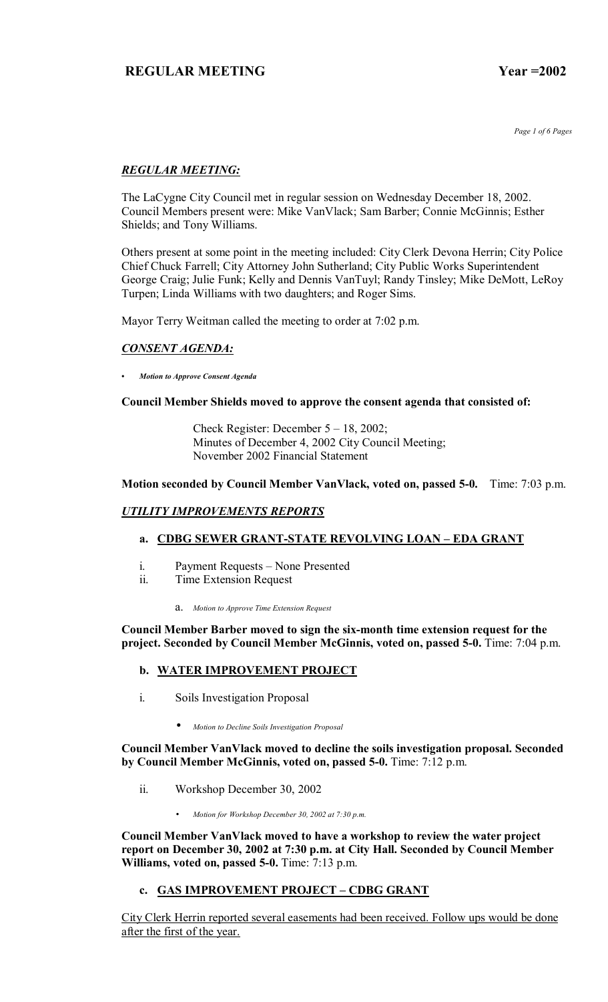*Page 1 of 6 Pages*

# *REGULAR MEETING:*

The LaCygne City Council met in regular session on Wednesday December 18, 2002. Council Members present were: Mike VanVlack; Sam Barber; Connie McGinnis; Esther Shields; and Tony Williams.

Others present at some point in the meeting included: City Clerk Devona Herrin; City Police Chief Chuck Farrell; City Attorney John Sutherland; City Public Works Superintendent George Craig; Julie Funk; Kelly and Dennis VanTuyl; Randy Tinsley; Mike DeMott, LeRoy Turpen; Linda Williams with two daughters; and Roger Sims.

Mayor Terry Weitman called the meeting to order at 7:02 p.m.

## *CONSENT AGENDA:*

*ï Motion to Approve Consent Agenda*

## **Council Member Shields moved to approve the consent agenda that consisted of:**

Check Register: December  $5 - 18$ , 2002; Minutes of December 4, 2002 City Council Meeting; November 2002 Financial Statement

## **Motion seconded by Council Member VanVlack, voted on, passed 5-0.** Time: 7:03 p.m.

# *UTILITY IMPROVEMENTS REPORTS*

# a. CDBG SEWER GRANT-STATE REVOLVING LOAN - EDA GRANT

- i. Payment Requests None Presented
- ii. Time Extension Request
	- a. *Motion to Approve Time Extension Request*

**Council Member Barber moved to sign the six-month time extension request for the project. Seconded by Council Member McGinnis, voted on, passed 5-0.** Time: 7:04 p.m.

## **b. WATER IMPROVEMENT PROJECT**

- i. Soils Investigation Proposal
	- *Motion to Decline Soils Investigation Proposal*

**Council Member VanVlack moved to decline the soils investigation proposal. Seconded by Council Member McGinnis, voted on, passed 5-0.** Time: 7:12 p.m.

- ii. Workshop December 30, 2002
	- *Motion for Workshop December 30, 2002 at 7:30 p.m.*

**Council Member VanVlack moved to have a workshop to review the water project report on December 30, 2002 at 7:30 p.m. at City Hall. Seconded by Council Member Williams, voted on, passed 5-0.** Time: 7:13 p.m.

# c. GAS IMPROVEMENT PROJECT - CDBG GRANT

City Clerk Herrin reported several easements had been received. Follow ups would be done after the first of the year.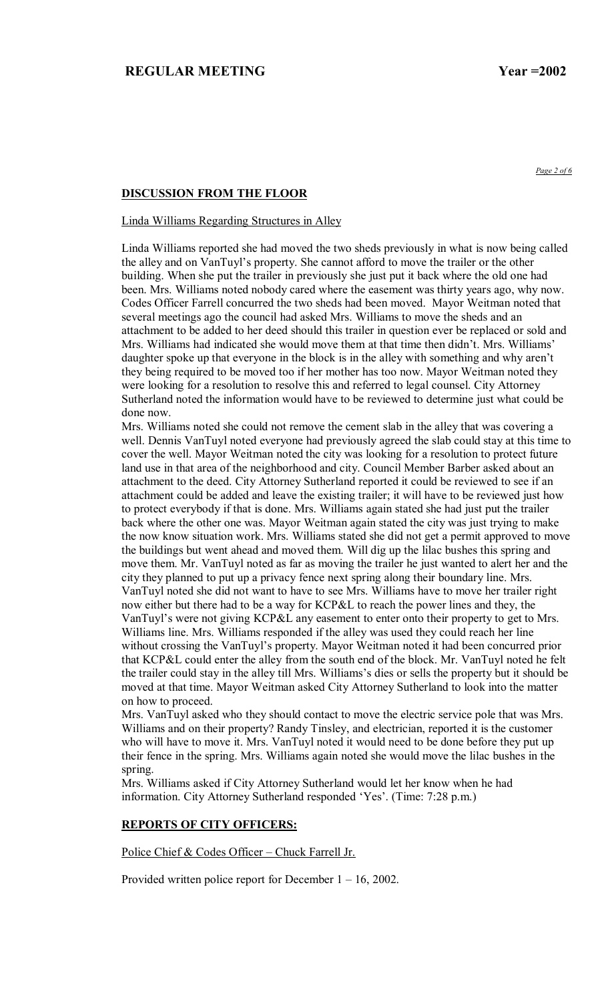*Page 2 of 6*

## **DISCUSSION FROM THE FLOOR**

### Linda Williams Regarding Structures in Alley

Linda Williams reported she had moved the two sheds previously in what is now being called the alley and on VanTuyl's property. She cannot afford to move the trailer or the other building. When she put the trailer in previously she just put it back where the old one had been. Mrs. Williams noted nobody cared where the easement was thirty years ago, why now. Codes Officer Farrell concurred the two sheds had been moved. Mayor Weitman noted that several meetings ago the council had asked Mrs. Williams to move the sheds and an attachment to be added to her deed should this trailer in question ever be replaced or sold and Mrs. Williams had indicated she would move them at that time then didn't. Mrs. Williams' daughter spoke up that everyone in the block is in the alley with something and why aren't they being required to be moved too if her mother has too now. Mayor Weitman noted they were looking for a resolution to resolve this and referred to legal counsel. City Attorney Sutherland noted the information would have to be reviewed to determine just what could be done now.

Mrs. Williams noted she could not remove the cement slab in the alley that was covering a well. Dennis VanTuyl noted everyone had previously agreed the slab could stay at this time to cover the well. Mayor Weitman noted the city was looking for a resolution to protect future land use in that area of the neighborhood and city. Council Member Barber asked about an attachment to the deed. City Attorney Sutherland reported it could be reviewed to see if an attachment could be added and leave the existing trailer; it will have to be reviewed just how to protect everybody if that is done. Mrs. Williams again stated she had just put the trailer back where the other one was. Mayor Weitman again stated the city was just trying to make the now know situation work. Mrs. Williams stated she did not get a permit approved to move the buildings but went ahead and moved them. Will dig up the lilac bushes this spring and move them. Mr. VanTuyl noted as far as moving the trailer he just wanted to alert her and the city they planned to put up a privacy fence next spring along their boundary line. Mrs. VanTuyl noted she did not want to have to see Mrs. Williams have to move her trailer right now either but there had to be a way for KCP&L to reach the power lines and they, the VanTuyl's were not giving KCP&L any easement to enter onto their property to get to Mrs. Williams line. Mrs. Williams responded if the alley was used they could reach her line without crossing the VanTuyl's property. Mayor Weitman noted it had been concurred prior that KCP&L could enter the alley from the south end of the block. Mr. VanTuyl noted he felt the trailer could stay in the alley till Mrs. Williams's dies or sells the property but it should be moved at that time. Mayor Weitman asked City Attorney Sutherland to look into the matter on how to proceed.

Mrs. VanTuyl asked who they should contact to move the electric service pole that was Mrs. Williams and on their property? Randy Tinsley, and electrician, reported it is the customer who will have to move it. Mrs. VanTuyl noted it would need to be done before they put up their fence in the spring. Mrs. Williams again noted she would move the lilac bushes in the spring.

Mrs. Williams asked if City Attorney Sutherland would let her know when he had information. City Attorney Sutherland responded 'Yes'. (Time: 7:28 p.m.)

### **REPORTS OF CITY OFFICERS:**

Police Chief & Codes Officer - Chuck Farrell Jr.

Provided written police report for December  $1 - 16$ , 2002.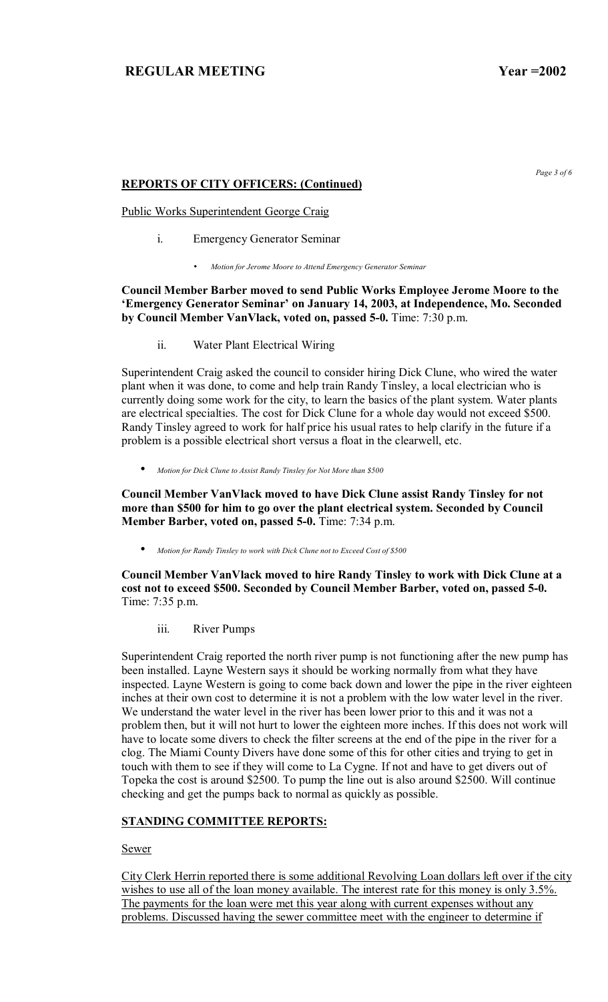## **REPORTS OF CITY OFFICERS: (Continued)**

Public Works Superintendent George Craig

- i. Emergency Generator Seminar
	- *Motion for Jerome Moore to Attend Emergency Generator Seminar*

**Council Member Barber moved to send Public Works Employee Jerome Moore to the ëEmergency Generator Seminarí on January 14, 2003, at Independence, Mo. Seconded by Council Member VanVlack, voted on, passed 5-0.** Time: 7:30 p.m.

ii. Water Plant Electrical Wiring

Superintendent Craig asked the council to consider hiring Dick Clune, who wired the water plant when it was done, to come and help train Randy Tinsley, a local electrician who is currently doing some work for the city, to learn the basics of the plant system. Water plants are electrical specialties. The cost for Dick Clune for a whole day would not exceed \$500. Randy Tinsley agreed to work for half price his usual rates to help clarify in the future if a problem is a possible electrical short versus a float in the clearwell, etc.

• *Motion for Dick Clune to Assist Randy Tinsley for Not More than \$500*

**Council Member VanVlack moved to have Dick Clune assist Randy Tinsley for not more than \$500 for him to go over the plant electrical system. Seconded by Council Member Barber, voted on, passed 5-0.** Time: 7:34 p.m.

• *Motion for Randy Tinsley to work with Dick Clune not to Exceed Cost of \$500*

**Council Member VanVlack moved to hire Randy Tinsley to work with Dick Clune at a cost not to exceed \$500. Seconded by Council Member Barber, voted on, passed 5-0.**  Time: 7:35 p.m.

iii. River Pumps

Superintendent Craig reported the north river pump is not functioning after the new pump has been installed. Layne Western says it should be working normally from what they have inspected. Layne Western is going to come back down and lower the pipe in the river eighteen inches at their own cost to determine it is not a problem with the low water level in the river. We understand the water level in the river has been lower prior to this and it was not a problem then, but it will not hurt to lower the eighteen more inches. If this does not work will have to locate some divers to check the filter screens at the end of the pipe in the river for a clog. The Miami County Divers have done some of this for other cities and trying to get in touch with them to see if they will come to La Cygne. If not and have to get divers out of Topeka the cost is around \$2500. To pump the line out is also around \$2500. Will continue checking and get the pumps back to normal as quickly as possible.

# **STANDING COMMITTEE REPORTS:**

Sewer

City Clerk Herrin reported there is some additional Revolving Loan dollars left over if the city wishes to use all of the loan money available. The interest rate for this money is only 3.5%. The payments for the loan were met this year along with current expenses without any problems. Discussed having the sewer committee meet with the engineer to determine if

*Page 3 of 6*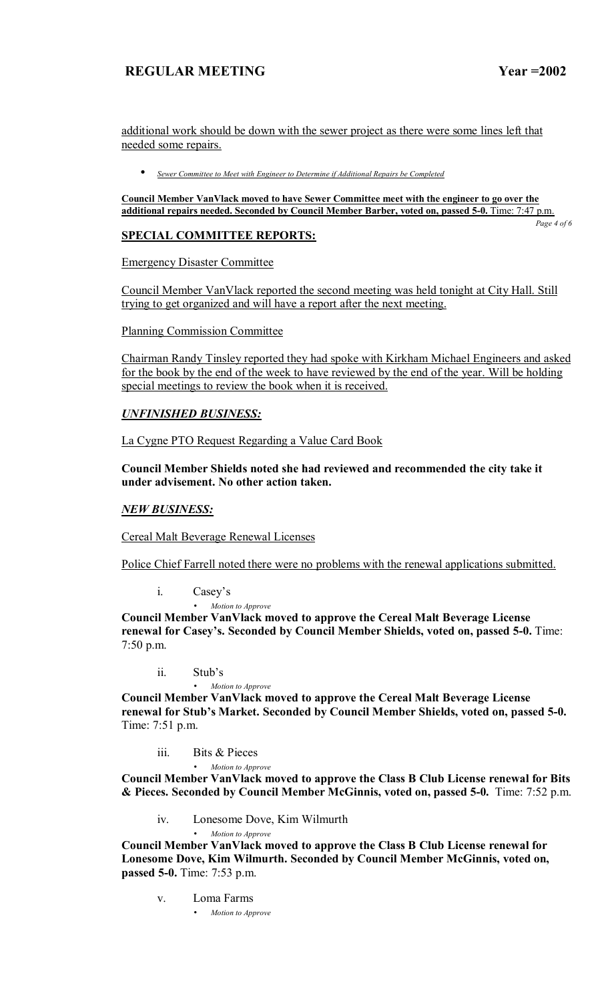additional work should be down with the sewer project as there were some lines left that needed some repairs.

• *Sewer Committee to Meet with Engineer to Determine if Additional Repairs be Completed*

**Council Member VanVlack moved to have Sewer Committee meet with the engineer to go over the**  additional repairs needed. Seconded by Council Member Barber, voted on, passed 5-0. Time: 7:47 p.m.

*Page 4 of 6* 

# **SPECIAL COMMITTEE REPORTS:**

Emergency Disaster Committee

Council Member VanVlack reported the second meeting was held tonight at City Hall. Still trying to get organized and will have a report after the next meeting.

Planning Commission Committee

Chairman Randy Tinsley reported they had spoke with Kirkham Michael Engineers and asked for the book by the end of the week to have reviewed by the end of the year. Will be holding special meetings to review the book when it is received.

## *UNFINISHED BUSINESS:*

La Cygne PTO Request Regarding a Value Card Book

**Council Member Shields noted she had reviewed and recommended the city take it under advisement. No other action taken.** 

## *NEW BUSINESS:*

Cereal Malt Beverage Renewal Licenses

Police Chief Farrell noted there were no problems with the renewal applications submitted.

i. Casey's

• *Motion to Approve* 

**Council Member VanVlack moved to approve the Cereal Malt Beverage License renewal for Casey's. Seconded by Council Member Shields, voted on, passed 5-0.** Time: 7:50 p.m.

ii. Stub's

• *Motion to Approve* **Council Member VanVlack moved to approve the Cereal Malt Beverage License**  renewal for Stub's Market. Seconded by Council Member Shields, voted on, passed 5-0. Time: 7:51 p.m.

- iii. Bits & Pieces
	- *Motion to Approve*

**Council Member VanVlack moved to approve the Class B Club License renewal for Bits & Pieces. Seconded by Council Member McGinnis, voted on, passed 5-0.** Time: 7:52 p.m.

iv. Lonesome Dove, Kim Wilmurth

• *Motion to Approve*

**Council Member VanVlack moved to approve the Class B Club License renewal for Lonesome Dove, Kim Wilmurth. Seconded by Council Member McGinnis, voted on, passed 5-0.** Time: 7:53 p.m.

- v. Loma Farms
	- *Motion to Approve*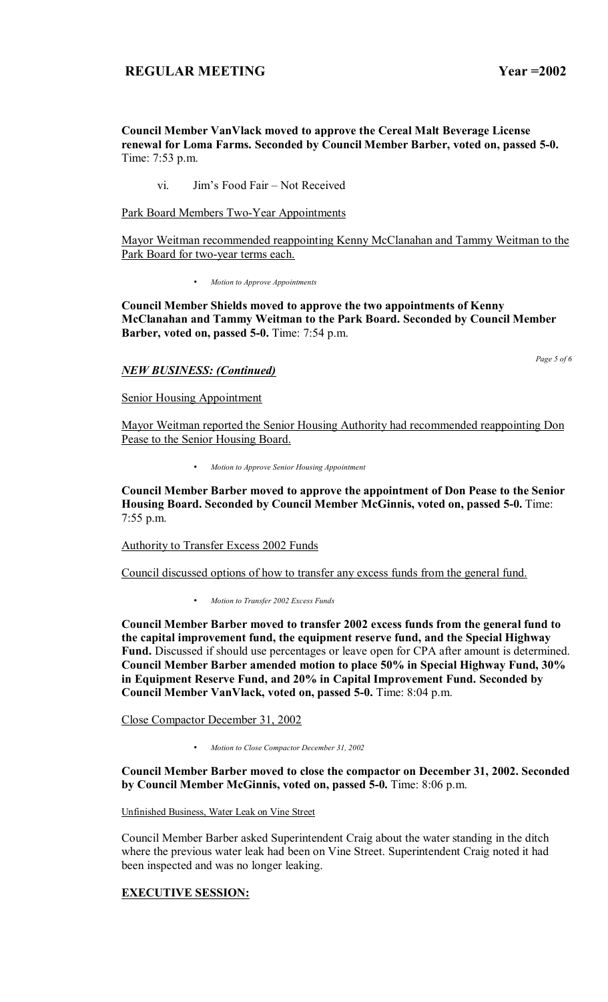**Council Member VanVlack moved to approve the Cereal Malt Beverage License renewal for Loma Farms. Seconded by Council Member Barber, voted on, passed 5-0.**  Time: 7:53 p.m.

vi. Jim's Food Fair – Not Received

Park Board Members Two-Year Appointments

Mayor Weitman recommended reappointing Kenny McClanahan and Tammy Weitman to the Park Board for two-year terms each.

• *Motion to Approve Appointments*

**Council Member Shields moved to approve the two appointments of Kenny McClanahan and Tammy Weitman to the Park Board. Seconded by Council Member Barber, voted on, passed 5-0.** Time: 7:54 p.m.

### *NEW BUSINESS: (Continued)*

Senior Housing Appointment

Mayor Weitman reported the Senior Housing Authority had recommended reappointing Don Pease to the Senior Housing Board.

• *Motion to Approve Senior Housing Appointment*

**Council Member Barber moved to approve the appointment of Don Pease to the Senior Housing Board. Seconded by Council Member McGinnis, voted on, passed 5-0.** Time: 7:55 p.m.

Authority to Transfer Excess 2002 Funds

Council discussed options of how to transfer any excess funds from the general fund.

• *Motion to Transfer 2002 Excess Funds*

**Council Member Barber moved to transfer 2002 excess funds from the general fund to the capital improvement fund, the equipment reserve fund, and the Special Highway Fund.** Discussed if should use percentages or leave open for CPA after amount is determined. **Council Member Barber amended motion to place 50% in Special Highway Fund, 30% in Equipment Reserve Fund, and 20% in Capital Improvement Fund. Seconded by Council Member VanVlack, voted on, passed 5-0.** Time: 8:04 p.m.

Close Compactor December 31, 2002

• *Motion to Close Compactor December 31, 2002*

### **Council Member Barber moved to close the compactor on December 31, 2002. Seconded by Council Member McGinnis, voted on, passed 5-0.** Time: 8:06 p.m.

Unfinished Business, Water Leak on Vine Street

Council Member Barber asked Superintendent Craig about the water standing in the ditch where the previous water leak had been on Vine Street. Superintendent Craig noted it had been inspected and was no longer leaking.

# **EXECUTIVE SESSION:**

*Page 5 of 6*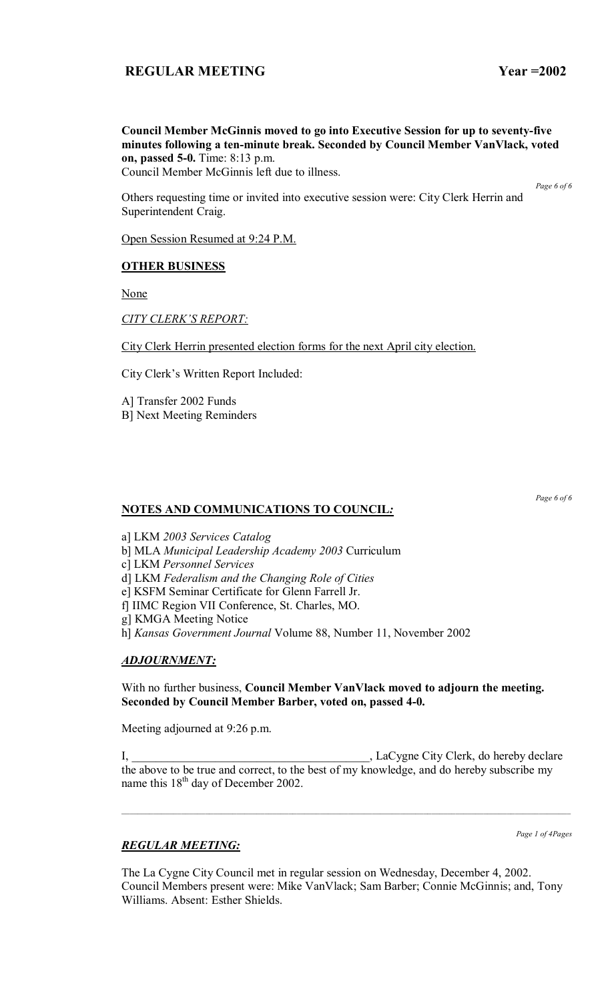**Council Member McGinnis moved to go into Executive Session for up to seventy-five minutes following a ten-minute break. Seconded by Council Member VanVlack, voted on, passed 5-0.** Time: 8:13 p.m.

Council Member McGinnis left due to illness.

*Page 6 of 6* 

Others requesting time or invited into executive session were: City Clerk Herrin and Superintendent Craig.

Open Session Resumed at 9:24 P.M.

### **OTHER BUSINESS**

None

**CITY CLERK'S REPORT:** 

City Clerk Herrin presented election forms for the next April city election.

City Clerk's Written Report Included:

A] Transfer 2002 Funds B] Next Meeting Reminders

## **NOTES AND COMMUNICATIONS TO COUNCIL***:*

*Page 6 of 6* 

a] LKM *2003 Services Catalog*

b] MLA *Municipal Leadership Academy 2003* Curriculum

c] LKM *Personnel Services*

d] LKM *Federalism and the Changing Role of Cities*

e] KSFM Seminar Certificate for Glenn Farrell Jr.

f] IIMC Region VII Conference, St. Charles, MO.

g] KMGA Meeting Notice

h] *Kansas Government Journal* Volume 88, Number 11, November 2002

## *ADJOURNMENT:*

With no further business, **Council Member VanVlack moved to adjourn the meeting. Seconded by Council Member Barber, voted on, passed 4-0.** 

Meeting adjourned at 9:26 p.m.

I, \_\_\_\_\_\_\_\_\_\_\_\_\_\_\_\_\_\_\_\_\_\_\_\_\_\_\_\_\_\_\_\_\_\_\_\_\_\_\_\_, LaCygne City Clerk, do hereby declare the above to be true and correct, to the best of my knowledge, and do hereby subscribe my name this  $18<sup>th</sup>$  day of December 2002.

*Page 1 of 4Pages*

## *REGULAR MEETING:*

The La Cygne City Council met in regular session on Wednesday, December 4, 2002. Council Members present were: Mike VanVlack; Sam Barber; Connie McGinnis; and, Tony Williams. Absent: Esther Shields.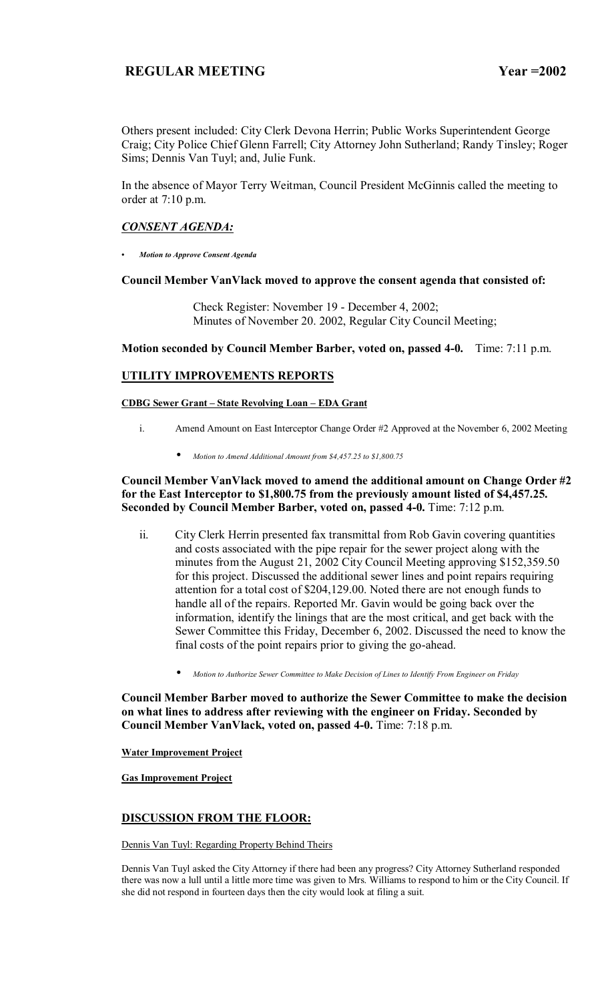Others present included: City Clerk Devona Herrin; Public Works Superintendent George Craig; City Police Chief Glenn Farrell; City Attorney John Sutherland; Randy Tinsley; Roger Sims; Dennis Van Tuyl; and, Julie Funk.

In the absence of Mayor Terry Weitman, Council President McGinnis called the meeting to order at 7:10 p.m.

## *CONSENT AGENDA:*

*ï Motion to Approve Consent Agenda*

### **Council Member VanVlack moved to approve the consent agenda that consisted of:**

 Check Register: November 19 - December 4, 2002; Minutes of November 20. 2002, Regular City Council Meeting;

### **Motion seconded by Council Member Barber, voted on, passed 4-0.** Time: 7:11 p.m.

## **UTILITY IMPROVEMENTS REPORTS**

**CDBG Sewer Grant - State Revolving Loan - EDA Grant** 

- i. Amend Amount on East Interceptor Change Order #2 Approved at the November 6, 2002 Meeting
	- *Motion to Amend Additional Amount from \$4,457.25 to \$1,800.75*

### **Council Member VanVlack moved to amend the additional amount on Change Order #2 for the East Interceptor to \$1,800.75 from the previously amount listed of \$4,457.25. Seconded by Council Member Barber, voted on, passed 4-0.** Time: 7:12 p.m.

- ii. City Clerk Herrin presented fax transmittal from Rob Gavin covering quantities and costs associated with the pipe repair for the sewer project along with the minutes from the August 21, 2002 City Council Meeting approving \$152,359.50 for this project. Discussed the additional sewer lines and point repairs requiring attention for a total cost of \$204,129.00. Noted there are not enough funds to handle all of the repairs. Reported Mr. Gavin would be going back over the information, identify the linings that are the most critical, and get back with the Sewer Committee this Friday, December 6, 2002. Discussed the need to know the final costs of the point repairs prior to giving the go-ahead.
	- *Motion to Authorize Sewer Committee to Make Decision of Lines to Identify From Engineer on Friday*

**Council Member Barber moved to authorize the Sewer Committee to make the decision on what lines to address after reviewing with the engineer on Friday. Seconded by Council Member VanVlack, voted on, passed 4-0.** Time: 7:18 p.m.

**Water Improvement Project**

**Gas Improvement Project**

## **DISCUSSION FROM THE FLOOR:**

Dennis Van Tuyl: Regarding Property Behind Theirs

Dennis Van Tuyl asked the City Attorney if there had been any progress? City Attorney Sutherland responded there was now a lull until a little more time was given to Mrs. Williams to respond to him or the City Council. If she did not respond in fourteen days then the city would look at filing a suit.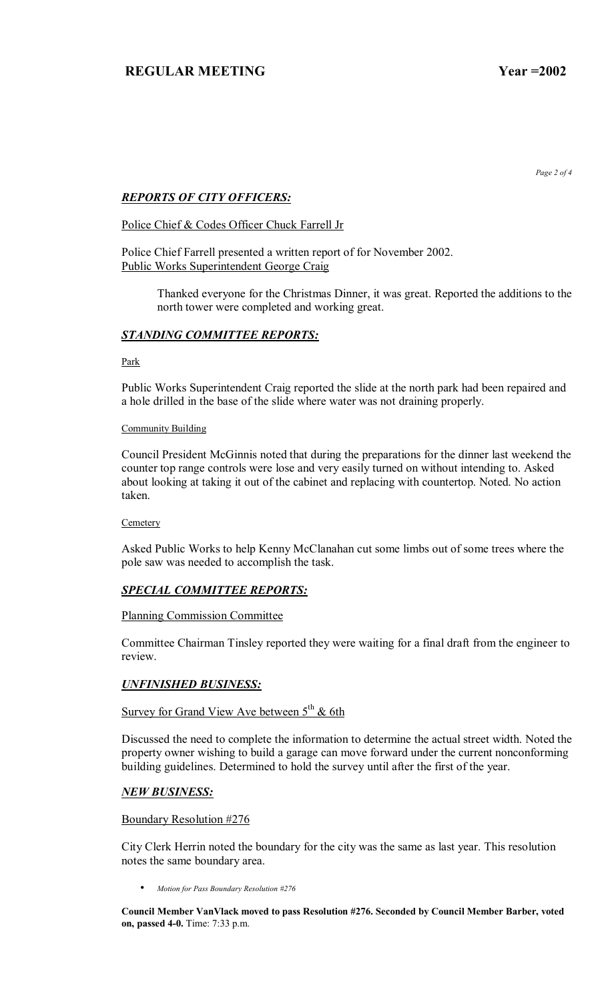*Page 2 of 4* 

## *REPORTS OF CITY OFFICERS:*

### Police Chief & Codes Officer Chuck Farrell Jr

Police Chief Farrell presented a written report of for November 2002. Public Works Superintendent George Craig

> Thanked everyone for the Christmas Dinner, it was great. Reported the additions to the north tower were completed and working great.

## *STANDING COMMITTEE REPORTS:*

Park

Public Works Superintendent Craig reported the slide at the north park had been repaired and a hole drilled in the base of the slide where water was not draining properly.

### Community Building

Council President McGinnis noted that during the preparations for the dinner last weekend the counter top range controls were lose and very easily turned on without intending to. Asked about looking at taking it out of the cabinet and replacing with countertop. Noted. No action taken.

#### **Cemetery**

Asked Public Works to help Kenny McClanahan cut some limbs out of some trees where the pole saw was needed to accomplish the task.

## *SPECIAL COMMITTEE REPORTS:*

### Planning Commission Committee

Committee Chairman Tinsley reported they were waiting for a final draft from the engineer to review.

### *UNFINISHED BUSINESS:*

# Survey for Grand View Ave between  $5<sup>th</sup>$  & 6th

Discussed the need to complete the information to determine the actual street width. Noted the property owner wishing to build a garage can move forward under the current nonconforming building guidelines. Determined to hold the survey until after the first of the year.

### *NEW BUSINESS:*

### Boundary Resolution #276

City Clerk Herrin noted the boundary for the city was the same as last year. This resolution notes the same boundary area.

• *Motion for Pass Boundary Resolution #276*

**Council Member VanVlack moved to pass Resolution #276. Seconded by Council Member Barber, voted on, passed 4-0.** Time: 7:33 p.m.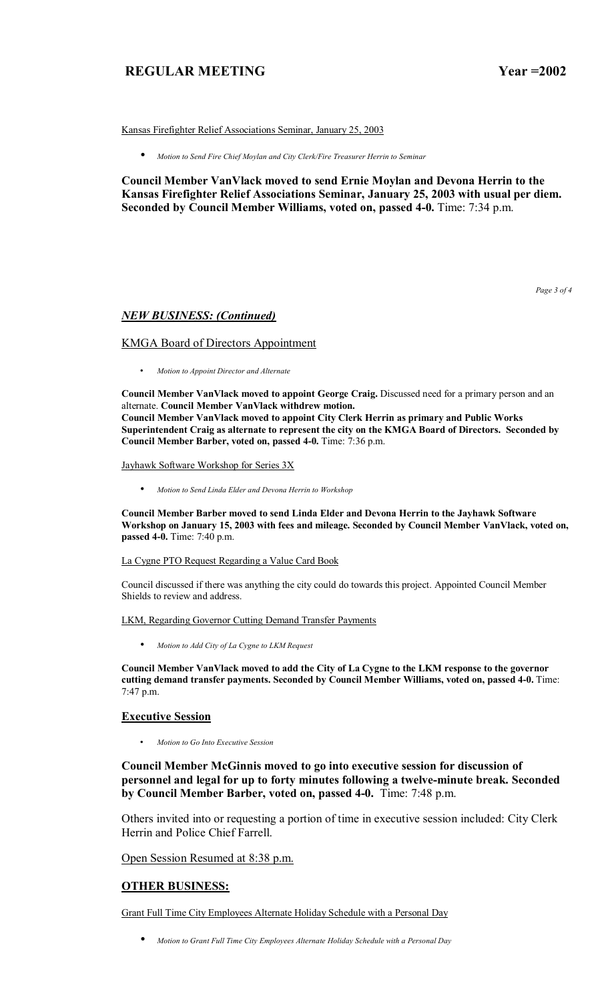Kansas Firefighter Relief Associations Seminar, January 25, 2003

• *Motion to Send Fire Chief Moylan and City Clerk/Fire Treasurer Herrin to Seminar*

**Council Member VanVlack moved to send Ernie Moylan and Devona Herrin to the Kansas Firefighter Relief Associations Seminar, January 25, 2003 with usual per diem. Seconded by Council Member Williams, voted on, passed 4-0.** Time: 7:34 p.m.

*Page 3 of 4* 

#### *NEW BUSINESS: (Continued)*

#### KMGA Board of Directors Appointment

• *Motion to Appoint Director and Alternate* 

**Council Member VanVlack moved to appoint George Craig.** Discussed need for a primary person and an alternate. **Council Member VanVlack withdrew motion. Council Member VanVlack moved to appoint City Clerk Herrin as primary and Public Works Superintendent Craig as alternate to represent the city on the KMGA Board of Directors. Seconded by Council Member Barber, voted on, passed 4-0.** Time: 7:36 p.m.

### Jayhawk Software Workshop for Series 3X

• *Motion to Send Linda Elder and Devona Herrin to Workshop*

**Council Member Barber moved to send Linda Elder and Devona Herrin to the Jayhawk Software Workshop on January 15, 2003 with fees and mileage. Seconded by Council Member VanVlack, voted on, passed 4-0.** Time: 7:40 p.m.

#### La Cygne PTO Request Regarding a Value Card Book

Council discussed if there was anything the city could do towards this project. Appointed Council Member Shields to review and address.

#### LKM, Regarding Governor Cutting Demand Transfer Payments

• *Motion to Add City of La Cygne to LKM Request*

**Council Member VanVlack moved to add the City of La Cygne to the LKM response to the governor cutting demand transfer payments. Seconded by Council Member Williams, voted on, passed 4-0.** Time: 7:47 p.m.

#### **Executive Session**

• *Motion to Go Into Executive Session*

**Council Member McGinnis moved to go into executive session for discussion of personnel and legal for up to forty minutes following a twelve-minute break. Seconded by Council Member Barber, voted on, passed 4-0.** Time: 7:48 p.m.

Others invited into or requesting a portion of time in executive session included: City Clerk Herrin and Police Chief Farrell.

Open Session Resumed at 8:38 p.m.

### **OTHER BUSINESS:**

Grant Full Time City Employees Alternate Holiday Schedule with a Personal Day

• *Motion to Grant Full Time City Employees Alternate Holiday Schedule with a Personal Day*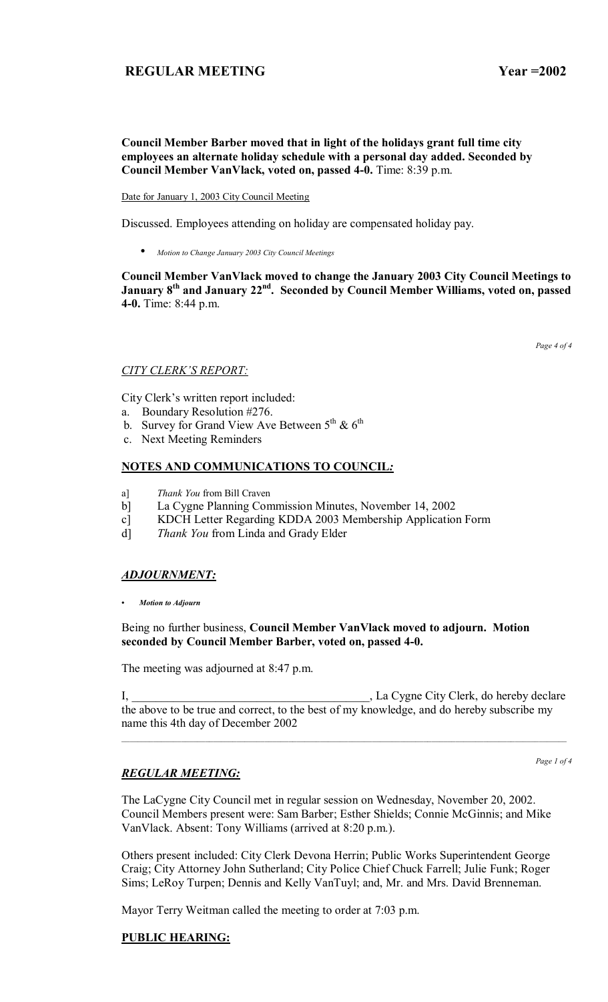## **Council Member Barber moved that in light of the holidays grant full time city employees an alternate holiday schedule with a personal day added. Seconded by Council Member VanVlack, voted on, passed 4-0.** Time: 8:39 p.m.

Date for January 1, 2003 City Council Meeting

Discussed. Employees attending on holiday are compensated holiday pay.

• *Motion to Change January 2003 City Council Meetings*

**Council Member VanVlack moved to change the January 2003 City Council Meetings to**  January 8<sup>th</sup> and January 22<sup>nd</sup>. Seconded by Council Member Williams, voted on, passed **4-0.** Time: 8:44 p.m.

*Page 4 of 4* 

### **CITY CLERK'S REPORT:**

City Clerk's written report included:

- a. Boundary Resolution #276.
- b. Survey for Grand View Ave Between  $5^{th}$  &  $6^{th}$
- c. Next Meeting Reminders

### **NOTES AND COMMUNICATIONS TO COUNCIL***:*

- a] *Thank You* from Bill Craven
- b] La Cygne Planning Commission Minutes, November 14, 2002
- c] KDCH Letter Regarding KDDA 2003 Membership Application Form
- d] *Thank You* from Linda and Grady Elder

## *ADJOURNMENT:*

*ï Motion to Adjourn*

### Being no further business, **Council Member VanVlack moved to adjourn. Motion seconded by Council Member Barber, voted on, passed 4-0.**

The meeting was adjourned at 8:47 p.m.

I, \_\_\_\_\_\_\_\_\_\_\_\_\_\_\_\_\_\_\_\_\_\_\_\_\_\_\_\_\_\_\_\_\_\_\_\_\_\_\_\_, La Cygne City Clerk, do hereby declare the above to be true and correct, to the best of my knowledge, and do hereby subscribe my name this 4th day of December 2002

## *REGULAR MEETING:*

The LaCygne City Council met in regular session on Wednesday, November 20, 2002. Council Members present were: Sam Barber; Esther Shields; Connie McGinnis; and Mike VanVlack. Absent: Tony Williams (arrived at 8:20 p.m.).

Others present included: City Clerk Devona Herrin; Public Works Superintendent George Craig; City Attorney John Sutherland; City Police Chief Chuck Farrell; Julie Funk; Roger Sims; LeRoy Turpen; Dennis and Kelly VanTuyl; and, Mr. and Mrs. David Brenneman.

Mayor Terry Weitman called the meeting to order at 7:03 p.m.

## **PUBLIC HEARING:**

*Page 1 of 4*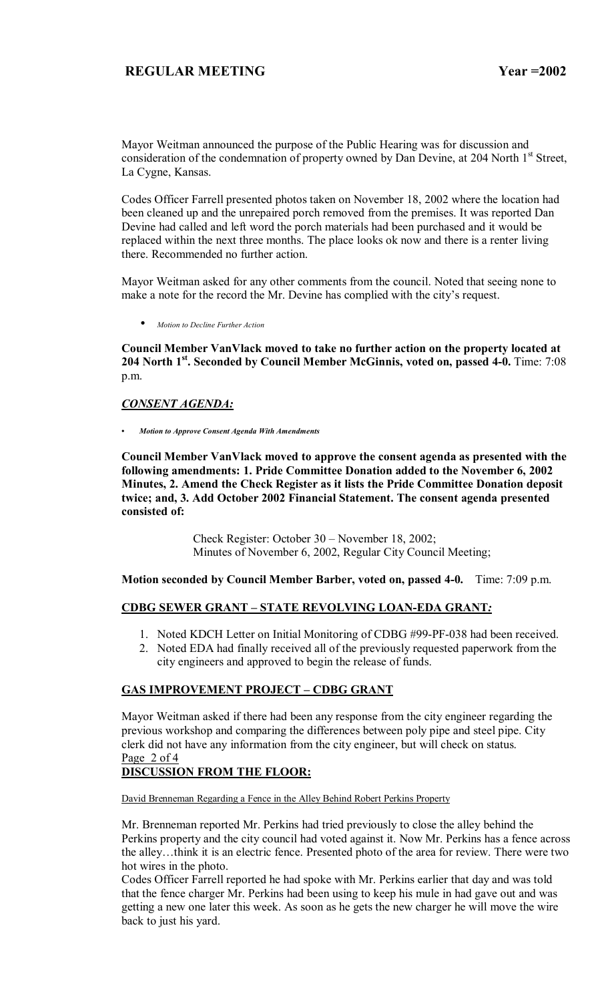Mayor Weitman announced the purpose of the Public Hearing was for discussion and consideration of the condemnation of property owned by Dan Devine, at 204 North 1<sup>st</sup> Street, La Cygne, Kansas.

Codes Officer Farrell presented photos taken on November 18, 2002 where the location had been cleaned up and the unrepaired porch removed from the premises. It was reported Dan Devine had called and left word the porch materials had been purchased and it would be replaced within the next three months. The place looks ok now and there is a renter living there. Recommended no further action.

Mayor Weitman asked for any other comments from the council. Noted that seeing none to make a note for the record the Mr. Devine has complied with the city's request.

• *Motion to Decline Further Action*

**Council Member VanVlack moved to take no further action on the property located at 204 North 1st. Seconded by Council Member McGinnis, voted on, passed 4-0.** Time: 7:08 p.m.

## *CONSENT AGENDA:*

*ï Motion to Approve Consent Agenda With Amendments*

**Council Member VanVlack moved to approve the consent agenda as presented with the following amendments: 1. Pride Committee Donation added to the November 6, 2002 Minutes, 2. Amend the Check Register as it lists the Pride Committee Donation deposit twice; and, 3. Add October 2002 Financial Statement. The consent agenda presented consisted of:**

> Check Register: October 30 – November 18, 2002; Minutes of November 6, 2002, Regular City Council Meeting;

**Motion seconded by Council Member Barber, voted on, passed 4-0.** Time: 7:09 p.m.

## **CDBG SEWER GRANT - STATE REVOLVING LOAN-EDA GRANT**

- 1. Noted KDCH Letter on Initial Monitoring of CDBG #99-PF-038 had been received.
- 2. Noted EDA had finally received all of the previously requested paperwork from the city engineers and approved to begin the release of funds.

# **GAS IMPROVEMENT PROJECT - CDBG GRANT**

Mayor Weitman asked if there had been any response from the city engineer regarding the previous workshop and comparing the differences between poly pipe and steel pipe. City clerk did not have any information from the city engineer, but will check on status. Page 2 of 4

## **DISCUSSION FROM THE FLOOR:**

David Brenneman Regarding a Fence in the Alley Behind Robert Perkins Property

Mr. Brenneman reported Mr. Perkins had tried previously to close the alley behind the Perkins property and the city council had voted against it. Now Mr. Perkins has a fence across the alley...think it is an electric fence. Presented photo of the area for review. There were two hot wires in the photo.

Codes Officer Farrell reported he had spoke with Mr. Perkins earlier that day and was told that the fence charger Mr. Perkins had been using to keep his mule in had gave out and was getting a new one later this week. As soon as he gets the new charger he will move the wire back to just his yard.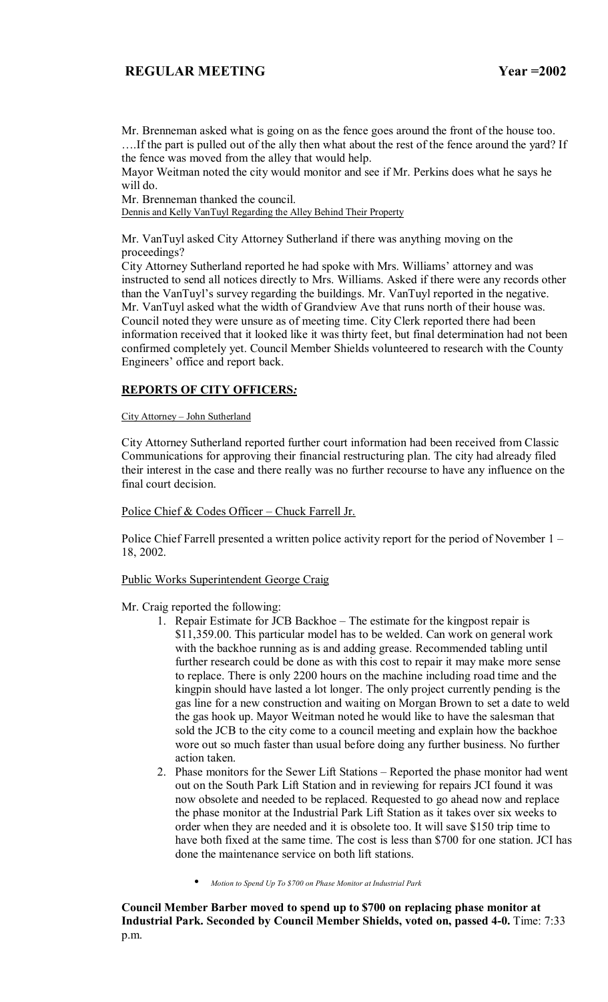Mr. Brenneman asked what is going on as the fence goes around the front of the house too. If the part is pulled out of the ally then what about the rest of the fence around the yard? If the fence was moved from the alley that would help.

Mayor Weitman noted the city would monitor and see if Mr. Perkins does what he says he will do.

Mr. Brenneman thanked the council.

Dennis and Kelly VanTuyl Regarding the Alley Behind Their Property

Mr. VanTuyl asked City Attorney Sutherland if there was anything moving on the proceedings?

City Attorney Sutherland reported he had spoke with Mrs. Williams' attorney and was instructed to send all notices directly to Mrs. Williams. Asked if there were any records other than the VanTuyl's survey regarding the buildings. Mr. VanTuyl reported in the negative. Mr. VanTuyl asked what the width of Grandview Ave that runs north of their house was. Council noted they were unsure as of meeting time. City Clerk reported there had been information received that it looked like it was thirty feet, but final determination had not been confirmed completely yet. Council Member Shields volunteered to research with the County Engineers' office and report back.

## **REPORTS OF CITY OFFICERS***:*

### City Attorney - John Sutherland

City Attorney Sutherland reported further court information had been received from Classic Communications for approving their financial restructuring plan. The city had already filed their interest in the case and there really was no further recourse to have any influence on the final court decision.

### Police Chief & Codes Officer  $-$  Chuck Farrell Jr.

Police Chief Farrell presented a written police activity report for the period of November  $1 -$ 18, 2002.

### Public Works Superintendent George Craig

- Mr. Craig reported the following:
	- 1. Repair Estimate for JCB Backhoe The estimate for the kingpost repair is \$11,359.00. This particular model has to be welded. Can work on general work with the backhoe running as is and adding grease. Recommended tabling until further research could be done as with this cost to repair it may make more sense to replace. There is only 2200 hours on the machine including road time and the kingpin should have lasted a lot longer. The only project currently pending is the gas line for a new construction and waiting on Morgan Brown to set a date to weld the gas hook up. Mayor Weitman noted he would like to have the salesman that sold the JCB to the city come to a council meeting and explain how the backhoe wore out so much faster than usual before doing any further business. No further action taken.
	- 2. Phase monitors for the Sewer Lift Stations  $-$  Reported the phase monitor had went out on the South Park Lift Station and in reviewing for repairs JCI found it was now obsolete and needed to be replaced. Requested to go ahead now and replace the phase monitor at the Industrial Park Lift Station as it takes over six weeks to order when they are needed and it is obsolete too. It will save \$150 trip time to have both fixed at the same time. The cost is less than \$700 for one station. JCI has done the maintenance service on both lift stations.
		- *Motion to Spend Up To \$700 on Phase Monitor at Industrial Park*

**Council Member Barber moved to spend up to \$700 on replacing phase monitor at Industrial Park. Seconded by Council Member Shields, voted on, passed 4-0.** Time: 7:33 p.m.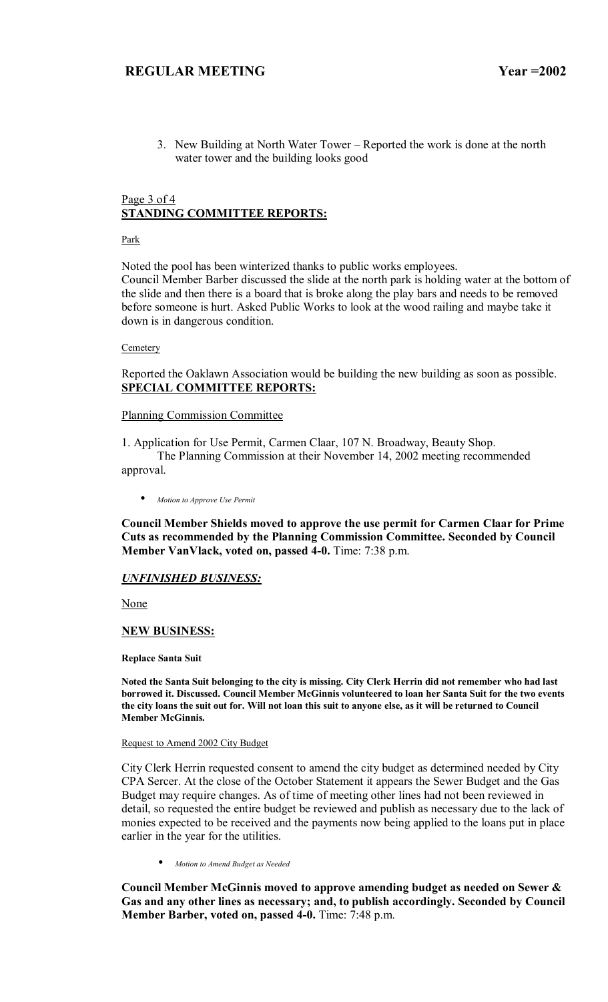3. New Building at North Water Tower – Reported the work is done at the north water tower and the building looks good

## Page 3 of 4 **STANDING COMMITTEE REPORTS:**

Park

Noted the pool has been winterized thanks to public works employees. Council Member Barber discussed the slide at the north park is holding water at the bottom of the slide and then there is a board that is broke along the play bars and needs to be removed before someone is hurt. Asked Public Works to look at the wood railing and maybe take it down is in dangerous condition.

**Cemetery** 

Reported the Oaklawn Association would be building the new building as soon as possible. **SPECIAL COMMITTEE REPORTS:**

### Planning Commission Committee

1. Application for Use Permit, Carmen Claar, 107 N. Broadway, Beauty Shop. The Planning Commission at their November 14, 2002 meeting recommended approval.

• *Motion to Approve Use Permit*

**Council Member Shields moved to approve the use permit for Carmen Claar for Prime Cuts as recommended by the Planning Commission Committee. Seconded by Council Member VanVlack, voted on, passed 4-0.** Time: 7:38 p.m.

### *UNFINISHED BUSINESS:*

None

### **NEW BUSINESS:**

**Replace Santa Suit** 

**Noted the Santa Suit belonging to the city is missing. City Clerk Herrin did not remember who had last borrowed it. Discussed. Council Member McGinnis volunteered to loan her Santa Suit for the two events the city loans the suit out for. Will not loan this suit to anyone else, as it will be returned to Council Member McGinnis.** 

## Request to Amend 2002 City Budget

City Clerk Herrin requested consent to amend the city budget as determined needed by City CPA Sercer. At the close of the October Statement it appears the Sewer Budget and the Gas Budget may require changes. As of time of meeting other lines had not been reviewed in detail, so requested the entire budget be reviewed and publish as necessary due to the lack of monies expected to be received and the payments now being applied to the loans put in place earlier in the year for the utilities.

• *Motion to Amend Budget as Needed*

**Council Member McGinnis moved to approve amending budget as needed on Sewer & Gas and any other lines as necessary; and, to publish accordingly. Seconded by Council Member Barber, voted on, passed 4-0.** Time: 7:48 p.m.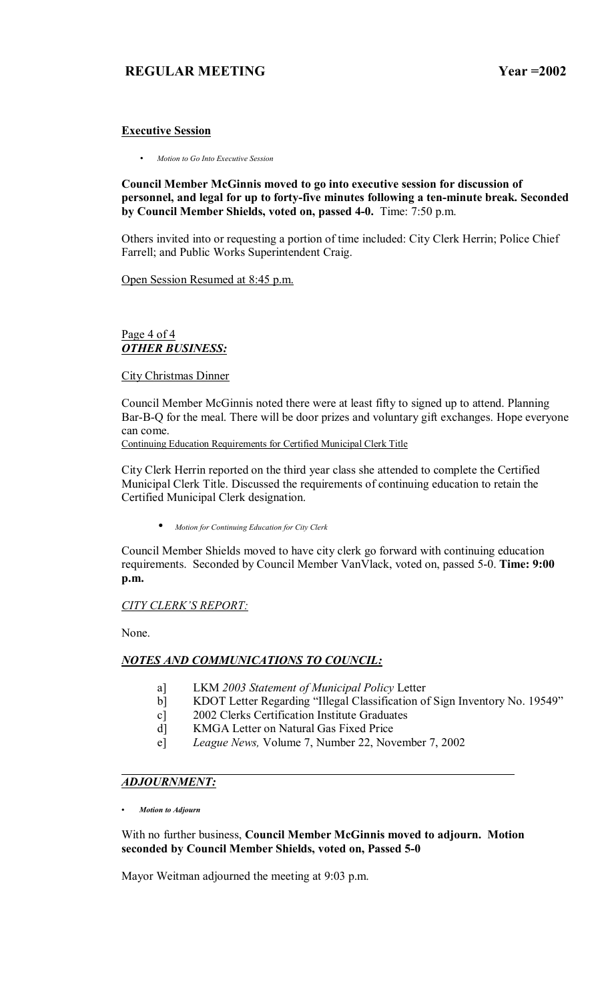## **Executive Session**

• *Motion to Go Into Executive Session*

**Council Member McGinnis moved to go into executive session for discussion of personnel, and legal for up to forty-five minutes following a ten-minute break. Seconded by Council Member Shields, voted on, passed 4-0.** Time: 7:50 p.m.

Others invited into or requesting a portion of time included: City Clerk Herrin; Police Chief Farrell; and Public Works Superintendent Craig.

Open Session Resumed at 8:45 p.m.

## Page 4 of 4 *OTHER BUSINESS:*

### City Christmas Dinner

Council Member McGinnis noted there were at least fifty to signed up to attend. Planning Bar-B-Q for the meal. There will be door prizes and voluntary gift exchanges. Hope everyone can come.

Continuing Education Requirements for Certified Municipal Clerk Title

City Clerk Herrin reported on the third year class she attended to complete the Certified Municipal Clerk Title. Discussed the requirements of continuing education to retain the Certified Municipal Clerk designation.

• *Motion for Continuing Education for City Clerk*

Council Member Shields moved to have city clerk go forward with continuing education requirements. Seconded by Council Member VanVlack, voted on, passed 5-0. **Time: 9:00 p.m.** 

## **CITY CLERK'S REPORT:**

None.

## *NOTES AND COMMUNICATIONS TO COUNCIL:*

- a] LKM *2003 Statement of Municipal Policy* Letter
- b] KDOT Letter Regarding "Illegal Classification of Sign Inventory No. 19549"
- c] 2002 Clerks Certification Institute Graduates
- d] KMGA Letter on Natural Gas Fixed Price
- e] *League News,* Volume 7, Number 22, November 7, 2002

## *ADJOURNMENT:*

*ï Motion to Adjourn*

With no further business, **Council Member McGinnis moved to adjourn. Motion seconded by Council Member Shields, voted on, Passed 5-0**

Mayor Weitman adjourned the meeting at 9:03 p.m.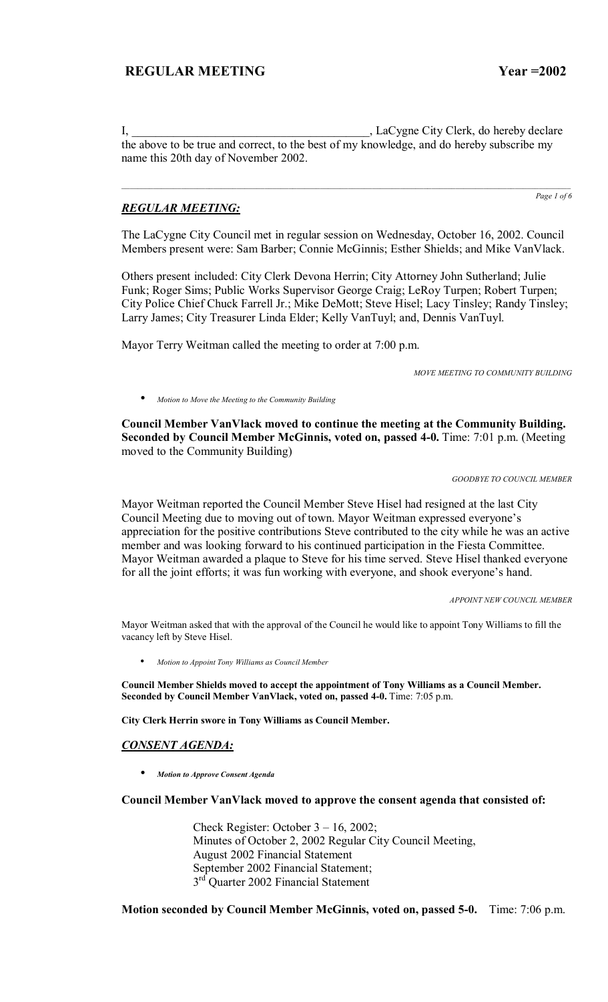I, \_\_\_\_\_\_\_\_\_\_\_\_\_\_\_\_\_\_\_\_\_\_\_\_\_\_\_\_\_\_\_\_\_\_\_\_\_\_\_\_, LaCygne City Clerk, do hereby declare the above to be true and correct, to the best of my knowledge, and do hereby subscribe my name this 20th day of November 2002.

## *REGULAR MEETING:*

*Page 1 of 6*

The LaCygne City Council met in regular session on Wednesday, October 16, 2002. Council Members present were: Sam Barber; Connie McGinnis; Esther Shields; and Mike VanVlack.

Others present included: City Clerk Devona Herrin; City Attorney John Sutherland; Julie Funk; Roger Sims; Public Works Supervisor George Craig; LeRoy Turpen; Robert Turpen; City Police Chief Chuck Farrell Jr.; Mike DeMott; Steve Hisel; Lacy Tinsley; Randy Tinsley; Larry James; City Treasurer Linda Elder; Kelly VanTuyl; and, Dennis VanTuyl.

Mayor Terry Weitman called the meeting to order at 7:00 p.m.

*MOVE MEETING TO COMMUNITY BUILDING* 

• *Motion to Move the Meeting to the Community Building*

**Council Member VanVlack moved to continue the meeting at the Community Building. Seconded by Council Member McGinnis, voted on, passed 4-0.** Time: 7:01 p.m. (Meeting moved to the Community Building)

*GOODBYE TO COUNCIL MEMBER* 

Mayor Weitman reported the Council Member Steve Hisel had resigned at the last City Council Meeting due to moving out of town. Mayor Weitman expressed everyone's appreciation for the positive contributions Steve contributed to the city while he was an active member and was looking forward to his continued participation in the Fiesta Committee. Mayor Weitman awarded a plaque to Steve for his time served. Steve Hisel thanked everyone for all the joint efforts; it was fun working with everyone, and shook everyone's hand.

*APPOINT NEW COUNCIL MEMBER* 

Mayor Weitman asked that with the approval of the Council he would like to appoint Tony Williams to fill the vacancy left by Steve Hisel.

• *Motion to Appoint Tony Williams as Council Member*

**Council Member Shields moved to accept the appointment of Tony Williams as a Council Member. Seconded by Council Member VanVlack, voted on, passed 4-0.** Time: 7:05 p.m.

**City Clerk Herrin swore in Tony Williams as Council Member.** 

### *CONSENT AGENDA:*

• *Motion to Approve Consent Agenda*

#### **Council Member VanVlack moved to approve the consent agenda that consisted of:**

Check Register: October  $3 - 16$ , 2002; Minutes of October 2, 2002 Regular City Council Meeting, August 2002 Financial Statement September 2002 Financial Statement; 3<sup>rd</sup> Quarter 2002 Financial Statement

## **Motion seconded by Council Member McGinnis, voted on, passed 5-0.** Time: 7:06 p.m.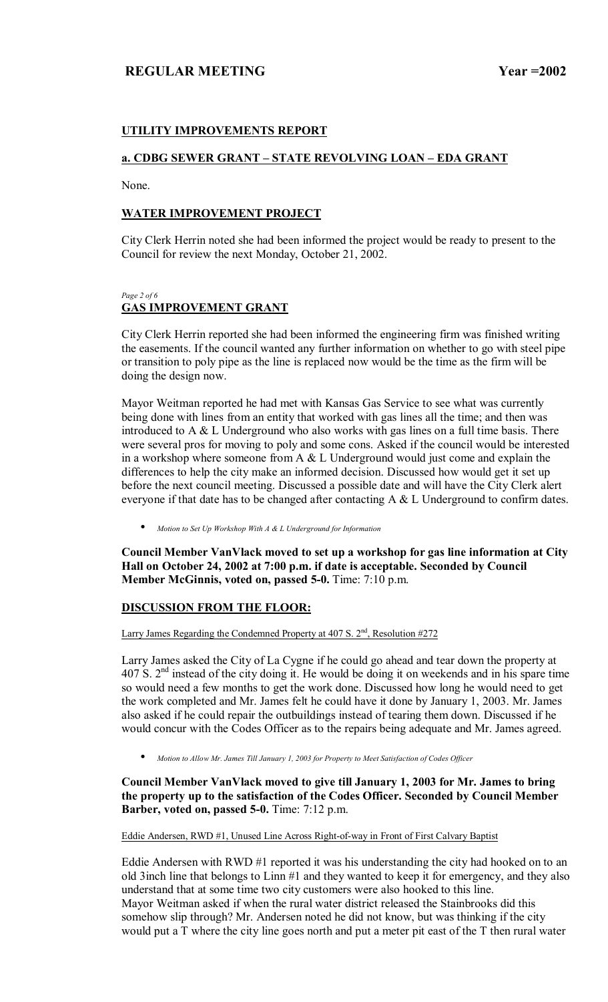## **UTILITY IMPROVEMENTS REPORT**

## **a. CDBG SEWER GRANT – STATE REVOLVING LOAN – EDA GRANT**

None.

## **WATER IMPROVEMENT PROJECT**

City Clerk Herrin noted she had been informed the project would be ready to present to the Council for review the next Monday, October 21, 2002.

### *Page 2 of 6*  **GAS IMPROVEMENT GRANT**

City Clerk Herrin reported she had been informed the engineering firm was finished writing the easements. If the council wanted any further information on whether to go with steel pipe or transition to poly pipe as the line is replaced now would be the time as the firm will be doing the design now.

Mayor Weitman reported he had met with Kansas Gas Service to see what was currently being done with lines from an entity that worked with gas lines all the time; and then was introduced to  $A \& L$  Underground who also works with gas lines on a full time basis. There were several pros for moving to poly and some cons. Asked if the council would be interested in a workshop where someone from A & L Underground would just come and explain the differences to help the city make an informed decision. Discussed how would get it set up before the next council meeting. Discussed a possible date and will have the City Clerk alert everyone if that date has to be changed after contacting A & L Underground to confirm dates.

• *Motion to Set Up Workshop With A & L Underground for Information*

**Council Member VanVlack moved to set up a workshop for gas line information at City Hall on October 24, 2002 at 7:00 p.m. if date is acceptable. Seconded by Council Member McGinnis, voted on, passed 5-0.** Time: 7:10 p.m.

## **DISCUSSION FROM THE FLOOR:**

Larry James Regarding the Condemned Property at  $407 S$ .  $2<sup>nd</sup>$ , Resolution  $#272$ 

Larry James asked the City of La Cygne if he could go ahead and tear down the property at 407 S. 2nd instead of the city doing it. He would be doing it on weekends and in his spare time so would need a few months to get the work done. Discussed how long he would need to get the work completed and Mr. James felt he could have it done by January 1, 2003. Mr. James also asked if he could repair the outbuildings instead of tearing them down. Discussed if he would concur with the Codes Officer as to the repairs being adequate and Mr. James agreed.

• *Motion to Allow Mr. James Till January 1, 2003 for Property to Meet Satisfaction of Codes Officer*

**Council Member VanVlack moved to give till January 1, 2003 for Mr. James to bring the property up to the satisfaction of the Codes Officer. Seconded by Council Member Barber, voted on, passed 5-0.** Time: 7:12 p.m.

Eddie Andersen, RWD #1, Unused Line Across Right-of-way in Front of First Calvary Baptist

Eddie Andersen with RWD #1 reported it was his understanding the city had hooked on to an old 3inch line that belongs to Linn #1 and they wanted to keep it for emergency, and they also understand that at some time two city customers were also hooked to this line. Mayor Weitman asked if when the rural water district released the Stainbrooks did this somehow slip through? Mr. Andersen noted he did not know, but was thinking if the city would put a T where the city line goes north and put a meter pit east of the T then rural water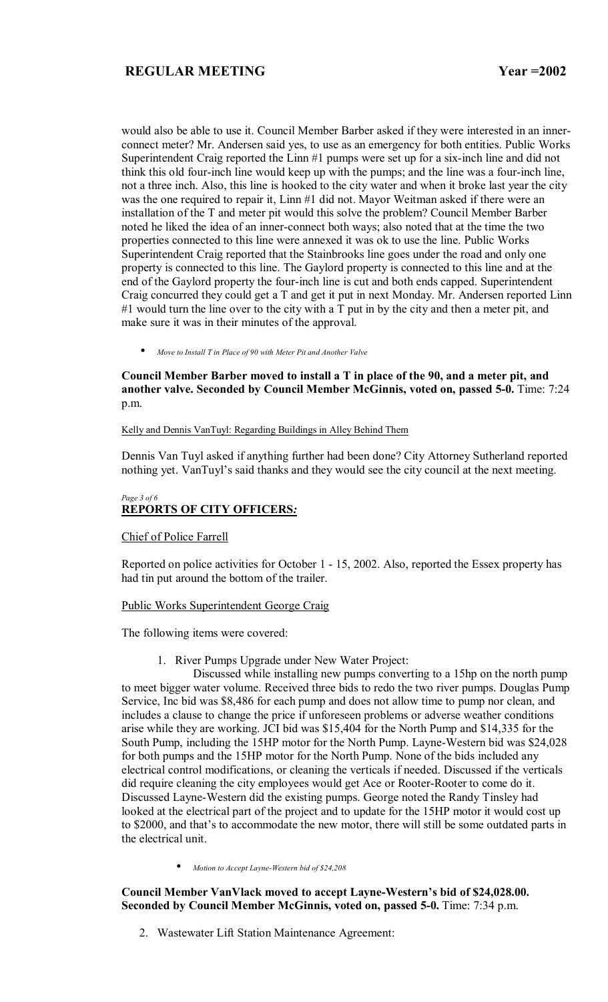would also be able to use it. Council Member Barber asked if they were interested in an innerconnect meter? Mr. Andersen said yes, to use as an emergency for both entities. Public Works Superintendent Craig reported the Linn #1 pumps were set up for a six-inch line and did not think this old four-inch line would keep up with the pumps; and the line was a four-inch line, not a three inch. Also, this line is hooked to the city water and when it broke last year the city was the one required to repair it, Linn #1 did not. Mayor Weitman asked if there were an installation of the T and meter pit would this solve the problem? Council Member Barber noted he liked the idea of an inner-connect both ways; also noted that at the time the two properties connected to this line were annexed it was ok to use the line. Public Works Superintendent Craig reported that the Stainbrooks line goes under the road and only one property is connected to this line. The Gaylord property is connected to this line and at the end of the Gaylord property the four-inch line is cut and both ends capped. Superintendent Craig concurred they could get a T and get it put in next Monday. Mr. Andersen reported Linn #1 would turn the line over to the city with a T put in by the city and then a meter pit, and make sure it was in their minutes of the approval.

• *Move to Install T in Place of 90 with Meter Pit and Another Valve*

## **Council Member Barber moved to install a T in place of the 90, and a meter pit, and another valve. Seconded by Council Member McGinnis, voted on, passed 5-0.** Time: 7:24 p.m.

#### Kelly and Dennis VanTuyl: Regarding Buildings in Alley Behind Them

Dennis Van Tuyl asked if anything further had been done? City Attorney Sutherland reported nothing yet. VanTuyl's said thanks and they would see the city council at the next meeting.

#### *Page 3 of 6*  **REPORTS OF CITY OFFICERS***:*

## Chief of Police Farrell

Reported on police activities for October 1 - 15, 2002. Also, reported the Essex property has had tin put around the bottom of the trailer.

### Public Works Superintendent George Craig

The following items were covered:

1. River Pumps Upgrade under New Water Project:

 Discussed while installing new pumps converting to a 15hp on the north pump to meet bigger water volume. Received three bids to redo the two river pumps. Douglas Pump Service, Inc bid was \$8,486 for each pump and does not allow time to pump nor clean, and includes a clause to change the price if unforeseen problems or adverse weather conditions arise while they are working. JCI bid was \$15,404 for the North Pump and \$14,335 for the South Pump, including the 15HP motor for the North Pump. Layne-Western bid was \$24,028 for both pumps and the 15HP motor for the North Pump. None of the bids included any electrical control modifications, or cleaning the verticals if needed. Discussed if the verticals did require cleaning the city employees would get Ace or Rooter-Rooter to come do it. Discussed Layne-Western did the existing pumps. George noted the Randy Tinsley had looked at the electrical part of the project and to update for the 15HP motor it would cost up to \$2000, and that's to accommodate the new motor, there will still be some outdated parts in the electrical unit.

• *Motion to Accept Layne-Western bid of \$24,208*

## Council Member VanVlack moved to accept Layne-Western's bid of \$24,028.00. **Seconded by Council Member McGinnis, voted on, passed 5-0.** Time: 7:34 p.m.

2. Wastewater Lift Station Maintenance Agreement: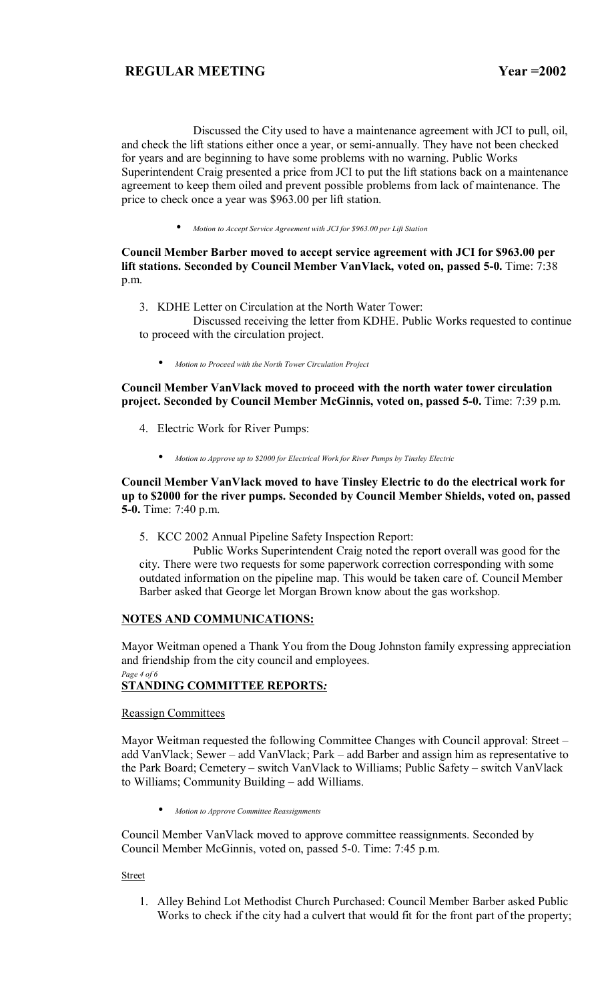Discussed the City used to have a maintenance agreement with JCI to pull, oil, and check the lift stations either once a year, or semi-annually. They have not been checked for years and are beginning to have some problems with no warning. Public Works Superintendent Craig presented a price from JCI to put the lift stations back on a maintenance agreement to keep them oiled and prevent possible problems from lack of maintenance. The price to check once a year was \$963.00 per lift station.

• *Motion to Accept Service Agreement with JCI for \$963.00 per Lift Station*

## **Council Member Barber moved to accept service agreement with JCI for \$963.00 per lift stations. Seconded by Council Member VanVlack, voted on, passed 5-0.** Time: 7:38 p.m.

3. KDHE Letter on Circulation at the North Water Tower:

 Discussed receiving the letter from KDHE. Public Works requested to continue to proceed with the circulation project.

• *Motion to Proceed with the North Tower Circulation Project*

**Council Member VanVlack moved to proceed with the north water tower circulation project. Seconded by Council Member McGinnis, voted on, passed 5-0.** Time: 7:39 p.m.

- 4. Electric Work for River Pumps:
	- *Motion to Approve up to \$2000 for Electrical Work for River Pumps by Tinsley Electric*

## **Council Member VanVlack moved to have Tinsley Electric to do the electrical work for up to \$2000 for the river pumps. Seconded by Council Member Shields, voted on, passed 5-0.** Time: 7:40 p.m.

5. KCC 2002 Annual Pipeline Safety Inspection Report:

 Public Works Superintendent Craig noted the report overall was good for the city. There were two requests for some paperwork correction corresponding with some outdated information on the pipeline map. This would be taken care of. Council Member Barber asked that George let Morgan Brown know about the gas workshop.

## **NOTES AND COMMUNICATIONS:**

Mayor Weitman opened a Thank You from the Doug Johnston family expressing appreciation and friendship from the city council and employees.

#### *Page 4 of 6*  **STANDING COMMITTEE REPORTS***:*

## Reassign Committees

Mayor Weitman requested the following Committee Changes with Council approval: Street – add VanVlack; Sewer – add VanVlack; Park – add Barber and assign him as representative to the Park Board; Cemetery – switch VanVlack to Williams; Public Safety – switch VanVlack to Williams; Community Building - add Williams.

• *Motion to Approve Committee Reassignments*

Council Member VanVlack moved to approve committee reassignments. Seconded by Council Member McGinnis, voted on, passed 5-0. Time: 7:45 p.m.

## Street

1. Alley Behind Lot Methodist Church Purchased: Council Member Barber asked Public Works to check if the city had a culvert that would fit for the front part of the property;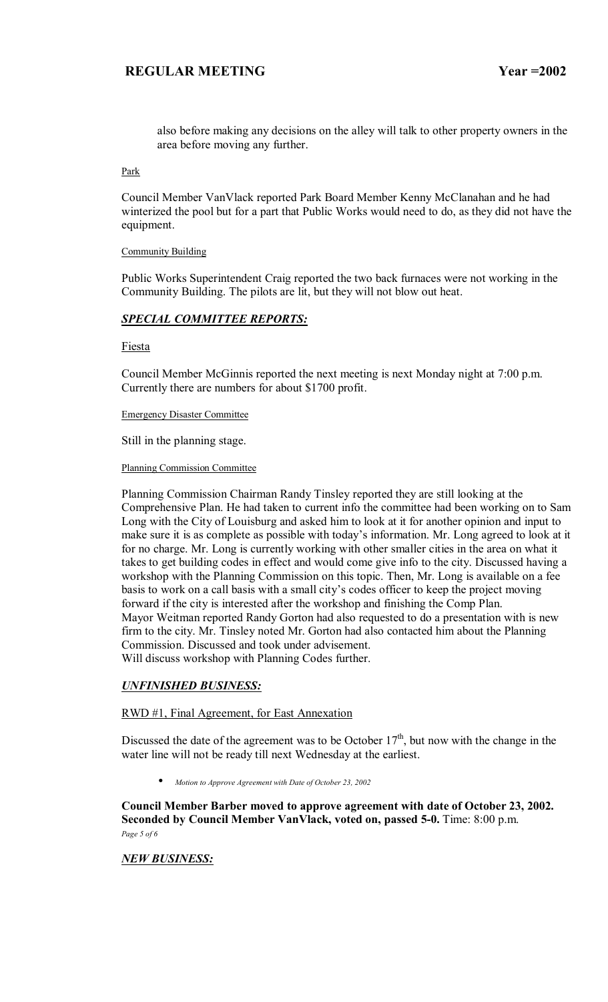also before making any decisions on the alley will talk to other property owners in the area before moving any further.

Park

Council Member VanVlack reported Park Board Member Kenny McClanahan and he had winterized the pool but for a part that Public Works would need to do, as they did not have the equipment.

#### Community Building

Public Works Superintendent Craig reported the two back furnaces were not working in the Community Building. The pilots are lit, but they will not blow out heat.

### *SPECIAL COMMITTEE REPORTS:*

Fiesta

Council Member McGinnis reported the next meeting is next Monday night at 7:00 p.m. Currently there are numbers for about \$1700 profit.

#### Emergency Disaster Committee

Still in the planning stage.

Planning Commission Committee

Planning Commission Chairman Randy Tinsley reported they are still looking at the Comprehensive Plan. He had taken to current info the committee had been working on to Sam Long with the City of Louisburg and asked him to look at it for another opinion and input to make sure it is as complete as possible with today's information. Mr. Long agreed to look at it for no charge. Mr. Long is currently working with other smaller cities in the area on what it takes to get building codes in effect and would come give info to the city. Discussed having a workshop with the Planning Commission on this topic. Then, Mr. Long is available on a fee basis to work on a call basis with a small city's codes officer to keep the project moving forward if the city is interested after the workshop and finishing the Comp Plan. Mayor Weitman reported Randy Gorton had also requested to do a presentation with is new firm to the city. Mr. Tinsley noted Mr. Gorton had also contacted him about the Planning Commission. Discussed and took under advisement. Will discuss workshop with Planning Codes further.

## *UNFINISHED BUSINESS:*

## RWD #1, Final Agreement, for East Annexation

Discussed the date of the agreement was to be October  $17<sup>th</sup>$ , but now with the change in the water line will not be ready till next Wednesday at the earliest.

• *Motion to Approve Agreement with Date of October 23, 2002* 

**Council Member Barber moved to approve agreement with date of October 23, 2002. Seconded by Council Member VanVlack, voted on, passed 5-0.** Time: 8:00 p.m. *Page 5 of 6* 

### *NEW BUSINESS:*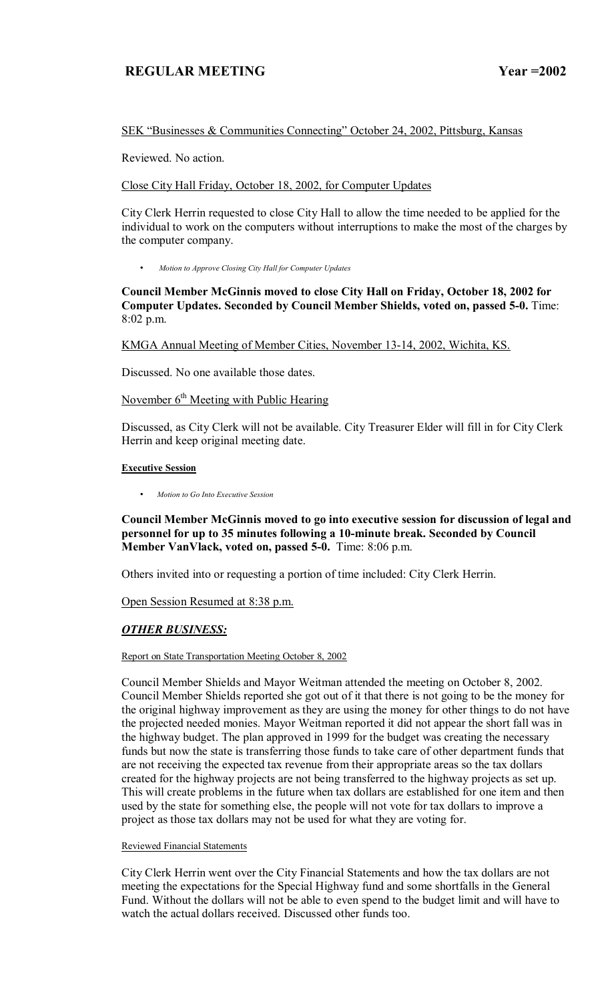## SEK "Businesses & Communities Connecting" October 24, 2002, Pittsburg, Kansas

Reviewed. No action.

Close City Hall Friday, October 18, 2002, for Computer Updates

City Clerk Herrin requested to close City Hall to allow the time needed to be applied for the individual to work on the computers without interruptions to make the most of the charges by the computer company.

• *Motion to Approve Closing City Hall for Computer Updates*

**Council Member McGinnis moved to close City Hall on Friday, October 18, 2002 for Computer Updates. Seconded by Council Member Shields, voted on, passed 5-0.** Time: 8:02 p.m.

KMGA Annual Meeting of Member Cities, November 13-14, 2002, Wichita, KS.

Discussed. No one available those dates.

# November  $6<sup>th</sup>$  Meeting with Public Hearing

Discussed, as City Clerk will not be available. City Treasurer Elder will fill in for City Clerk Herrin and keep original meeting date.

### **Executive Session**

• *Motion to Go Into Executive Session*

**Council Member McGinnis moved to go into executive session for discussion of legal and personnel for up to 35 minutes following a 10-minute break. Seconded by Council Member VanVlack, voted on, passed 5-0.** Time: 8:06 p.m.

Others invited into or requesting a portion of time included: City Clerk Herrin.

Open Session Resumed at 8:38 p.m.

# *OTHER BUSINESS:*

### Report on State Transportation Meeting October 8, 2002

Council Member Shields and Mayor Weitman attended the meeting on October 8, 2002. Council Member Shields reported she got out of it that there is not going to be the money for the original highway improvement as they are using the money for other things to do not have the projected needed monies. Mayor Weitman reported it did not appear the short fall was in the highway budget. The plan approved in 1999 for the budget was creating the necessary funds but now the state is transferring those funds to take care of other department funds that are not receiving the expected tax revenue from their appropriate areas so the tax dollars created for the highway projects are not being transferred to the highway projects as set up. This will create problems in the future when tax dollars are established for one item and then used by the state for something else, the people will not vote for tax dollars to improve a project as those tax dollars may not be used for what they are voting for.

### Reviewed Financial Statements

City Clerk Herrin went over the City Financial Statements and how the tax dollars are not meeting the expectations for the Special Highway fund and some shortfalls in the General Fund. Without the dollars will not be able to even spend to the budget limit and will have to watch the actual dollars received. Discussed other funds too.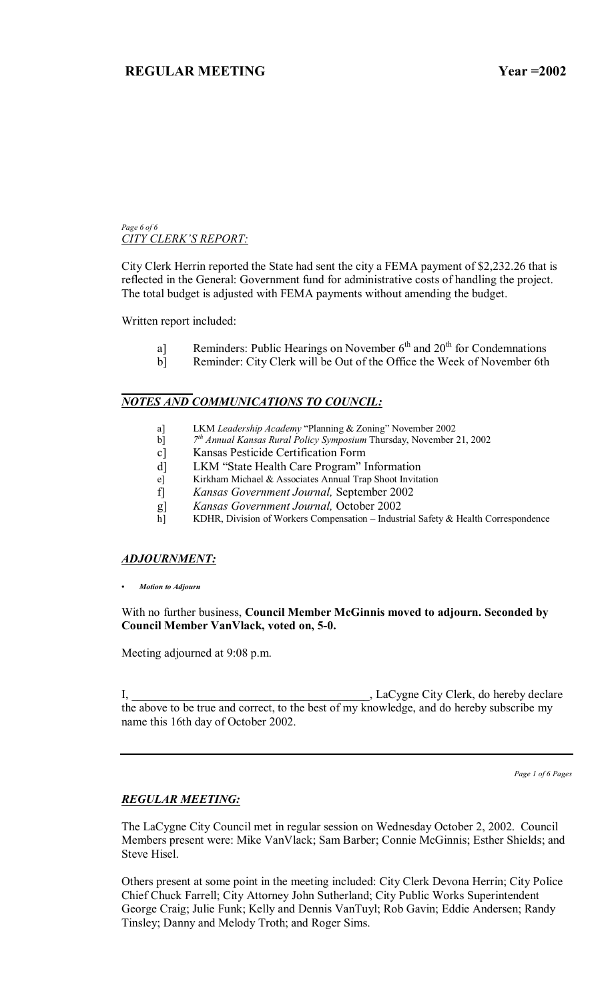#### *Page 6 of 6*  **CITY CLERK'S REPORT:**

City Clerk Herrin reported the State had sent the city a FEMA payment of \$2,232.26 that is reflected in the General: Government fund for administrative costs of handling the project. The total budget is adjusted with FEMA payments without amending the budget.

Written report included:

- a] Reminders: Public Hearings on November  $6<sup>th</sup>$  and  $20<sup>th</sup>$  for Condemnations
- b] Reminder: City Clerk will be Out of the Office the Week of November 6th

#### *NOTES AND COMMUNICATIONS TO COUNCIL:*

- a] LKM *Leadership Academy* "Planning & Zoning" November 2002
- b] *7th Annual Kansas Rural Policy Symposium* Thursday, November 21, 2002
- c] Kansas Pesticide Certification Form
- d] LKM "State Health Care Program" Information
- e] Kirkham Michael & Associates Annual Trap Shoot Invitation
- f] *Kansas Government Journal,* September 2002
- g] *Kansas Government Journal,* October 2002
- h] KDHR, Division of Workers Compensation Industrial Safety  $\&$  Health Correspondence

## *ADJOURNMENT:*

*ï Motion to Adjourn*

With no further business, **Council Member McGinnis moved to adjourn. Seconded by Council Member VanVlack, voted on, 5-0.**

Meeting adjourned at 9:08 p.m.

I, LaCygne City Clerk, do hereby declare the above to be true and correct, to the best of my knowledge, and do hereby subscribe my name this 16th day of October 2002.

*Page 1 of 6 Pages*

## *REGULAR MEETING:*

The LaCygne City Council met in regular session on Wednesday October 2, 2002. Council Members present were: Mike VanVlack; Sam Barber; Connie McGinnis; Esther Shields; and Steve Hisel.

Others present at some point in the meeting included: City Clerk Devona Herrin; City Police Chief Chuck Farrell; City Attorney John Sutherland; City Public Works Superintendent George Craig; Julie Funk; Kelly and Dennis VanTuyl; Rob Gavin; Eddie Andersen; Randy Tinsley; Danny and Melody Troth; and Roger Sims.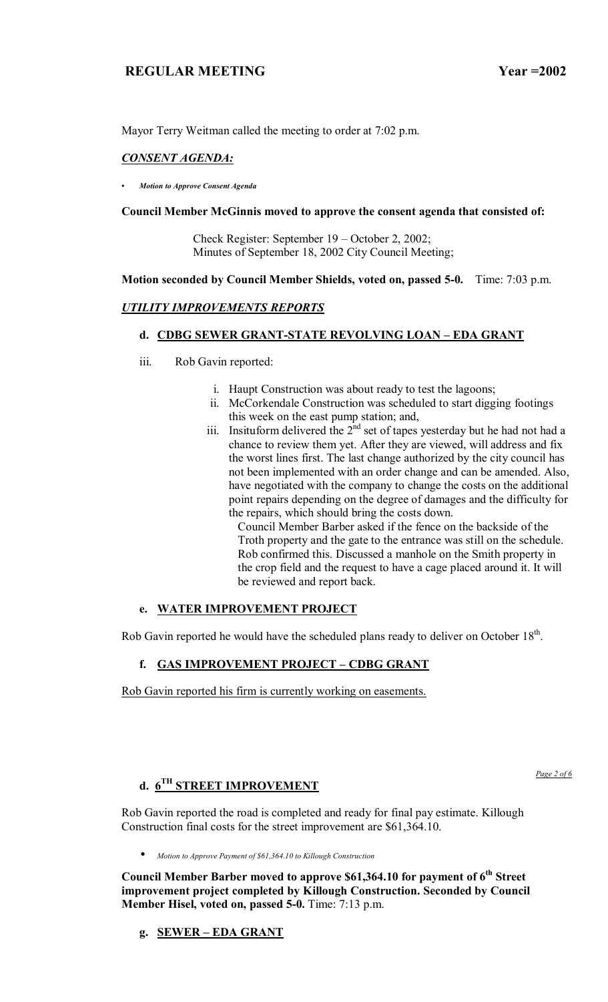Mayor Terry Weitman called the meeting to order at 7:02 p.m.

## *CONSENT AGENDA:*

*ï Motion to Approve Consent Agenda*

## **Council Member McGinnis moved to approve the consent agenda that consisted of:**

Check Register: September  $19 - October 2, 2002$ ; Minutes of September 18, 2002 City Council Meeting;

## **Motion seconded by Council Member Shields, voted on, passed 5-0.** Time: 7:03 p.m.

## *UTILITY IMPROVEMENTS REPORTS*

# **d. CDBG SEWER GRANT-STATE REVOLVING LOAN - EDA GRANT**

- iii. Rob Gavin reported:
	- i. Haupt Construction was about ready to test the lagoons;
	- ii. McCorkendale Construction was scheduled to start digging footings this week on the east pump station; and,
	- iii. Insituform delivered the  $2<sup>nd</sup>$  set of tapes yesterday but he had not had a chance to review them yet. After they are viewed, will address and fix the worst lines first. The last change authorized by the city council has not been implemented with an order change and can be amended. Also, have negotiated with the company to change the costs on the additional point repairs depending on the degree of damages and the difficulty for the repairs, which should bring the costs down.

Council Member Barber asked if the fence on the backside of the Troth property and the gate to the entrance was still on the schedule. Rob confirmed this. Discussed a manhole on the Smith property in the crop field and the request to have a cage placed around it. It will be reviewed and report back.

# **e. WATER IMPROVEMENT PROJECT**

Rob Gavin reported he would have the scheduled plans ready to deliver on October 18<sup>th</sup>.

# f. GAS IMPROVEMENT PROJECT - CDBG GRANT

Rob Gavin reported his firm is currently working on easements.

# **d. 6TH STREET IMPROVEMENT**

*Page 2 of 6*

Rob Gavin reported the road is completed and ready for final pay estimate. Killough Construction final costs for the street improvement are \$61,364.10.

• *Motion to Approve Payment of \$61,364.10 to Killough Construction*

Council Member Barber moved to approve \$61,364.10 for payment of 6<sup>th</sup> Street **improvement project completed by Killough Construction. Seconded by Council Member Hisel, voted on, passed 5-0.** Time: 7:13 p.m.

**g. SEWER – EDA GRANT**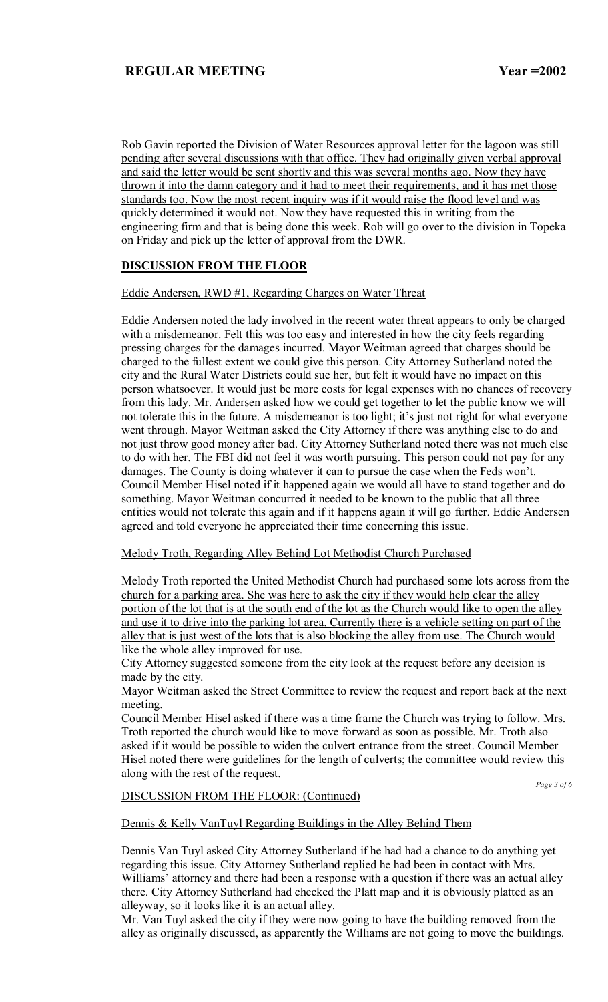Rob Gavin reported the Division of Water Resources approval letter for the lagoon was still pending after several discussions with that office. They had originally given verbal approval and said the letter would be sent shortly and this was several months ago. Now they have thrown it into the damn category and it had to meet their requirements, and it has met those standards too. Now the most recent inquiry was if it would raise the flood level and was quickly determined it would not. Now they have requested this in writing from the engineering firm and that is being done this week. Rob will go over to the division in Topeka on Friday and pick up the letter of approval from the DWR.

# **DISCUSSION FROM THE FLOOR**

Eddie Andersen, RWD #1, Regarding Charges on Water Threat

Eddie Andersen noted the lady involved in the recent water threat appears to only be charged with a misdemeanor. Felt this was too easy and interested in how the city feels regarding pressing charges for the damages incurred. Mayor Weitman agreed that charges should be charged to the fullest extent we could give this person. City Attorney Sutherland noted the city and the Rural Water Districts could sue her, but felt it would have no impact on this person whatsoever. It would just be more costs for legal expenses with no chances of recovery from this lady. Mr. Andersen asked how we could get together to let the public know we will not tolerate this in the future. A misdemeanor is too light; it's just not right for what everyone went through. Mayor Weitman asked the City Attorney if there was anything else to do and not just throw good money after bad. City Attorney Sutherland noted there was not much else to do with her. The FBI did not feel it was worth pursuing. This person could not pay for any damages. The County is doing whatever it can to pursue the case when the Feds won't. Council Member Hisel noted if it happened again we would all have to stand together and do something. Mayor Weitman concurred it needed to be known to the public that all three entities would not tolerate this again and if it happens again it will go further. Eddie Andersen agreed and told everyone he appreciated their time concerning this issue.

Melody Troth, Regarding Alley Behind Lot Methodist Church Purchased

Melody Troth reported the United Methodist Church had purchased some lots across from the church for a parking area. She was here to ask the city if they would help clear the alley portion of the lot that is at the south end of the lot as the Church would like to open the alley and use it to drive into the parking lot area. Currently there is a vehicle setting on part of the alley that is just west of the lots that is also blocking the alley from use. The Church would like the whole alley improved for use.

City Attorney suggested someone from the city look at the request before any decision is made by the city.

Mayor Weitman asked the Street Committee to review the request and report back at the next meeting.

Council Member Hisel asked if there was a time frame the Church was trying to follow. Mrs. Troth reported the church would like to move forward as soon as possible. Mr. Troth also asked if it would be possible to widen the culvert entrance from the street. Council Member Hisel noted there were guidelines for the length of culverts; the committee would review this along with the rest of the request.

*Page 3 of 6* 

## DISCUSSION FROM THE FLOOR: (Continued)

Dennis & Kelly VanTuyl Regarding Buildings in the Alley Behind Them

Dennis Van Tuyl asked City Attorney Sutherland if he had had a chance to do anything yet regarding this issue. City Attorney Sutherland replied he had been in contact with Mrs. Williams' attorney and there had been a response with a question if there was an actual alley there. City Attorney Sutherland had checked the Platt map and it is obviously platted as an alleyway, so it looks like it is an actual alley.

Mr. Van Tuyl asked the city if they were now going to have the building removed from the alley as originally discussed, as apparently the Williams are not going to move the buildings.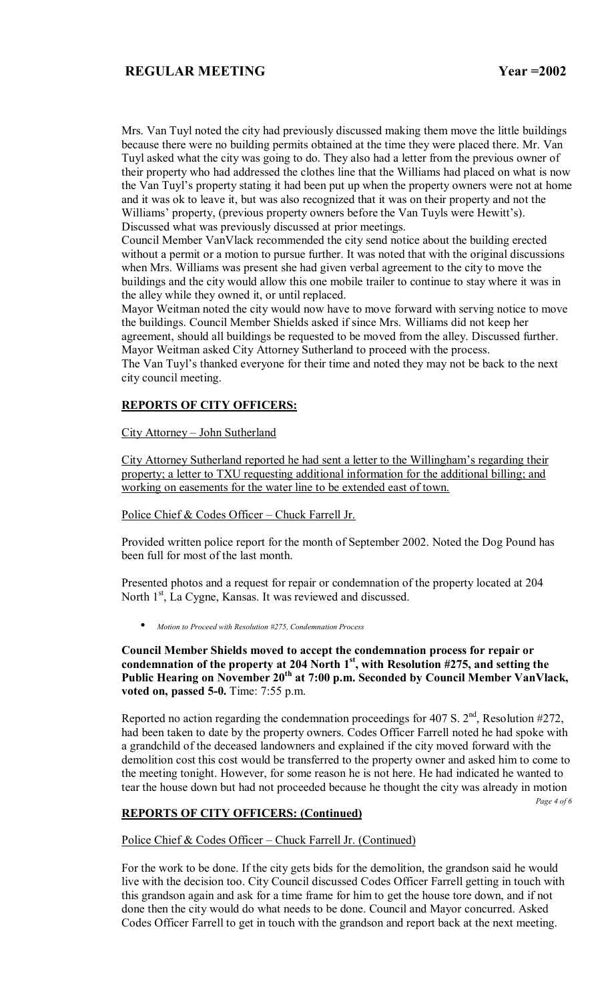Mrs. Van Tuyl noted the city had previously discussed making them move the little buildings because there were no building permits obtained at the time they were placed there. Mr. Van Tuyl asked what the city was going to do. They also had a letter from the previous owner of their property who had addressed the clothes line that the Williams had placed on what is now the Van Tuyl's property stating it had been put up when the property owners were not at home and it was ok to leave it, but was also recognized that it was on their property and not the Williams' property, (previous property owners before the Van Tuyls were Hewitt's). Discussed what was previously discussed at prior meetings.

Council Member VanVlack recommended the city send notice about the building erected without a permit or a motion to pursue further. It was noted that with the original discussions when Mrs. Williams was present she had given verbal agreement to the city to move the buildings and the city would allow this one mobile trailer to continue to stay where it was in the alley while they owned it, or until replaced.

Mayor Weitman noted the city would now have to move forward with serving notice to move the buildings. Council Member Shields asked if since Mrs. Williams did not keep her agreement, should all buildings be requested to be moved from the alley. Discussed further. Mayor Weitman asked City Attorney Sutherland to proceed with the process.

The Van Tuyl's thanked everyone for their time and noted they may not be back to the next city council meeting.

## **REPORTS OF CITY OFFICERS:**

### City Attorney - John Sutherland

City Attorney Sutherland reported he had sent a letter to the Willingham's regarding their property; a letter to TXU requesting additional information for the additional billing; and working on easements for the water line to be extended east of town.

### Police Chief  $& Codes$  Officer – Chuck Farrell Jr.

Provided written police report for the month of September 2002. Noted the Dog Pound has been full for most of the last month.

Presented photos and a request for repair or condemnation of the property located at 204 North  $1<sup>st</sup>$ , La Cygne, Kansas. It was reviewed and discussed.

• *Motion to Proceed with Resolution #275, Condemnation Process*

**Council Member Shields moved to accept the condemnation process for repair or**  condemnation of the property at 204 North 1<sup>st</sup>, with Resolution #275, and setting the Public Hearing on November 20<sup>th</sup> at 7:00 p.m. Seconded by Council Member VanVlack, **voted on, passed 5-0.** Time: 7:55 p.m.

Reported no action regarding the condemnation proceedings for 407 S.  $2<sup>nd</sup>$ , Resolution #272, had been taken to date by the property owners. Codes Officer Farrell noted he had spoke with a grandchild of the deceased landowners and explained if the city moved forward with the demolition cost this cost would be transferred to the property owner and asked him to come to the meeting tonight. However, for some reason he is not here. He had indicated he wanted to tear the house down but had not proceeded because he thought the city was already in motion

*Page 4 of 6* 

### **REPORTS OF CITY OFFICERS: (Continued)**

Police Chief & Codes Officer – Chuck Farrell Jr. (Continued)

For the work to be done. If the city gets bids for the demolition, the grandson said he would live with the decision too. City Council discussed Codes Officer Farrell getting in touch with this grandson again and ask for a time frame for him to get the house tore down, and if not done then the city would do what needs to be done. Council and Mayor concurred. Asked Codes Officer Farrell to get in touch with the grandson and report back at the next meeting.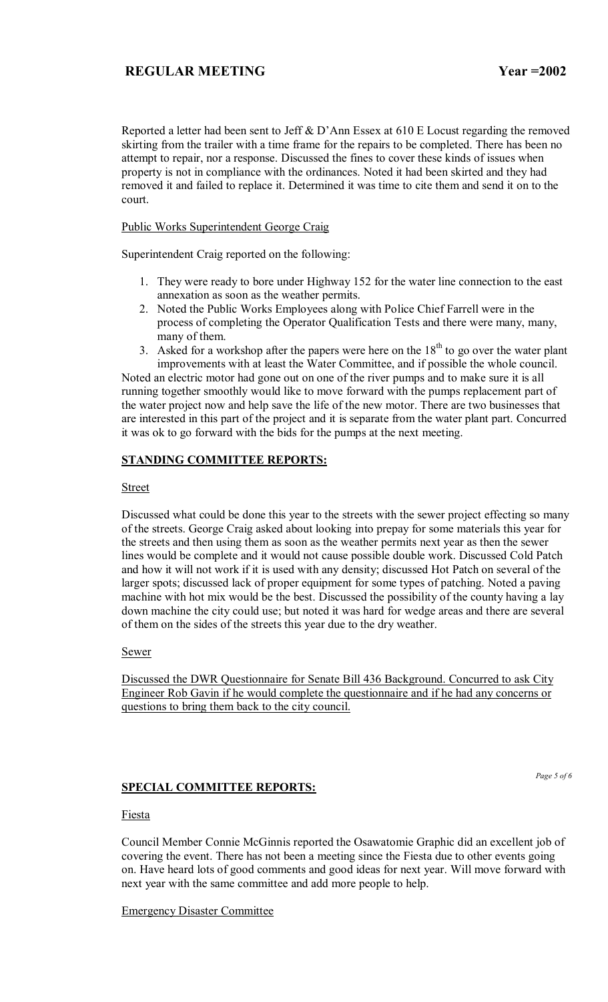Reported a letter had been sent to Jeff & D'Ann Essex at  $610 \text{ E}$  Locust regarding the removed skirting from the trailer with a time frame for the repairs to be completed. There has been no attempt to repair, nor a response. Discussed the fines to cover these kinds of issues when property is not in compliance with the ordinances. Noted it had been skirted and they had removed it and failed to replace it. Determined it was time to cite them and send it on to the court.

Public Works Superintendent George Craig

Superintendent Craig reported on the following:

- 1. They were ready to bore under Highway 152 for the water line connection to the east annexation as soon as the weather permits.
- 2. Noted the Public Works Employees along with Police Chief Farrell were in the process of completing the Operator Qualification Tests and there were many, many, many of them.
- 3. Asked for a workshop after the papers were here on the  $18<sup>th</sup>$  to go over the water plant improvements with at least the Water Committee, and if possible the whole council.

Noted an electric motor had gone out on one of the river pumps and to make sure it is all running together smoothly would like to move forward with the pumps replacement part of the water project now and help save the life of the new motor. There are two businesses that are interested in this part of the project and it is separate from the water plant part. Concurred it was ok to go forward with the bids for the pumps at the next meeting.

## **STANDING COMMITTEE REPORTS:**

## Street

Discussed what could be done this year to the streets with the sewer project effecting so many of the streets. George Craig asked about looking into prepay for some materials this year for the streets and then using them as soon as the weather permits next year as then the sewer lines would be complete and it would not cause possible double work. Discussed Cold Patch and how it will not work if it is used with any density; discussed Hot Patch on several of the larger spots; discussed lack of proper equipment for some types of patching. Noted a paving machine with hot mix would be the best. Discussed the possibility of the county having a lay down machine the city could use; but noted it was hard for wedge areas and there are several of them on the sides of the streets this year due to the dry weather.

### Sewer

Discussed the DWR Questionnaire for Senate Bill 436 Background. Concurred to ask City Engineer Rob Gavin if he would complete the questionnaire and if he had any concerns or questions to bring them back to the city council.

## **SPECIAL COMMITTEE REPORTS:**

*Page 5 of 6* 

## Fiesta

Council Member Connie McGinnis reported the Osawatomie Graphic did an excellent job of covering the event. There has not been a meeting since the Fiesta due to other events going on. Have heard lots of good comments and good ideas for next year. Will move forward with next year with the same committee and add more people to help.

Emergency Disaster Committee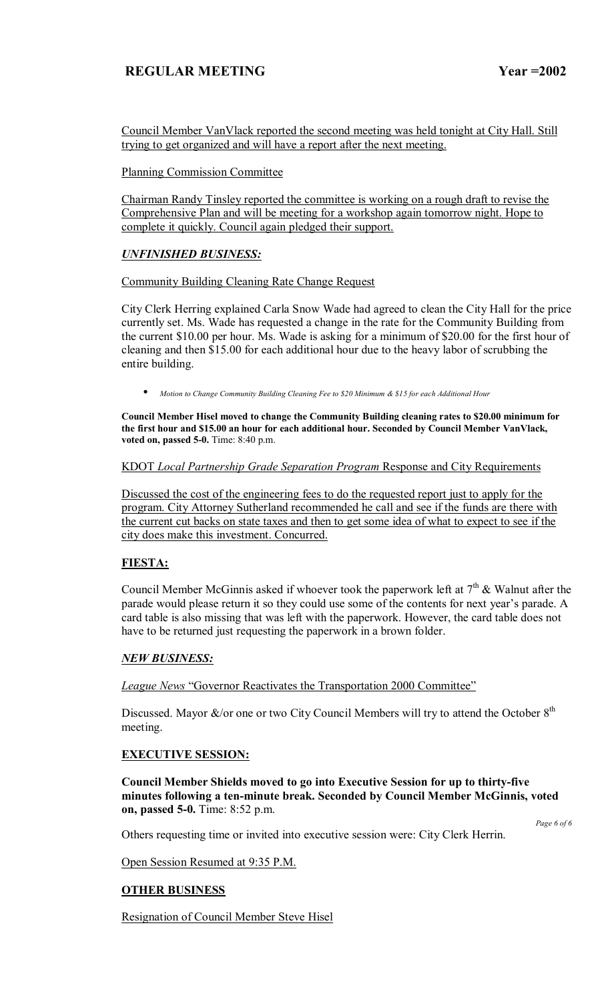Council Member VanVlack reported the second meeting was held tonight at City Hall. Still trying to get organized and will have a report after the next meeting.

## Planning Commission Committee

Chairman Randy Tinsley reported the committee is working on a rough draft to revise the Comprehensive Plan and will be meeting for a workshop again tomorrow night. Hope to complete it quickly. Council again pledged their support.

## *UNFINISHED BUSINESS:*

### Community Building Cleaning Rate Change Request

City Clerk Herring explained Carla Snow Wade had agreed to clean the City Hall for the price currently set. Ms. Wade has requested a change in the rate for the Community Building from the current \$10.00 per hour. Ms. Wade is asking for a minimum of \$20.00 for the first hour of cleaning and then \$15.00 for each additional hour due to the heavy labor of scrubbing the entire building.

• *Motion to Change Community Building Cleaning Fee to \$20 Minimum & \$15 for each Additional Hour* 

**Council Member Hisel moved to change the Community Building cleaning rates to \$20.00 minimum for the first hour and \$15.00 an hour for each additional hour. Seconded by Council Member VanVlack, voted on, passed 5-0.** Time: 8:40 p.m.

### KDOT *Local Partnership Grade Separation Program* Response and City Requirements

Discussed the cost of the engineering fees to do the requested report just to apply for the program. City Attorney Sutherland recommended he call and see if the funds are there with the current cut backs on state taxes and then to get some idea of what to expect to see if the city does make this investment. Concurred.

## **FIESTA:**

Council Member McGinnis asked if whoever took the paperwork left at  $7<sup>th</sup>$  & Walnut after the parade would please return it so they could use some of the contents for next year's parade. A card table is also missing that was left with the paperwork. However, the card table does not have to be returned just requesting the paperwork in a brown folder.

## *NEW BUSINESS:*

**League News "Governor Reactivates the Transportation 2000 Committee"** 

Discussed. Mayor  $\&$ /or one or two City Council Members will try to attend the October  $8<sup>th</sup>$ meeting.

## **EXECUTIVE SESSION:**

**Council Member Shields moved to go into Executive Session for up to thirty-five minutes following a ten-minute break. Seconded by Council Member McGinnis, voted on, passed 5-0.** Time: 8:52 p.m.

*Page 6 of 6* 

Others requesting time or invited into executive session were: City Clerk Herrin.

Open Session Resumed at 9:35 P.M.

## **OTHER BUSINESS**

Resignation of Council Member Steve Hisel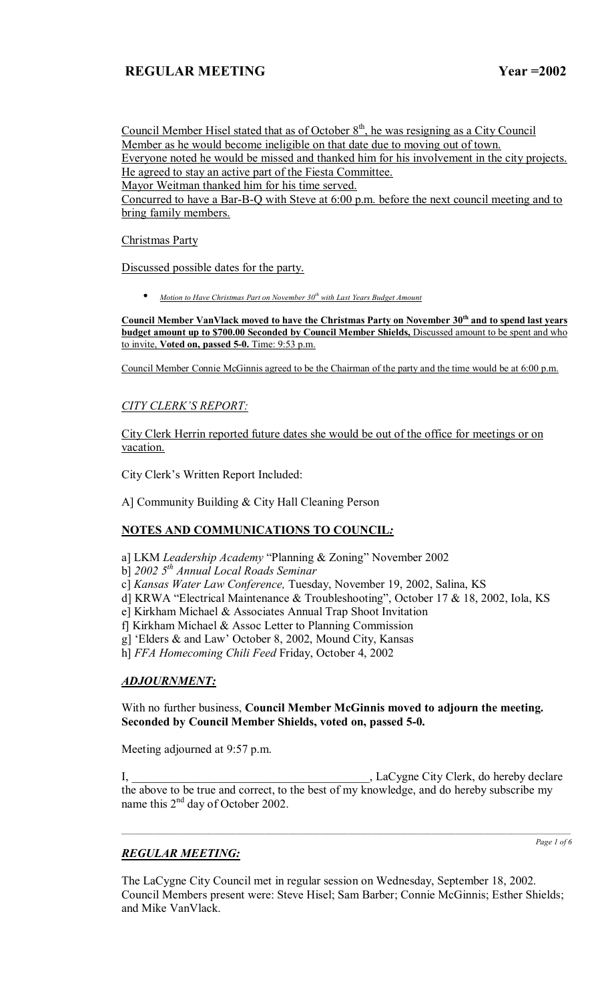Council Member Hisel stated that as of October  $8<sup>th</sup>$ , he was resigning as a City Council Member as he would become ineligible on that date due to moving out of town. Everyone noted he would be missed and thanked him for his involvement in the city projects. He agreed to stay an active part of the Fiesta Committee. Mayor Weitman thanked him for his time served.

Concurred to have a Bar-B-Q with Steve at 6:00 p.m. before the next council meeting and to bring family members.

### Christmas Party

Discussed possible dates for the party.

• *Motion to Have Christmas Part on November 30th with Last Years Budget Amount*

Council Member VanVlack moved to have the Christmas Party on November 30<sup>th</sup> and to spend last years **budget amount up to \$700.00 Seconded by Council Member Shields,** Discussed amount to be spent and who to invite, **Voted on, passed 5-0.** Time: 9:53 p.m.

Council Member Connie McGinnis agreed to be the Chairman of the party and the time would be at 6:00 p.m.

# **CITY CLERK'S REPORT:**

City Clerk Herrin reported future dates she would be out of the office for meetings or on vacation.

City Clerk's Written Report Included:

A] Community Building & City Hall Cleaning Person

## **NOTES AND COMMUNICATIONS TO COUNCIL***:*

- a] LKM *Leadership Academy* "Planning & Zoning" November 2002
- b] *2002 5th Annual Local Roads Seminar*
- c] *Kansas Water Law Conference,* Tuesday, November 19, 2002, Salina, KS
- d] KRWA "Electrical Maintenance & Troubleshooting", October 17 & 18, 2002, Iola, KS
- e] Kirkham Michael & Associates Annual Trap Shoot Invitation
- f] Kirkham Michael & Assoc Letter to Planning Commission
- g] 'Elders & and Law' October 8, 2002, Mound City, Kansas

h] *FFA Homecoming Chili Feed* Friday, October 4, 2002

## *ADJOURNMENT:*

With no further business, **Council Member McGinnis moved to adjourn the meeting. Seconded by Council Member Shields, voted on, passed 5-0.** 

Meeting adjourned at 9:57 p.m.

I, \_\_\_\_\_\_\_\_\_\_\_\_\_\_\_\_\_\_\_\_\_\_\_\_\_\_\_\_\_\_\_\_\_\_\_\_\_\_\_\_, LaCygne City Clerk, do hereby declare the above to be true and correct, to the best of my knowledge, and do hereby subscribe my name this  $2<sup>nd</sup>$  day of October 2002.

 $\_$  ,  $\_$  ,  $\_$  ,  $\_$  ,  $\_$  ,  $\_$  ,  $\_$  ,  $\_$  ,  $\_$  ,  $\_$  ,  $\_$  ,  $\_$  ,  $\_$  ,  $\_$  ,  $\_$  ,  $\_$  ,  $\_$  ,  $\_$  ,  $\_$  ,  $\_$  ,  $\_$  ,  $\_$  ,  $\_$  ,  $\_$  ,  $\_$  ,  $\_$  ,  $\_$  ,  $\_$  ,  $\_$  ,  $\_$  ,  $\_$  ,  $\_$  ,  $\_$  ,  $\_$  ,  $\_$  ,  $\_$  ,  $\_$  ,

# *REGULAR MEETING:*

*Page 1 of 6*

The LaCygne City Council met in regular session on Wednesday, September 18, 2002. Council Members present were: Steve Hisel; Sam Barber; Connie McGinnis; Esther Shields; and Mike VanVlack.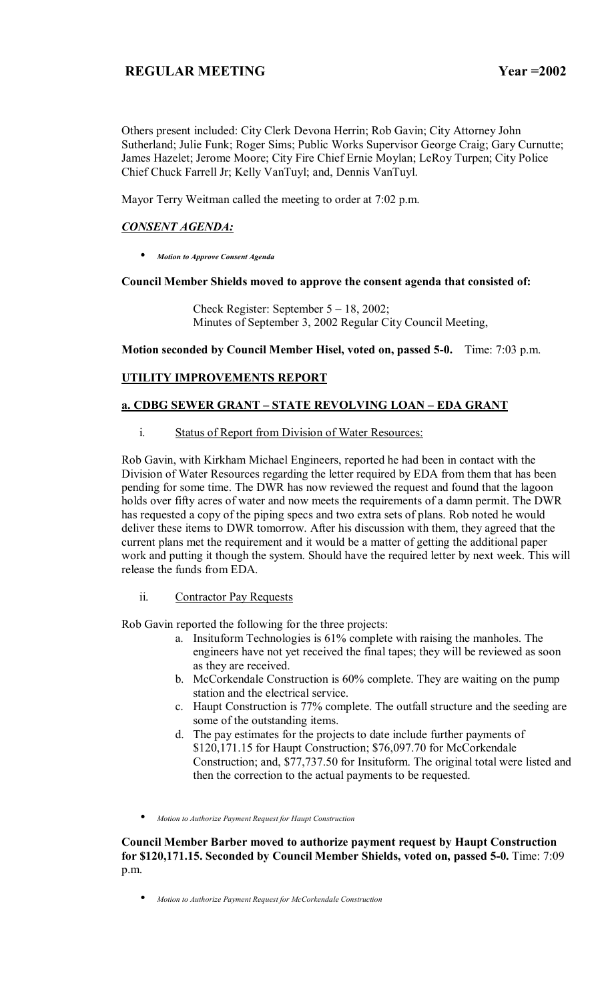Others present included: City Clerk Devona Herrin; Rob Gavin; City Attorney John Sutherland; Julie Funk; Roger Sims; Public Works Supervisor George Craig; Gary Curnutte; James Hazelet; Jerome Moore; City Fire Chief Ernie Moylan; LeRoy Turpen; City Police Chief Chuck Farrell Jr; Kelly VanTuyl; and, Dennis VanTuyl.

Mayor Terry Weitman called the meeting to order at 7:02 p.m.

## *CONSENT AGENDA:*

• *Motion to Approve Consent Agenda*

## **Council Member Shields moved to approve the consent agenda that consisted of:**

Check Register: September  $5 - 18$ , 2002; Minutes of September 3, 2002 Regular City Council Meeting,

**Motion seconded by Council Member Hisel, voted on, passed 5-0.** Time: 7:03 p.m.

# **UTILITY IMPROVEMENTS REPORT**

## **a. CDBG SEWER GRANT - STATE REVOLVING LOAN - EDA GRANT**

i. Status of Report from Division of Water Resources:

Rob Gavin, with Kirkham Michael Engineers, reported he had been in contact with the Division of Water Resources regarding the letter required by EDA from them that has been pending for some time. The DWR has now reviewed the request and found that the lagoon holds over fifty acres of water and now meets the requirements of a damn permit. The DWR has requested a copy of the piping specs and two extra sets of plans. Rob noted he would deliver these items to DWR tomorrow. After his discussion with them, they agreed that the current plans met the requirement and it would be a matter of getting the additional paper work and putting it though the system. Should have the required letter by next week. This will release the funds from EDA.

## ii. Contractor Pay Requests

Rob Gavin reported the following for the three projects:

- a. Insituform Technologies is 61% complete with raising the manholes. The engineers have not yet received the final tapes; they will be reviewed as soon as they are received.
- b. McCorkendale Construction is 60% complete. They are waiting on the pump station and the electrical service.
- c. Haupt Construction is 77% complete. The outfall structure and the seeding are some of the outstanding items.
- d. The pay estimates for the projects to date include further payments of \$120,171.15 for Haupt Construction; \$76,097.70 for McCorkendale Construction; and, \$77,737.50 for Insituform. The original total were listed and then the correction to the actual payments to be requested.
- *Motion to Authorize Payment Request for Haupt Construction*

**Council Member Barber moved to authorize payment request by Haupt Construction for \$120,171.15. Seconded by Council Member Shields, voted on, passed 5-0.** Time: 7:09 p.m.

• *Motion to Authorize Payment Request for McCorkendale Construction*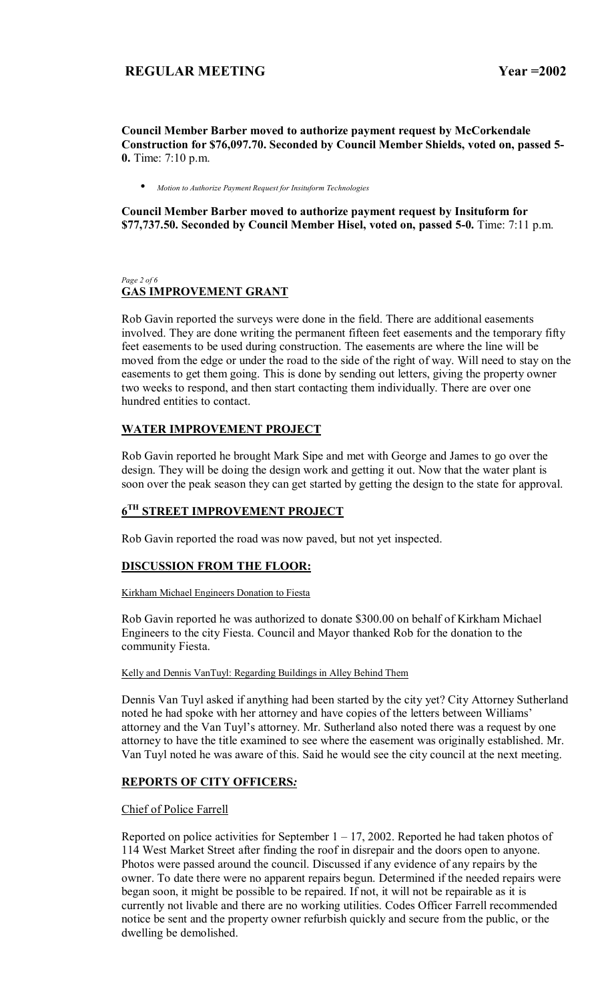**Council Member Barber moved to authorize payment request by McCorkendale Construction for \$76,097.70. Seconded by Council Member Shields, voted on, passed 5- 0.** Time: 7:10 p.m.

• *Motion to Authorize Payment Request for Insituform Technologies*

**Council Member Barber moved to authorize payment request by Insituform for \$77,737.50. Seconded by Council Member Hisel, voted on, passed 5-0.** Time: 7:11 p.m.

### *Page 2 of 6*  **GAS IMPROVEMENT GRANT**

Rob Gavin reported the surveys were done in the field. There are additional easements involved. They are done writing the permanent fifteen feet easements and the temporary fifty feet easements to be used during construction. The easements are where the line will be moved from the edge or under the road to the side of the right of way. Will need to stay on the easements to get them going. This is done by sending out letters, giving the property owner two weeks to respond, and then start contacting them individually. There are over one hundred entities to contact.

## **WATER IMPROVEMENT PROJECT**

Rob Gavin reported he brought Mark Sipe and met with George and James to go over the design. They will be doing the design work and getting it out. Now that the water plant is soon over the peak season they can get started by getting the design to the state for approval.

# **6TH STREET IMPROVEMENT PROJECT**

Rob Gavin reported the road was now paved, but not yet inspected.

## **DISCUSSION FROM THE FLOOR:**

Kirkham Michael Engineers Donation to Fiesta

Rob Gavin reported he was authorized to donate \$300.00 on behalf of Kirkham Michael Engineers to the city Fiesta. Council and Mayor thanked Rob for the donation to the community Fiesta.

### Kelly and Dennis VanTuyl: Regarding Buildings in Alley Behind Them

Dennis Van Tuyl asked if anything had been started by the city yet? City Attorney Sutherland noted he had spoke with her attorney and have copies of the letters between Williams' attorney and the Van Tuyl's attorney. Mr. Sutherland also noted there was a request by one attorney to have the title examined to see where the easement was originally established. Mr. Van Tuyl noted he was aware of this. Said he would see the city council at the next meeting.

## **REPORTS OF CITY OFFICERS***:*

## Chief of Police Farrell

Reported on police activities for September  $1 - 17$ , 2002. Reported he had taken photos of 114 West Market Street after finding the roof in disrepair and the doors open to anyone. Photos were passed around the council. Discussed if any evidence of any repairs by the owner. To date there were no apparent repairs begun. Determined if the needed repairs were began soon, it might be possible to be repaired. If not, it will not be repairable as it is currently not livable and there are no working utilities. Codes Officer Farrell recommended notice be sent and the property owner refurbish quickly and secure from the public, or the dwelling be demolished.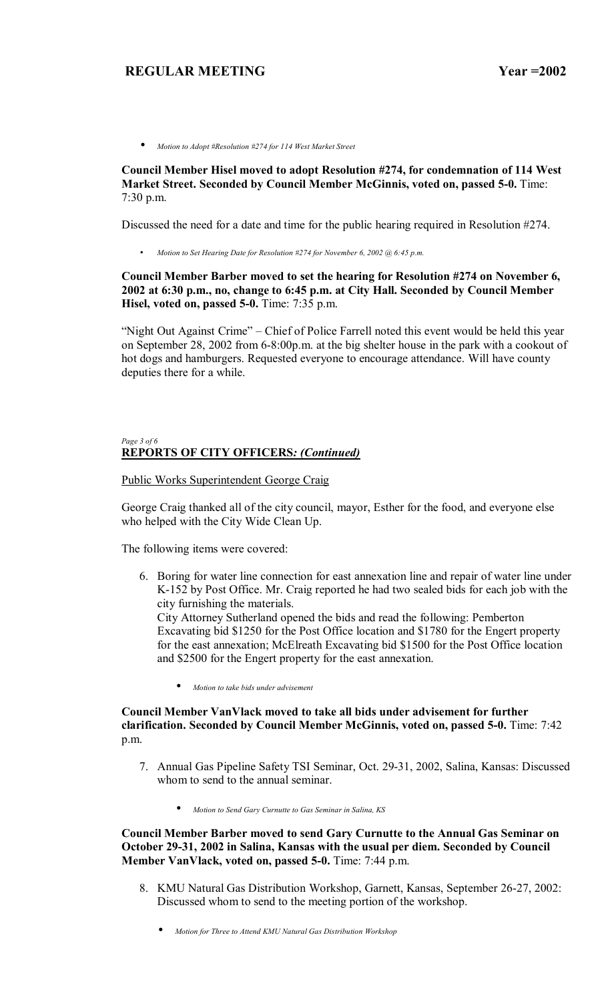• *Motion to Adopt #Resolution #274 for 114 West Market Street*

## **Council Member Hisel moved to adopt Resolution #274, for condemnation of 114 West Market Street. Seconded by Council Member McGinnis, voted on, passed 5-0.** Time: 7:30 p.m.

Discussed the need for a date and time for the public hearing required in Resolution #274.

• *Motion to Set Hearing Date for Resolution #274 for November 6, 2002 @ 6:45 p.m.* 

## **Council Member Barber moved to set the hearing for Resolution #274 on November 6, 2002 at 6:30 p.m., no, change to 6:45 p.m. at City Hall. Seconded by Council Member Hisel, voted on, passed 5-0.** Time: 7:35 p.m.

"Night Out Against Crime" – Chief of Police Farrell noted this event would be held this year on September 28, 2002 from 6-8:00p.m. at the big shelter house in the park with a cookout of hot dogs and hamburgers. Requested everyone to encourage attendance. Will have county deputies there for a while.

### *Page 3 of 6*  **REPORTS OF CITY OFFICERS***: (Continued)*

### Public Works Superintendent George Craig

George Craig thanked all of the city council, mayor, Esther for the food, and everyone else who helped with the City Wide Clean Up.

The following items were covered:

6. Boring for water line connection for east annexation line and repair of water line under K-152 by Post Office. Mr. Craig reported he had two sealed bids for each job with the city furnishing the materials.

City Attorney Sutherland opened the bids and read the following: Pemberton Excavating bid \$1250 for the Post Office location and \$1780 for the Engert property for the east annexation; McElreath Excavating bid \$1500 for the Post Office location and \$2500 for the Engert property for the east annexation.

• *Motion to take bids under advisement*

## **Council Member VanVlack moved to take all bids under advisement for further clarification. Seconded by Council Member McGinnis, voted on, passed 5-0.** Time: 7:42 p.m.

- 7. Annual Gas Pipeline Safety TSI Seminar, Oct. 29-31, 2002, Salina, Kansas: Discussed whom to send to the annual seminar.
	- *Motion to Send Gary Curnutte to Gas Seminar in Salina, KS*

**Council Member Barber moved to send Gary Curnutte to the Annual Gas Seminar on October 29-31, 2002 in Salina, Kansas with the usual per diem. Seconded by Council Member VanVlack, voted on, passed 5-0.** Time: 7:44 p.m.

- 8. KMU Natural Gas Distribution Workshop, Garnett, Kansas, September 26-27, 2002: Discussed whom to send to the meeting portion of the workshop.
	- *Motion for Three to Attend KMU Natural Gas Distribution Workshop*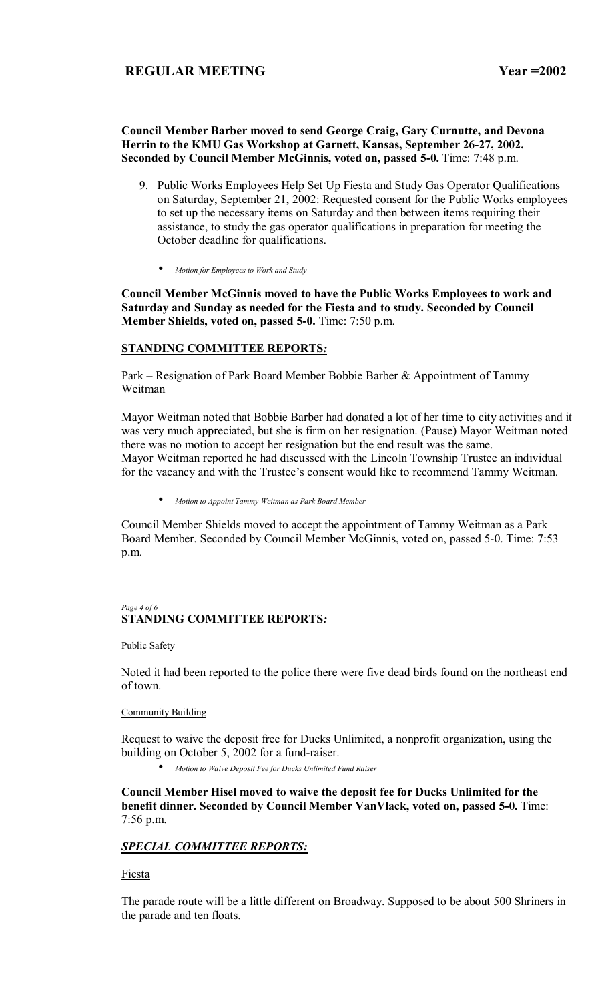## **Council Member Barber moved to send George Craig, Gary Curnutte, and Devona Herrin to the KMU Gas Workshop at Garnett, Kansas, September 26-27, 2002. Seconded by Council Member McGinnis, voted on, passed 5-0.** Time: 7:48 p.m.

- 9. Public Works Employees Help Set Up Fiesta and Study Gas Operator Qualifications on Saturday, September 21, 2002: Requested consent for the Public Works employees to set up the necessary items on Saturday and then between items requiring their assistance, to study the gas operator qualifications in preparation for meeting the October deadline for qualifications.
	- *Motion for Employees to Work and Study*

**Council Member McGinnis moved to have the Public Works Employees to work and Saturday and Sunday as needed for the Fiesta and to study. Seconded by Council Member Shields, voted on, passed 5-0.** Time: 7:50 p.m.

## **STANDING COMMITTEE REPORTS***:*

## Park – Resignation of Park Board Member Bobbie Barber & Appointment of Tammy Weitman

Mayor Weitman noted that Bobbie Barber had donated a lot of her time to city activities and it was very much appreciated, but she is firm on her resignation. (Pause) Mayor Weitman noted there was no motion to accept her resignation but the end result was the same. Mayor Weitman reported he had discussed with the Lincoln Township Trustee an individual for the vacancy and with the Trustee's consent would like to recommend Tammy Weitman.

• *Motion to Appoint Tammy Weitman as Park Board Member*

Council Member Shields moved to accept the appointment of Tammy Weitman as a Park Board Member. Seconded by Council Member McGinnis, voted on, passed 5-0. Time: 7:53 p.m.

### *Page 4 of 6*  **STANDING COMMITTEE REPORTS***:*

### Public Safety

Noted it had been reported to the police there were five dead birds found on the northeast end of town.

### Community Building

Request to waive the deposit free for Ducks Unlimited, a nonprofit organization, using the building on October 5, 2002 for a fund-raiser.

• *Motion to Waive Deposit Fee for Ducks Unlimited Fund Raiser*

**Council Member Hisel moved to waive the deposit fee for Ducks Unlimited for the benefit dinner. Seconded by Council Member VanVlack, voted on, passed 5-0.** Time: 7:56 p.m.

## *SPECIAL COMMITTEE REPORTS:*

Fiesta

The parade route will be a little different on Broadway. Supposed to be about 500 Shriners in the parade and ten floats.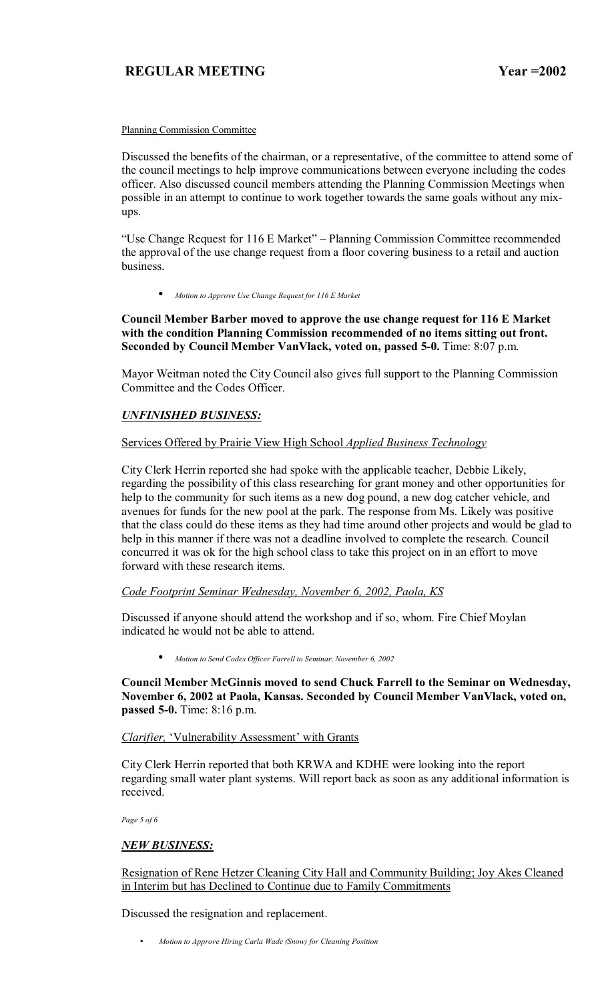### Planning Commission Committee

Discussed the benefits of the chairman, or a representative, of the committee to attend some of the council meetings to help improve communications between everyone including the codes officer. Also discussed council members attending the Planning Commission Meetings when possible in an attempt to continue to work together towards the same goals without any mixups.

"Use Change Request for 116 E Market" - Planning Commission Committee recommended the approval of the use change request from a floor covering business to a retail and auction business.

• *Motion to Approve Use Change Request for 116 E Market*

**Council Member Barber moved to approve the use change request for 116 E Market with the condition Planning Commission recommended of no items sitting out front. Seconded by Council Member VanVlack, voted on, passed 5-0.** Time: 8:07 p.m.

Mayor Weitman noted the City Council also gives full support to the Planning Commission Committee and the Codes Officer.

## *UNFINISHED BUSINESS:*

### Services Offered by Prairie View High School *Applied Business Technology*

City Clerk Herrin reported she had spoke with the applicable teacher, Debbie Likely, regarding the possibility of this class researching for grant money and other opportunities for help to the community for such items as a new dog pound, a new dog catcher vehicle, and avenues for funds for the new pool at the park. The response from Ms. Likely was positive that the class could do these items as they had time around other projects and would be glad to help in this manner if there was not a deadline involved to complete the research. Council concurred it was ok for the high school class to take this project on in an effort to move forward with these research items.

### *Code Footprint Seminar Wednesday, November 6, 2002, Paola, KS*

Discussed if anyone should attend the workshop and if so, whom. Fire Chief Moylan indicated he would not be able to attend.

• *Motion to Send Codes Officer Farrell to Seminar, November 6, 2002*

**Council Member McGinnis moved to send Chuck Farrell to the Seminar on Wednesday, November 6, 2002 at Paola, Kansas. Seconded by Council Member VanVlack, voted on, passed 5-0.** Time: 8:16 p.m.

### *Clarifier,* 'Vulnerability Assessment' with Grants

City Clerk Herrin reported that both KRWA and KDHE were looking into the report regarding small water plant systems. Will report back as soon as any additional information is received.

*Page 5 of 6* 

### *NEW BUSINESS:*

Resignation of Rene Hetzer Cleaning City Hall and Community Building; Joy Akes Cleaned in Interim but has Declined to Continue due to Family Commitments

Discussed the resignation and replacement.

• *Motion to Approve Hiring Carla Wade (Snow) for Cleaning Position*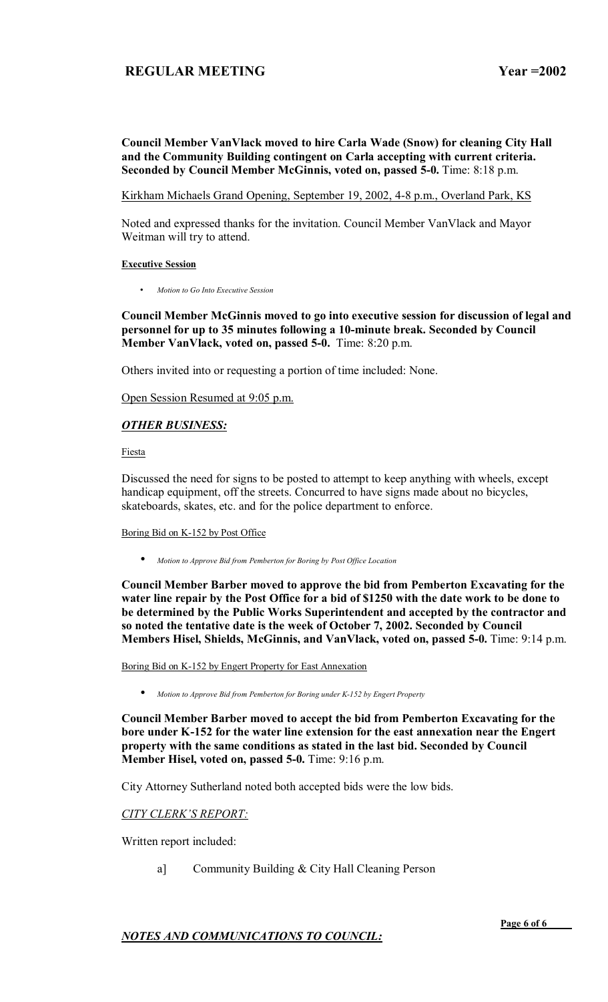## **Council Member VanVlack moved to hire Carla Wade (Snow) for cleaning City Hall and the Community Building contingent on Carla accepting with current criteria. Seconded by Council Member McGinnis, voted on, passed 5-0.** Time: 8:18 p.m.

Kirkham Michaels Grand Opening, September 19, 2002, 4-8 p.m., Overland Park, KS

Noted and expressed thanks for the invitation. Council Member VanVlack and Mayor Weitman will try to attend.

### **Executive Session**

• *Motion to Go Into Executive Session*

## **Council Member McGinnis moved to go into executive session for discussion of legal and personnel for up to 35 minutes following a 10-minute break. Seconded by Council Member VanVlack, voted on, passed 5-0.** Time: 8:20 p.m.

Others invited into or requesting a portion of time included: None.

Open Session Resumed at 9:05 p.m.

## *OTHER BUSINESS:*

Fiesta

Discussed the need for signs to be posted to attempt to keep anything with wheels, except handicap equipment, off the streets. Concurred to have signs made about no bicycles, skateboards, skates, etc. and for the police department to enforce.

### Boring Bid on K-152 by Post Office

• *Motion to Approve Bid from Pemberton for Boring by Post Office Location*

**Council Member Barber moved to approve the bid from Pemberton Excavating for the water line repair by the Post Office for a bid of \$1250 with the date work to be done to be determined by the Public Works Superintendent and accepted by the contractor and so noted the tentative date is the week of October 7, 2002. Seconded by Council Members Hisel, Shields, McGinnis, and VanVlack, voted on, passed 5-0.** Time: 9:14 p.m.

Boring Bid on K-152 by Engert Property for East Annexation

• *Motion to Approve Bid from Pemberton for Boring under K-152 by Engert Property*

**Council Member Barber moved to accept the bid from Pemberton Excavating for the bore under K-152 for the water line extension for the east annexation near the Engert property with the same conditions as stated in the last bid. Seconded by Council Member Hisel, voted on, passed 5-0.** Time: 9:16 p.m.

City Attorney Sutherland noted both accepted bids were the low bids.

## **CITY CLERK'S REPORT:**

Written report included:

a] Community Building & City Hall Cleaning Person

*NOTES AND COMMUNICATIONS TO COUNCIL:*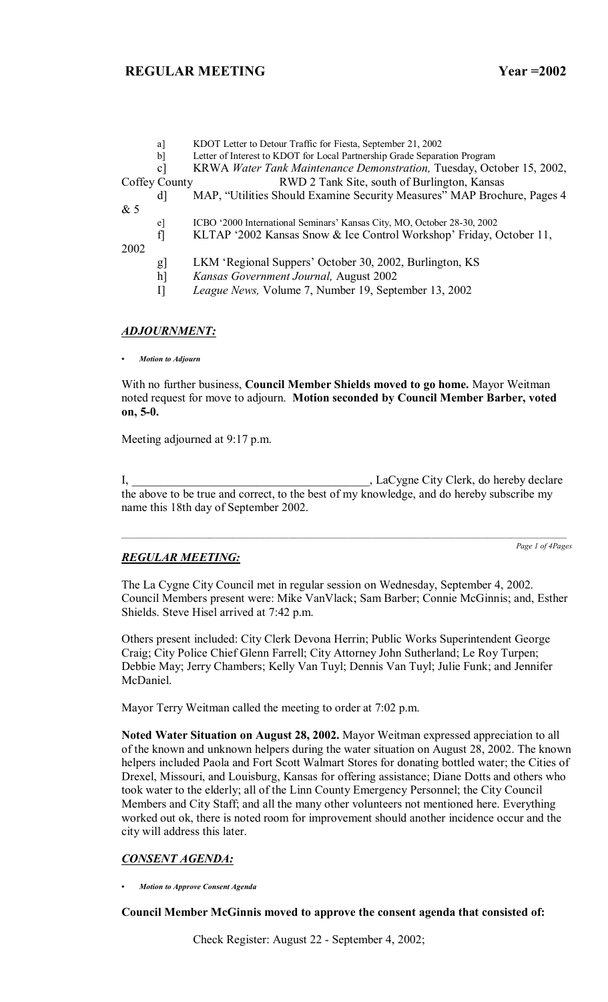|      | a <sup>]</sup> | KDOT Letter to Detour Traffic for Fiesta, September 21, 2002              |
|------|----------------|---------------------------------------------------------------------------|
|      | $\mathbf{b}$   | Letter of Interest to KDOT for Local Partnership Grade Separation Program |
|      | $\mathbf{c}$   | KRWA Water Tank Maintenance Demonstration, Tuesday, October 15, 2002,     |
|      | Coffey County  | RWD 2 Tank Site, south of Burlington, Kansas                              |
|      | <sub>d</sub>   | MAP, "Utilities Should Examine Security Measures" MAP Brochure, Pages 4   |
| &5   |                |                                                                           |
|      | $\mathbf{e}$   | ICBO '2000 International Seminars' Kansas City, MO, October 28-30, 2002   |
|      | $\mathbf{f}$   | KLTAP '2002 Kansas Snow & Ice Control Workshop' Friday, October 11,       |
| 2002 |                |                                                                           |
|      | g              | LKM 'Regional Suppers' October 30, 2002, Burlington, KS                   |
|      | $h$ ]          | Kansas Government Journal, August 2002                                    |
|      | $\prod$        | League News, Volume 7, Number 19, September 13, 2002                      |
|      |                |                                                                           |

#### *ADJOURNMENT:*

*ï Motion to Adjourn*

With no further business, **Council Member Shields moved to go home.** Mayor Weitman noted request for move to adjourn. **Motion seconded by Council Member Barber, voted on, 5-0.**

Meeting adjourned at 9:17 p.m.

I, LaCygne City Clerk, do hereby declare the above to be true and correct, to the best of my knowledge, and do hereby subscribe my name this 18th day of September 2002.

## *REGULAR MEETING:*

*Page 1 of 4Pages*

The La Cygne City Council met in regular session on Wednesday, September 4, 2002. Council Members present were: Mike VanVlack; Sam Barber; Connie McGinnis; and, Esther Shields. Steve Hisel arrived at 7:42 p.m.

Others present included: City Clerk Devona Herrin; Public Works Superintendent George Craig; City Police Chief Glenn Farrell; City Attorney John Sutherland; Le Roy Turpen; Debbie May; Jerry Chambers; Kelly Van Tuyl; Dennis Van Tuyl; Julie Funk; and Jennifer McDaniel.

Mayor Terry Weitman called the meeting to order at 7:02 p.m.

**Noted Water Situation on August 28, 2002.** Mayor Weitman expressed appreciation to all of the known and unknown helpers during the water situation on August 28, 2002. The known helpers included Paola and Fort Scott Walmart Stores for donating bottled water; the Cities of Drexel, Missouri, and Louisburg, Kansas for offering assistance; Diane Dotts and others who took water to the elderly; all of the Linn County Emergency Personnel; the City Council Members and City Staff; and all the many other volunteers not mentioned here. Everything worked out ok, there is noted room for improvement should another incidence occur and the city will address this later.

## *CONSENT AGENDA:*

*ï Motion to Approve Consent Agenda*

### **Council Member McGinnis moved to approve the consent agenda that consisted of:**

Check Register: August 22 - September 4, 2002;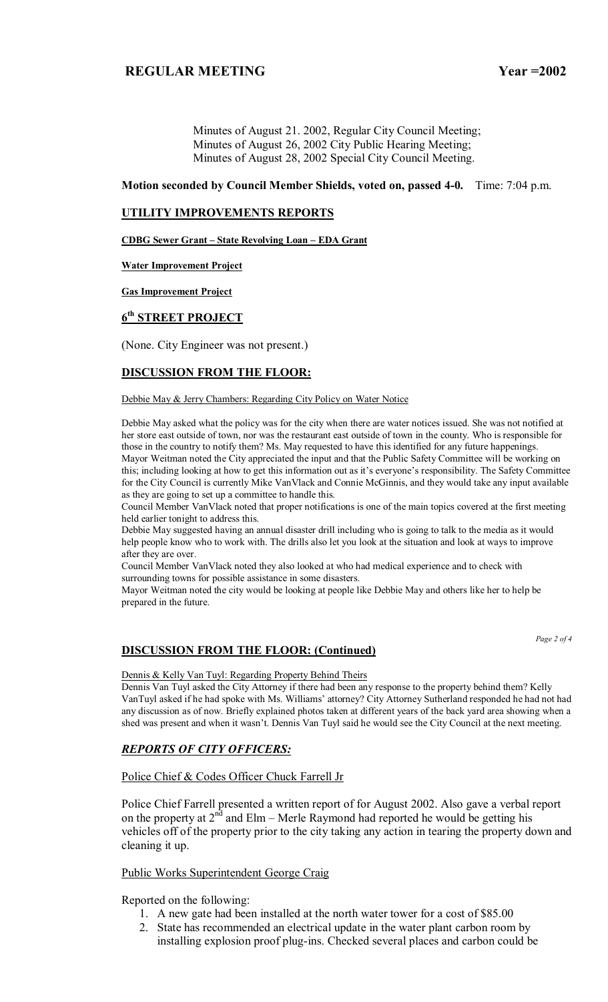Minutes of August 21. 2002, Regular City Council Meeting; Minutes of August 26, 2002 City Public Hearing Meeting; Minutes of August 28, 2002 Special City Council Meeting.

### **Motion seconded by Council Member Shields, voted on, passed 4-0.** Time: 7:04 p.m.

### **UTILITY IMPROVEMENTS REPORTS**

**CDBG Sewer Grant - State Revolving Loan - EDA Grant** 

#### **Water Improvement Project**

### **Gas Improvement Project**

### **6th STREET PROJECT**

(None. City Engineer was not present.)

### **DISCUSSION FROM THE FLOOR:**

#### Debbie May & Jerry Chambers: Regarding City Policy on Water Notice

Debbie May asked what the policy was for the city when there are water notices issued. She was not notified at her store east outside of town, nor was the restaurant east outside of town in the county. Who is responsible for those in the country to notify them? Ms. May requested to have this identified for any future happenings. Mayor Weitman noted the City appreciated the input and that the Public Safety Committee will be working on this; including looking at how to get this information out as it's everyone's responsibility. The Safety Committee for the City Council is currently Mike VanVlack and Connie McGinnis, and they would take any input available as they are going to set up a committee to handle this.

Council Member VanVlack noted that proper notifications is one of the main topics covered at the first meeting held earlier tonight to address this.

Debbie May suggested having an annual disaster drill including who is going to talk to the media as it would help people know who to work with. The drills also let you look at the situation and look at ways to improve after they are over.

Council Member VanVlack noted they also looked at who had medical experience and to check with surrounding towns for possible assistance in some disasters.

Mayor Weitman noted the city would be looking at people like Debbie May and others like her to help be prepared in the future.

*Page 2 of 4* 

### **DISCUSSION FROM THE FLOOR: (Continued)**

#### Dennis & Kelly Van Tuyl: Regarding Property Behind Theirs

Dennis Van Tuyl asked the City Attorney if there had been any response to the property behind them? Kelly VanTuyl asked if he had spoke with Ms. Williams' attorney? City Attorney Sutherland responded he had not had any discussion as of now. Briefly explained photos taken at different years of the back yard area showing when a shed was present and when it wasn't. Dennis Van Tuyl said he would see the City Council at the next meeting.

### *REPORTS OF CITY OFFICERS:*

### Police Chief & Codes Officer Chuck Farrell Jr

Police Chief Farrell presented a written report of for August 2002. Also gave a verbal report on the property at  $2^{nd}$  and Elm – Merle Raymond had reported he would be getting his vehicles off of the property prior to the city taking any action in tearing the property down and cleaning it up.

### Public Works Superintendent George Craig

Reported on the following:

- 1. A new gate had been installed at the north water tower for a cost of \$85.00
- 2. State has recommended an electrical update in the water plant carbon room by installing explosion proof plug-ins. Checked several places and carbon could be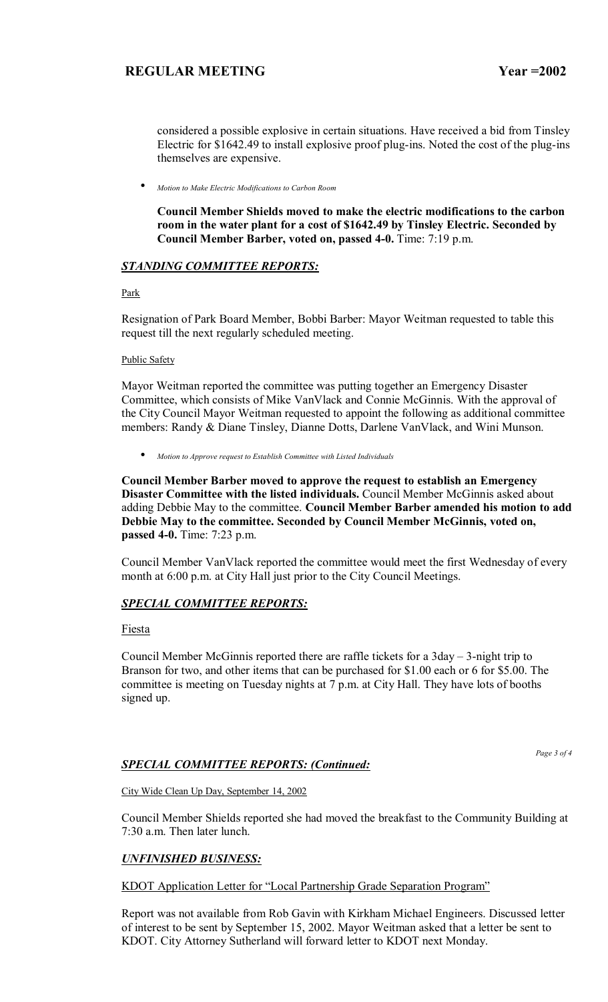considered a possible explosive in certain situations. Have received a bid from Tinsley Electric for \$1642.49 to install explosive proof plug-ins. Noted the cost of the plug-ins themselves are expensive.

• *Motion to Make Electric Modifications to Carbon Room*

**Council Member Shields moved to make the electric modifications to the carbon room in the water plant for a cost of \$1642.49 by Tinsley Electric. Seconded by Council Member Barber, voted on, passed 4-0.** Time: 7:19 p.m.

## *STANDING COMMITTEE REPORTS:*

### Park

Resignation of Park Board Member, Bobbi Barber: Mayor Weitman requested to table this request till the next regularly scheduled meeting.

### Public Safety

Mayor Weitman reported the committee was putting together an Emergency Disaster Committee, which consists of Mike VanVlack and Connie McGinnis. With the approval of the City Council Mayor Weitman requested to appoint the following as additional committee members: Randy & Diane Tinsley, Dianne Dotts, Darlene VanVlack, and Wini Munson.

• *Motion to Approve request to Establish Committee with Listed Individuals*

**Council Member Barber moved to approve the request to establish an Emergency Disaster Committee with the listed individuals.** Council Member McGinnis asked about adding Debbie May to the committee. **Council Member Barber amended his motion to add Debbie May to the committee. Seconded by Council Member McGinnis, voted on, passed 4-0.** Time: 7:23 p.m.

Council Member VanVlack reported the committee would meet the first Wednesday of every month at 6:00 p.m. at City Hall just prior to the City Council Meetings.

# *SPECIAL COMMITTEE REPORTS:*

## Fiesta

Council Member McGinnis reported there are raffle tickets for a  $3day - 3$ -night trip to Branson for two, and other items that can be purchased for \$1.00 each or 6 for \$5.00. The committee is meeting on Tuesday nights at 7 p.m. at City Hall. They have lots of booths signed up.

## *SPECIAL COMMITTEE REPORTS: (Continued:*

*Page 3 of 4* 

City Wide Clean Up Day, September 14, 2002

Council Member Shields reported she had moved the breakfast to the Community Building at 7:30 a.m. Then later lunch.

# *UNFINISHED BUSINESS:*

KDOT Application Letter for "Local Partnership Grade Separation Program"

Report was not available from Rob Gavin with Kirkham Michael Engineers. Discussed letter of interest to be sent by September 15, 2002. Mayor Weitman asked that a letter be sent to KDOT. City Attorney Sutherland will forward letter to KDOT next Monday.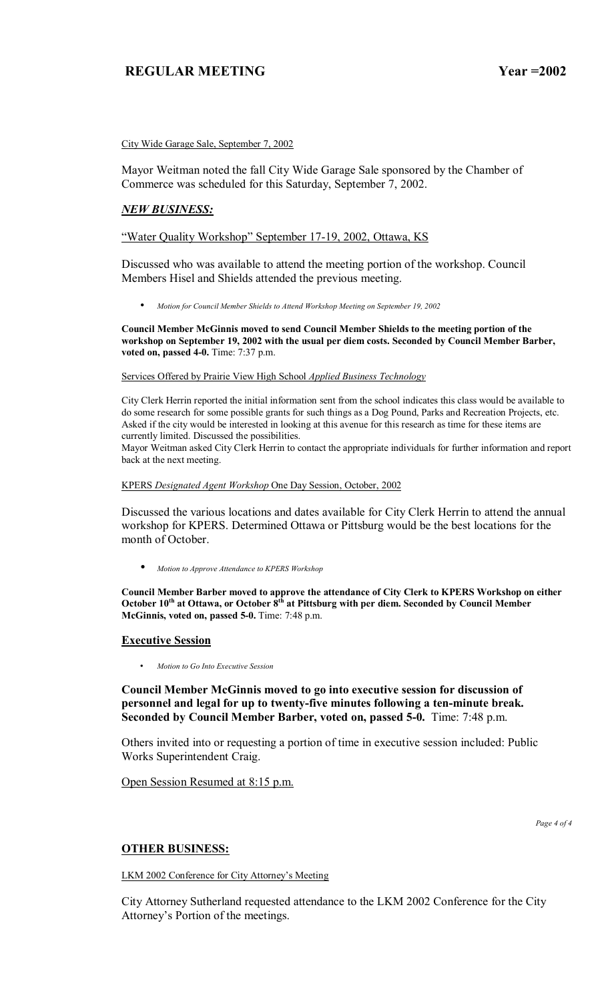City Wide Garage Sale, September 7, 2002

Mayor Weitman noted the fall City Wide Garage Sale sponsored by the Chamber of Commerce was scheduled for this Saturday, September 7, 2002.

### *NEW BUSINESS:*

### "Water Quality Workshop" September 17-19, 2002, Ottawa, KS

Discussed who was available to attend the meeting portion of the workshop. Council Members Hisel and Shields attended the previous meeting.

• *Motion for Council Member Shields to Attend Workshop Meeting on September 19, 2002*

**Council Member McGinnis moved to send Council Member Shields to the meeting portion of the workshop on September 19, 2002 with the usual per diem costs. Seconded by Council Member Barber, voted on, passed 4-0.** Time: 7:37 p.m.

Services Offered by Prairie View High School *Applied Business Technology*

City Clerk Herrin reported the initial information sent from the school indicates this class would be available to do some research for some possible grants for such things as a Dog Pound, Parks and Recreation Projects, etc. Asked if the city would be interested in looking at this avenue for this research as time for these items are currently limited. Discussed the possibilities.

Mayor Weitman asked City Clerk Herrin to contact the appropriate individuals for further information and report back at the next meeting.

#### KPERS *Designated Agent Workshop* One Day Session, October, 2002

Discussed the various locations and dates available for City Clerk Herrin to attend the annual workshop for KPERS. Determined Ottawa or Pittsburg would be the best locations for the month of October.

• *Motion to Approve Attendance to KPERS Workshop*

**Council Member Barber moved to approve the attendance of City Clerk to KPERS Workshop on either**  October 10<sup>th</sup> at Ottawa, or October 8<sup>th</sup> at Pittsburg with per diem. Seconded by Council Member **McGinnis, voted on, passed 5-0.** Time: 7:48 p.m.

#### **Executive Session**

• *Motion to Go Into Executive Session*

### **Council Member McGinnis moved to go into executive session for discussion of personnel and legal for up to twenty-five minutes following a ten-minute break. Seconded by Council Member Barber, voted on, passed 5-0.** Time: 7:48 p.m.

Others invited into or requesting a portion of time in executive session included: Public Works Superintendent Craig.

Open Session Resumed at 8:15 p.m.

*Page 4 of 4* 

#### **OTHER BUSINESS:**

LKM 2002 Conference for City Attorney's Meeting

City Attorney Sutherland requested attendance to the LKM 2002 Conference for the City Attorney's Portion of the meetings.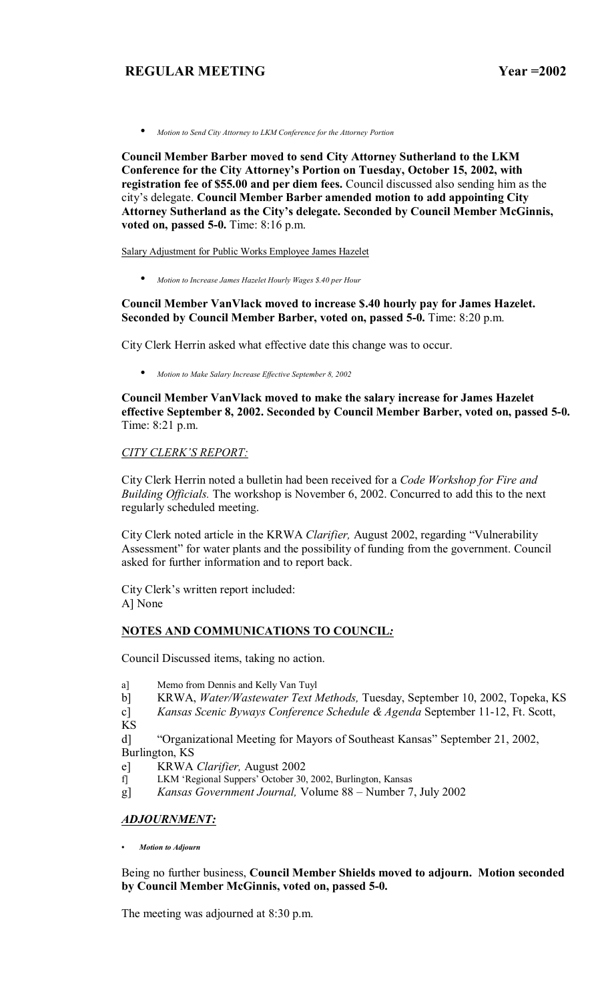• *Motion to Send City Attorney to LKM Conference for the Attorney Portion*

**Council Member Barber moved to send City Attorney Sutherland to the LKM**  Conference for the City Attorney's Portion on Tuesday, October 15, 2002, with **registration fee of \$55.00 and per diem fees.** Council discussed also sending him as the cityís delegate. **Council Member Barber amended motion to add appointing City Attorney Sutherland as the Cityís delegate. Seconded by Council Member McGinnis, voted on, passed 5-0.** Time: 8:16 p.m.

Salary Adjustment for Public Works Employee James Hazelet

• *Motion to Increase James Hazelet Hourly Wages \$.40 per Hour*

**Council Member VanVlack moved to increase \$.40 hourly pay for James Hazelet. Seconded by Council Member Barber, voted on, passed 5-0.** Time: 8:20 p.m.

City Clerk Herrin asked what effective date this change was to occur.

• *Motion to Make Salary Increase Effective September 8, 2002*

**Council Member VanVlack moved to make the salary increase for James Hazelet effective September 8, 2002. Seconded by Council Member Barber, voted on, passed 5-0.**  Time: 8:21 p.m.

# **CITY CLERK'S REPORT:**

City Clerk Herrin noted a bulletin had been received for a *Code Workshop for Fire and Building Officials.* The workshop is November 6, 2002. Concurred to add this to the next regularly scheduled meeting.

City Clerk noted article in the KRWA *Clarifier*, August 2002, regarding "Vulnerability Assessment" for water plants and the possibility of funding from the government. Council asked for further information and to report back.

City Clerk's written report included: A] None

### **NOTES AND COMMUNICATIONS TO COUNCIL***:*

Council Discussed items, taking no action.

- a] Memo from Dennis and Kelly Van Tuyl
- b] KRWA, *Water/Wastewater Text Methods,* Tuesday, September 10, 2002, Topeka, KS

c] *Kansas Scenic Byways Conference Schedule & Agenda* September 11-12, Ft. Scott, KS

d] "Organizational Meeting for Mayors of Southeast Kansas" September 21, 2002, Burlington, KS

- e] KRWA *Clarifier,* August 2002
- f] LKM 'Regional Suppers' October 30, 2002, Burlington, Kansas
- g] *Kansas Government Journal, Volume 88 Number 7, July 2002*

### *ADJOURNMENT:*

*ï Motion to Adjourn*

Being no further business, **Council Member Shields moved to adjourn. Motion seconded by Council Member McGinnis, voted on, passed 5-0.** 

The meeting was adjourned at 8:30 p.m.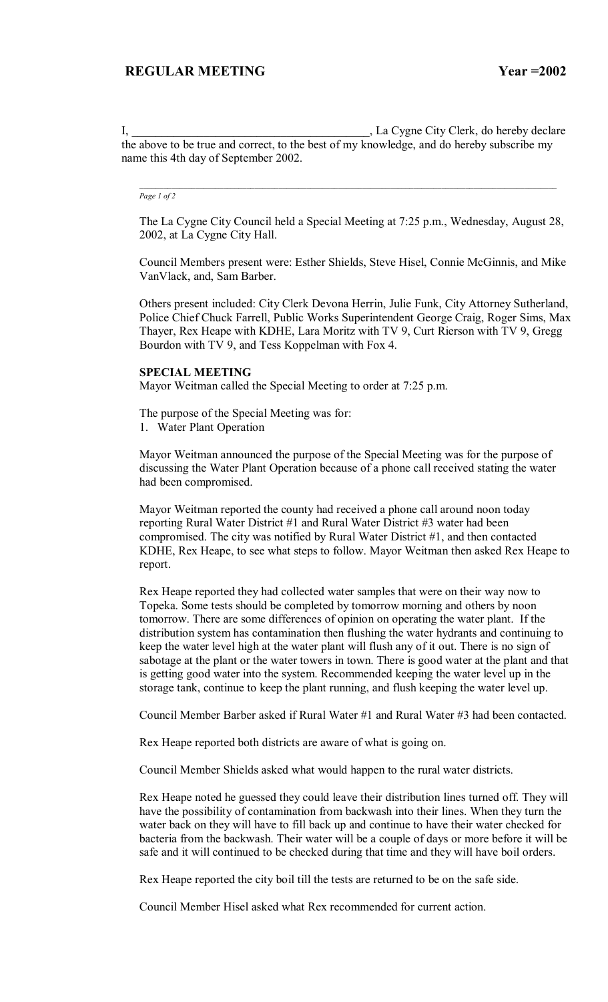I, \_\_\_\_\_\_\_\_\_\_\_\_\_\_\_\_\_\_\_\_\_\_\_\_\_\_\_\_\_\_\_\_\_\_\_\_\_\_\_\_, La Cygne City Clerk, do hereby declare the above to be true and correct, to the best of my knowledge, and do hereby subscribe my name this 4th day of September 2002.

#### *Page 1 of 2*

The La Cygne City Council held a Special Meeting at 7:25 p.m., Wednesday, August 28, 2002, at La Cygne City Hall.

 $\mathcal{L}_\text{max}$ 

Council Members present were: Esther Shields, Steve Hisel, Connie McGinnis, and Mike VanVlack, and, Sam Barber.

Others present included: City Clerk Devona Herrin, Julie Funk, City Attorney Sutherland, Police Chief Chuck Farrell, Public Works Superintendent George Craig, Roger Sims, Max Thayer, Rex Heape with KDHE, Lara Moritz with TV 9, Curt Rierson with TV 9, Gregg Bourdon with TV 9, and Tess Koppelman with Fox 4.

#### **SPECIAL MEETING**

Mayor Weitman called the Special Meeting to order at 7:25 p.m.

The purpose of the Special Meeting was for:

1. Water Plant Operation

Mayor Weitman announced the purpose of the Special Meeting was for the purpose of discussing the Water Plant Operation because of a phone call received stating the water had been compromised.

Mayor Weitman reported the county had received a phone call around noon today reporting Rural Water District #1 and Rural Water District #3 water had been compromised. The city was notified by Rural Water District #1, and then contacted KDHE, Rex Heape, to see what steps to follow. Mayor Weitman then asked Rex Heape to report.

Rex Heape reported they had collected water samples that were on their way now to Topeka. Some tests should be completed by tomorrow morning and others by noon tomorrow. There are some differences of opinion on operating the water plant. If the distribution system has contamination then flushing the water hydrants and continuing to keep the water level high at the water plant will flush any of it out. There is no sign of sabotage at the plant or the water towers in town. There is good water at the plant and that is getting good water into the system. Recommended keeping the water level up in the storage tank, continue to keep the plant running, and flush keeping the water level up.

Council Member Barber asked if Rural Water #1 and Rural Water #3 had been contacted.

Rex Heape reported both districts are aware of what is going on.

Council Member Shields asked what would happen to the rural water districts.

Rex Heape noted he guessed they could leave their distribution lines turned off. They will have the possibility of contamination from backwash into their lines. When they turn the water back on they will have to fill back up and continue to have their water checked for bacteria from the backwash. Their water will be a couple of days or more before it will be safe and it will continued to be checked during that time and they will have boil orders.

Rex Heape reported the city boil till the tests are returned to be on the safe side.

Council Member Hisel asked what Rex recommended for current action.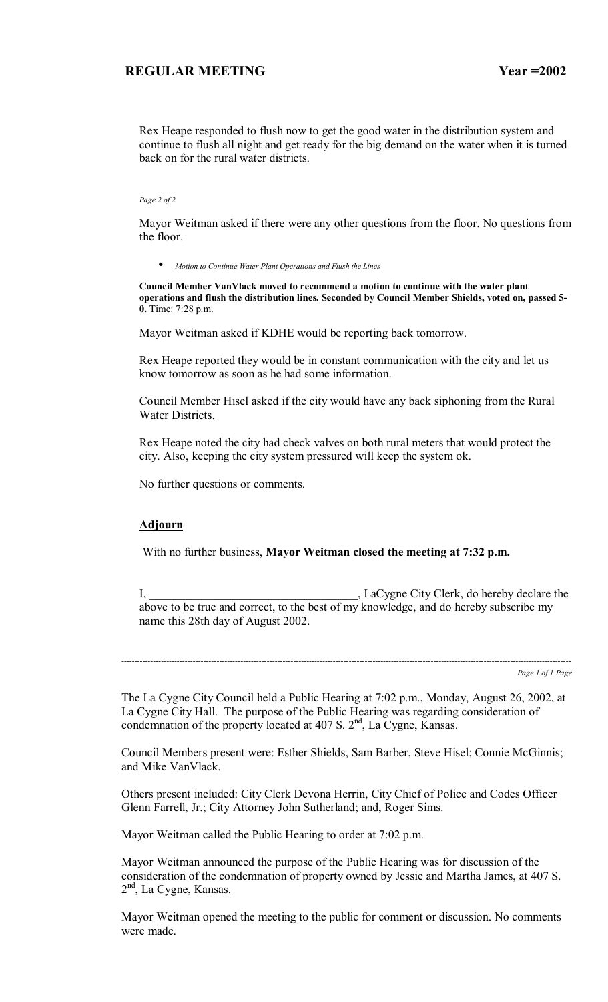Rex Heape responded to flush now to get the good water in the distribution system and continue to flush all night and get ready for the big demand on the water when it is turned back on for the rural water districts.

#### *Page 2 of 2*

Mayor Weitman asked if there were any other questions from the floor. No questions from the floor.

• *Motion to Continue Water Plant Operations and Flush the Lines*

**Council Member VanVlack moved to recommend a motion to continue with the water plant operations and flush the distribution lines. Seconded by Council Member Shields, voted on, passed 5- 0.** Time: 7:28 p.m.

Mayor Weitman asked if KDHE would be reporting back tomorrow.

Rex Heape reported they would be in constant communication with the city and let us know tomorrow as soon as he had some information.

Council Member Hisel asked if the city would have any back siphoning from the Rural Water Districts.

Rex Heape noted the city had check valves on both rural meters that would protect the city. Also, keeping the city system pressured will keep the system ok.

No further questions or comments.

### **Adjourn**

With no further business, **Mayor Weitman closed the meeting at 7:32 p.m.**

I, LaCygne City Clerk, do hereby declare the above to be true and correct, to the best of my knowledge, and do hereby subscribe my name this 28th day of August 2002.

--------------------------------------------------------------------------------------------------------------------------------------------------------------------------

*Page 1 of 1 Page*

The La Cygne City Council held a Public Hearing at 7:02 p.m., Monday, August 26, 2002, at La Cygne City Hall. The purpose of the Public Hearing was regarding consideration of condemnation of the property located at 407 S.  $2<sup>nd</sup>$ , La Cygne, Kansas.

Council Members present were: Esther Shields, Sam Barber, Steve Hisel; Connie McGinnis; and Mike VanVlack.

Others present included: City Clerk Devona Herrin, City Chief of Police and Codes Officer Glenn Farrell, Jr.; City Attorney John Sutherland; and, Roger Sims.

Mayor Weitman called the Public Hearing to order at 7:02 p.m.

Mayor Weitman announced the purpose of the Public Hearing was for discussion of the consideration of the condemnation of property owned by Jessie and Martha James, at 407 S. 2<sup>nd</sup>, La Cygne, Kansas.

Mayor Weitman opened the meeting to the public for comment or discussion. No comments were made.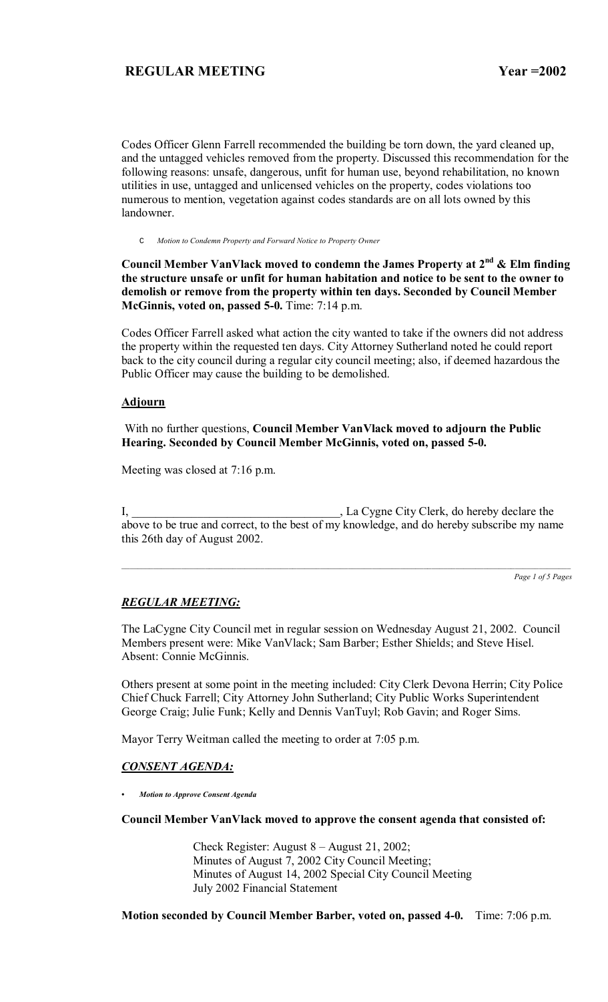Codes Officer Glenn Farrell recommended the building be torn down, the yard cleaned up, and the untagged vehicles removed from the property. Discussed this recommendation for the following reasons: unsafe, dangerous, unfit for human use, beyond rehabilitation, no known utilities in use, untagged and unlicensed vehicles on the property, codes violations too numerous to mention, vegetation against codes standards are on all lots owned by this landowner.

C *Motion to Condemn Property and Forward Notice to Property Owner*

Council Member VanVlack moved to condemn the James Property at 2<sup>nd</sup> & Elm finding **the structure unsafe or unfit for human habitation and notice to be sent to the owner to demolish or remove from the property within ten days. Seconded by Council Member McGinnis, voted on, passed 5-0.** Time: 7:14 p.m.

Codes Officer Farrell asked what action the city wanted to take if the owners did not address the property within the requested ten days. City Attorney Sutherland noted he could report back to the city council during a regular city council meeting; also, if deemed hazardous the Public Officer may cause the building to be demolished.

### **Adjourn**

 With no further questions, **Council Member VanVlack moved to adjourn the Public Hearing. Seconded by Council Member McGinnis, voted on, passed 5-0.** 

Meeting was closed at 7:16 p.m.

I, \_\_\_\_\_\_\_\_\_\_\_\_\_\_\_\_\_\_\_\_\_\_\_\_\_\_\_\_\_\_\_\_\_\_\_, La Cygne City Clerk, do hereby declare the above to be true and correct, to the best of my knowledge, and do hereby subscribe my name this 26th day of August 2002.

*Page 1 of 5 Pages*

### *REGULAR MEETING:*

The LaCygne City Council met in regular session on Wednesday August 21, 2002. Council Members present were: Mike VanVlack; Sam Barber; Esther Shields; and Steve Hisel. Absent: Connie McGinnis.

Others present at some point in the meeting included: City Clerk Devona Herrin; City Police Chief Chuck Farrell; City Attorney John Sutherland; City Public Works Superintendent George Craig; Julie Funk; Kelly and Dennis VanTuyl; Rob Gavin; and Roger Sims.

Mayor Terry Weitman called the meeting to order at 7:05 p.m.

### *CONSENT AGENDA:*

*ï Motion to Approve Consent Agenda*

#### **Council Member VanVlack moved to approve the consent agenda that consisted of:**

Check Register: August  $8 -$ August 21, 2002; Minutes of August 7, 2002 City Council Meeting; Minutes of August 14, 2002 Special City Council Meeting July 2002 Financial Statement

**Motion seconded by Council Member Barber, voted on, passed 4-0.** Time: 7:06 p.m.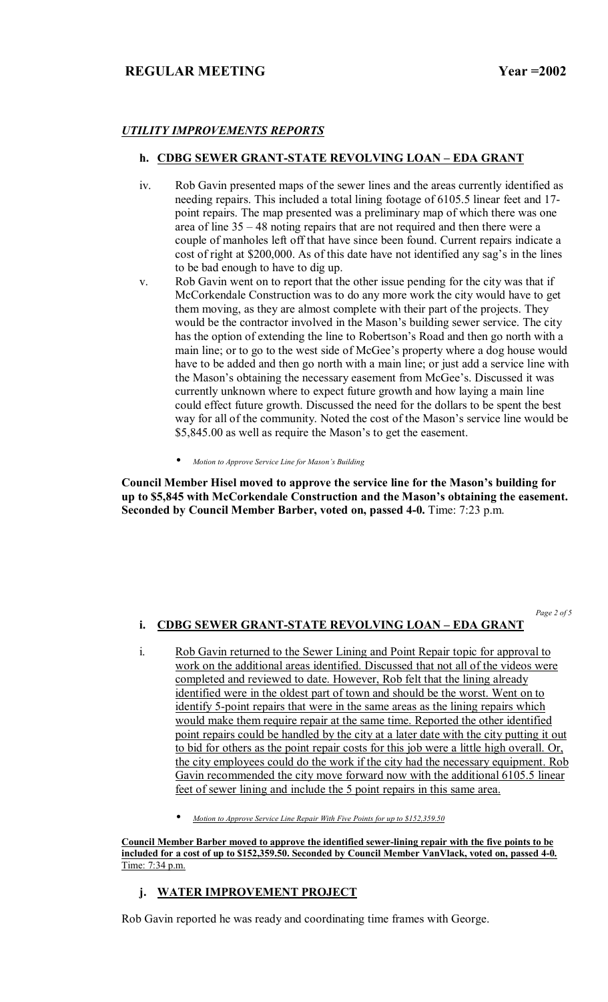# *UTILITY IMPROVEMENTS REPORTS*

### **h. CDBG SEWER GRANT-STATE REVOLVING LOAN - EDA GRANT**

- iv. Rob Gavin presented maps of the sewer lines and the areas currently identified as needing repairs. This included a total lining footage of 6105.5 linear feet and 17 point repairs. The map presented was a preliminary map of which there was one area of line  $35 - 48$  noting repairs that are not required and then there were a couple of manholes left off that have since been found. Current repairs indicate a cost of right at \$200,000. As of this date have not identified any sag's in the lines to be bad enough to have to dig up.
- v. Rob Gavin went on to report that the other issue pending for the city was that if McCorkendale Construction was to do any more work the city would have to get them moving, as they are almost complete with their part of the projects. They would be the contractor involved in the Mason's building sewer service. The city has the option of extending the line to Robertson's Road and then go north with a main line; or to go to the west side of McGee's property where a dog house would have to be added and then go north with a main line; or just add a service line with the Mason's obtaining the necessary easement from McGee's. Discussed it was currently unknown where to expect future growth and how laying a main line could effect future growth. Discussed the need for the dollars to be spent the best way for all of the community. Noted the cost of the Mason's service line would be \$5,845.00 as well as require the Mason's to get the easement.
	- *Motion to Approve Service Line for Masonís Building*

Council Member Hisel moved to approve the service line for the Mason's building for up to \$5,845 with McCorkendale Construction and the Mason's obtaining the easement. **Seconded by Council Member Barber, voted on, passed 4-0.** Time: 7:23 p.m.

*Page 2 of 5* 

# **i. CDBG SEWER GRANT-STATE REVOLVING LOAN - EDA GRANT**

- i. Rob Gavin returned to the Sewer Lining and Point Repair topic for approval to work on the additional areas identified. Discussed that not all of the videos were completed and reviewed to date. However, Rob felt that the lining already identified were in the oldest part of town and should be the worst. Went on to identify 5-point repairs that were in the same areas as the lining repairs which would make them require repair at the same time. Reported the other identified point repairs could be handled by the city at a later date with the city putting it out to bid for others as the point repair costs for this job were a little high overall. Or, the city employees could do the work if the city had the necessary equipment. Rob Gavin recommended the city move forward now with the additional 6105.5 linear feet of sewer lining and include the 5 point repairs in this same area.
	- *Motion to Approve Service Line Repair With Five Points for up to \$152,359.50*

**Council Member Barber moved to approve the identified sewer-lining repair with the five points to be included for a cost of up to \$152,359.50. Seconded by Council Member VanVlack, voted on, passed 4-0.**  Time: 7:34 p.m.

# **j. WATER IMPROVEMENT PROJECT**

Rob Gavin reported he was ready and coordinating time frames with George.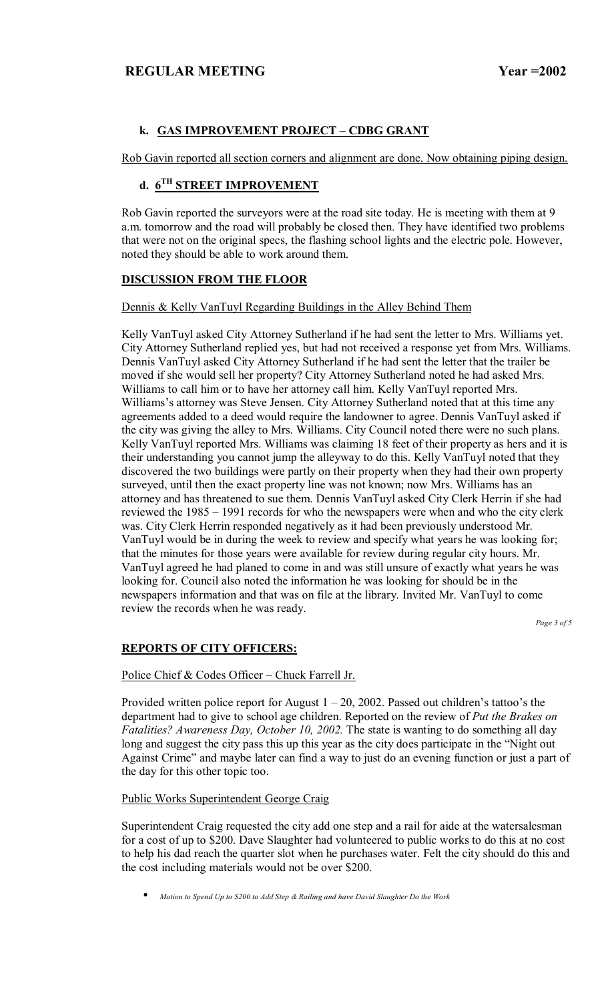# **k. GAS IMPROVEMENT PROJECT - CDBG GRANT**

Rob Gavin reported all section corners and alignment are done. Now obtaining piping design.

# **d. 6TH STREET IMPROVEMENT**

Rob Gavin reported the surveyors were at the road site today. He is meeting with them at 9 a.m. tomorrow and the road will probably be closed then. They have identified two problems that were not on the original specs, the flashing school lights and the electric pole. However, noted they should be able to work around them.

# **DISCUSSION FROM THE FLOOR**

# Dennis & Kelly VanTuyl Regarding Buildings in the Alley Behind Them

Kelly VanTuyl asked City Attorney Sutherland if he had sent the letter to Mrs. Williams yet. City Attorney Sutherland replied yes, but had not received a response yet from Mrs. Williams. Dennis VanTuyl asked City Attorney Sutherland if he had sent the letter that the trailer be moved if she would sell her property? City Attorney Sutherland noted he had asked Mrs. Williams to call him or to have her attorney call him. Kelly VanTuyl reported Mrs. Williams's attorney was Steve Jensen. City Attorney Sutherland noted that at this time any agreements added to a deed would require the landowner to agree. Dennis VanTuyl asked if the city was giving the alley to Mrs. Williams. City Council noted there were no such plans. Kelly VanTuyl reported Mrs. Williams was claiming 18 feet of their property as hers and it is their understanding you cannot jump the alleyway to do this. Kelly VanTuyl noted that they discovered the two buildings were partly on their property when they had their own property surveyed, until then the exact property line was not known; now Mrs. Williams has an attorney and has threatened to sue them. Dennis VanTuyl asked City Clerk Herrin if she had reviewed the 1985 – 1991 records for who the newspapers were when and who the city clerk was. City Clerk Herrin responded negatively as it had been previously understood Mr. VanTuyl would be in during the week to review and specify what years he was looking for; that the minutes for those years were available for review during regular city hours. Mr. VanTuyl agreed he had planed to come in and was still unsure of exactly what years he was looking for. Council also noted the information he was looking for should be in the newspapers information and that was on file at the library. Invited Mr. VanTuyl to come review the records when he was ready.

*Page 3 of 5* 

# **REPORTS OF CITY OFFICERS:**

# Police Chief  $& Codes$  Officer – Chuck Farrell Jr.

Provided written police report for August  $1 - 20$ , 2002. Passed out children's tattoo's the department had to give to school age children. Reported on the review of *Put the Brakes on Fatalities? Awareness Day, October 10, 2002.* The state is wanting to do something all day long and suggest the city pass this up this year as the city does participate in the "Night out" Against Crime" and maybe later can find a way to just do an evening function or just a part of the day for this other topic too.

# Public Works Superintendent George Craig

Superintendent Craig requested the city add one step and a rail for aide at the watersalesman for a cost of up to \$200. Dave Slaughter had volunteered to public works to do this at no cost to help his dad reach the quarter slot when he purchases water. Felt the city should do this and the cost including materials would not be over \$200.

• *Motion to Spend Up to \$200 to Add Step & Railing and have David Slaughter Do the Work*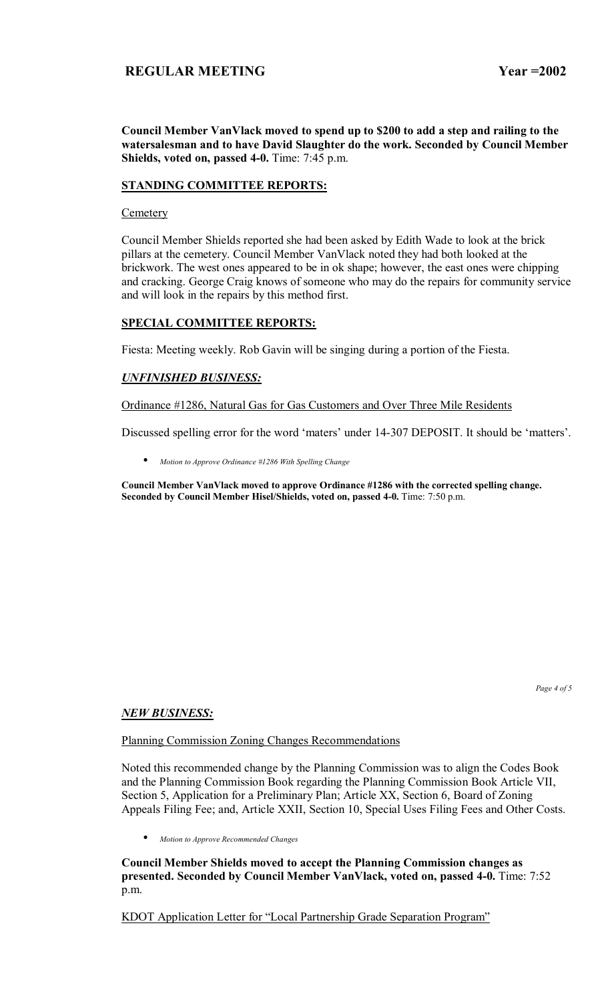**Council Member VanVlack moved to spend up to \$200 to add a step and railing to the watersalesman and to have David Slaughter do the work. Seconded by Council Member Shields, voted on, passed 4-0.** Time: 7:45 p.m.

### **STANDING COMMITTEE REPORTS:**

#### **Cemetery**

Council Member Shields reported she had been asked by Edith Wade to look at the brick pillars at the cemetery. Council Member VanVlack noted they had both looked at the brickwork. The west ones appeared to be in ok shape; however, the east ones were chipping and cracking. George Craig knows of someone who may do the repairs for community service and will look in the repairs by this method first.

### **SPECIAL COMMITTEE REPORTS:**

Fiesta: Meeting weekly. Rob Gavin will be singing during a portion of the Fiesta.

### *UNFINISHED BUSINESS:*

Ordinance #1286, Natural Gas for Gas Customers and Over Three Mile Residents

Discussed spelling error for the word 'maters' under 14-307 DEPOSIT. It should be 'matters'.

• *Motion to Approve Ordinance #1286 With Spelling Change* 

**Council Member VanVlack moved to approve Ordinance #1286 with the corrected spelling change. Seconded by Council Member Hisel/Shields, voted on, passed 4-0.** Time: 7:50 p.m.

*Page 4 of 5* 

#### *NEW BUSINESS:*

Planning Commission Zoning Changes Recommendations

Noted this recommended change by the Planning Commission was to align the Codes Book and the Planning Commission Book regarding the Planning Commission Book Article VII, Section 5, Application for a Preliminary Plan; Article XX, Section 6, Board of Zoning Appeals Filing Fee; and, Article XXII, Section 10, Special Uses Filing Fees and Other Costs.

• *Motion to Approve Recommended Changes*

**Council Member Shields moved to accept the Planning Commission changes as presented. Seconded by Council Member VanVlack, voted on, passed 4-0.** Time: 7:52 p.m.

KDOT Application Letter for "Local Partnership Grade Separation Program"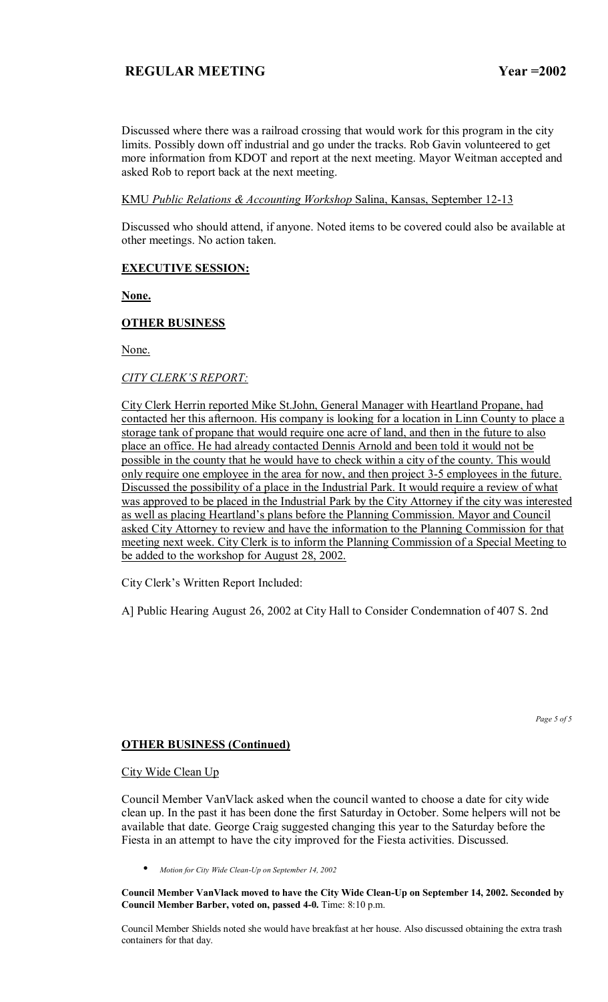Discussed where there was a railroad crossing that would work for this program in the city limits. Possibly down off industrial and go under the tracks. Rob Gavin volunteered to get more information from KDOT and report at the next meeting. Mayor Weitman accepted and asked Rob to report back at the next meeting.

### KMU *Public Relations & Accounting Workshop* Salina, Kansas, September 12-13

Discussed who should attend, if anyone. Noted items to be covered could also be available at other meetings. No action taken.

### **EXECUTIVE SESSION:**

**None.**

### **OTHER BUSINESS**

None.

### **CITY CLERK'S REPORT:**

City Clerk Herrin reported Mike St.John, General Manager with Heartland Propane, had contacted her this afternoon. His company is looking for a location in Linn County to place a storage tank of propane that would require one acre of land, and then in the future to also place an office. He had already contacted Dennis Arnold and been told it would not be possible in the county that he would have to check within a city of the county. This would only require one employee in the area for now, and then project 3-5 employees in the future. Discussed the possibility of a place in the Industrial Park. It would require a review of what was approved to be placed in the Industrial Park by the City Attorney if the city was interested as well as placing Heartland's plans before the Planning Commission. Mayor and Council asked City Attorney to review and have the information to the Planning Commission for that meeting next week. City Clerk is to inform the Planning Commission of a Special Meeting to be added to the workshop for August 28, 2002.

City Clerk's Written Report Included:

A] Public Hearing August 26, 2002 at City Hall to Consider Condemnation of 407 S. 2nd

*Page 5 of 5* 

#### **OTHER BUSINESS (Continued)**

#### City Wide Clean Up

Council Member VanVlack asked when the council wanted to choose a date for city wide clean up. In the past it has been done the first Saturday in October. Some helpers will not be available that date. George Craig suggested changing this year to the Saturday before the Fiesta in an attempt to have the city improved for the Fiesta activities. Discussed.

• *Motion for City Wide Clean-Up on September 14, 2002*

**Council Member VanVlack moved to have the City Wide Clean-Up on September 14, 2002. Seconded by Council Member Barber, voted on, passed 4-0.** Time: 8:10 p.m.

Council Member Shields noted she would have breakfast at her house. Also discussed obtaining the extra trash containers for that day.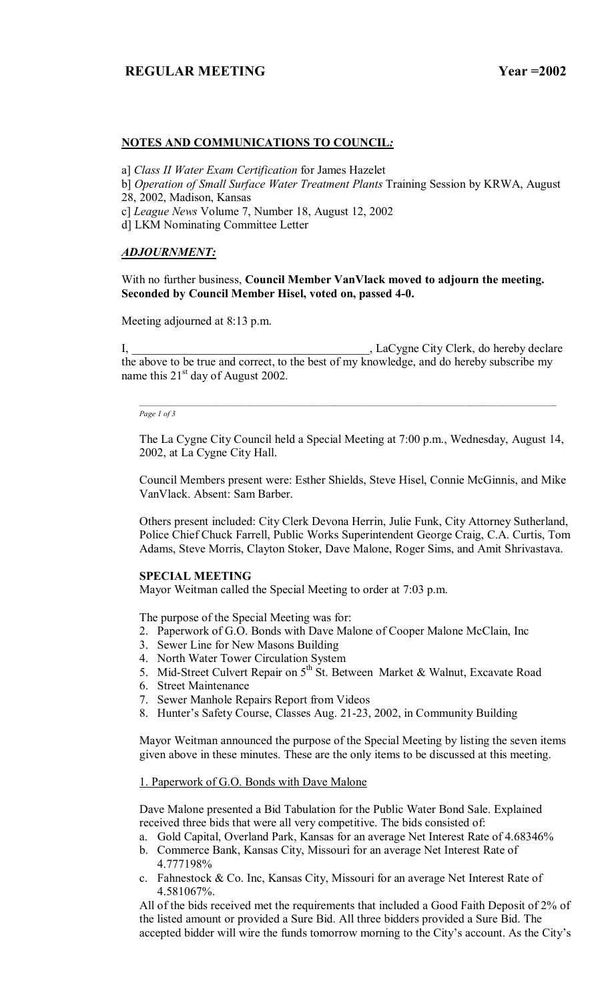### **NOTES AND COMMUNICATIONS TO COUNCIL***:*

a] *Class II Water Exam Certification* for James Hazelet

- b] *Operation of Small Surface Water Treatment Plants* Training Session by KRWA, August 28, 2002, Madison, Kansas
- c] *League News* Volume 7, Number 18, August 12, 2002
- d] LKM Nominating Committee Letter

### *ADJOURNMENT:*

With no further business, **Council Member VanVlack moved to adjourn the meeting. Seconded by Council Member Hisel, voted on, passed 4-0.** 

Meeting adjourned at 8:13 p.m.

I, \_\_\_\_\_\_\_\_\_\_\_\_\_\_\_\_\_\_\_\_\_\_\_\_\_\_\_\_\_\_\_\_\_\_\_\_\_\_\_\_, LaCygne City Clerk, do hereby declare the above to be true and correct, to the best of my knowledge, and do hereby subscribe my name this  $21<sup>st</sup>$  day of August 2002.

*Page 1 of 3*

The La Cygne City Council held a Special Meeting at 7:00 p.m., Wednesday, August 14, 2002, at La Cygne City Hall.

Council Members present were: Esther Shields, Steve Hisel, Connie McGinnis, and Mike VanVlack. Absent: Sam Barber.

Others present included: City Clerk Devona Herrin, Julie Funk, City Attorney Sutherland, Police Chief Chuck Farrell, Public Works Superintendent George Craig, C.A. Curtis, Tom Adams, Steve Morris, Clayton Stoker, Dave Malone, Roger Sims, and Amit Shrivastava.

#### **SPECIAL MEETING**

Mayor Weitman called the Special Meeting to order at 7:03 p.m.

The purpose of the Special Meeting was for:

- 2. Paperwork of G.O. Bonds with Dave Malone of Cooper Malone McClain, Inc
- 3. Sewer Line for New Masons Building
- 4. North Water Tower Circulation System
- 5. Mid-Street Culvert Repair on  $5<sup>th</sup>$  St. Between Market & Walnut, Excavate Road
- 6. Street Maintenance
- 7. Sewer Manhole Repairs Report from Videos
- 8. Hunter's Safety Course, Classes Aug. 21-23, 2002, in Community Building

Mayor Weitman announced the purpose of the Special Meeting by listing the seven items given above in these minutes. These are the only items to be discussed at this meeting.

# 1. Paperwork of G.O. Bonds with Dave Malone

Dave Malone presented a Bid Tabulation for the Public Water Bond Sale. Explained received three bids that were all very competitive. The bids consisted of:

- a. Gold Capital, Overland Park, Kansas for an average Net Interest Rate of 4.68346%
- b. Commerce Bank, Kansas City, Missouri for an average Net Interest Rate of 4.777198%
- c. Fahnestock & Co. Inc, Kansas City, Missouri for an average Net Interest Rate of 4.581067%.

All of the bids received met the requirements that included a Good Faith Deposit of 2% of the listed amount or provided a Sure Bid. All three bidders provided a Sure Bid. The accepted bidder will wire the funds tomorrow morning to the City's account. As the City's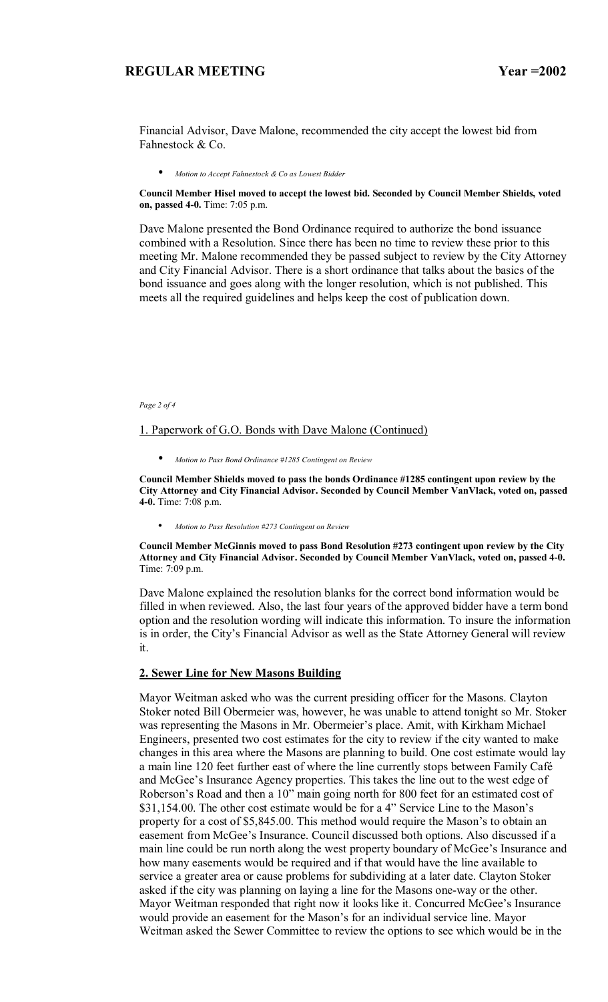Financial Advisor, Dave Malone, recommended the city accept the lowest bid from Fahnestock & Co.

• *Motion to Accept Fahnestock & Co as Lowest Bidder*

**Council Member Hisel moved to accept the lowest bid. Seconded by Council Member Shields, voted on, passed 4-0.** Time: 7:05 p.m.

Dave Malone presented the Bond Ordinance required to authorize the bond issuance combined with a Resolution. Since there has been no time to review these prior to this meeting Mr. Malone recommended they be passed subject to review by the City Attorney and City Financial Advisor. There is a short ordinance that talks about the basics of the bond issuance and goes along with the longer resolution, which is not published. This meets all the required guidelines and helps keep the cost of publication down.

*Page 2 of 4* 

#### 1. Paperwork of G.O. Bonds with Dave Malone (Continued)

• *Motion to Pass Bond Ordinance #1285 Contingent on Review*

**Council Member Shields moved to pass the bonds Ordinance #1285 contingent upon review by the City Attorney and City Financial Advisor. Seconded by Council Member VanVlack, voted on, passed 4-0.** Time: 7:08 p.m.

• *Motion to Pass Resolution #273 Contingent on Review*

**Council Member McGinnis moved to pass Bond Resolution #273 contingent upon review by the City Attorney and City Financial Advisor. Seconded by Council Member VanVlack, voted on, passed 4-0.**  Time: 7:09 p.m.

Dave Malone explained the resolution blanks for the correct bond information would be filled in when reviewed. Also, the last four years of the approved bidder have a term bond option and the resolution wording will indicate this information. To insure the information is in order, the City's Financial Advisor as well as the State Attorney General will review it.

#### **2. Sewer Line for New Masons Building**

Mayor Weitman asked who was the current presiding officer for the Masons. Clayton Stoker noted Bill Obermeier was, however, he was unable to attend tonight so Mr. Stoker was representing the Masons in Mr. Obermeier's place. Amit, with Kirkham Michael Engineers, presented two cost estimates for the city to review if the city wanted to make changes in this area where the Masons are planning to build. One cost estimate would lay a main line 120 feet further east of where the line currently stops between Family CafÈ and McGee's Insurance Agency properties. This takes the line out to the west edge of Roberson's Road and then a 10" main going north for 800 feet for an estimated cost of \$31,154.00. The other cost estimate would be for a 4" Service Line to the Mason's property for a cost of \$5,845.00. This method would require the Mason's to obtain an easement from McGee's Insurance. Council discussed both options. Also discussed if a main line could be run north along the west property boundary of McGee's Insurance and how many easements would be required and if that would have the line available to service a greater area or cause problems for subdividing at a later date. Clayton Stoker asked if the city was planning on laying a line for the Masons one-way or the other. Mayor Weitman responded that right now it looks like it. Concurred McGee's Insurance would provide an easement for the Mason's for an individual service line. Mayor Weitman asked the Sewer Committee to review the options to see which would be in the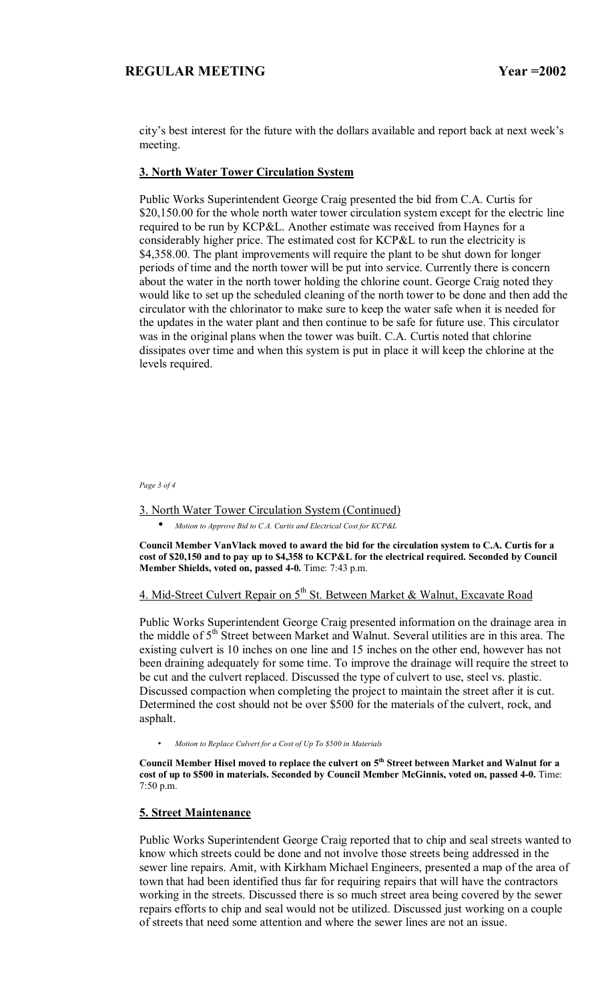city's best interest for the future with the dollars available and report back at next week's meeting.

### **3. North Water Tower Circulation System**

Public Works Superintendent George Craig presented the bid from C.A. Curtis for \$20,150.00 for the whole north water tower circulation system except for the electric line required to be run by KCP&L. Another estimate was received from Haynes for a considerably higher price. The estimated cost for KCP&L to run the electricity is \$4,358.00. The plant improvements will require the plant to be shut down for longer periods of time and the north tower will be put into service. Currently there is concern about the water in the north tower holding the chlorine count. George Craig noted they would like to set up the scheduled cleaning of the north tower to be done and then add the circulator with the chlorinator to make sure to keep the water safe when it is needed for the updates in the water plant and then continue to be safe for future use. This circulator was in the original plans when the tower was built. C.A. Curtis noted that chlorine dissipates over time and when this system is put in place it will keep the chlorine at the levels required.

*Page 3 of 4* 

3. North Water Tower Circulation System (Continued)

• *Motion to Approve Bid to C.A. Curtis and Electrical Cost for KCP&L*

**Council Member VanVlack moved to award the bid for the circulation system to C.A. Curtis for a cost of \$20,150 and to pay up to \$4,358 to KCP&L for the electrical required. Seconded by Council Member Shields, voted on, passed 4-0.** Time: 7:43 p.m.

4. Mid-Street Culvert Repair on  $5<sup>th</sup>$  St. Between Market & Walnut, Excavate Road

Public Works Superintendent George Craig presented information on the drainage area in the middle of 5<sup>th</sup> Street between Market and Walnut. Several utilities are in this area. The existing culvert is 10 inches on one line and 15 inches on the other end, however has not been draining adequately for some time. To improve the drainage will require the street to be cut and the culvert replaced. Discussed the type of culvert to use, steel vs. plastic. Discussed compaction when completing the project to maintain the street after it is cut. Determined the cost should not be over \$500 for the materials of the culvert, rock, and asphalt.

• *Motion to Replace Culvert for a Cost of Up To \$500 in Materials*

Council Member Hisel moved to replace the culvert on 5<sup>th</sup> Street between Market and Walnut for a **cost of up to \$500 in materials. Seconded by Council Member McGinnis, voted on, passed 4-0.** Time: 7:50 p.m.

#### **5. Street Maintenance**

Public Works Superintendent George Craig reported that to chip and seal streets wanted to know which streets could be done and not involve those streets being addressed in the sewer line repairs. Amit, with Kirkham Michael Engineers, presented a map of the area of town that had been identified thus far for requiring repairs that will have the contractors working in the streets. Discussed there is so much street area being covered by the sewer repairs efforts to chip and seal would not be utilized. Discussed just working on a couple of streets that need some attention and where the sewer lines are not an issue.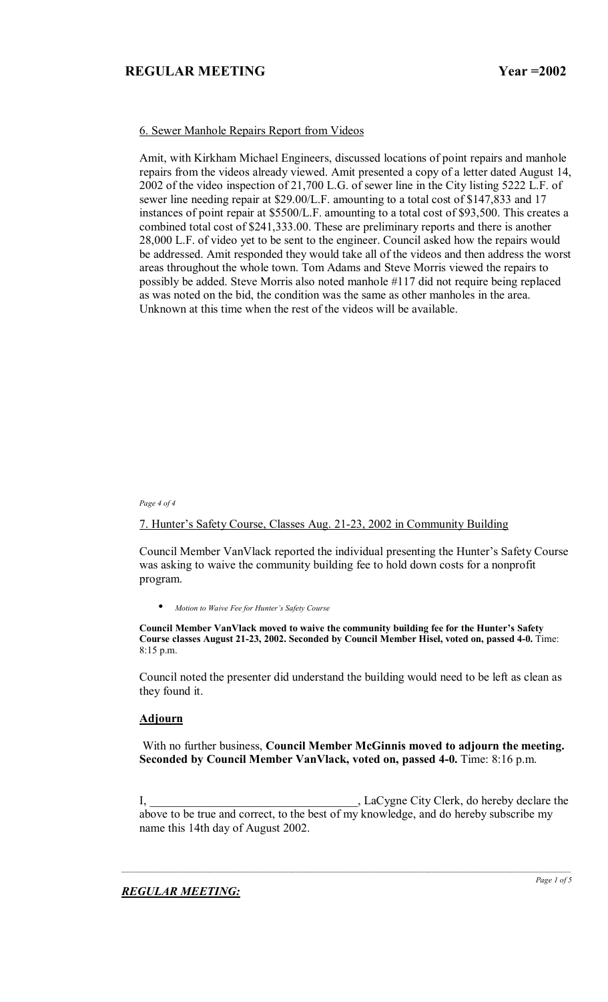### 6. Sewer Manhole Repairs Report from Videos

Amit, with Kirkham Michael Engineers, discussed locations of point repairs and manhole repairs from the videos already viewed. Amit presented a copy of a letter dated August 14, 2002 of the video inspection of 21,700 L.G. of sewer line in the City listing 5222 L.F. of sewer line needing repair at \$29.00/L.F. amounting to a total cost of \$147,833 and 17 instances of point repair at \$5500/L.F. amounting to a total cost of \$93,500. This creates a combined total cost of \$241,333.00. These are preliminary reports and there is another 28,000 L.F. of video yet to be sent to the engineer. Council asked how the repairs would be addressed. Amit responded they would take all of the videos and then address the worst areas throughout the whole town. Tom Adams and Steve Morris viewed the repairs to possibly be added. Steve Morris also noted manhole #117 did not require being replaced as was noted on the bid, the condition was the same as other manholes in the area. Unknown at this time when the rest of the videos will be available.

#### *Page 4 of 4*

# 7. Hunter's Safety Course, Classes Aug. 21-23, 2002 in Community Building

Council Member VanVlack reported the individual presenting the Hunter's Safety Course was asking to waive the community building fee to hold down costs for a nonprofit program.

• *Motion to Waive Fee for Hunterís Safety Course*

**Council Member VanVlack moved to waive the community building fee for the Hunter's Safety Course classes August 21-23, 2002. Seconded by Council Member Hisel, voted on, passed 4-0.** Time: 8:15 p.m.

Council noted the presenter did understand the building would need to be left as clean as they found it.

### **Adjourn**

 With no further business, **Council Member McGinnis moved to adjourn the meeting. Seconded by Council Member VanVlack, voted on, passed 4-0.** Time: 8:16 p.m.

I, LaCygne City Clerk, do hereby declare the above to be true and correct, to the best of my knowledge, and do hereby subscribe my name this 14th day of August 2002.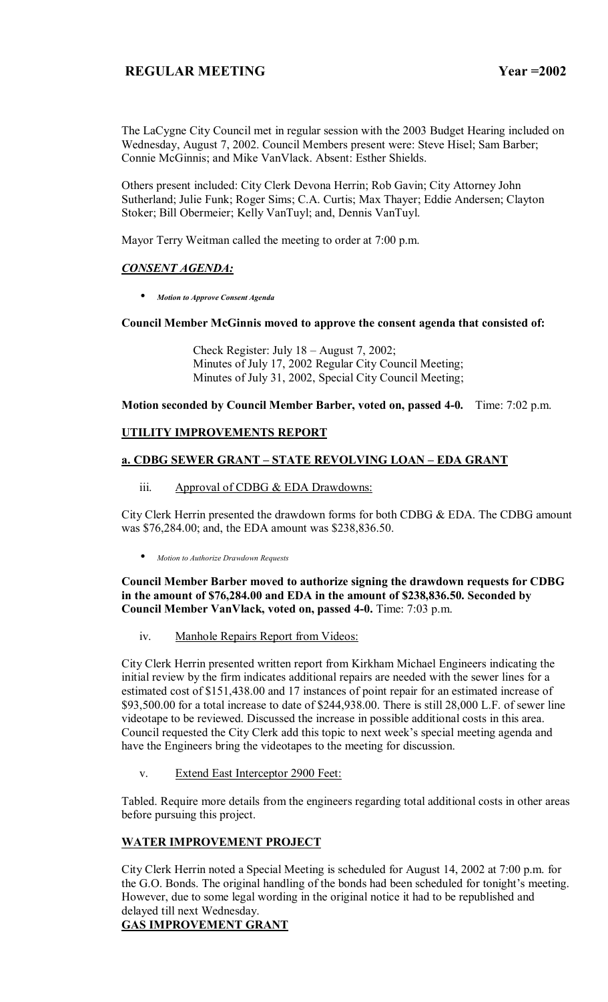The LaCygne City Council met in regular session with the 2003 Budget Hearing included on Wednesday, August 7, 2002. Council Members present were: Steve Hisel; Sam Barber; Connie McGinnis; and Mike VanVlack. Absent: Esther Shields.

Others present included: City Clerk Devona Herrin; Rob Gavin; City Attorney John Sutherland; Julie Funk; Roger Sims; C.A. Curtis; Max Thayer; Eddie Andersen; Clayton Stoker; Bill Obermeier; Kelly VanTuyl; and, Dennis VanTuyl.

Mayor Terry Weitman called the meeting to order at 7:00 p.m.

### *CONSENT AGENDA:*

• *Motion to Approve Consent Agenda*

### **Council Member McGinnis moved to approve the consent agenda that consisted of:**

Check Register: July  $18 -$ August 7, 2002; Minutes of July 17, 2002 Regular City Council Meeting; Minutes of July 31, 2002, Special City Council Meeting;

**Motion seconded by Council Member Barber, voted on, passed 4-0.** Time: 7:02 p.m.

### **UTILITY IMPROVEMENTS REPORT**

# **a. CDBG SEWER GRANT - STATE REVOLVING LOAN - EDA GRANT**

iii. Approval of CDBG & EDA Drawdowns:

City Clerk Herrin presented the drawdown forms for both CDBG & EDA. The CDBG amount was \$76,284.00; and, the EDA amount was \$238,836.50.

• *Motion to Authorize Drawdown Requests*

**Council Member Barber moved to authorize signing the drawdown requests for CDBG in the amount of \$76,284.00 and EDA in the amount of \$238,836.50. Seconded by Council Member VanVlack, voted on, passed 4-0.** Time: 7:03 p.m.

iv. Manhole Repairs Report from Videos:

City Clerk Herrin presented written report from Kirkham Michael Engineers indicating the initial review by the firm indicates additional repairs are needed with the sewer lines for a estimated cost of \$151,438.00 and 17 instances of point repair for an estimated increase of \$93,500.00 for a total increase to date of \$244,938.00. There is still 28,000 L.F. of sewer line videotape to be reviewed. Discussed the increase in possible additional costs in this area. Council requested the City Clerk add this topic to next week's special meeting agenda and have the Engineers bring the videotapes to the meeting for discussion.

v. Extend East Interceptor 2900 Feet:

Tabled. Require more details from the engineers regarding total additional costs in other areas before pursuing this project.

### **WATER IMPROVEMENT PROJECT**

City Clerk Herrin noted a Special Meeting is scheduled for August 14, 2002 at 7:00 p.m. for the G.O. Bonds. The original handling of the bonds had been scheduled for tonight's meeting. However, due to some legal wording in the original notice it had to be republished and delayed till next Wednesday.

# **GAS IMPROVEMENT GRANT**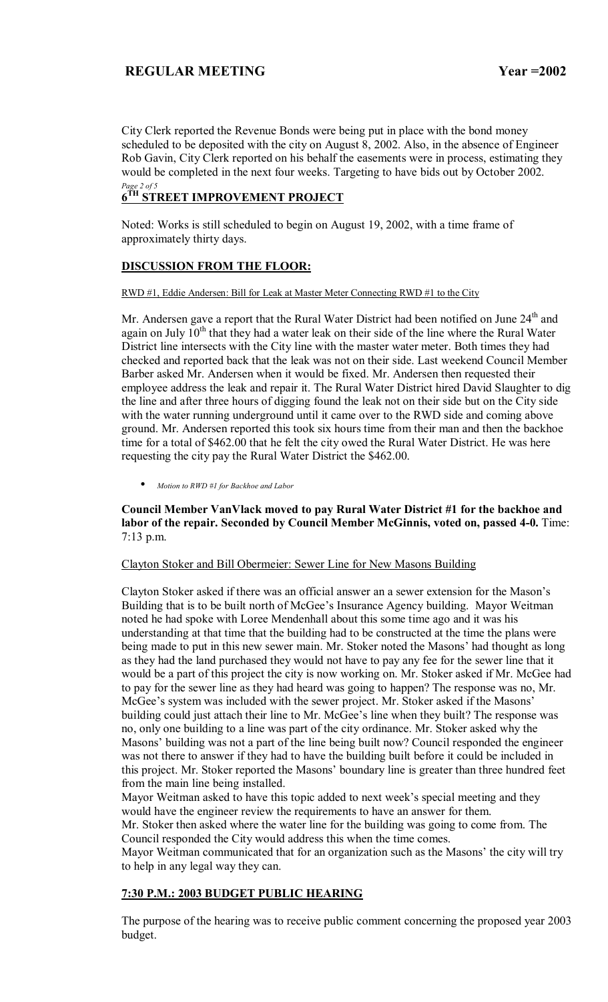City Clerk reported the Revenue Bonds were being put in place with the bond money scheduled to be deposited with the city on August 8, 2002. Also, in the absence of Engineer Rob Gavin, City Clerk reported on his behalf the easements were in process, estimating they would be completed in the next four weeks. Targeting to have bids out by October 2002. *Page 2 of 5* 

# **6TH STREET IMPROVEMENT PROJECT**

Noted: Works is still scheduled to begin on August 19, 2002, with a time frame of approximately thirty days.

# **DISCUSSION FROM THE FLOOR:**

#### RWD #1, Eddie Andersen: Bill for Leak at Master Meter Connecting RWD #1 to the City

Mr. Andersen gave a report that the Rural Water District had been notified on June  $24<sup>th</sup>$  and again on July  $10^{th}$  that they had a water leak on their side of the line where the Rural Water District line intersects with the City line with the master water meter. Both times they had checked and reported back that the leak was not on their side. Last weekend Council Member Barber asked Mr. Andersen when it would be fixed. Mr. Andersen then requested their employee address the leak and repair it. The Rural Water District hired David Slaughter to dig the line and after three hours of digging found the leak not on their side but on the City side with the water running underground until it came over to the RWD side and coming above ground. Mr. Andersen reported this took six hours time from their man and then the backhoe time for a total of \$462.00 that he felt the city owed the Rural Water District. He was here requesting the city pay the Rural Water District the \$462.00.

• *Motion to RWD #1 for Backhoe and Labor*

### **Council Member VanVlack moved to pay Rural Water District #1 for the backhoe and labor of the repair. Seconded by Council Member McGinnis, voted on, passed 4-0.** Time: 7:13 p.m.

### Clayton Stoker and Bill Obermeier: Sewer Line for New Masons Building

Clayton Stoker asked if there was an official answer an a sewer extension for the Mason's Building that is to be built north of McGee's Insurance Agency building. Mayor Weitman noted he had spoke with Loree Mendenhall about this some time ago and it was his understanding at that time that the building had to be constructed at the time the plans were being made to put in this new sewer main. Mr. Stoker noted the Masons' had thought as long as they had the land purchased they would not have to pay any fee for the sewer line that it would be a part of this project the city is now working on. Mr. Stoker asked if Mr. McGee had to pay for the sewer line as they had heard was going to happen? The response was no, Mr. McGee's system was included with the sewer project. Mr. Stoker asked if the Masons' building could just attach their line to Mr. McGee's line when they built? The response was no, only one building to a line was part of the city ordinance. Mr. Stoker asked why the Masons' building was not a part of the line being built now? Council responded the engineer was not there to answer if they had to have the building built before it could be included in this project. Mr. Stoker reported the Masons' boundary line is greater than three hundred feet from the main line being installed.

Mayor Weitman asked to have this topic added to next week's special meeting and they would have the engineer review the requirements to have an answer for them.

Mr. Stoker then asked where the water line for the building was going to come from. The Council responded the City would address this when the time comes.

Mayor Weitman communicated that for an organization such as the Masons' the city will try to help in any legal way they can.

### **7:30 P.M.: 2003 BUDGET PUBLIC HEARING**

The purpose of the hearing was to receive public comment concerning the proposed year 2003 budget.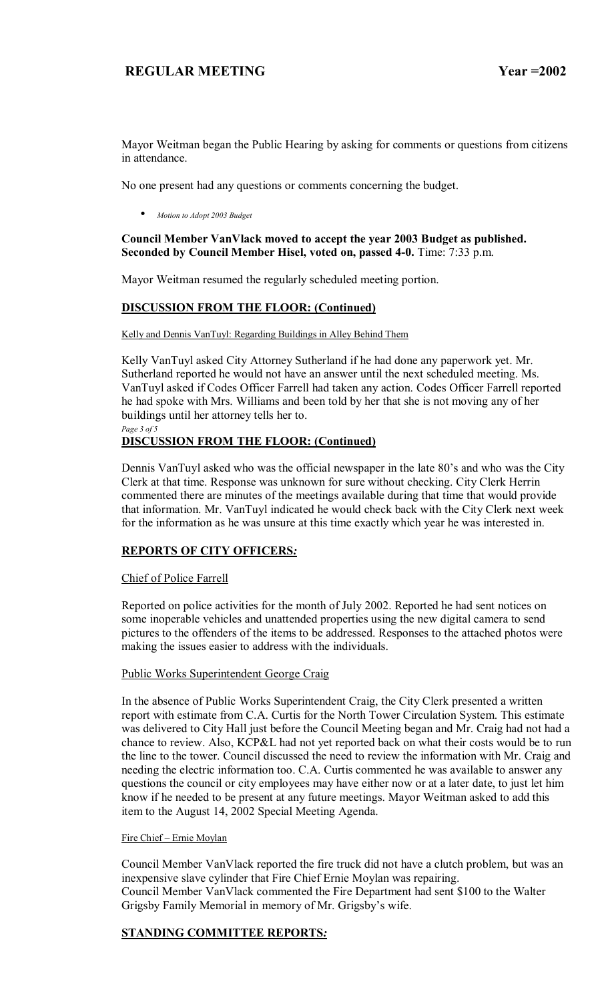Mayor Weitman began the Public Hearing by asking for comments or questions from citizens in attendance.

No one present had any questions or comments concerning the budget.

• *Motion to Adopt 2003 Budget*

### **Council Member VanVlack moved to accept the year 2003 Budget as published. Seconded by Council Member Hisel, voted on, passed 4-0.** Time: 7:33 p.m.

Mayor Weitman resumed the regularly scheduled meeting portion.

# **DISCUSSION FROM THE FLOOR: (Continued)**

#### Kelly and Dennis VanTuyl: Regarding Buildings in Alley Behind Them

Kelly VanTuyl asked City Attorney Sutherland if he had done any paperwork yet. Mr. Sutherland reported he would not have an answer until the next scheduled meeting. Ms. VanTuyl asked if Codes Officer Farrell had taken any action. Codes Officer Farrell reported he had spoke with Mrs. Williams and been told by her that she is not moving any of her buildings until her attorney tells her to. *Page 3 of 5* 

# **DISCUSSION FROM THE FLOOR: (Continued)**

Dennis VanTuyl asked who was the official newspaper in the late 80's and who was the City Clerk at that time. Response was unknown for sure without checking. City Clerk Herrin commented there are minutes of the meetings available during that time that would provide that information. Mr. VanTuyl indicated he would check back with the City Clerk next week for the information as he was unsure at this time exactly which year he was interested in.

### **REPORTS OF CITY OFFICERS***:*

### Chief of Police Farrell

Reported on police activities for the month of July 2002. Reported he had sent notices on some inoperable vehicles and unattended properties using the new digital camera to send pictures to the offenders of the items to be addressed. Responses to the attached photos were making the issues easier to address with the individuals.

#### Public Works Superintendent George Craig

In the absence of Public Works Superintendent Craig, the City Clerk presented a written report with estimate from C.A. Curtis for the North Tower Circulation System. This estimate was delivered to City Hall just before the Council Meeting began and Mr. Craig had not had a chance to review. Also, KCP&L had not yet reported back on what their costs would be to run the line to the tower. Council discussed the need to review the information with Mr. Craig and needing the electric information too. C.A. Curtis commented he was available to answer any questions the council or city employees may have either now or at a later date, to just let him know if he needed to be present at any future meetings. Mayor Weitman asked to add this item to the August 14, 2002 Special Meeting Agenda.

#### Fire Chief - Ernie Moylan

Council Member VanVlack reported the fire truck did not have a clutch problem, but was an inexpensive slave cylinder that Fire Chief Ernie Moylan was repairing. Council Member VanVlack commented the Fire Department had sent \$100 to the Walter Grigsby Family Memorial in memory of Mr. Grigsby's wife.

### **STANDING COMMITTEE REPORTS***:*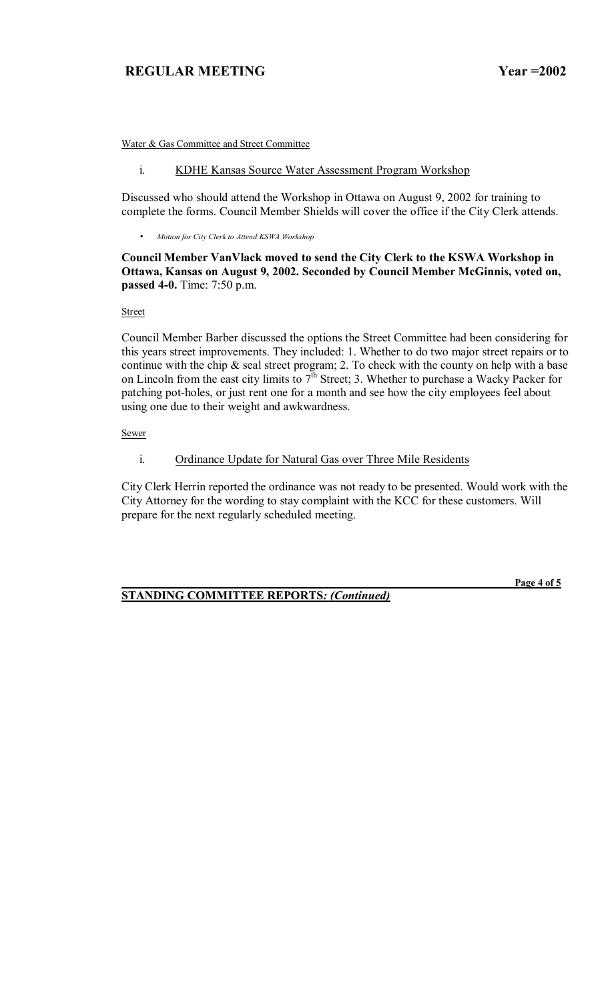Water & Gas Committee and Street Committee

### i. KDHE Kansas Source Water Assessment Program Workshop

Discussed who should attend the Workshop in Ottawa on August 9, 2002 for training to complete the forms. Council Member Shields will cover the office if the City Clerk attends.

• *Motion for City Clerk to Attend KSWA Workshop* 

### **Council Member VanVlack moved to send the City Clerk to the KSWA Workshop in Ottawa, Kansas on August 9, 2002. Seconded by Council Member McGinnis, voted on, passed 4-0.** Time: 7:50 p.m.

Street

Council Member Barber discussed the options the Street Committee had been considering for this years street improvements. They included: 1. Whether to do two major street repairs or to continue with the chip  $\&$  seal street program; 2. To check with the county on help with a base on Lincoln from the east city limits to  $7<sup>th</sup>$  Street; 3. Whether to purchase a Wacky Packer for patching pot-holes, or just rent one for a month and see how the city employees feel about using one due to their weight and awkwardness.

Sewer

### i. Ordinance Update for Natural Gas over Three Mile Residents

City Clerk Herrin reported the ordinance was not ready to be presented. Would work with the City Attorney for the wording to stay complaint with the KCC for these customers. Will prepare for the next regularly scheduled meeting.

# **STANDING COMMITTEE REPORTS***: (Continued)*

 **Page 4 of 5**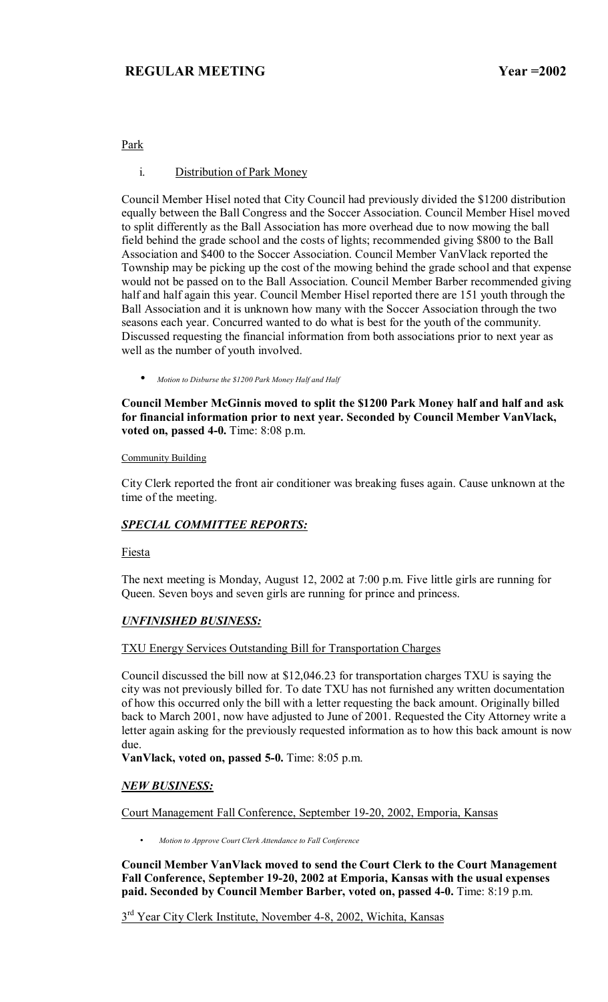# Park

### i. Distribution of Park Money

Council Member Hisel noted that City Council had previously divided the \$1200 distribution equally between the Ball Congress and the Soccer Association. Council Member Hisel moved to split differently as the Ball Association has more overhead due to now mowing the ball field behind the grade school and the costs of lights; recommended giving \$800 to the Ball Association and \$400 to the Soccer Association. Council Member VanVlack reported the Township may be picking up the cost of the mowing behind the grade school and that expense would not be passed on to the Ball Association. Council Member Barber recommended giving half and half again this year. Council Member Hisel reported there are 151 youth through the Ball Association and it is unknown how many with the Soccer Association through the two seasons each year. Concurred wanted to do what is best for the youth of the community. Discussed requesting the financial information from both associations prior to next year as well as the number of youth involved.

• *Motion to Disburse the \$1200 Park Money Half and Half*

**Council Member McGinnis moved to split the \$1200 Park Money half and half and ask for financial information prior to next year. Seconded by Council Member VanVlack, voted on, passed 4-0.** Time: 8:08 p.m.

#### Community Building

City Clerk reported the front air conditioner was breaking fuses again. Cause unknown at the time of the meeting.

# *SPECIAL COMMITTEE REPORTS:*

Fiesta

The next meeting is Monday, August 12, 2002 at 7:00 p.m. Five little girls are running for Queen. Seven boys and seven girls are running for prince and princess.

### *UNFINISHED BUSINESS:*

TXU Energy Services Outstanding Bill for Transportation Charges

Council discussed the bill now at \$12,046.23 for transportation charges TXU is saying the city was not previously billed for. To date TXU has not furnished any written documentation of how this occurred only the bill with a letter requesting the back amount. Originally billed back to March 2001, now have adjusted to June of 2001. Requested the City Attorney write a letter again asking for the previously requested information as to how this back amount is now due.

**VanVlack, voted on, passed 5-0.** Time: 8:05 p.m.

### *NEW BUSINESS:*

Court Management Fall Conference, September 19-20, 2002, Emporia, Kansas

• *Motion to Approve Court Clerk Attendance to Fall Conference*

**Council Member VanVlack moved to send the Court Clerk to the Court Management Fall Conference, September 19-20, 2002 at Emporia, Kansas with the usual expenses paid. Seconded by Council Member Barber, voted on, passed 4-0.** Time: 8:19 p.m.

 $3<sup>rd</sup> Year City Clark Institute, November 4-8, 2002, Wichita, Kansas$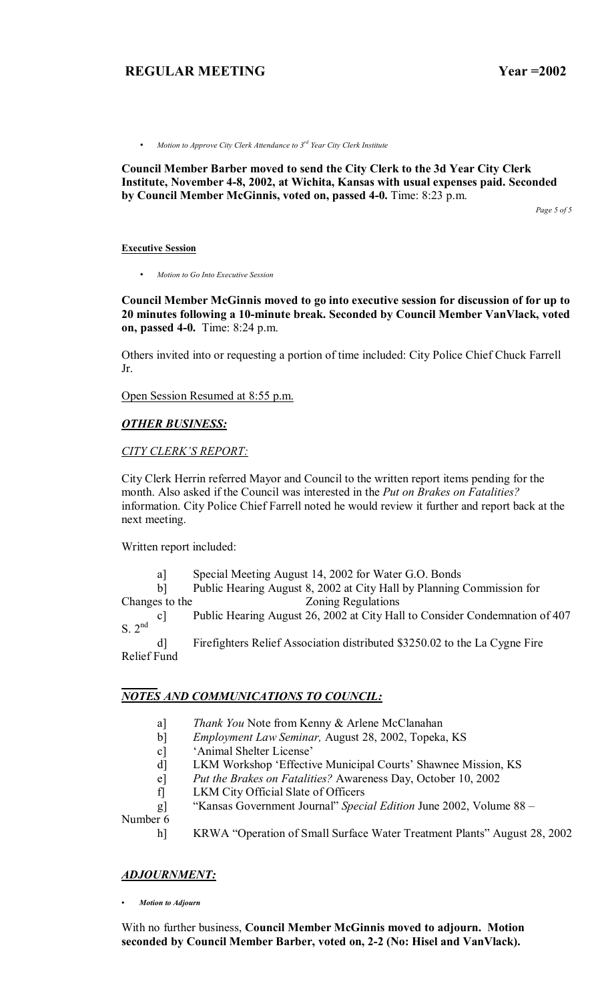• *Motion to Approve City Clerk Attendance to 3rd Year City Clerk Institute* 

**Council Member Barber moved to send the City Clerk to the 3d Year City Clerk Institute, November 4-8, 2002, at Wichita, Kansas with usual expenses paid. Seconded by Council Member McGinnis, voted on, passed 4-0.** Time: 8:23 p.m.

*Page 5 of 5* 

#### **Executive Session**

• *Motion to Go Into Executive Session*

**Council Member McGinnis moved to go into executive session for discussion of for up to 20 minutes following a 10-minute break. Seconded by Council Member VanVlack, voted on, passed 4-0.** Time: 8:24 p.m.

Others invited into or requesting a portion of time included: City Police Chief Chuck Farrell Jr.

Open Session Resumed at 8:55 p.m.

### *OTHER BUSINESS:*

#### *CITY CLERK'S REPORT:*

City Clerk Herrin referred Mayor and Council to the written report items pending for the month. Also asked if the Council was interested in the *Put on Brakes on Fatalities?*  information. City Police Chief Farrell noted he would review it further and report back at the next meeting.

Written report included:

a] Special Meeting August 14, 2002 for Water G.O. Bonds

 b] Public Hearing August 8, 2002 at City Hall by Planning Commission for Changes to the Zoning Regulations

 c] Public Hearing August 26, 2002 at City Hall to Consider Condemnation of 407  $S. 2<sup>nd</sup>$ 

 d] Firefighters Relief Association distributed \$3250.02 to the La Cygne Fire Relief Fund

### *NOTES AND COMMUNICATIONS TO COUNCIL:*

- a] *Thank You* Note from Kenny & Arlene McClanahan
- b] *Employment Law Seminar,* August 28, 2002, Topeka, KS
- c] 'Animal Shelter License'
- d] LKM Workshop 'Effective Municipal Courts' Shawnee Mission, KS
- e] *Put the Brakes on Fatalities?* Awareness Day, October 10, 2002
- f] LKM City Official Slate of Officers
- g] "Kansas Government Journal" *Special Edition* June 2002, Volume 88 –

Number 6

h] KRWA "Operation of Small Surface Water Treatment Plants" August 28, 2002

#### *ADJOURNMENT:*

*ï Motion to Adjourn*

With no further business, **Council Member McGinnis moved to adjourn. Motion seconded by Council Member Barber, voted on, 2-2 (No: Hisel and VanVlack).**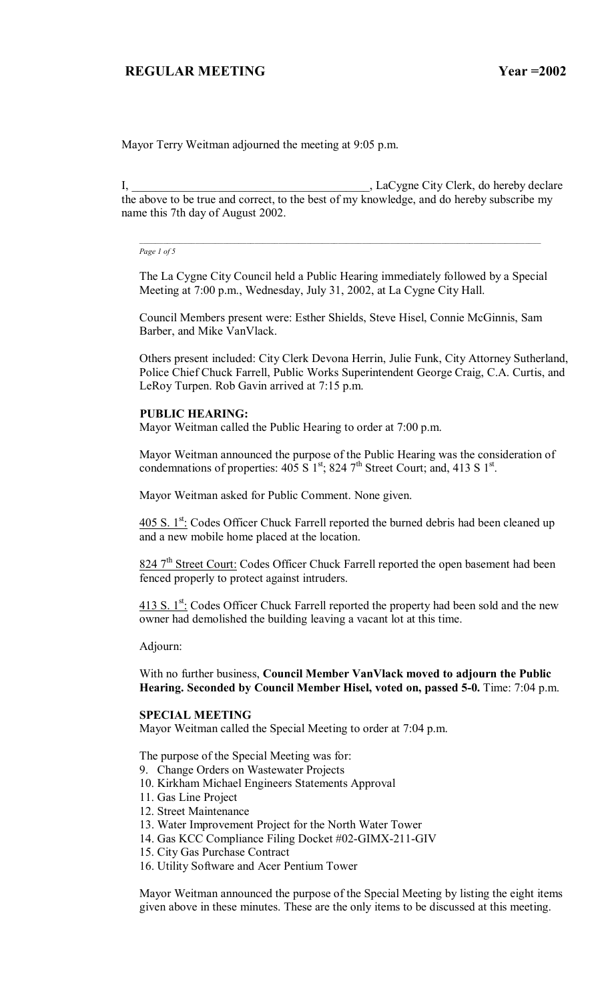Mayor Terry Weitman adjourned the meeting at 9:05 p.m.

I, LaCygne City Clerk, do hereby declare the above to be true and correct, to the best of my knowledge, and do hereby subscribe my name this 7th day of August 2002.

*\_\_\_\_\_\_\_\_\_\_\_\_\_\_\_\_\_\_\_\_\_\_\_\_\_\_\_\_\_\_\_\_\_\_\_\_\_\_\_\_\_\_\_\_\_\_\_\_\_\_\_\_\_\_\_\_\_\_\_\_\_\_\_\_\_\_\_\_\_\_\_\_\_\_\_\_\_\_\_\_\_\_\_\_\_\_\_\_\_\_\_\_\_\_\_\_\_\_\_\_\_* 

*Page 1 of 5*

The La Cygne City Council held a Public Hearing immediately followed by a Special Meeting at 7:00 p.m., Wednesday, July 31, 2002, at La Cygne City Hall.

Council Members present were: Esther Shields, Steve Hisel, Connie McGinnis, Sam Barber, and Mike VanVlack.

Others present included: City Clerk Devona Herrin, Julie Funk, City Attorney Sutherland, Police Chief Chuck Farrell, Public Works Superintendent George Craig, C.A. Curtis, and LeRoy Turpen. Rob Gavin arrived at 7:15 p.m.

#### **PUBLIC HEARING:**

Mayor Weitman called the Public Hearing to order at 7:00 p.m.

Mayor Weitman announced the purpose of the Public Hearing was the consideration of condemnations of properties:  $405 S1^{st}$ ; 824 7<sup>th</sup> Street Court; and, 413 S 1<sup>st</sup>.

Mayor Weitman asked for Public Comment. None given.

 $405$  S.  $1^{st}$ : Codes Officer Chuck Farrell reported the burned debris had been cleaned up and a new mobile home placed at the location.

824 7<sup>th</sup> Street Court: Codes Officer Chuck Farrell reported the open basement had been fenced properly to protect against intruders.

 $413$  S.  $1^{st}$ : Codes Officer Chuck Farrell reported the property had been sold and the new owner had demolished the building leaving a vacant lot at this time.

Adjourn:

With no further business, **Council Member VanVlack moved to adjourn the Public Hearing. Seconded by Council Member Hisel, voted on, passed 5-0.** Time: 7:04 p.m.

#### **SPECIAL MEETING**

Mayor Weitman called the Special Meeting to order at 7:04 p.m.

The purpose of the Special Meeting was for:

- 9. Change Orders on Wastewater Projects
- 10. Kirkham Michael Engineers Statements Approval
- 11. Gas Line Project
- 12. Street Maintenance
- 13. Water Improvement Project for the North Water Tower
- 14. Gas KCC Compliance Filing Docket #02-GIMX-211-GIV
- 15. City Gas Purchase Contract
- 16. Utility Software and Acer Pentium Tower

Mayor Weitman announced the purpose of the Special Meeting by listing the eight items given above in these minutes. These are the only items to be discussed at this meeting.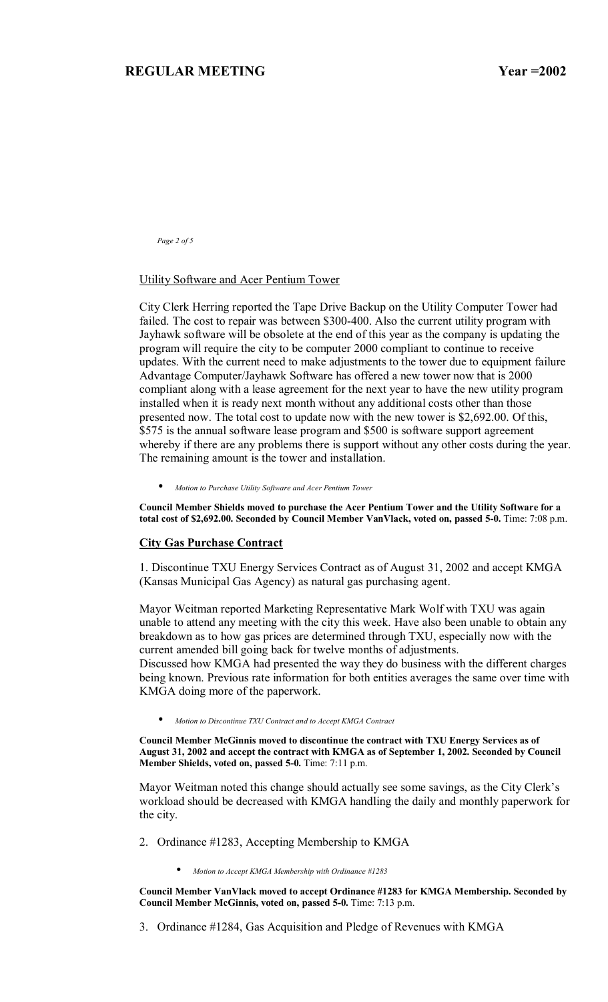*Page 2 of 5* 

#### Utility Software and Acer Pentium Tower

City Clerk Herring reported the Tape Drive Backup on the Utility Computer Tower had failed. The cost to repair was between \$300-400. Also the current utility program with Jayhawk software will be obsolete at the end of this year as the company is updating the program will require the city to be computer 2000 compliant to continue to receive updates. With the current need to make adjustments to the tower due to equipment failure Advantage Computer/Jayhawk Software has offered a new tower now that is 2000 compliant along with a lease agreement for the next year to have the new utility program installed when it is ready next month without any additional costs other than those presented now. The total cost to update now with the new tower is \$2,692.00. Of this, \$575 is the annual software lease program and \$500 is software support agreement whereby if there are any problems there is support without any other costs during the year. The remaining amount is the tower and installation.

• *Motion to Purchase Utility Software and Acer Pentium Tower*

**Council Member Shields moved to purchase the Acer Pentium Tower and the Utility Software for a total cost of \$2,692.00. Seconded by Council Member VanVlack, voted on, passed 5-0.** Time: 7:08 p.m.

#### **City Gas Purchase Contract**

1. Discontinue TXU Energy Services Contract as of August 31, 2002 and accept KMGA (Kansas Municipal Gas Agency) as natural gas purchasing agent.

Mayor Weitman reported Marketing Representative Mark Wolf with TXU was again unable to attend any meeting with the city this week. Have also been unable to obtain any breakdown as to how gas prices are determined through TXU, especially now with the current amended bill going back for twelve months of adjustments.

Discussed how KMGA had presented the way they do business with the different charges being known. Previous rate information for both entities averages the same over time with KMGA doing more of the paperwork.

• *Motion to Discontinue TXU Contract and to Accept KMGA Contract*

**Council Member McGinnis moved to discontinue the contract with TXU Energy Services as of August 31, 2002 and accept the contract with KMGA as of September 1, 2002. Seconded by Council Member Shields, voted on, passed 5-0.** Time: 7:11 p.m.

Mayor Weitman noted this change should actually see some savings, as the City Clerk's workload should be decreased with KMGA handling the daily and monthly paperwork for the city.

- 2. Ordinance #1283, Accepting Membership to KMGA
	- *Motion to Accept KMGA Membership with Ordinance #1283*

**Council Member VanVlack moved to accept Ordinance #1283 for KMGA Membership. Seconded by Council Member McGinnis, voted on, passed 5-0.** Time: 7:13 p.m.

3. Ordinance #1284, Gas Acquisition and Pledge of Revenues with KMGA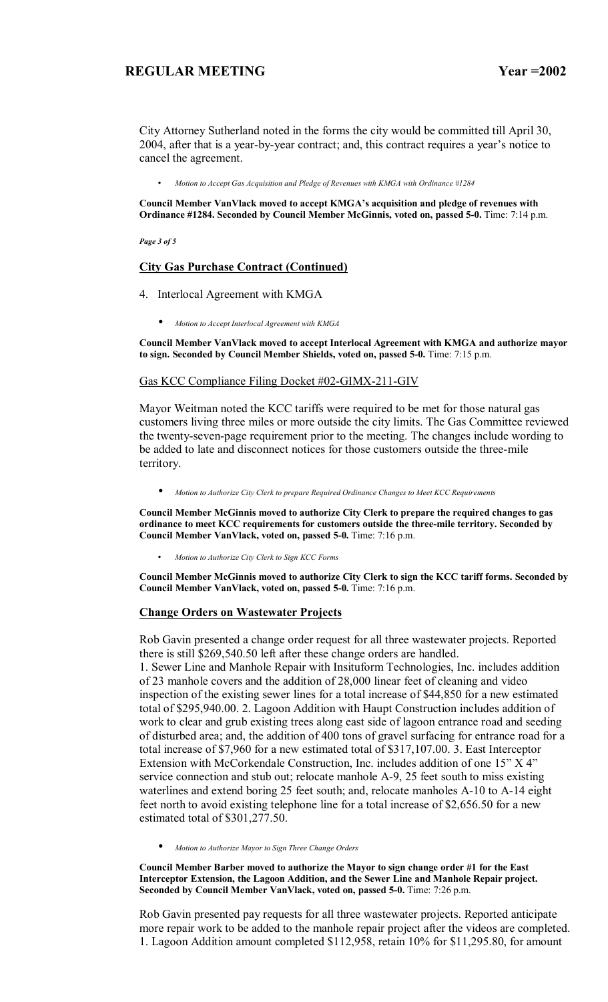City Attorney Sutherland noted in the forms the city would be committed till April 30, 2004, after that is a year-by-year contract; and, this contract requires a year's notice to cancel the agreement.

• *Motion to Accept Gas Acquisition and Pledge of Revenues with KMGA with Ordinance #1284* 

Council Member VanVlack moved to accept KMGA's acquisition and pledge of revenues with **Ordinance #1284. Seconded by Council Member McGinnis, voted on, passed 5-0.** Time: 7:14 p.m.

*Page 3 of 5* 

### **City Gas Purchase Contract (Continued)**

- 4. Interlocal Agreement with KMGA
	- *Motion to Accept Interlocal Agreement with KMGA*

**Council Member VanVlack moved to accept Interlocal Agreement with KMGA and authorize mayor to sign. Seconded by Council Member Shields, voted on, passed 5-0.** Time: 7:15 p.m.

### Gas KCC Compliance Filing Docket #02-GIMX-211-GIV

Mayor Weitman noted the KCC tariffs were required to be met for those natural gas customers living three miles or more outside the city limits. The Gas Committee reviewed the twenty-seven-page requirement prior to the meeting. The changes include wording to be added to late and disconnect notices for those customers outside the three-mile territory.

• *Motion to Authorize City Clerk to prepare Required Ordinance Changes to Meet KCC Requirements*

**Council Member McGinnis moved to authorize City Clerk to prepare the required changes to gas ordinance to meet KCC requirements for customers outside the three-mile territory. Seconded by Council Member VanVlack, voted on, passed 5-0.** Time: 7:16 p.m.

• *Motion to Authorize City Clerk to Sign KCC Forms* 

**Council Member McGinnis moved to authorize City Clerk to sign the KCC tariff forms. Seconded by Council Member VanVlack, voted on, passed 5-0.** Time: 7:16 p.m.

#### **Change Orders on Wastewater Projects**

Rob Gavin presented a change order request for all three wastewater projects. Reported there is still \$269,540.50 left after these change orders are handled.

1. Sewer Line and Manhole Repair with Insituform Technologies, Inc. includes addition of 23 manhole covers and the addition of 28,000 linear feet of cleaning and video inspection of the existing sewer lines for a total increase of \$44,850 for a new estimated total of \$295,940.00. 2. Lagoon Addition with Haupt Construction includes addition of work to clear and grub existing trees along east side of lagoon entrance road and seeding of disturbed area; and, the addition of 400 tons of gravel surfacing for entrance road for a total increase of \$7,960 for a new estimated total of \$317,107.00. 3. East Interceptor Extension with McCorkendale Construction, Inc. includes addition of one  $15$ <sup>"</sup> X  $4$ <sup>"</sup> service connection and stub out; relocate manhole A-9, 25 feet south to miss existing waterlines and extend boring 25 feet south; and, relocate manholes A-10 to A-14 eight feet north to avoid existing telephone line for a total increase of \$2,656.50 for a new estimated total of \$301,277.50.

• *Motion to Authorize Mayor to Sign Three Change Orders*

**Council Member Barber moved to authorize the Mayor to sign change order #1 for the East Interceptor Extension, the Lagoon Addition, and the Sewer Line and Manhole Repair project. Seconded by Council Member VanVlack, voted on, passed 5-0.** Time: 7:26 p.m.

Rob Gavin presented pay requests for all three wastewater projects. Reported anticipate more repair work to be added to the manhole repair project after the videos are completed. 1. Lagoon Addition amount completed \$112,958, retain 10% for \$11,295.80, for amount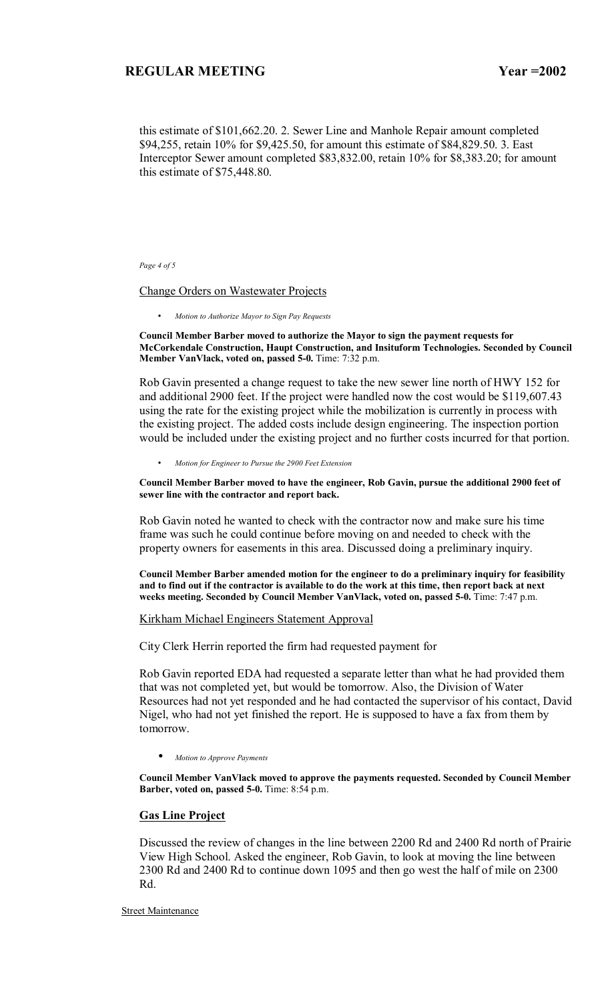this estimate of \$101,662.20. 2. Sewer Line and Manhole Repair amount completed \$94,255, retain 10% for \$9,425.50, for amount this estimate of \$84,829.50. 3. East Interceptor Sewer amount completed \$83,832.00, retain 10% for \$8,383.20; for amount this estimate of \$75,448.80.

#### *Page 4 of 5*

#### Change Orders on Wastewater Projects

• *Motion to Authorize Mayor to Sign Pay Requests* 

**Council Member Barber moved to authorize the Mayor to sign the payment requests for McCorkendale Construction, Haupt Construction, and Insituform Technologies. Seconded by Council Member VanVlack, voted on, passed 5-0.** Time: 7:32 p.m.

Rob Gavin presented a change request to take the new sewer line north of HWY 152 for and additional 2900 feet. If the project were handled now the cost would be \$119,607.43 using the rate for the existing project while the mobilization is currently in process with the existing project. The added costs include design engineering. The inspection portion would be included under the existing project and no further costs incurred for that portion.

• *Motion for Engineer to Pursue the 2900 Feet Extension* 

**Council Member Barber moved to have the engineer, Rob Gavin, pursue the additional 2900 feet of sewer line with the contractor and report back.** 

Rob Gavin noted he wanted to check with the contractor now and make sure his time frame was such he could continue before moving on and needed to check with the property owners for easements in this area. Discussed doing a preliminary inquiry.

**Council Member Barber amended motion for the engineer to do a preliminary inquiry for feasibility and to find out if the contractor is available to do the work at this time, then report back at next weeks meeting. Seconded by Council Member VanVlack, voted on, passed 5-0.** Time: 7:47 p.m.

#### Kirkham Michael Engineers Statement Approval

City Clerk Herrin reported the firm had requested payment for

Rob Gavin reported EDA had requested a separate letter than what he had provided them that was not completed yet, but would be tomorrow. Also, the Division of Water Resources had not yet responded and he had contacted the supervisor of his contact, David Nigel, who had not yet finished the report. He is supposed to have a fax from them by tomorrow.

• *Motion to Approve Payments*

**Council Member VanVlack moved to approve the payments requested. Seconded by Council Member Barber, voted on, passed 5-0.** Time: 8:54 p.m.

#### **Gas Line Project**

Discussed the review of changes in the line between 2200 Rd and 2400 Rd north of Prairie View High School. Asked the engineer, Rob Gavin, to look at moving the line between 2300 Rd and 2400 Rd to continue down 1095 and then go west the half of mile on 2300 Rd.

**Street Maintenance**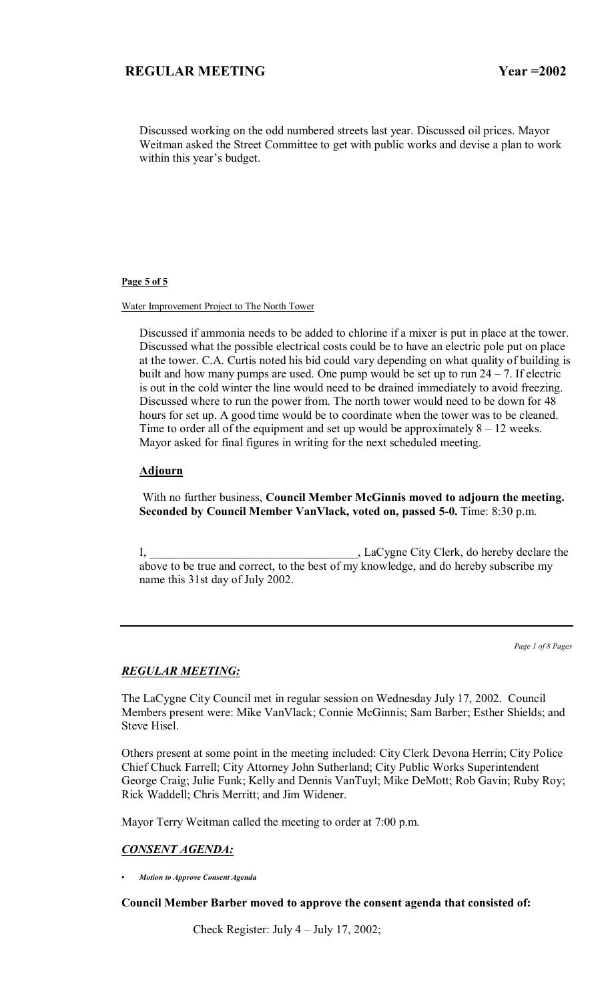Discussed working on the odd numbered streets last year. Discussed oil prices. Mayor Weitman asked the Street Committee to get with public works and devise a plan to work within this year's budget.

### **Page 5 of 5**

#### Water Improvement Project to The North Tower

Discussed if ammonia needs to be added to chlorine if a mixer is put in place at the tower. Discussed what the possible electrical costs could be to have an electric pole put on place at the tower. C.A. Curtis noted his bid could vary depending on what quality of building is built and how many pumps are used. One pump would be set up to run  $24 - 7$ . If electric is out in the cold winter the line would need to be drained immediately to avoid freezing. Discussed where to run the power from. The north tower would need to be down for 48 hours for set up. A good time would be to coordinate when the tower was to be cleaned. Time to order all of the equipment and set up would be approximately  $8 - 12$  weeks. Mayor asked for final figures in writing for the next scheduled meeting.

### **Adjourn**

 With no further business, **Council Member McGinnis moved to adjourn the meeting. Seconded by Council Member VanVlack, voted on, passed 5-0.** Time: 8:30 p.m.

I, LaCygne City Clerk, do hereby declare the above to be true and correct, to the best of my knowledge, and do hereby subscribe my name this 31st day of July 2002.

*Page 1 of 8 Pages*

### *REGULAR MEETING:*

The LaCygne City Council met in regular session on Wednesday July 17, 2002. Council Members present were: Mike VanVlack; Connie McGinnis; Sam Barber; Esther Shields; and Steve Hisel.

Others present at some point in the meeting included: City Clerk Devona Herrin; City Police Chief Chuck Farrell; City Attorney John Sutherland; City Public Works Superintendent George Craig; Julie Funk; Kelly and Dennis VanTuyl; Mike DeMott; Rob Gavin; Ruby Roy; Rick Waddell; Chris Merritt; and Jim Widener.

Mayor Terry Weitman called the meeting to order at 7:00 p.m.

#### *CONSENT AGENDA:*

*ï Motion to Approve Consent Agenda*

### **Council Member Barber moved to approve the consent agenda that consisted of:**

Check Register: July  $4 -$  July 17, 2002;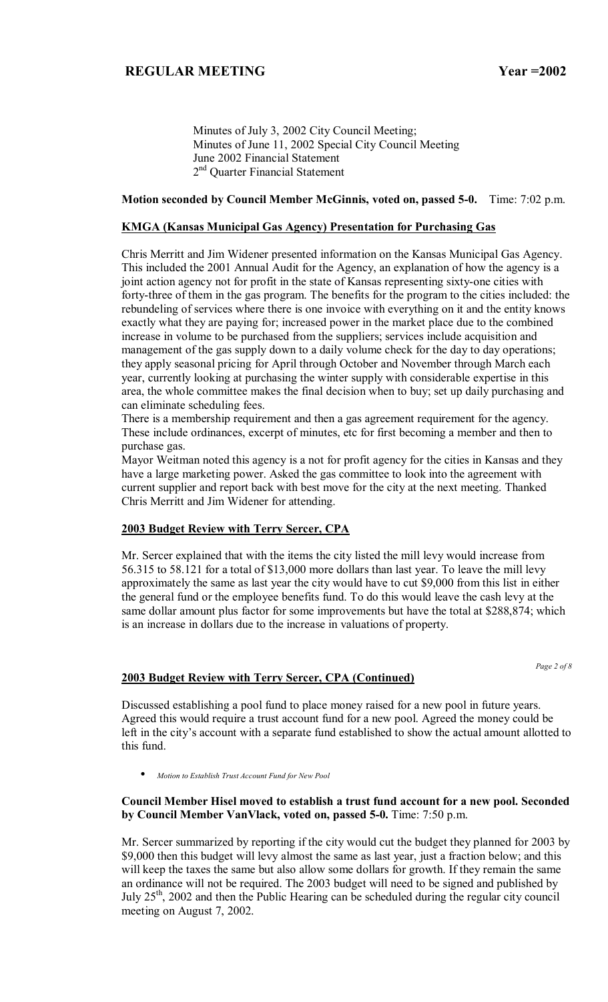Minutes of July 3, 2002 City Council Meeting; Minutes of June 11, 2002 Special City Council Meeting June 2002 Financial Statement 2<sup>nd</sup> Quarter Financial Statement

#### **Motion seconded by Council Member McGinnis, voted on, passed 5-0.** Time: 7:02 p.m.

### **KMGA (Kansas Municipal Gas Agency) Presentation for Purchasing Gas**

Chris Merritt and Jim Widener presented information on the Kansas Municipal Gas Agency. This included the 2001 Annual Audit for the Agency, an explanation of how the agency is a joint action agency not for profit in the state of Kansas representing sixty-one cities with forty-three of them in the gas program. The benefits for the program to the cities included: the rebundeling of services where there is one invoice with everything on it and the entity knows exactly what they are paying for; increased power in the market place due to the combined increase in volume to be purchased from the suppliers; services include acquisition and management of the gas supply down to a daily volume check for the day to day operations; they apply seasonal pricing for April through October and November through March each year, currently looking at purchasing the winter supply with considerable expertise in this area, the whole committee makes the final decision when to buy; set up daily purchasing and can eliminate scheduling fees.

There is a membership requirement and then a gas agreement requirement for the agency. These include ordinances, excerpt of minutes, etc for first becoming a member and then to purchase gas.

Mayor Weitman noted this agency is a not for profit agency for the cities in Kansas and they have a large marketing power. Asked the gas committee to look into the agreement with current supplier and report back with best move for the city at the next meeting. Thanked Chris Merritt and Jim Widener for attending.

### **2003 Budget Review with Terry Sercer, CPA**

Mr. Sercer explained that with the items the city listed the mill levy would increase from 56.315 to 58.121 for a total of \$13,000 more dollars than last year. To leave the mill levy approximately the same as last year the city would have to cut \$9,000 from this list in either the general fund or the employee benefits fund. To do this would leave the cash levy at the same dollar amount plus factor for some improvements but have the total at \$288,874; which is an increase in dollars due to the increase in valuations of property.

*Page 2 of 8* 

### **2003 Budget Review with Terry Sercer, CPA (Continued)**

Discussed establishing a pool fund to place money raised for a new pool in future years. Agreed this would require a trust account fund for a new pool. Agreed the money could be left in the city's account with a separate fund established to show the actual amount allotted to this fund.

• *Motion to Establish Trust Account Fund for New Pool*

#### **Council Member Hisel moved to establish a trust fund account for a new pool. Seconded by Council Member VanVlack, voted on, passed 5-0.** Time: 7:50 p.m.

Mr. Sercer summarized by reporting if the city would cut the budget they planned for 2003 by \$9,000 then this budget will levy almost the same as last year, just a fraction below; and this will keep the taxes the same but also allow some dollars for growth. If they remain the same an ordinance will not be required. The 2003 budget will need to be signed and published by July  $25<sup>th</sup>$ , 2002 and then the Public Hearing can be scheduled during the regular city council meeting on August 7, 2002.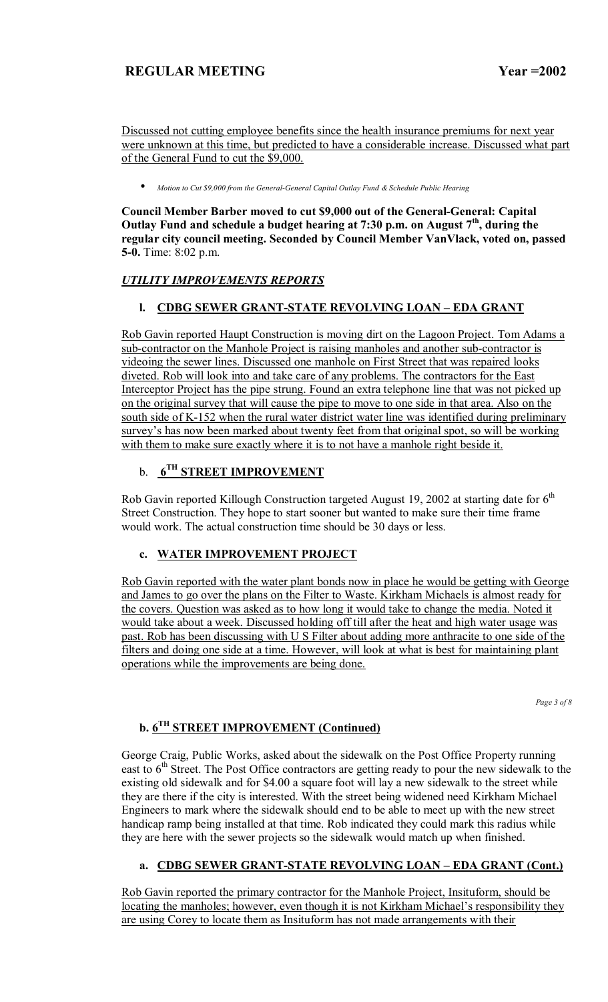Discussed not cutting employee benefits since the health insurance premiums for next year were unknown at this time, but predicted to have a considerable increase. Discussed what part of the General Fund to cut the \$9,000.

• *Motion to Cut \$9,000 from the General-General Capital Outlay Fund & Schedule Public Hearing*

**Council Member Barber moved to cut \$9,000 out of the General-General: Capital Outlay Fund and schedule a budget hearing at 7:30 p.m. on August 7th, during the regular city council meeting. Seconded by Council Member VanVlack, voted on, passed 5-0.** Time: 8:02 p.m.

# *UTILITY IMPROVEMENTS REPORTS*

# **l. CDBG SEWER GRANT-STATE REVOLVING LOAN - EDA GRANT**

Rob Gavin reported Haupt Construction is moving dirt on the Lagoon Project. Tom Adams a sub-contractor on the Manhole Project is raising manholes and another sub-contractor is videoing the sewer lines. Discussed one manhole on First Street that was repaired looks diveted. Rob will look into and take care of any problems. The contractors for the East Interceptor Project has the pipe strung. Found an extra telephone line that was not picked up on the original survey that will cause the pipe to move to one side in that area. Also on the south side of K-152 when the rural water district water line was identified during preliminary survey's has now been marked about twenty feet from that original spot, so will be working with them to make sure exactly where it is to not have a manhole right beside it.

# b. **6TH STREET IMPROVEMENT**

Rob Gavin reported Killough Construction targeted August 19, 2002 at starting date for  $6<sup>th</sup>$ Street Construction. They hope to start sooner but wanted to make sure their time frame would work. The actual construction time should be 30 days or less.

# **c. WATER IMPROVEMENT PROJECT**

Rob Gavin reported with the water plant bonds now in place he would be getting with George and James to go over the plans on the Filter to Waste. Kirkham Michaels is almost ready for the covers. Question was asked as to how long it would take to change the media. Noted it would take about a week. Discussed holding off till after the heat and high water usage was past. Rob has been discussing with U S Filter about adding more anthracite to one side of the filters and doing one side at a time. However, will look at what is best for maintaining plant operations while the improvements are being done.

*Page 3 of 8* 

# **b. 6TH STREET IMPROVEMENT (Continued)**

George Craig, Public Works, asked about the sidewalk on the Post Office Property running east to  $6<sup>th</sup>$  Street. The Post Office contractors are getting ready to pour the new sidewalk to the existing old sidewalk and for \$4.00 a square foot will lay a new sidewalk to the street while they are there if the city is interested. With the street being widened need Kirkham Michael Engineers to mark where the sidewalk should end to be able to meet up with the new street handicap ramp being installed at that time. Rob indicated they could mark this radius while they are here with the sewer projects so the sidewalk would match up when finished.

# a. CDBG SEWER GRANT-STATE REVOLVING LOAN - EDA GRANT (Cont.)

Rob Gavin reported the primary contractor for the Manhole Project, Insituform, should be locating the manholes; however, even though it is not Kirkham Michael's responsibility they are using Corey to locate them as Insituform has not made arrangements with their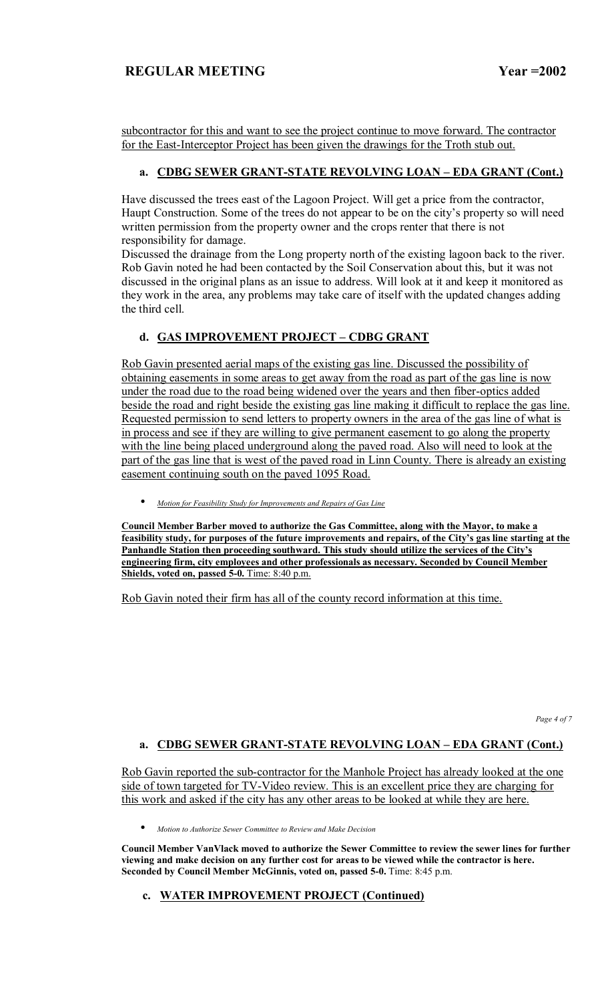subcontractor for this and want to see the project continue to move forward. The contractor for the East-Interceptor Project has been given the drawings for the Troth stub out.

# a. CDBG SEWER GRANT-STATE REVOLVING LOAN - EDA GRANT (Cont.)

Have discussed the trees east of the Lagoon Project. Will get a price from the contractor, Haupt Construction. Some of the trees do not appear to be on the city's property so will need written permission from the property owner and the crops renter that there is not responsibility for damage.

Discussed the drainage from the Long property north of the existing lagoon back to the river. Rob Gavin noted he had been contacted by the Soil Conservation about this, but it was not discussed in the original plans as an issue to address. Will look at it and keep it monitored as they work in the area, any problems may take care of itself with the updated changes adding the third cell.

# **d. GAS IMPROVEMENT PROJECT - CDBG GRANT**

Rob Gavin presented aerial maps of the existing gas line. Discussed the possibility of obtaining easements in some areas to get away from the road as part of the gas line is now under the road due to the road being widened over the years and then fiber-optics added beside the road and right beside the existing gas line making it difficult to replace the gas line. Requested permission to send letters to property owners in the area of the gas line of what is in process and see if they are willing to give permanent easement to go along the property with the line being placed underground along the paved road. Also will need to look at the part of the gas line that is west of the paved road in Linn County. There is already an existing easement continuing south on the paved 1095 Road.

• *Motion for Feasibility Study for Improvements and Repairs of Gas Line*

**Council Member Barber moved to authorize the Gas Committee, along with the Mayor, to make a**  feasibility study, for purposes of the future improvements and repairs, of the City's gas line starting at the **Panhandle Station then proceeding southward. This study should utilize the services of the Cityís engineering firm, city employees and other professionals as necessary. Seconded by Council Member Shields, voted on, passed 5-0.** Time: 8:40 p.m.

Rob Gavin noted their firm has all of the county record information at this time.

*Page 4 of 7* 

# a. CDBG SEWER GRANT-STATE REVOLVING LOAN - EDA GRANT (Cont.)

Rob Gavin reported the sub-contractor for the Manhole Project has already looked at the one side of town targeted for TV-Video review. This is an excellent price they are charging for this work and asked if the city has any other areas to be looked at while they are here.

• *Motion to Authorize Sewer Committee to Review and Make Decision*

**Council Member VanVlack moved to authorize the Sewer Committee to review the sewer lines for further viewing and make decision on any further cost for areas to be viewed while the contractor is here. Seconded by Council Member McGinnis, voted on, passed 5-0.** Time: 8:45 p.m.

### **c. WATER IMPROVEMENT PROJECT (Continued)**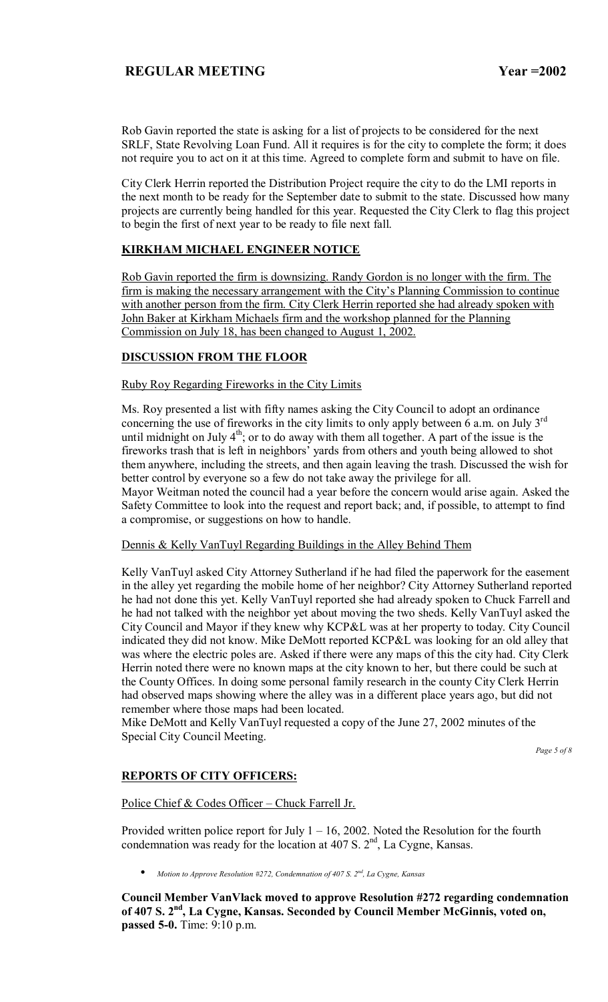Rob Gavin reported the state is asking for a list of projects to be considered for the next SRLF, State Revolving Loan Fund. All it requires is for the city to complete the form; it does not require you to act on it at this time. Agreed to complete form and submit to have on file.

City Clerk Herrin reported the Distribution Project require the city to do the LMI reports in the next month to be ready for the September date to submit to the state. Discussed how many projects are currently being handled for this year. Requested the City Clerk to flag this project to begin the first of next year to be ready to file next fall.

### **KIRKHAM MICHAEL ENGINEER NOTICE**

Rob Gavin reported the firm is downsizing. Randy Gordon is no longer with the firm. The firm is making the necessary arrangement with the City's Planning Commission to continue with another person from the firm. City Clerk Herrin reported she had already spoken with John Baker at Kirkham Michaels firm and the workshop planned for the Planning Commission on July 18, has been changed to August 1, 2002.

### **DISCUSSION FROM THE FLOOR**

### Ruby Roy Regarding Fireworks in the City Limits

Ms. Roy presented a list with fifty names asking the City Council to adopt an ordinance concerning the use of fireworks in the city limits to only apply between  $\overline{6}$  a.m. on July 3<sup>rd</sup> until midnight on July  $4<sup>th</sup>$ ; or to do away with them all together. A part of the issue is the fireworks trash that is left in neighbors' yards from others and youth being allowed to shot them anywhere, including the streets, and then again leaving the trash. Discussed the wish for better control by everyone so a few do not take away the privilege for all.

Mayor Weitman noted the council had a year before the concern would arise again. Asked the Safety Committee to look into the request and report back; and, if possible, to attempt to find a compromise, or suggestions on how to handle.

### Dennis & Kelly VanTuyl Regarding Buildings in the Alley Behind Them

Kelly VanTuyl asked City Attorney Sutherland if he had filed the paperwork for the easement in the alley yet regarding the mobile home of her neighbor? City Attorney Sutherland reported he had not done this yet. Kelly VanTuyl reported she had already spoken to Chuck Farrell and he had not talked with the neighbor yet about moving the two sheds. Kelly VanTuyl asked the City Council and Mayor if they knew why KCP&L was at her property to today. City Council indicated they did not know. Mike DeMott reported KCP&L was looking for an old alley that was where the electric poles are. Asked if there were any maps of this the city had. City Clerk Herrin noted there were no known maps at the city known to her, but there could be such at the County Offices. In doing some personal family research in the county City Clerk Herrin had observed maps showing where the alley was in a different place years ago, but did not remember where those maps had been located.

Mike DeMott and Kelly VanTuyl requested a copy of the June 27, 2002 minutes of the Special City Council Meeting.

*Page 5 of 8* 

# **REPORTS OF CITY OFFICERS:**

Police Chief & Codes Officer - Chuck Farrell Jr.

Provided written police report for July  $1 - 16$ , 2002. Noted the Resolution for the fourth condemnation was ready for the location at  $407 \text{ S}$ .  $2^{\text{nd}}$ , La Cygne, Kansas.

• *Motion to Approve Resolution #272, Condemnation of 407 S. 2nd, La Cygne, Kansas*

**Council Member VanVlack moved to approve Resolution #272 regarding condemnation of 407 S. 2nd, La Cygne, Kansas. Seconded by Council Member McGinnis, voted on, passed 5-0.** Time: 9:10 p.m.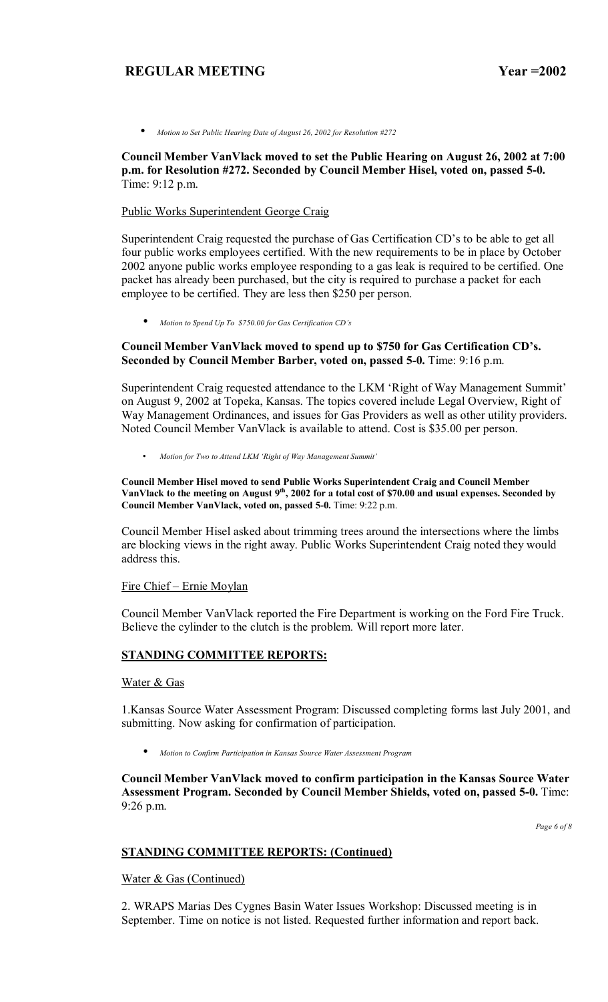• *Motion to Set Public Hearing Date of August 26, 2002 for Resolution #272*

**Council Member VanVlack moved to set the Public Hearing on August 26, 2002 at 7:00 p.m. for Resolution #272. Seconded by Council Member Hisel, voted on, passed 5-0.**  Time: 9:12 p.m.

### Public Works Superintendent George Craig

Superintendent Craig requested the purchase of Gas Certification CD's to be able to get all four public works employees certified. With the new requirements to be in place by October 2002 anyone public works employee responding to a gas leak is required to be certified. One packet has already been purchased, but the city is required to purchase a packet for each employee to be certified. They are less then \$250 per person.

• *Motion to Spend Up To \$750.00 for Gas Certification CDís*

### **Council Member VanVlack moved to spend up to \$750 for Gas Certification CDís. Seconded by Council Member Barber, voted on, passed 5-0.** Time: 9:16 p.m.

Superintendent Craig requested attendance to the LKM 'Right of Way Management Summit' on August 9, 2002 at Topeka, Kansas. The topics covered include Legal Overview, Right of Way Management Ordinances, and issues for Gas Providers as well as other utility providers. Noted Council Member VanVlack is available to attend. Cost is \$35.00 per person.

• *Motion for Two to Attend LKM ëRight of Way Management Summití* 

#### **Council Member Hisel moved to send Public Works Superintendent Craig and Council Member VanVlack to the meeting on August 9th, 2002 for a total cost of \$70.00 and usual expenses. Seconded by Council Member VanVlack, voted on, passed 5-0.** Time: 9:22 p.m.

Council Member Hisel asked about trimming trees around the intersections where the limbs are blocking views in the right away. Public Works Superintendent Craig noted they would address this.

# Fire Chief – Ernie Moylan

Council Member VanVlack reported the Fire Department is working on the Ford Fire Truck. Believe the cylinder to the clutch is the problem. Will report more later.

### **STANDING COMMITTEE REPORTS:**

#### Water & Gas

1.Kansas Source Water Assessment Program: Discussed completing forms last July 2001, and submitting. Now asking for confirmation of participation.

• *Motion to Confirm Participation in Kansas Source Water Assessment Program*

**Council Member VanVlack moved to confirm participation in the Kansas Source Water Assessment Program. Seconded by Council Member Shields, voted on, passed 5-0.** Time: 9:26 p.m.

*Page 6 of 8* 

### **STANDING COMMITTEE REPORTS: (Continued)**

Water & Gas (Continued)

2. WRAPS Marias Des Cygnes Basin Water Issues Workshop: Discussed meeting is in September. Time on notice is not listed. Requested further information and report back.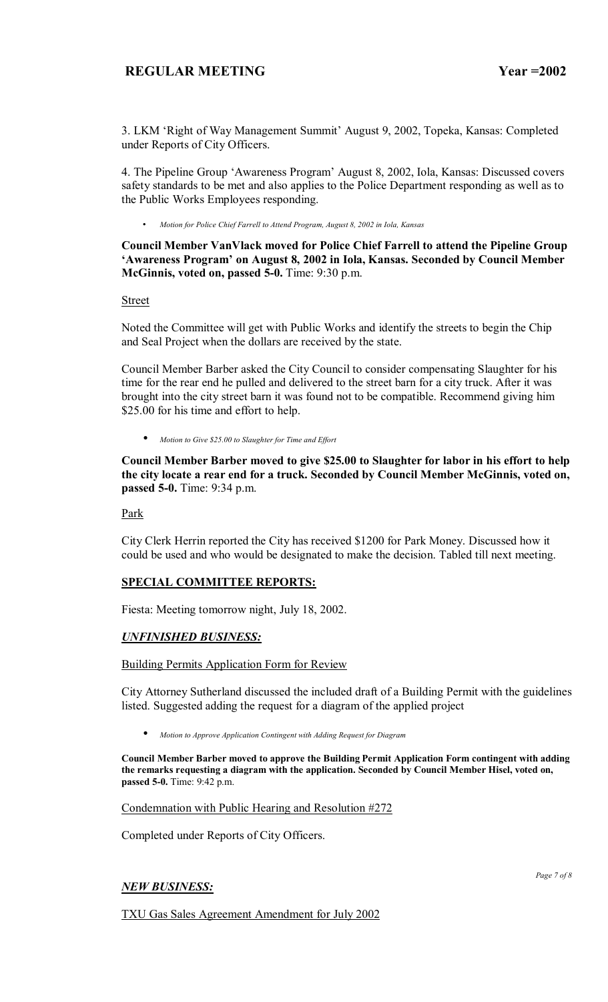3. LKM 'Right of Way Management Summit' August 9, 2002, Topeka, Kansas: Completed under Reports of City Officers.

4. The Pipeline Group 'Awareness Program' August 8, 2002, Iola, Kansas: Discussed covers safety standards to be met and also applies to the Police Department responding as well as to the Public Works Employees responding.

• *Motion for Police Chief Farrell to Attend Program, August 8, 2002 in Iola, Kansas* 

**Council Member VanVlack moved for Police Chief Farrell to attend the Pipeline Group ëAwareness Programí on August 8, 2002 in Iola, Kansas. Seconded by Council Member McGinnis, voted on, passed 5-0.** Time: 9:30 p.m.

Street

Noted the Committee will get with Public Works and identify the streets to begin the Chip and Seal Project when the dollars are received by the state.

Council Member Barber asked the City Council to consider compensating Slaughter for his time for the rear end he pulled and delivered to the street barn for a city truck. After it was brought into the city street barn it was found not to be compatible. Recommend giving him \$25.00 for his time and effort to help.

• *Motion to Give \$25.00 to Slaughter for Time and Effort*

**Council Member Barber moved to give \$25.00 to Slaughter for labor in his effort to help the city locate a rear end for a truck. Seconded by Council Member McGinnis, voted on, passed 5-0.** Time: 9:34 p.m.

Park

City Clerk Herrin reported the City has received \$1200 for Park Money. Discussed how it could be used and who would be designated to make the decision. Tabled till next meeting.

### **SPECIAL COMMITTEE REPORTS:**

Fiesta: Meeting tomorrow night, July 18, 2002.

### *UNFINISHED BUSINESS:*

Building Permits Application Form for Review

City Attorney Sutherland discussed the included draft of a Building Permit with the guidelines listed. Suggested adding the request for a diagram of the applied project

• *Motion to Approve Application Contingent with Adding Request for Diagram* 

**Council Member Barber moved to approve the Building Permit Application Form contingent with adding the remarks requesting a diagram with the application. Seconded by Council Member Hisel, voted on, passed 5-0.** Time: 9:42 p.m.

Condemnation with Public Hearing and Resolution #272

Completed under Reports of City Officers.

# *NEW BUSINESS:*

*Page 7 of 8* 

TXU Gas Sales Agreement Amendment for July 2002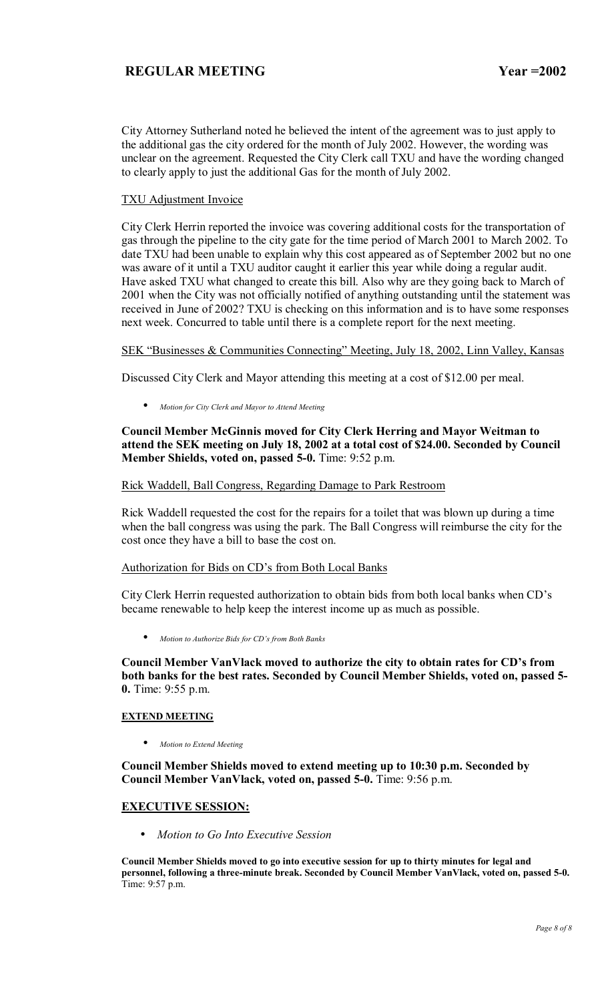City Attorney Sutherland noted he believed the intent of the agreement was to just apply to the additional gas the city ordered for the month of July 2002. However, the wording was unclear on the agreement. Requested the City Clerk call TXU and have the wording changed to clearly apply to just the additional Gas for the month of July 2002.

### TXU Adjustment Invoice

City Clerk Herrin reported the invoice was covering additional costs for the transportation of gas through the pipeline to the city gate for the time period of March 2001 to March 2002. To date TXU had been unable to explain why this cost appeared as of September 2002 but no one was aware of it until a TXU auditor caught it earlier this year while doing a regular audit. Have asked TXU what changed to create this bill. Also why are they going back to March of 2001 when the City was not officially notified of anything outstanding until the statement was received in June of 2002? TXU is checking on this information and is to have some responses next week. Concurred to table until there is a complete report for the next meeting.

### SEK "Businesses & Communities Connecting" Meeting, July 18, 2002, Linn Valley, Kansas

Discussed City Clerk and Mayor attending this meeting at a cost of \$12.00 per meal.

• *Motion for City Clerk and Mayor to Attend Meeting*

### **Council Member McGinnis moved for City Clerk Herring and Mayor Weitman to attend the SEK meeting on July 18, 2002 at a total cost of \$24.00. Seconded by Council Member Shields, voted on, passed 5-0.** Time: 9:52 p.m.

### Rick Waddell, Ball Congress, Regarding Damage to Park Restroom

Rick Waddell requested the cost for the repairs for a toilet that was blown up during a time when the ball congress was using the park. The Ball Congress will reimburse the city for the cost once they have a bill to base the cost on.

### Authorization for Bids on CD's from Both Local Banks

City Clerk Herrin requested authorization to obtain bids from both local banks when CD's became renewable to help keep the interest income up as much as possible.

• *Motion to Authorize Bids for CDís from Both Banks*

Council Member VanVlack moved to authorize the city to obtain rates for CD's from **both banks for the best rates. Seconded by Council Member Shields, voted on, passed 5- 0.** Time: 9:55 p.m.

#### **EXTEND MEETING**

• *Motion to Extend Meeting*

**Council Member Shields moved to extend meeting up to 10:30 p.m. Seconded by Council Member VanVlack, voted on, passed 5-0.** Time: 9:56 p.m.

### **EXECUTIVE SESSION:**

• *Motion to Go Into Executive Session*

**Council Member Shields moved to go into executive session for up to thirty minutes for legal and personnel, following a three-minute break. Seconded by Council Member VanVlack, voted on, passed 5-0.**  Time: 9:57 p.m.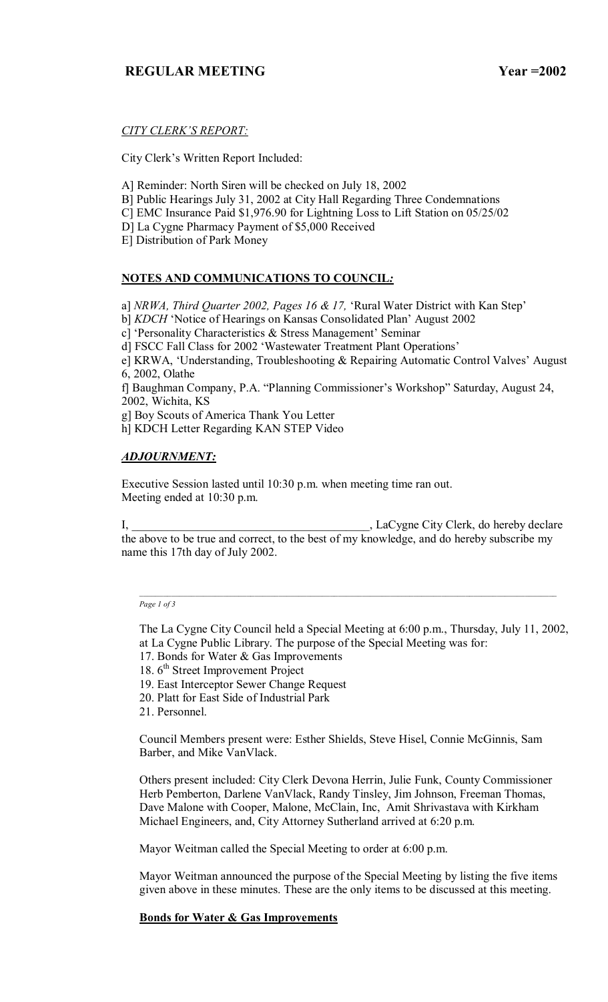# **CITY CLERK'S REPORT:**

City Clerk's Written Report Included:

- A] Reminder: North Siren will be checked on July 18, 2002
- B] Public Hearings July 31, 2002 at City Hall Regarding Three Condemnations
- C] EMC Insurance Paid \$1,976.90 for Lightning Loss to Lift Station on 05/25/02

D] La Cygne Pharmacy Payment of \$5,000 Received

E] Distribution of Park Money

# **NOTES AND COMMUNICATIONS TO COUNCIL***:*

a] *NRWA, Third Quarter 2002, Pages 16 & 17,* 'Rural Water District with Kan Step'

b] *KDCH* 'Notice of Hearings on Kansas Consolidated Plan' August 2002

c] 'Personality Characteristics  $&$  Stress Management' Seminar

d] FSCC Fall Class for 2002 'Wastewater Treatment Plant Operations'

e] KRWA, 'Understanding, Troubleshooting  $\&$  Repairing Automatic Control Valves' August 6, 2002, Olathe

f] Baughman Company, P.A. "Planning Commissioner's Workshop" Saturday, August 24, 2002, Wichita, KS

g] Boy Scouts of America Thank You Letter

h] KDCH Letter Regarding KAN STEP Video

### *ADJOURNMENT:*

Executive Session lasted until 10:30 p.m. when meeting time ran out. Meeting ended at 10:30 p.m.

I, \_\_\_\_\_\_\_\_\_\_\_\_\_\_\_\_\_\_\_\_\_\_\_\_\_\_\_\_\_\_\_\_\_\_\_\_\_\_\_\_, LaCygne City Clerk, do hereby declare the above to be true and correct, to the best of my knowledge, and do hereby subscribe my name this 17th day of July 2002.

#### *Page 1 of 3*

The La Cygne City Council held a Special Meeting at 6:00 p.m., Thursday, July 11, 2002, at La Cygne Public Library. The purpose of the Special Meeting was for:

- 17. Bonds for Water & Gas Improvements
- 18. 6<sup>th</sup> Street Improvement Project
- 19. East Interceptor Sewer Change Request
- 20. Platt for East Side of Industrial Park
- 21. Personnel.

Council Members present were: Esther Shields, Steve Hisel, Connie McGinnis, Sam Barber, and Mike VanVlack.

Others present included: City Clerk Devona Herrin, Julie Funk, County Commissioner Herb Pemberton, Darlene VanVlack, Randy Tinsley, Jim Johnson, Freeman Thomas, Dave Malone with Cooper, Malone, McClain, Inc, Amit Shrivastava with Kirkham Michael Engineers, and, City Attorney Sutherland arrived at 6:20 p.m.

Mayor Weitman called the Special Meeting to order at 6:00 p.m.

Mayor Weitman announced the purpose of the Special Meeting by listing the five items given above in these minutes. These are the only items to be discussed at this meeting.

### **Bonds for Water & Gas Improvements**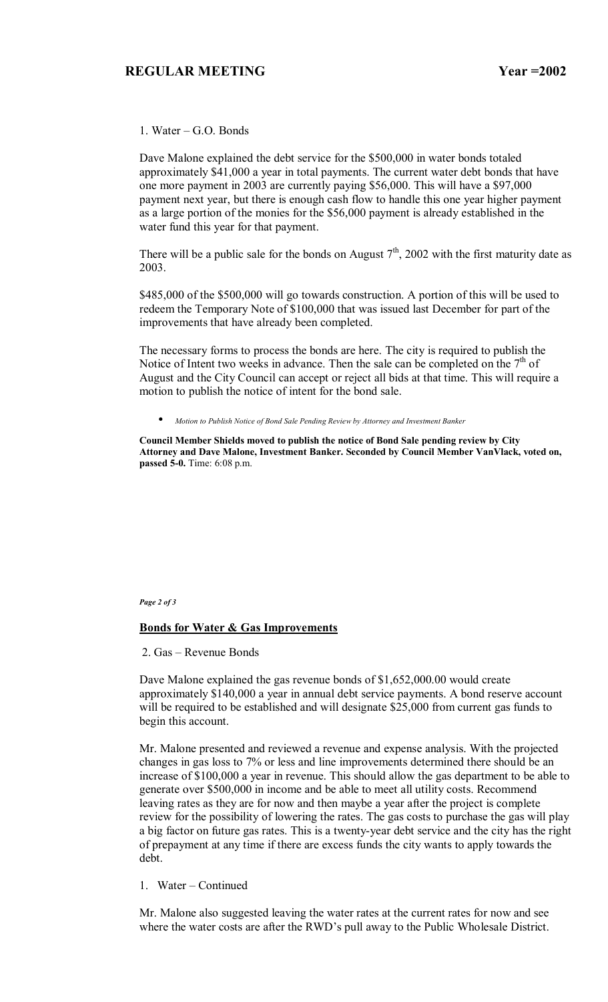1. Water  $-$  G.O. Bonds

Dave Malone explained the debt service for the \$500,000 in water bonds totaled approximately \$41,000 a year in total payments. The current water debt bonds that have one more payment in 2003 are currently paying \$56,000. This will have a \$97,000 payment next year, but there is enough cash flow to handle this one year higher payment as a large portion of the monies for the \$56,000 payment is already established in the water fund this year for that payment.

There will be a public sale for the bonds on August  $7<sup>th</sup>$ , 2002 with the first maturity date as 2003.

\$485,000 of the \$500,000 will go towards construction. A portion of this will be used to redeem the Temporary Note of \$100,000 that was issued last December for part of the improvements that have already been completed.

The necessary forms to process the bonds are here. The city is required to publish the Notice of Intent two weeks in advance. Then the sale can be completed on the  $7<sup>th</sup>$  of August and the City Council can accept or reject all bids at that time. This will require a motion to publish the notice of intent for the bond sale.

• *Motion to Publish Notice of Bond Sale Pending Review by Attorney and Investment Banker*

**Council Member Shields moved to publish the notice of Bond Sale pending review by City Attorney and Dave Malone, Investment Banker. Seconded by Council Member VanVlack, voted on, passed 5-0.** Time: 6:08 p.m.

*Page 2 of 3* 

#### **Bonds for Water & Gas Improvements**

 $2.$  Gas – Revenue Bonds

Dave Malone explained the gas revenue bonds of \$1,652,000.00 would create approximately \$140,000 a year in annual debt service payments. A bond reserve account will be required to be established and will designate \$25,000 from current gas funds to begin this account.

Mr. Malone presented and reviewed a revenue and expense analysis. With the projected changes in gas loss to 7% or less and line improvements determined there should be an increase of \$100,000 a year in revenue. This should allow the gas department to be able to generate over \$500,000 in income and be able to meet all utility costs. Recommend leaving rates as they are for now and then maybe a year after the project is complete review for the possibility of lowering the rates. The gas costs to purchase the gas will play a big factor on future gas rates. This is a twenty-year debt service and the city has the right of prepayment at any time if there are excess funds the city wants to apply towards the debt.

1. Water – Continued

Mr. Malone also suggested leaving the water rates at the current rates for now and see where the water costs are after the RWD's pull away to the Public Wholesale District.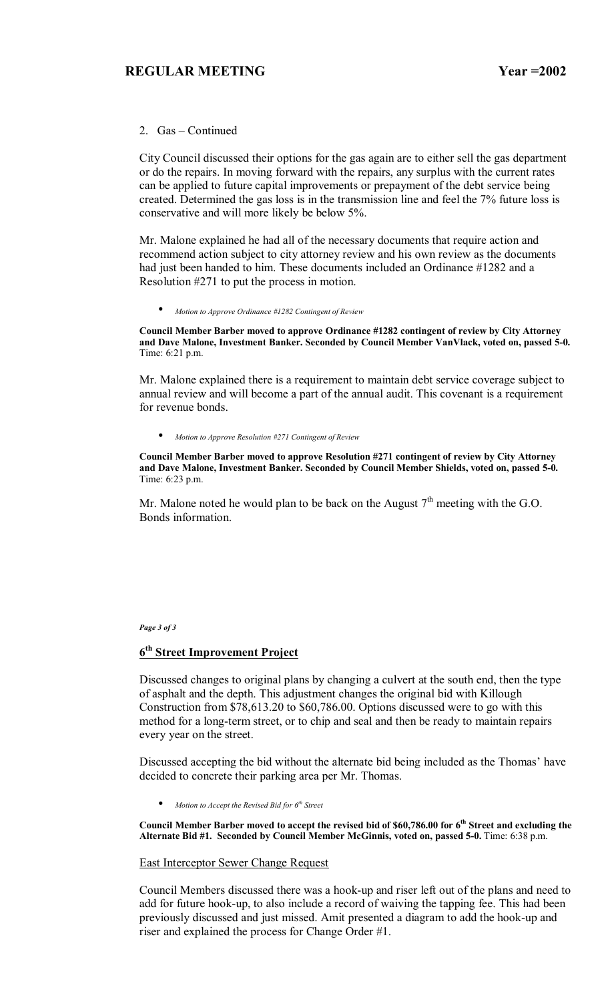### 2.  $Gas - Continued$

City Council discussed their options for the gas again are to either sell the gas department or do the repairs. In moving forward with the repairs, any surplus with the current rates can be applied to future capital improvements or prepayment of the debt service being created. Determined the gas loss is in the transmission line and feel the 7% future loss is conservative and will more likely be below 5%.

Mr. Malone explained he had all of the necessary documents that require action and recommend action subject to city attorney review and his own review as the documents had just been handed to him. These documents included an Ordinance #1282 and a Resolution #271 to put the process in motion.

• *Motion to Approve Ordinance #1282 Contingent of Review*

**Council Member Barber moved to approve Ordinance #1282 contingent of review by City Attorney and Dave Malone, Investment Banker. Seconded by Council Member VanVlack, voted on, passed 5-0.**  Time: 6:21 p.m.

Mr. Malone explained there is a requirement to maintain debt service coverage subject to annual review and will become a part of the annual audit. This covenant is a requirement for revenue bonds.

• *Motion to Approve Resolution #271 Contingent of Review*

**Council Member Barber moved to approve Resolution #271 contingent of review by City Attorney and Dave Malone, Investment Banker. Seconded by Council Member Shields, voted on, passed 5-0.**  Time: 6:23 p.m.

Mr. Malone noted he would plan to be back on the August  $7<sup>th</sup>$  meeting with the G.O. Bonds information.

*Page 3 of 3* 

# **6th Street Improvement Project**

Discussed changes to original plans by changing a culvert at the south end, then the type of asphalt and the depth. This adjustment changes the original bid with Killough Construction from \$78,613.20 to \$60,786.00. Options discussed were to go with this method for a long-term street, or to chip and seal and then be ready to maintain repairs every year on the street.

Discussed accepting the bid without the alternate bid being included as the Thomas' have decided to concrete their parking area per Mr. Thomas.

• *Motion to Accept the Revised Bid for 6th Street*

Council Member Barber moved to accept the revised bid of \$60,786.00 for 6<sup>th</sup> Street and excluding the **Alternate Bid #1. Seconded by Council Member McGinnis, voted on, passed 5-0.** Time: 6:38 p.m.

#### East Interceptor Sewer Change Request

Council Members discussed there was a hook-up and riser left out of the plans and need to add for future hook-up, to also include a record of waiving the tapping fee. This had been previously discussed and just missed. Amit presented a diagram to add the hook-up and riser and explained the process for Change Order #1.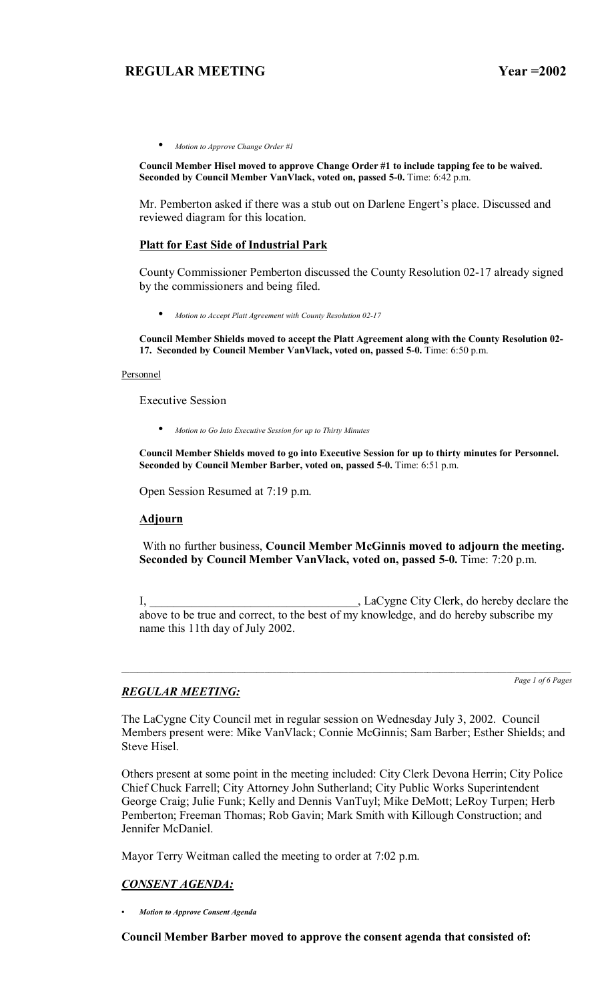• *Motion to Approve Change Order #1*

**Council Member Hisel moved to approve Change Order #1 to include tapping fee to be waived.**  Seconded by Council Member VanVlack, voted on, passed 5-0. Time: 6:42 p.m.

Mr. Pemberton asked if there was a stub out on Darlene Engert's place. Discussed and reviewed diagram for this location.

### **Platt for East Side of Industrial Park**

County Commissioner Pemberton discussed the County Resolution 02-17 already signed by the commissioners and being filed.

• *Motion to Accept Platt Agreement with County Resolution 02-17*

**Council Member Shields moved to accept the Platt Agreement along with the County Resolution 02- 17. Seconded by Council Member VanVlack, voted on, passed 5-0.** Time: 6:50 p.m.

#### Personnel

Executive Session

• *Motion to Go Into Executive Session for up to Thirty Minutes*

**Council Member Shields moved to go into Executive Session for up to thirty minutes for Personnel. Seconded by Council Member Barber, voted on, passed 5-0.** Time: 6:51 p.m.

Open Session Resumed at 7:19 p.m.

### **Adjourn**

 With no further business, **Council Member McGinnis moved to adjourn the meeting. Seconded by Council Member VanVlack, voted on, passed 5-0.** Time: 7:20 p.m.

I, \_\_\_\_\_\_\_\_\_\_\_\_\_\_\_\_\_\_\_\_\_\_\_\_\_\_\_\_\_\_\_\_\_\_\_, LaCygne City Clerk, do hereby declare the above to be true and correct, to the best of my knowledge, and do hereby subscribe my name this 11th day of July 2002.

*Page 1 of 6 Pages*

### *REGULAR MEETING:*

The LaCygne City Council met in regular session on Wednesday July 3, 2002. Council Members present were: Mike VanVlack; Connie McGinnis; Sam Barber; Esther Shields; and Steve Hisel.

Others present at some point in the meeting included: City Clerk Devona Herrin; City Police Chief Chuck Farrell; City Attorney John Sutherland; City Public Works Superintendent George Craig; Julie Funk; Kelly and Dennis VanTuyl; Mike DeMott; LeRoy Turpen; Herb Pemberton; Freeman Thomas; Rob Gavin; Mark Smith with Killough Construction; and Jennifer McDaniel.

Mayor Terry Weitman called the meeting to order at 7:02 p.m.

### *CONSENT AGENDA:*

*ï Motion to Approve Consent Agenda*

**Council Member Barber moved to approve the consent agenda that consisted of:**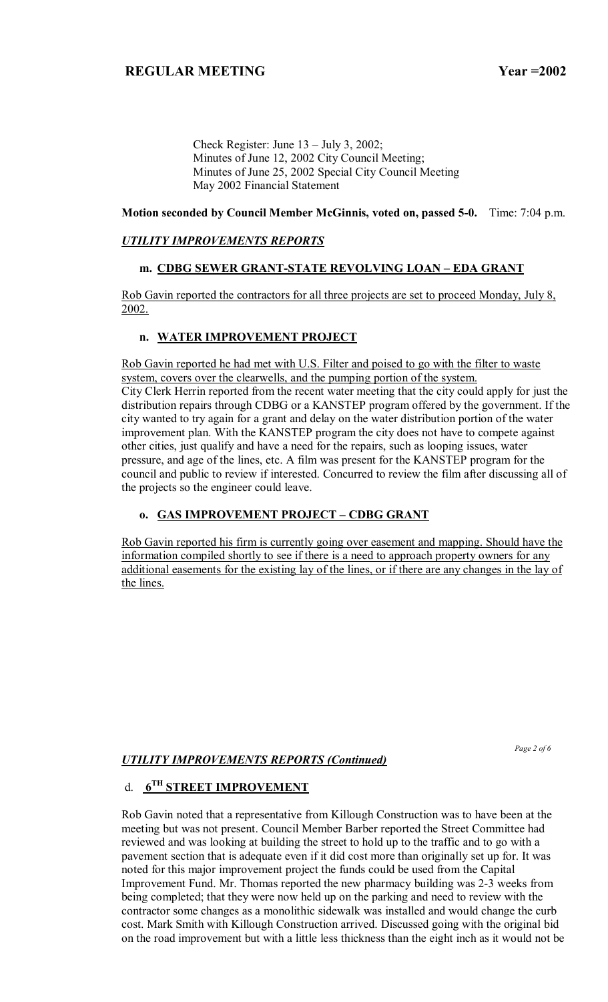Check Register: June  $13 - \text{July } 3$ , 2002; Minutes of June 12, 2002 City Council Meeting; Minutes of June 25, 2002 Special City Council Meeting May 2002 Financial Statement

### **Motion seconded by Council Member McGinnis, voted on, passed 5-0.** Time: 7:04 p.m.

### *UTILITY IMPROVEMENTS REPORTS*

# m. CDBG SEWER GRANT-STATE REVOLVING LOAN - EDA GRANT

Rob Gavin reported the contractors for all three projects are set to proceed Monday, July 8, 2002.

### **n. WATER IMPROVEMENT PROJECT**

Rob Gavin reported he had met with U.S. Filter and poised to go with the filter to waste system, covers over the clearwells, and the pumping portion of the system. City Clerk Herrin reported from the recent water meeting that the city could apply for just the distribution repairs through CDBG or a KANSTEP program offered by the government. If the city wanted to try again for a grant and delay on the water distribution portion of the water improvement plan. With the KANSTEP program the city does not have to compete against other cities, just qualify and have a need for the repairs, such as looping issues, water pressure, and age of the lines, etc. A film was present for the KANSTEP program for the council and public to review if interested. Concurred to review the film after discussing all of the projects so the engineer could leave.

# **o. GAS IMPROVEMENT PROJECT - CDBG GRANT**

Rob Gavin reported his firm is currently going over easement and mapping. Should have the information compiled shortly to see if there is a need to approach property owners for any additional easements for the existing lay of the lines, or if there are any changes in the lay of the lines.

 *Page 2 of 6* 

### *UTILITY IMPROVEMENTS REPORTS (Continued)*

# d. **6TH STREET IMPROVEMENT**

Rob Gavin noted that a representative from Killough Construction was to have been at the meeting but was not present. Council Member Barber reported the Street Committee had reviewed and was looking at building the street to hold up to the traffic and to go with a pavement section that is adequate even if it did cost more than originally set up for. It was noted for this major improvement project the funds could be used from the Capital Improvement Fund. Mr. Thomas reported the new pharmacy building was 2-3 weeks from being completed; that they were now held up on the parking and need to review with the contractor some changes as a monolithic sidewalk was installed and would change the curb cost. Mark Smith with Killough Construction arrived. Discussed going with the original bid on the road improvement but with a little less thickness than the eight inch as it would not be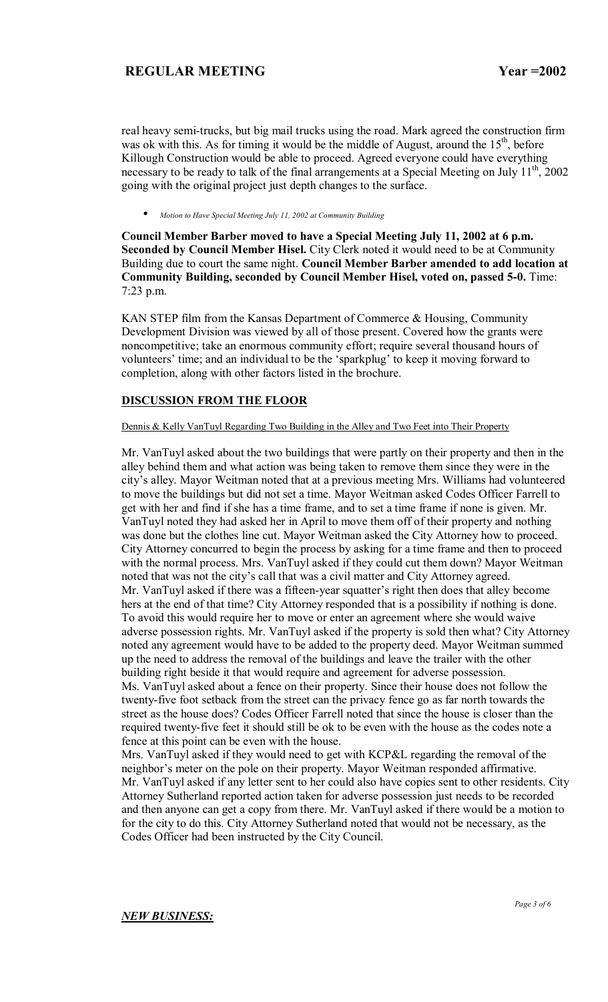real heavy semi-trucks, but big mail trucks using the road. Mark agreed the construction firm was ok with this. As for timing it would be the middle of August, around the  $15<sup>th</sup>$ , before Killough Construction would be able to proceed. Agreed everyone could have everything necessary to be ready to talk of the final arrangements at a Special Meeting on July  $11^{th}$ , 2002 going with the original project just depth changes to the surface.

• *Motion to Have Special Meeting July 11, 2002 at Community Building*

**Council Member Barber moved to have a Special Meeting July 11, 2002 at 6 p.m. Seconded by Council Member Hisel.** City Clerk noted it would need to be at Community Building due to court the same night. **Council Member Barber amended to add location at Community Building, seconded by Council Member Hisel, voted on, passed 5-0.** Time: 7:23 p.m.

KAN STEP film from the Kansas Department of Commerce & Housing, Community Development Division was viewed by all of those present. Covered how the grants were noncompetitive; take an enormous community effort; require several thousand hours of volunteers' time; and an individual to be the 'sparkplug' to keep it moving forward to completion, along with other factors listed in the brochure.

### **DISCUSSION FROM THE FLOOR**

### Dennis & Kelly VanTuyl Regarding Two Building in the Alley and Two Feet into Their Property

Mr. VanTuyl asked about the two buildings that were partly on their property and then in the alley behind them and what action was being taken to remove them since they were in the cityís alley. Mayor Weitman noted that at a previous meeting Mrs. Williams had volunteered to move the buildings but did not set a time. Mayor Weitman asked Codes Officer Farrell to get with her and find if she has a time frame, and to set a time frame if none is given. Mr. VanTuyl noted they had asked her in April to move them off of their property and nothing was done but the clothes line cut. Mayor Weitman asked the City Attorney how to proceed. City Attorney concurred to begin the process by asking for a time frame and then to proceed with the normal process. Mrs. VanTuyl asked if they could cut them down? Mayor Weitman noted that was not the city's call that was a civil matter and City Attorney agreed. Mr. VanTuyl asked if there was a fifteen-year squatter's right then does that alley become hers at the end of that time? City Attorney responded that is a possibility if nothing is done. To avoid this would require her to move or enter an agreement where she would waive adverse possession rights. Mr. VanTuyl asked if the property is sold then what? City Attorney noted any agreement would have to be added to the property deed. Mayor Weitman summed up the need to address the removal of the buildings and leave the trailer with the other building right beside it that would require and agreement for adverse possession. Ms. VanTuyl asked about a fence on their property. Since their house does not follow the twenty-five foot setback from the street can the privacy fence go as far north towards the street as the house does? Codes Officer Farrell noted that since the house is closer than the required twenty-five feet it should still be ok to be even with the house as the codes note a fence at this point can be even with the house.

Mrs. VanTuyl asked if they would need to get with KCP&L regarding the removal of the neighbor's meter on the pole on their property. Mayor Weitman responded affirmative. Mr. VanTuyl asked if any letter sent to her could also have copies sent to other residents. City Attorney Sutherland reported action taken for adverse possession just needs to be recorded and then anyone can get a copy from there. Mr. VanTuyl asked if there would be a motion to for the city to do this. City Attorney Sutherland noted that would not be necessary, as the Codes Officer had been instructed by the City Council.

### *NEW BUSINESS:*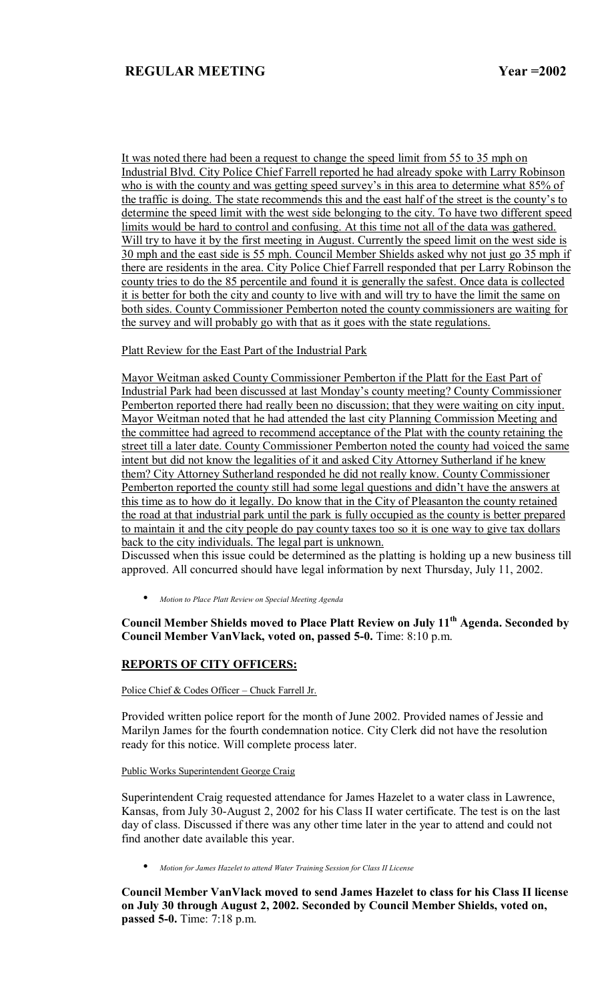It was noted there had been a request to change the speed limit from 55 to 35 mph on Industrial Blvd. City Police Chief Farrell reported he had already spoke with Larry Robinson who is with the county and was getting speed survey's in this area to determine what 85% of the traffic is doing. The state recommends this and the east half of the street is the county's to determine the speed limit with the west side belonging to the city. To have two different speed limits would be hard to control and confusing. At this time not all of the data was gathered. Will try to have it by the first meeting in August. Currently the speed limit on the west side is 30 mph and the east side is 55 mph. Council Member Shields asked why not just go 35 mph if there are residents in the area. City Police Chief Farrell responded that per Larry Robinson the county tries to do the 85 percentile and found it is generally the safest. Once data is collected it is better for both the city and county to live with and will try to have the limit the same on both sides. County Commissioner Pemberton noted the county commissioners are waiting for the survey and will probably go with that as it goes with the state regulations.

Platt Review for the East Part of the Industrial Park

Mayor Weitman asked County Commissioner Pemberton if the Platt for the East Part of Industrial Park had been discussed at last Monday's county meeting? County Commissioner Pemberton reported there had really been no discussion; that they were waiting on city input. Mayor Weitman noted that he had attended the last city Planning Commission Meeting and the committee had agreed to recommend acceptance of the Plat with the county retaining the street till a later date. County Commissioner Pemberton noted the county had voiced the same intent but did not know the legalities of it and asked City Attorney Sutherland if he knew them? City Attorney Sutherland responded he did not really know. County Commissioner Pemberton reported the county still had some legal questions and didn't have the answers at this time as to how do it legally. Do know that in the City of Pleasanton the county retained the road at that industrial park until the park is fully occupied as the county is better prepared to maintain it and the city people do pay county taxes too so it is one way to give tax dollars back to the city individuals. The legal part is unknown.

Discussed when this issue could be determined as the platting is holding up a new business till approved. All concurred should have legal information by next Thursday, July 11, 2002.

• *Motion to Place Platt Review on Special Meeting Agenda*

# **Council Member Shields moved to Place Platt Review on July 11th Agenda. Seconded by Council Member VanVlack, voted on, passed 5-0.** Time: 8:10 p.m.

## **REPORTS OF CITY OFFICERS:**

Police Chief  $& Codes$  Officer – Chuck Farrell Jr.

Provided written police report for the month of June 2002. Provided names of Jessie and Marilyn James for the fourth condemnation notice. City Clerk did not have the resolution ready for this notice. Will complete process later.

#### Public Works Superintendent George Craig

Superintendent Craig requested attendance for James Hazelet to a water class in Lawrence, Kansas, from July 30-August 2, 2002 for his Class II water certificate. The test is on the last day of class. Discussed if there was any other time later in the year to attend and could not find another date available this year.

• *Motion for James Hazelet to attend Water Training Session for Class II License*

**Council Member VanVlack moved to send James Hazelet to class for his Class II license on July 30 through August 2, 2002. Seconded by Council Member Shields, voted on, passed 5-0.** Time: 7:18 p.m.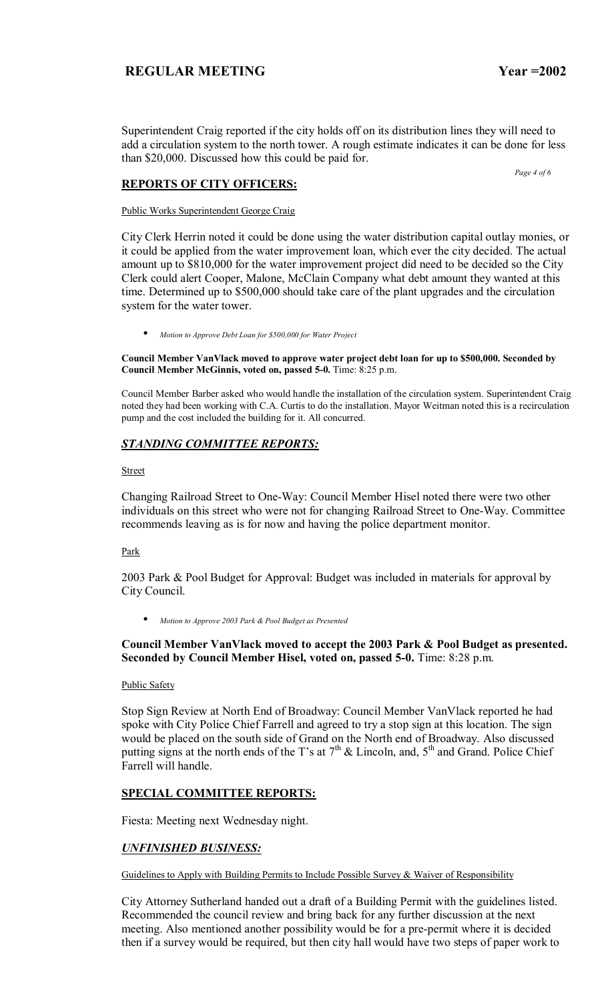Superintendent Craig reported if the city holds off on its distribution lines they will need to add a circulation system to the north tower. A rough estimate indicates it can be done for less than \$20,000. Discussed how this could be paid for.

 *Page 4 of 6* 

### **REPORTS OF CITY OFFICERS:**

Public Works Superintendent George Craig

City Clerk Herrin noted it could be done using the water distribution capital outlay monies, or it could be applied from the water improvement loan, which ever the city decided. The actual amount up to \$810,000 for the water improvement project did need to be decided so the City Clerk could alert Cooper, Malone, McClain Company what debt amount they wanted at this time. Determined up to \$500,000 should take care of the plant upgrades and the circulation system for the water tower.

• *Motion to Approve Debt Loan for \$500,000 for Water Project*

**Council Member VanVlack moved to approve water project debt loan for up to \$500,000. Seconded by Council Member McGinnis, voted on, passed 5-0.** Time: 8:25 p.m.

Council Member Barber asked who would handle the installation of the circulation system. Superintendent Craig noted they had been working with C.A. Curtis to do the installation. Mayor Weitman noted this is a recirculation pump and the cost included the building for it. All concurred.

# *STANDING COMMITTEE REPORTS:*

**Street** 

Changing Railroad Street to One-Way: Council Member Hisel noted there were two other individuals on this street who were not for changing Railroad Street to One-Way. Committee recommends leaving as is for now and having the police department monitor.

Park

2003 Park & Pool Budget for Approval: Budget was included in materials for approval by City Council.

• *Motion to Approve 2003 Park & Pool Budget as Presented*

## **Council Member VanVlack moved to accept the 2003 Park & Pool Budget as presented. Seconded by Council Member Hisel, voted on, passed 5-0.** Time: 8:28 p.m.

### Public Safety

Stop Sign Review at North End of Broadway: Council Member VanVlack reported he had spoke with City Police Chief Farrell and agreed to try a stop sign at this location. The sign would be placed on the south side of Grand on the North end of Broadway. Also discussed putting signs at the north ends of the T's at  $7<sup>th</sup>$  & Lincoln, and,  $5<sup>th</sup>$  and Grand. Police Chief Farrell will handle.

## **SPECIAL COMMITTEE REPORTS:**

Fiesta: Meeting next Wednesday night.

## *UNFINISHED BUSINESS:*

Guidelines to Apply with Building Permits to Include Possible Survey & Waiver of Responsibility

City Attorney Sutherland handed out a draft of a Building Permit with the guidelines listed. Recommended the council review and bring back for any further discussion at the next meeting. Also mentioned another possibility would be for a pre-permit where it is decided then if a survey would be required, but then city hall would have two steps of paper work to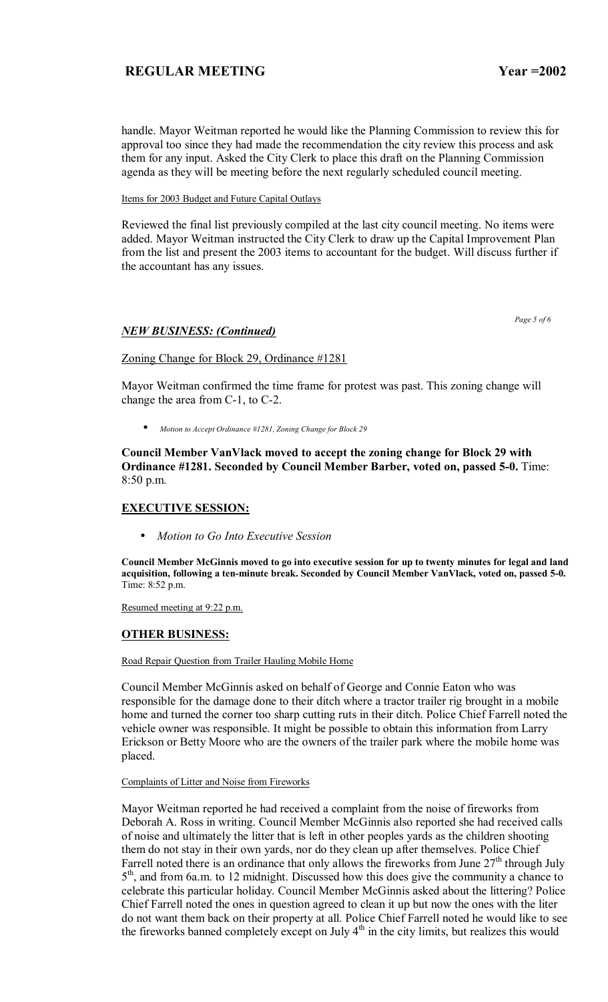handle. Mayor Weitman reported he would like the Planning Commission to review this for approval too since they had made the recommendation the city review this process and ask them for any input. Asked the City Clerk to place this draft on the Planning Commission agenda as they will be meeting before the next regularly scheduled council meeting.

### Items for 2003 Budget and Future Capital Outlays

Reviewed the final list previously compiled at the last city council meeting. No items were added. Mayor Weitman instructed the City Clerk to draw up the Capital Improvement Plan from the list and present the 2003 items to accountant for the budget. Will discuss further if the accountant has any issues.

 *Page 5 of 6* 

### *NEW BUSINESS: (Continued)*

## Zoning Change for Block 29, Ordinance #1281

Mayor Weitman confirmed the time frame for protest was past. This zoning change will change the area from C-1, to C-2.

• *Motion to Accept Ordinance #1281, Zoning Change for Block 29*

**Council Member VanVlack moved to accept the zoning change for Block 29 with Ordinance #1281. Seconded by Council Member Barber, voted on, passed 5-0.** Time: 8:50 p.m.

## **EXECUTIVE SESSION:**

• *Motion to Go Into Executive Session*

**Council Member McGinnis moved to go into executive session for up to twenty minutes for legal and land acquisition, following a ten-minute break. Seconded by Council Member VanVlack, voted on, passed 5-0.**  Time: 8:52 p.m.

Resumed meeting at 9:22 p.m.

## **OTHER BUSINESS:**

Road Repair Question from Trailer Hauling Mobile Home

Council Member McGinnis asked on behalf of George and Connie Eaton who was responsible for the damage done to their ditch where a tractor trailer rig brought in a mobile home and turned the corner too sharp cutting ruts in their ditch. Police Chief Farrell noted the vehicle owner was responsible. It might be possible to obtain this information from Larry Erickson or Betty Moore who are the owners of the trailer park where the mobile home was placed.

### Complaints of Litter and Noise from Fireworks

Mayor Weitman reported he had received a complaint from the noise of fireworks from Deborah A. Ross in writing. Council Member McGinnis also reported she had received calls of noise and ultimately the litter that is left in other peoples yards as the children shooting them do not stay in their own yards, nor do they clean up after themselves. Police Chief Farrell noted there is an ordinance that only allows the fireworks from June  $27<sup>th</sup>$  through July  $5<sup>th</sup>$ , and from 6a.m. to 12 midnight. Discussed how this does give the community a chance to celebrate this particular holiday. Council Member McGinnis asked about the littering? Police Chief Farrell noted the ones in question agreed to clean it up but now the ones with the liter do not want them back on their property at all. Police Chief Farrell noted he would like to see the fireworks banned completely except on July  $4<sup>th</sup>$  in the city limits, but realizes this would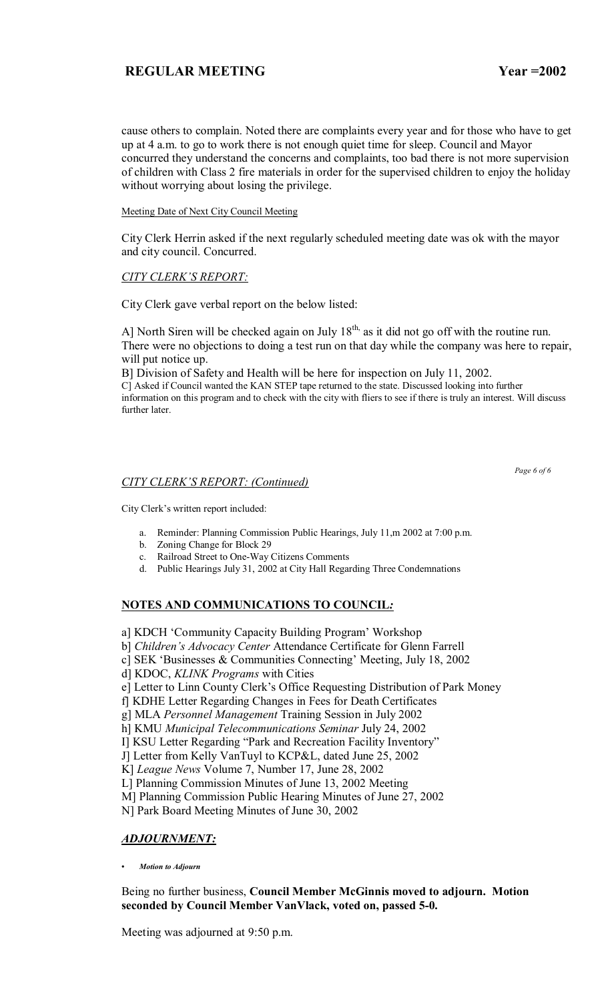Meeting Date of Next City Council Meeting

City Clerk Herrin asked if the next regularly scheduled meeting date was ok with the mayor and city council. Concurred.

## **CITY CLERK'S REPORT:**

City Clerk gave verbal report on the below listed:

A] North Siren will be checked again on July  $18<sup>th</sup>$ , as it did not go off with the routine run. There were no objections to doing a test run on that day while the company was here to repair, will put notice up.

B] Division of Safety and Health will be here for inspection on July 11, 2002.

C] Asked if Council wanted the KAN STEP tape returned to the state. Discussed looking into further information on this program and to check with the city with fliers to see if there is truly an interest. Will discuss further later.

## *CITY CLERKíS REPORT: (Continued)*

 *Page 6 of 6* 

City Clerk's written report included:

- a. Reminder: Planning Commission Public Hearings, July 11,m 2002 at 7:00 p.m.
- b. Zoning Change for Block 29
- c. Railroad Street to One-Way Citizens Comments
- d. Public Hearings July 31, 2002 at City Hall Regarding Three Condemnations

# **NOTES AND COMMUNICATIONS TO COUNCIL***:*

- a] KDCH 'Community Capacity Building Program' Workshop
- b] *Children's Advocacy Center* Attendance Certificate for Glenn Farrell
- c] SEK 'Businesses  $&$  Communities Connecting' Meeting, July 18, 2002
- d] KDOC, *KLINK Programs* with Cities
- e] Letter to Linn County Clerk's Office Requesting Distribution of Park Money
- f] KDHE Letter Regarding Changes in Fees for Death Certificates

g] MLA *Personnel Management* Training Session in July 2002

h] KMU *Municipal Telecommunications Seminar* July 24, 2002

I] KSU Letter Regarding "Park and Recreation Facility Inventory"

J] Letter from Kelly VanTuyl to KCP&L, dated June 25, 2002

K] *League News* Volume 7, Number 17, June 28, 2002

L] Planning Commission Minutes of June 13, 2002 Meeting

M] Planning Commission Public Hearing Minutes of June 27, 2002

N] Park Board Meeting Minutes of June 30, 2002

## *ADJOURNMENT:*

*ï Motion to Adjourn*

## Being no further business, **Council Member McGinnis moved to adjourn. Motion seconded by Council Member VanVlack, voted on, passed 5-0.**

Meeting was adjourned at 9:50 p.m.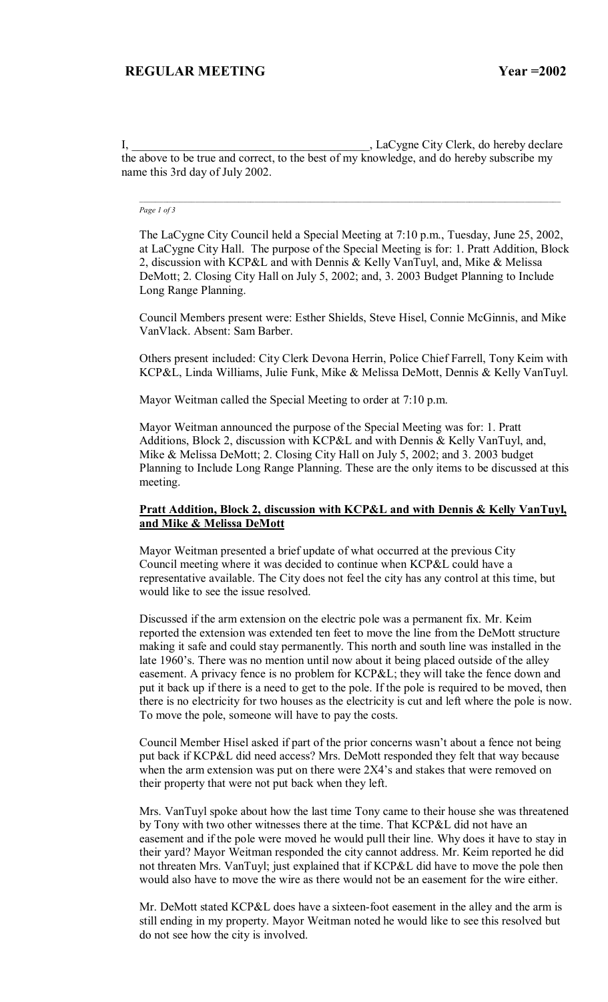I, \_\_\_\_\_\_\_\_\_\_\_\_\_\_\_\_\_\_\_\_\_\_\_\_\_\_\_\_\_\_\_\_\_\_\_\_\_\_\_\_, LaCygne City Clerk, do hereby declare the above to be true and correct, to the best of my knowledge, and do hereby subscribe my name this 3rd day of July 2002.

#### *Page 1 of 3*

The LaCygne City Council held a Special Meeting at 7:10 p.m., Tuesday, June 25, 2002, at LaCygne City Hall. The purpose of the Special Meeting is for: 1. Pratt Addition, Block 2, discussion with KCP&L and with Dennis & Kelly VanTuyl, and, Mike & Melissa DeMott; 2. Closing City Hall on July 5, 2002; and, 3. 2003 Budget Planning to Include Long Range Planning.

Council Members present were: Esther Shields, Steve Hisel, Connie McGinnis, and Mike VanVlack. Absent: Sam Barber.

Others present included: City Clerk Devona Herrin, Police Chief Farrell, Tony Keim with KCP&L, Linda Williams, Julie Funk, Mike & Melissa DeMott, Dennis & Kelly VanTuyl.

Mayor Weitman called the Special Meeting to order at 7:10 p.m.

Mayor Weitman announced the purpose of the Special Meeting was for: 1. Pratt Additions, Block 2, discussion with KCP&L and with Dennis & Kelly VanTuyl, and, Mike & Melissa DeMott; 2. Closing City Hall on July 5, 2002; and 3. 2003 budget Planning to Include Long Range Planning. These are the only items to be discussed at this meeting.

### **Pratt Addition, Block 2, discussion with KCP&L and with Dennis & Kelly VanTuyl, and Mike & Melissa DeMott**

Mayor Weitman presented a brief update of what occurred at the previous City Council meeting where it was decided to continue when KCP&L could have a representative available. The City does not feel the city has any control at this time, but would like to see the issue resolved.

Discussed if the arm extension on the electric pole was a permanent fix. Mr. Keim reported the extension was extended ten feet to move the line from the DeMott structure making it safe and could stay permanently. This north and south line was installed in the late 1960's. There was no mention until now about it being placed outside of the alley easement. A privacy fence is no problem for KCP&L; they will take the fence down and put it back up if there is a need to get to the pole. If the pole is required to be moved, then there is no electricity for two houses as the electricity is cut and left where the pole is now. To move the pole, someone will have to pay the costs.

Council Member Hisel asked if part of the prior concerns wasn't about a fence not being put back if KCP&L did need access? Mrs. DeMott responded they felt that way because when the arm extension was put on there were  $2X4$ 's and stakes that were removed on their property that were not put back when they left.

Mrs. VanTuyl spoke about how the last time Tony came to their house she was threatened by Tony with two other witnesses there at the time. That KCP&L did not have an easement and if the pole were moved he would pull their line. Why does it have to stay in their yard? Mayor Weitman responded the city cannot address. Mr. Keim reported he did not threaten Mrs. VanTuyl; just explained that if KCP&L did have to move the pole then would also have to move the wire as there would not be an easement for the wire either.

Mr. DeMott stated KCP&L does have a sixteen-foot easement in the alley and the arm is still ending in my property. Mayor Weitman noted he would like to see this resolved but do not see how the city is involved.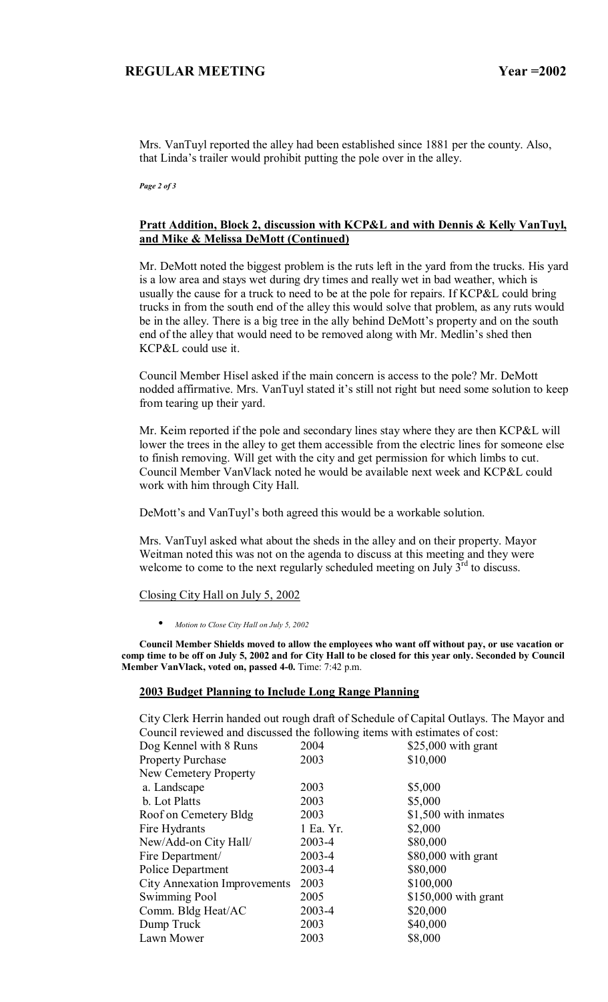Mrs. VanTuyl reported the alley had been established since 1881 per the county. Also, that Linda's trailer would prohibit putting the pole over in the alley.

*Page 2 of 3* 

## **Pratt Addition, Block 2, discussion with KCP&L and with Dennis & Kelly VanTuyl, and Mike & Melissa DeMott (Continued)**

Mr. DeMott noted the biggest problem is the ruts left in the yard from the trucks. His yard is a low area and stays wet during dry times and really wet in bad weather, which is usually the cause for a truck to need to be at the pole for repairs. If KCP&L could bring trucks in from the south end of the alley this would solve that problem, as any ruts would be in the alley. There is a big tree in the ally behind DeMott's property and on the south end of the alley that would need to be removed along with Mr. Medlin's shed then KCP&L could use it.

Council Member Hisel asked if the main concern is access to the pole? Mr. DeMott nodded affirmative. Mrs. VanTuyl stated it's still not right but need some solution to keep from tearing up their yard.

Mr. Keim reported if the pole and secondary lines stay where they are then KCP&L will lower the trees in the alley to get them accessible from the electric lines for someone else to finish removing. Will get with the city and get permission for which limbs to cut. Council Member VanVlack noted he would be available next week and KCP&L could work with him through City Hall.

DeMott's and VanTuyl's both agreed this would be a workable solution.

Mrs. VanTuyl asked what about the sheds in the alley and on their property. Mayor Weitman noted this was not on the agenda to discuss at this meeting and they were welcome to come to the next regularly scheduled meeting on July  $3<sup>rd</sup>$  to discuss.

### Closing City Hall on July 5, 2002

• *Motion to Close City Hall on July 5, 2002*

**Council Member Shields moved to allow the employees who want off without pay, or use vacation or comp time to be off on July 5, 2002 and for City Hall to be closed for this year only. Seconded by Council Member VanVlack, voted on, passed 4-0.** Time: 7:42 p.m.

### **2003 Budget Planning to Include Long Range Planning**

City Clerk Herrin handed out rough draft of Schedule of Capital Outlays. The Mayor and Council reviewed and discussed the following items with estimates of cost:

| Dog Kennel with 8 Runs              | 2004      | $$25,000$ with grant  |
|-------------------------------------|-----------|-----------------------|
| <b>Property Purchase</b>            | 2003      | \$10,000              |
| New Cemetery Property               |           |                       |
| a. Landscape                        | 2003      | \$5,000               |
| b. Lot Platts                       | 2003      | \$5,000               |
| Roof on Cemetery Bldg               | 2003      | \$1,500 with inmates  |
| Fire Hydrants                       | 1 Ea. Yr. | \$2,000               |
| New/Add-on City Hall/               | 2003-4    | \$80,000              |
| Fire Department/                    | 2003-4    | \$80,000 with grant   |
| Police Department                   | 2003-4    | \$80,000              |
| <b>City Annexation Improvements</b> | 2003      | \$100,000             |
| Swimming Pool                       | 2005      | $$150,000$ with grant |
| Comm. Bldg Heat/AC                  | 2003-4    | \$20,000              |
| Dump Truck                          | 2003      | \$40,000              |
| Lawn Mower                          | 2003      | \$8,000               |
|                                     |           |                       |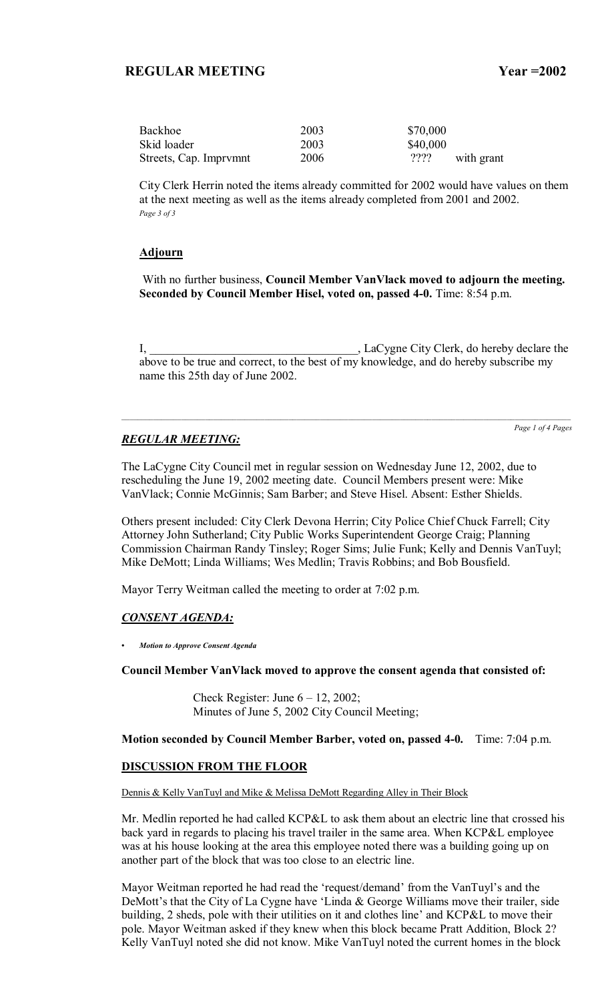| Backhoe                | 2003 | \$70,000         |
|------------------------|------|------------------|
| Skid loader            | 2003 | \$40,000         |
| Streets, Cap. Imprymnt | 2006 | ??<br>with grant |

City Clerk Herrin noted the items already committed for 2002 would have values on them at the next meeting as well as the items already completed from 2001 and 2002. *Page 3 of 3* 

### **Adjourn**

 With no further business, **Council Member VanVlack moved to adjourn the meeting. Seconded by Council Member Hisel, voted on, passed 4-0.** Time: 8:54 p.m.

I, \_\_\_\_\_\_\_\_\_\_\_\_\_\_\_\_\_\_\_\_\_\_\_\_\_\_\_\_\_\_\_\_\_\_\_, LaCygne City Clerk, do hereby declare the above to be true and correct, to the best of my knowledge, and do hereby subscribe my name this 25th day of June 2002.

## *REGULAR MEETING:*

*Page 1 of 4 Pages*

The LaCygne City Council met in regular session on Wednesday June 12, 2002, due to rescheduling the June 19, 2002 meeting date. Council Members present were: Mike VanVlack; Connie McGinnis; Sam Barber; and Steve Hisel. Absent: Esther Shields.

Others present included: City Clerk Devona Herrin; City Police Chief Chuck Farrell; City Attorney John Sutherland; City Public Works Superintendent George Craig; Planning Commission Chairman Randy Tinsley; Roger Sims; Julie Funk; Kelly and Dennis VanTuyl; Mike DeMott; Linda Williams; Wes Medlin; Travis Robbins; and Bob Bousfield.

Mayor Terry Weitman called the meeting to order at 7:02 p.m.

## *CONSENT AGENDA:*

*ï Motion to Approve Consent Agenda*

**Council Member VanVlack moved to approve the consent agenda that consisted of:**

Check Register: June  $6 - 12$ , 2002; Minutes of June 5, 2002 City Council Meeting;

**Motion seconded by Council Member Barber, voted on, passed 4-0.** Time: 7:04 p.m.

### **DISCUSSION FROM THE FLOOR**

Dennis & Kelly VanTuyl and Mike & Melissa DeMott Regarding Alley in Their Block

Mr. Medlin reported he had called KCP&L to ask them about an electric line that crossed his back yard in regards to placing his travel trailer in the same area. When KCP&L employee was at his house looking at the area this employee noted there was a building going up on another part of the block that was too close to an electric line.

Mayor Weitman reported he had read the 'request/demand' from the VanTuyl's and the DeMott's that the City of La Cygne have 'Linda  $&$  George Williams move their trailer, side building, 2 sheds, pole with their utilities on it and clothes line' and KCP&L to move their pole. Mayor Weitman asked if they knew when this block became Pratt Addition, Block 2? Kelly VanTuyl noted she did not know. Mike VanTuyl noted the current homes in the block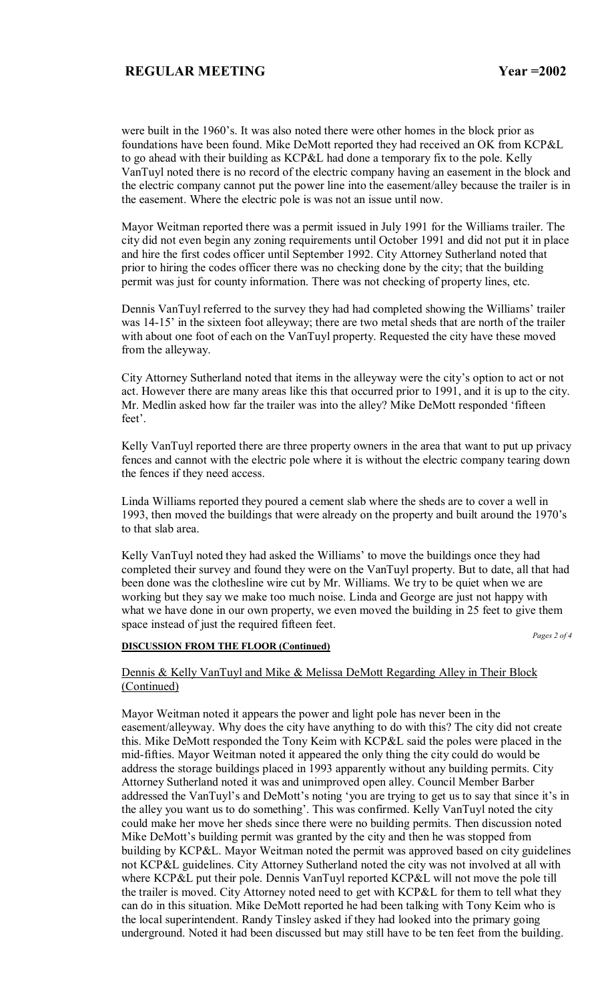were built in the 1960's. It was also noted there were other homes in the block prior as foundations have been found. Mike DeMott reported they had received an OK from KCP&L to go ahead with their building as KCP&L had done a temporary fix to the pole. Kelly VanTuyl noted there is no record of the electric company having an easement in the block and the electric company cannot put the power line into the easement/alley because the trailer is in the easement. Where the electric pole is was not an issue until now.

Mayor Weitman reported there was a permit issued in July 1991 for the Williams trailer. The city did not even begin any zoning requirements until October 1991 and did not put it in place and hire the first codes officer until September 1992. City Attorney Sutherland noted that prior to hiring the codes officer there was no checking done by the city; that the building permit was just for county information. There was not checking of property lines, etc.

Dennis VanTuyl referred to the survey they had had completed showing the Williams' trailer was 14-15<sup>'</sup> in the sixteen foot alleyway; there are two metal sheds that are north of the trailer with about one foot of each on the VanTuyl property. Requested the city have these moved from the alleyway.

City Attorney Sutherland noted that items in the alleyway were the city's option to act or not act. However there are many areas like this that occurred prior to 1991, and it is up to the city. Mr. Medlin asked how far the trailer was into the alley? Mike DeMott responded 'fifteen feet'.

Kelly VanTuyl reported there are three property owners in the area that want to put up privacy fences and cannot with the electric pole where it is without the electric company tearing down the fences if they need access.

Linda Williams reported they poured a cement slab where the sheds are to cover a well in 1993, then moved the buildings that were already on the property and built around the 1970's to that slab area.

Kelly VanTuyl noted they had asked the Williams' to move the buildings once they had completed their survey and found they were on the VanTuyl property. But to date, all that had been done was the clothesline wire cut by Mr. Williams. We try to be quiet when we are working but they say we make too much noise. Linda and George are just not happy with what we have done in our own property, we even moved the building in 25 feet to give them space instead of just the required fifteen feet.

*Pages 2 of 4* 

### **DISCUSSION FROM THE FLOOR (Continued)**

Dennis & Kelly VanTuyl and Mike & Melissa DeMott Regarding Alley in Their Block (Continued)

Mayor Weitman noted it appears the power and light pole has never been in the easement/alleyway. Why does the city have anything to do with this? The city did not create this. Mike DeMott responded the Tony Keim with KCP&L said the poles were placed in the mid-fifties. Mayor Weitman noted it appeared the only thing the city could do would be address the storage buildings placed in 1993 apparently without any building permits. City Attorney Sutherland noted it was and unimproved open alley. Council Member Barber addressed the VanTuyl's and DeMott's noting 'you are trying to get us to say that since it's in the alley you want us to do something'. This was confirmed. Kelly VanTuyl noted the city could make her move her sheds since there were no building permits. Then discussion noted Mike DeMott's building permit was granted by the city and then he was stopped from building by KCP&L. Mayor Weitman noted the permit was approved based on city guidelines not KCP&L guidelines. City Attorney Sutherland noted the city was not involved at all with where KCP&L put their pole. Dennis VanTuyl reported KCP&L will not move the pole till the trailer is moved. City Attorney noted need to get with KCP&L for them to tell what they can do in this situation. Mike DeMott reported he had been talking with Tony Keim who is the local superintendent. Randy Tinsley asked if they had looked into the primary going underground. Noted it had been discussed but may still have to be ten feet from the building.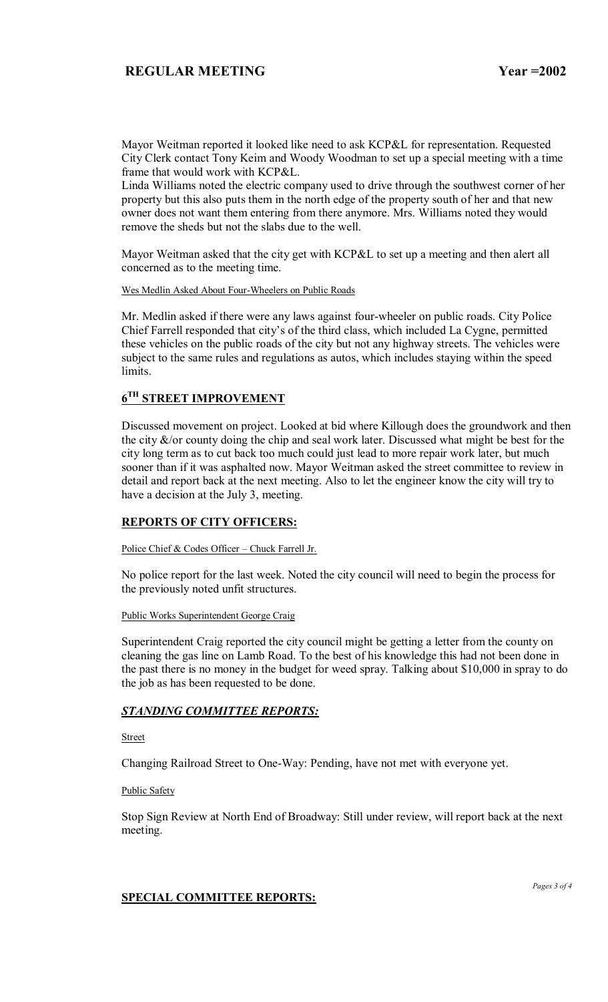Mayor Weitman reported it looked like need to ask KCP&L for representation. Requested City Clerk contact Tony Keim and Woody Woodman to set up a special meeting with a time frame that would work with KCP&L.

Linda Williams noted the electric company used to drive through the southwest corner of her property but this also puts them in the north edge of the property south of her and that new owner does not want them entering from there anymore. Mrs. Williams noted they would remove the sheds but not the slabs due to the well.

Mayor Weitman asked that the city get with KCP&L to set up a meeting and then alert all concerned as to the meeting time.

Wes Medlin Asked About Four-Wheelers on Public Roads

Mr. Medlin asked if there were any laws against four-wheeler on public roads. City Police Chief Farrell responded that city's of the third class, which included La Cygne, permitted these vehicles on the public roads of the city but not any highway streets. The vehicles were subject to the same rules and regulations as autos, which includes staying within the speed limits.

# **6TH STREET IMPROVEMENT**

Discussed movement on project. Looked at bid where Killough does the groundwork and then the city  $\&$ /or county doing the chip and seal work later. Discussed what might be best for the city long term as to cut back too much could just lead to more repair work later, but much sooner than if it was asphalted now. Mayor Weitman asked the street committee to review in detail and report back at the next meeting. Also to let the engineer know the city will try to have a decision at the July 3, meeting.

## **REPORTS OF CITY OFFICERS:**

Police Chief & Codes Officer - Chuck Farrell Jr.

No police report for the last week. Noted the city council will need to begin the process for the previously noted unfit structures.

### Public Works Superintendent George Craig

Superintendent Craig reported the city council might be getting a letter from the county on cleaning the gas line on Lamb Road. To the best of his knowledge this had not been done in the past there is no money in the budget for weed spray. Talking about \$10,000 in spray to do the job as has been requested to be done.

## *STANDING COMMITTEE REPORTS:*

Street

Changing Railroad Street to One-Way: Pending, have not met with everyone yet.

### Public Safety

Stop Sign Review at North End of Broadway: Still under review, will report back at the next meeting.

### **SPECIAL COMMITTEE REPORTS:**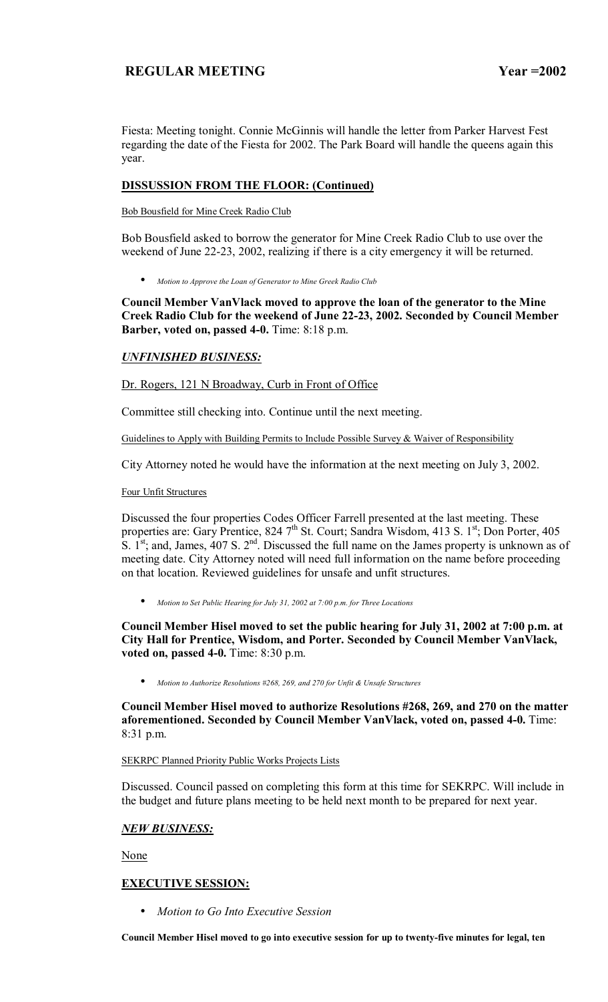Fiesta: Meeting tonight. Connie McGinnis will handle the letter from Parker Harvest Fest regarding the date of the Fiesta for 2002. The Park Board will handle the queens again this year.

## **DISSUSSION FROM THE FLOOR: (Continued)**

Bob Bousfield for Mine Creek Radio Club

Bob Bousfield asked to borrow the generator for Mine Creek Radio Club to use over the weekend of June 22-23, 2002, realizing if there is a city emergency it will be returned.

• *Motion to Approve the Loan of Generator to Mine Greek Radio Club*

**Council Member VanVlack moved to approve the loan of the generator to the Mine Creek Radio Club for the weekend of June 22-23, 2002. Seconded by Council Member Barber, voted on, passed 4-0.** Time: 8:18 p.m.

## *UNFINISHED BUSINESS:*

Dr. Rogers, 121 N Broadway, Curb in Front of Office

Committee still checking into. Continue until the next meeting.

Guidelines to Apply with Building Permits to Include Possible Survey & Waiver of Responsibility

City Attorney noted he would have the information at the next meeting on July 3, 2002.

Four Unfit Structures

Discussed the four properties Codes Officer Farrell presented at the last meeting. These properties are: Gary Prentice, 824 7<sup>th</sup> St. Court; Sandra Wisdom, 413 S. 1<sup>st</sup>; Don Porter, 405 S.  $1^{st}$ ; and, James, 407 S.  $2^{nd}$ . Discussed the full name on the James property is unknown as of meeting date. City Attorney noted will need full information on the name before proceeding on that location. Reviewed guidelines for unsafe and unfit structures.

• *Motion to Set Public Hearing for July 31, 2002 at 7:00 p.m. for Three Locations*

**Council Member Hisel moved to set the public hearing for July 31, 2002 at 7:00 p.m. at City Hall for Prentice, Wisdom, and Porter. Seconded by Council Member VanVlack, voted on, passed 4-0.** Time: 8:30 p.m.

• *Motion to Authorize Resolutions #268, 269, and 270 for Unfit & Unsafe Structures*

**Council Member Hisel moved to authorize Resolutions #268, 269, and 270 on the matter aforementioned. Seconded by Council Member VanVlack, voted on, passed 4-0.** Time: 8:31 p.m.

### SEKRPC Planned Priority Public Works Projects Lists

Discussed. Council passed on completing this form at this time for SEKRPC. Will include in the budget and future plans meeting to be held next month to be prepared for next year.

## *NEW BUSINESS:*

None

## **EXECUTIVE SESSION:**

• *Motion to Go Into Executive Session*

**Council Member Hisel moved to go into executive session for up to twenty-five minutes for legal, ten**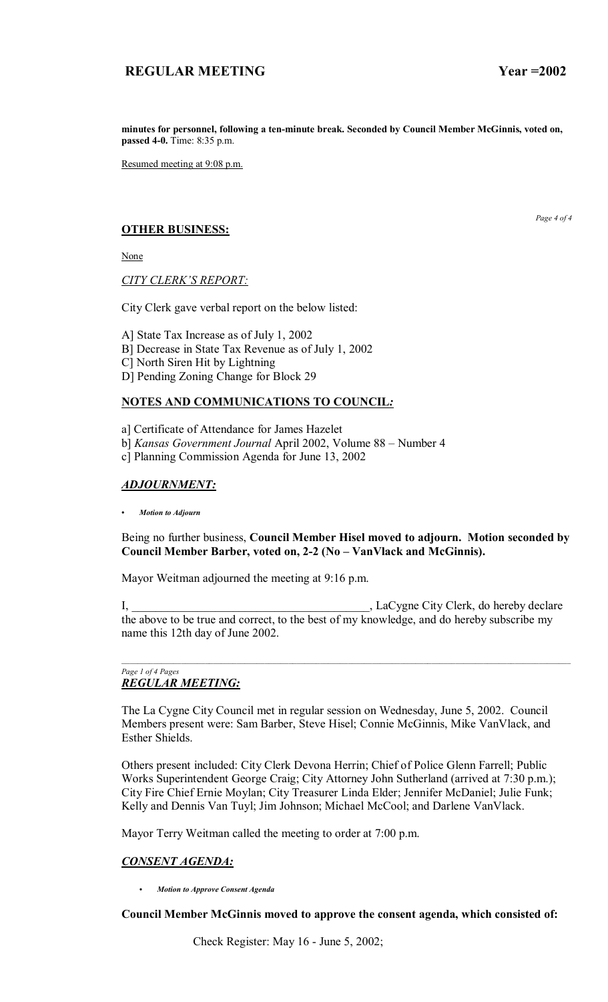**minutes for personnel, following a ten-minute break. Seconded by Council Member McGinnis, voted on, passed 4-0.** Time: 8:35 p.m.

Resumed meeting at 9:08 p.m.

## **OTHER BUSINESS:**

None

**CITY CLERK'S REPORT:** 

City Clerk gave verbal report on the below listed:

A] State Tax Increase as of July 1, 2002

- B] Decrease in State Tax Revenue as of July 1, 2002
- C] North Siren Hit by Lightning
- D] Pending Zoning Change for Block 29

## **NOTES AND COMMUNICATIONS TO COUNCIL***:*

a] Certificate of Attendance for James Hazelet

b] *Kansas Government Journal April 2002, Volume 88 - Number 4* 

c] Planning Commission Agenda for June 13, 2002

## *ADJOURNMENT:*

*ï Motion to Adjourn*

## Being no further business, **Council Member Hisel moved to adjourn. Motion seconded by**  Council Member Barber, voted on, 2-2 (No – VanVlack and McGinnis).

Mayor Weitman adjourned the meeting at 9:16 p.m.

I, \_\_\_\_\_\_\_\_\_\_\_\_\_\_\_\_\_\_\_\_\_\_\_\_\_\_\_\_\_\_\_\_\_\_\_\_\_\_\_\_, LaCygne City Clerk, do hereby declare the above to be true and correct, to the best of my knowledge, and do hereby subscribe my name this 12th day of June 2002.

### *Page 1 of 4 Pages REGULAR MEETING:*

The La Cygne City Council met in regular session on Wednesday, June 5, 2002. Council Members present were: Sam Barber, Steve Hisel; Connie McGinnis, Mike VanVlack, and Esther Shields.

Others present included: City Clerk Devona Herrin; Chief of Police Glenn Farrell; Public Works Superintendent George Craig; City Attorney John Sutherland (arrived at 7:30 p.m.); City Fire Chief Ernie Moylan; City Treasurer Linda Elder; Jennifer McDaniel; Julie Funk; Kelly and Dennis Van Tuyl; Jim Johnson; Michael McCool; and Darlene VanVlack.

Mayor Terry Weitman called the meeting to order at 7:00 p.m.

# *CONSENT AGENDA:*

C *Motion to Approve Consent Agenda*

## **Council Member McGinnis moved to approve the consent agenda, which consisted of:**

Check Register: May 16 - June 5, 2002;

*Page 4 of 4*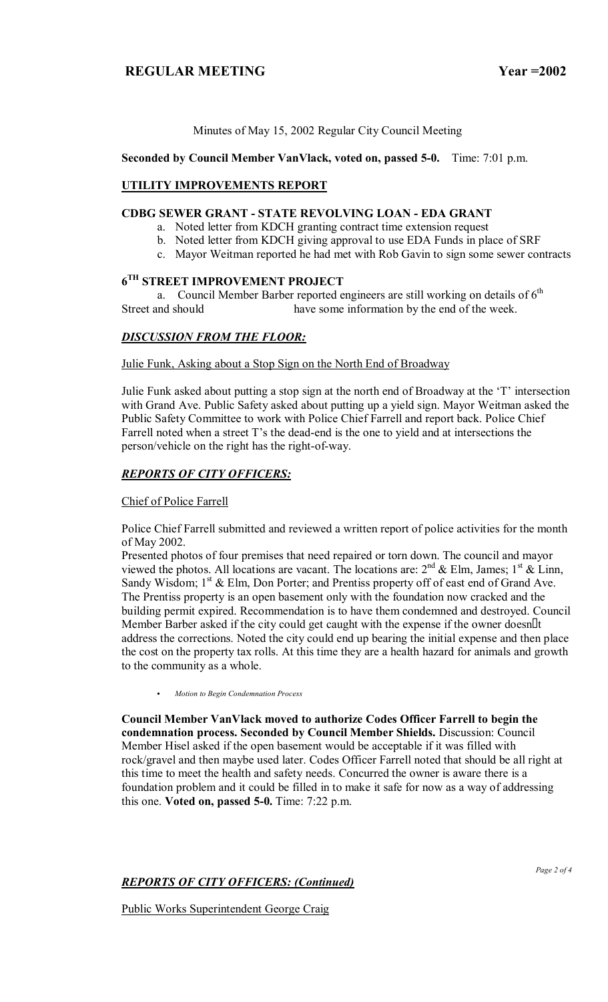Minutes of May 15, 2002 Regular City Council Meeting

**Seconded by Council Member VanVlack, voted on, passed 5-0.** Time: 7:01 p.m.

### **UTILITY IMPROVEMENTS REPORT**

## **CDBG SEWER GRANT - STATE REVOLVING LOAN - EDA GRANT**

- a. Noted letter from KDCH granting contract time extension request
- b. Noted letter from KDCH giving approval to use EDA Funds in place of SRF
- c. Mayor Weitman reported he had met with Rob Gavin to sign some sewer contracts

### **6TH STREET IMPROVEMENT PROJECT**

a. Council Member Barber reported engineers are still working on details of  $6<sup>th</sup>$ Street and should have some information by the end of the week.

## *DISCUSSION FROM THE FLOOR:*

Julie Funk, Asking about a Stop Sign on the North End of Broadway

Julie Funk asked about putting a stop sign at the north end of Broadway at the 'T' intersection with Grand Ave. Public Safety asked about putting up a yield sign. Mayor Weitman asked the Public Safety Committee to work with Police Chief Farrell and report back. Police Chief Farrell noted when a street T's the dead-end is the one to yield and at intersections the person/vehicle on the right has the right-of-way.

### *REPORTS OF CITY OFFICERS:*

### Chief of Police Farrell

Police Chief Farrell submitted and reviewed a written report of police activities for the month of May 2002.

Presented photos of four premises that need repaired or torn down. The council and mayor viewed the photos. All locations are vacant. The locations are:  $2<sup>nd</sup>$  & Elm, James;  $1<sup>st</sup>$  & Linn, Sandy Wisdom;  $1<sup>st</sup>$  & Elm, Don Porter; and Prentiss property off of east end of Grand Ave. The Prentiss property is an open basement only with the foundation now cracked and the building permit expired. Recommendation is to have them condemned and destroyed. Council Member Barber asked if the city could get caught with the expense if the owner doesn t address the corrections. Noted the city could end up bearing the initial expense and then place the cost on the property tax rolls. At this time they are a health hazard for animals and growth to the community as a whole.

C *Motion to Begin Condemnation Process*

**Council Member VanVlack moved to authorize Codes Officer Farrell to begin the condemnation process. Seconded by Council Member Shields.** Discussion: Council Member Hisel asked if the open basement would be acceptable if it was filled with rock/gravel and then maybe used later. Codes Officer Farrell noted that should be all right at this time to meet the health and safety needs. Concurred the owner is aware there is a foundation problem and it could be filled in to make it safe for now as a way of addressing this one. **Voted on, passed 5-0.** Time: 7:22 p.m.

## *REPORTS OF CITY OFFICERS: (Continued)*

Public Works Superintendent George Craig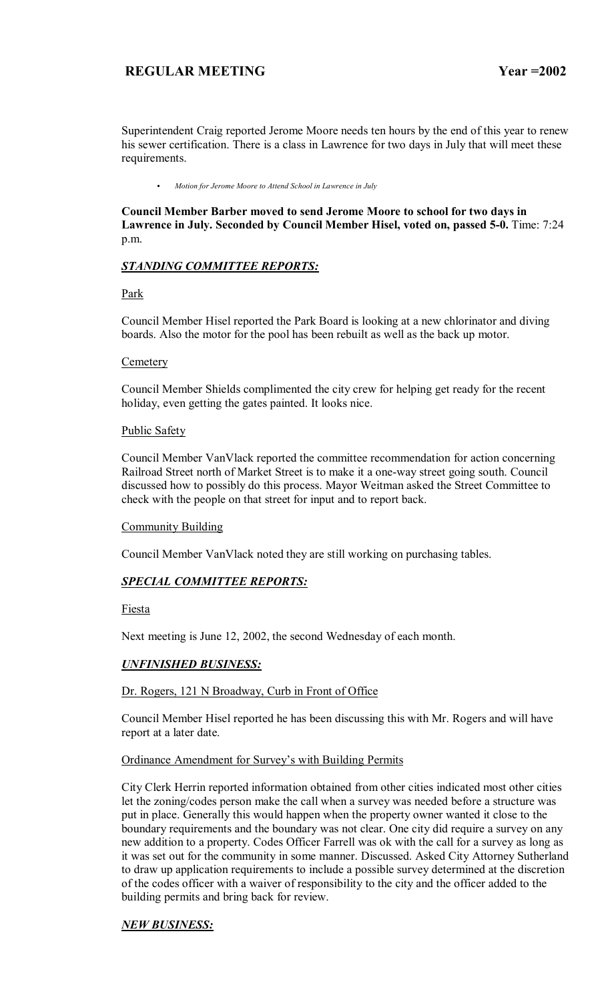Superintendent Craig reported Jerome Moore needs ten hours by the end of this year to renew his sewer certification. There is a class in Lawrence for two days in July that will meet these requirements.

C *Motion for Jerome Moore to Attend School in Lawrence in July*

**Council Member Barber moved to send Jerome Moore to school for two days in Lawrence in July. Seconded by Council Member Hisel, voted on, passed 5-0.** Time: 7:24 p.m.

## *STANDING COMMITTEE REPORTS:*

Park

Council Member Hisel reported the Park Board is looking at a new chlorinator and diving boards. Also the motor for the pool has been rebuilt as well as the back up motor.

### **Cemetery**

Council Member Shields complimented the city crew for helping get ready for the recent holiday, even getting the gates painted. It looks nice.

Public Safety

Council Member VanVlack reported the committee recommendation for action concerning Railroad Street north of Market Street is to make it a one-way street going south. Council discussed how to possibly do this process. Mayor Weitman asked the Street Committee to check with the people on that street for input and to report back.

## **Community Building**

Council Member VanVlack noted they are still working on purchasing tables.

## *SPECIAL COMMITTEE REPORTS:*

Fiesta

Next meeting is June 12, 2002, the second Wednesday of each month.

## *UNFINISHED BUSINESS:*

## Dr. Rogers, 121 N Broadway, Curb in Front of Office

Council Member Hisel reported he has been discussing this with Mr. Rogers and will have report at a later date.

### Ordinance Amendment for Survey's with Building Permits

City Clerk Herrin reported information obtained from other cities indicated most other cities let the zoning/codes person make the call when a survey was needed before a structure was put in place. Generally this would happen when the property owner wanted it close to the boundary requirements and the boundary was not clear. One city did require a survey on any new addition to a property. Codes Officer Farrell was ok with the call for a survey as long as it was set out for the community in some manner. Discussed. Asked City Attorney Sutherland to draw up application requirements to include a possible survey determined at the discretion of the codes officer with a waiver of responsibility to the city and the officer added to the building permits and bring back for review.

# *NEW BUSINESS:*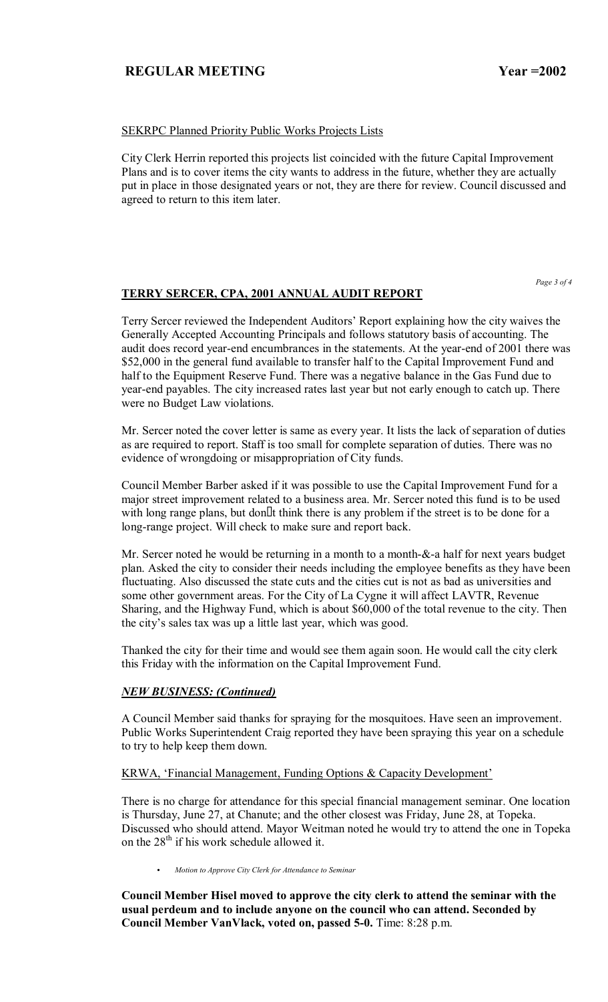### SEKRPC Planned Priority Public Works Projects Lists

City Clerk Herrin reported this projects list coincided with the future Capital Improvement Plans and is to cover items the city wants to address in the future, whether they are actually put in place in those designated years or not, they are there for review. Council discussed and agreed to return to this item later.

*Page 3 of 4*

### **TERRY SERCER, CPA, 2001 ANNUAL AUDIT REPORT**

Terry Sercer reviewed the Independent Auditors' Report explaining how the city waives the Generally Accepted Accounting Principals and follows statutory basis of accounting. The audit does record year-end encumbrances in the statements. At the year-end of 2001 there was \$52,000 in the general fund available to transfer half to the Capital Improvement Fund and half to the Equipment Reserve Fund. There was a negative balance in the Gas Fund due to year-end payables. The city increased rates last year but not early enough to catch up. There were no Budget Law violations.

Mr. Sercer noted the cover letter is same as every year. It lists the lack of separation of duties as are required to report. Staff is too small for complete separation of duties. There was no evidence of wrongdoing or misappropriation of City funds.

Council Member Barber asked if it was possible to use the Capital Improvement Fund for a major street improvement related to a business area. Mr. Sercer noted this fund is to be used with long range plans, but dont think there is any problem if the street is to be done for a long-range project. Will check to make sure and report back.

Mr. Sercer noted he would be returning in a month to a month-&-a half for next years budget plan. Asked the city to consider their needs including the employee benefits as they have been fluctuating. Also discussed the state cuts and the cities cut is not as bad as universities and some other government areas. For the City of La Cygne it will affect LAVTR, Revenue Sharing, and the Highway Fund, which is about \$60,000 of the total revenue to the city. Then the city's sales tax was up a little last year, which was good.

Thanked the city for their time and would see them again soon. He would call the city clerk this Friday with the information on the Capital Improvement Fund.

## *NEW BUSINESS: (Continued)*

A Council Member said thanks for spraying for the mosquitoes. Have seen an improvement. Public Works Superintendent Craig reported they have been spraying this year on a schedule to try to help keep them down.

### KRWA, 'Financial Management, Funding Options & Capacity Development'

There is no charge for attendance for this special financial management seminar. One location is Thursday, June 27, at Chanute; and the other closest was Friday, June 28, at Topeka. Discussed who should attend. Mayor Weitman noted he would try to attend the one in Topeka on the  $28<sup>th</sup>$  if his work schedule allowed it.

**•** Motion to Approve City Clerk for Attendance to Seminar

**Council Member Hisel moved to approve the city clerk to attend the seminar with the usual perdeum and to include anyone on the council who can attend. Seconded by Council Member VanVlack, voted on, passed 5-0.** Time: 8:28 p.m.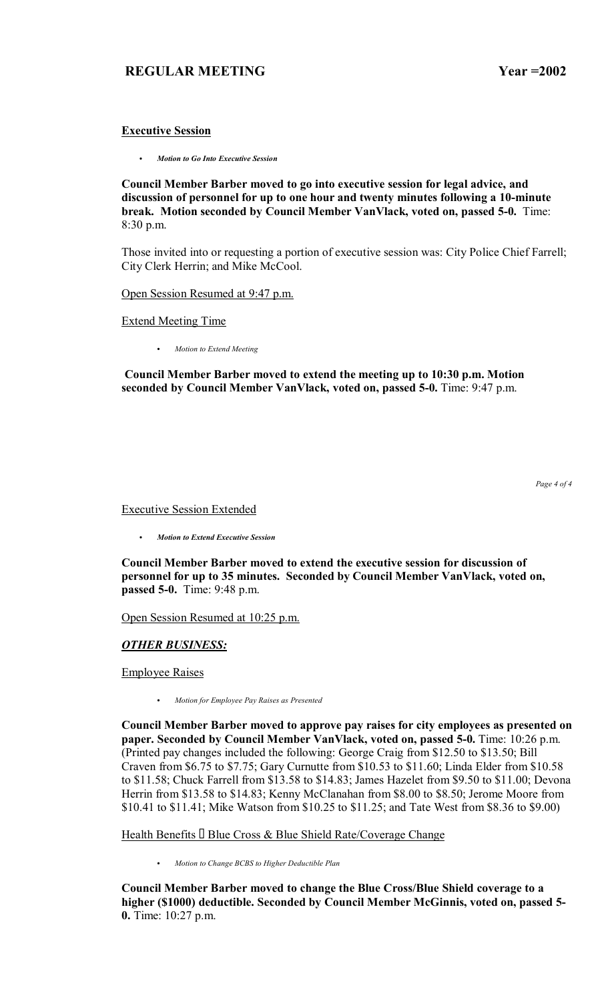### **Executive Session**

C *Motion to Go Into Executive Session*

**Council Member Barber moved to go into executive session for legal advice, and discussion of personnel for up to one hour and twenty minutes following a 10-minute break. Motion seconded by Council Member VanVlack, voted on, passed 5-0.** Time: 8:30 p.m.

Those invited into or requesting a portion of executive session was: City Police Chief Farrell; City Clerk Herrin; and Mike McCool.

Open Session Resumed at 9:47 p.m.

Extend Meeting Time

• Motion to Extend Meeting

 **Council Member Barber moved to extend the meeting up to 10:30 p.m. Motion seconded by Council Member VanVlack, voted on, passed 5-0.** Time: 9:47 p.m.

*Page 4 of 4*

Executive Session Extended

C *Motion to Extend Executive Session*

**Council Member Barber moved to extend the executive session for discussion of personnel for up to 35 minutes. Seconded by Council Member VanVlack, voted on, passed 5-0.** Time: 9:48 p.m.

Open Session Resumed at 10:25 p.m.

## *OTHER BUSINESS:*

Employee Raises

C *Motion for Employee Pay Raises as Presented*

**Council Member Barber moved to approve pay raises for city employees as presented on paper. Seconded by Council Member VanVlack, voted on, passed 5-0.** Time: 10:26 p.m. (Printed pay changes included the following: George Craig from \$12.50 to \$13.50; Bill Craven from \$6.75 to \$7.75; Gary Curnutte from \$10.53 to \$11.60; Linda Elder from \$10.58 to \$11.58; Chuck Farrell from \$13.58 to \$14.83; James Hazelet from \$9.50 to \$11.00; Devona Herrin from \$13.58 to \$14.83; Kenny McClanahan from \$8.00 to \$8.50; Jerome Moore from \$10.41 to \$11.41; Mike Watson from \$10.25 to \$11.25; and Tate West from \$8.36 to \$9.00)

Health Benefits Blue Cross & Blue Shield Rate/Coverage Change

C *Motion to Change BCBS to Higher Deductible Plan*

**Council Member Barber moved to change the Blue Cross/Blue Shield coverage to a higher (\$1000) deductible. Seconded by Council Member McGinnis, voted on, passed 5- 0.** Time: 10:27 p.m.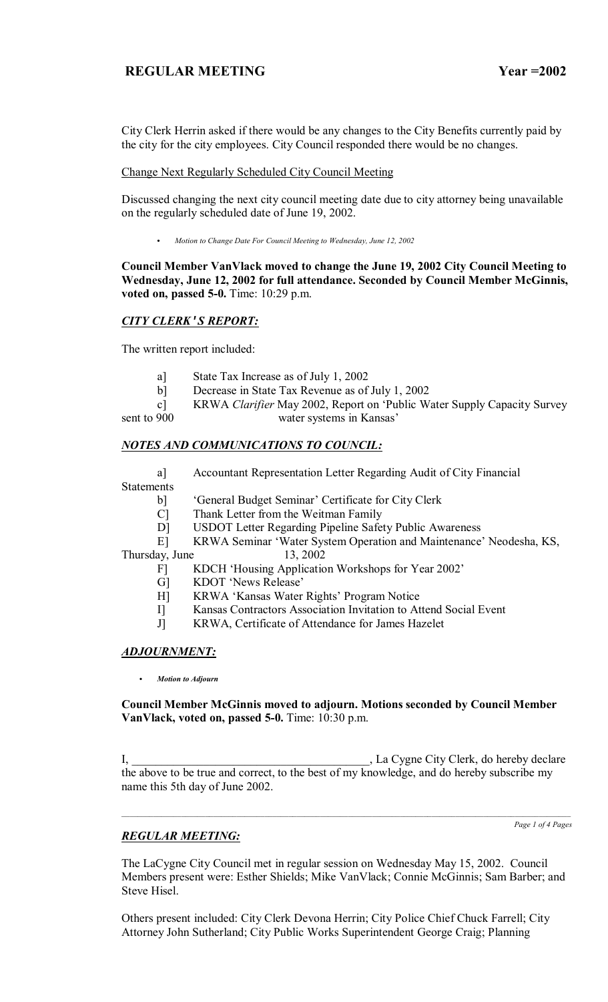City Clerk Herrin asked if there would be any changes to the City Benefits currently paid by the city for the city employees. City Council responded there would be no changes.

### Change Next Regularly Scheduled City Council Meeting

Discussed changing the next city council meeting date due to city attorney being unavailable on the regularly scheduled date of June 19, 2002.

C *Motion to Change Date For Council Meeting to Wednesday, June 12, 2002*

**Council Member VanVlack moved to change the June 19, 2002 City Council Meeting to Wednesday, June 12, 2002 for full attendance. Seconded by Council Member McGinnis, voted on, passed 5-0.** Time: 10:29 p.m.

## *CITY CLERK***'***S REPORT:*

The written report included:

- a] State Tax Increase as of July 1, 2002
- b] Decrease in State Tax Revenue as of July 1, 2002

 c] KRWA *Clarifier* May 2002, Report on ëPublic Water Supply Capacity Survey sent to 900 water systems in Kansas'

## *NOTES AND COMMUNICATIONS TO COUNCIL:*

 a] Accountant Representation Letter Regarding Audit of City Financial Statements

b] General Budget Seminar' Certificate for City Clerk

C] Thank Letter from the Weitman Family

D] USDOT Letter Regarding Pipeline Safety Public Awareness

E] KRWA Seminar 'Water System Operation and Maintenance' Neodesha, KS,

Thursday, June 13, 2002

- F] KDCH 'Housing Application Workshops for Year 2002'
- G] KDOT 'News Release'
- H] KRWA 'Kansas Water Rights' Program Notice
- I] Kansas Contractors Association Invitation to Attend Social Event
- J] KRWA, Certificate of Attendance for James Hazelet

## *ADJOURNMENT:*

C *Motion to Adjourn*

**Council Member McGinnis moved to adjourn. Motions seconded by Council Member VanVlack, voted on, passed 5-0.** Time: 10:30 p.m.

I, \_\_\_\_\_\_\_\_\_\_\_\_\_\_\_\_\_\_\_\_\_\_\_\_\_\_\_\_\_\_\_\_\_\_\_\_\_\_\_\_, La Cygne City Clerk, do hereby declare the above to be true and correct, to the best of my knowledge, and do hereby subscribe my name this 5th day of June 2002.

 $\mathcal{L}_\text{max} = \mathcal{L}_\text{max} = \mathcal{L}_\text{max} = \mathcal{L}_\text{max} = \mathcal{L}_\text{max} = \mathcal{L}_\text{max} = \mathcal{L}_\text{max} = \mathcal{L}_\text{max} = \mathcal{L}_\text{max} = \mathcal{L}_\text{max} = \mathcal{L}_\text{max} = \mathcal{L}_\text{max} = \mathcal{L}_\text{max} = \mathcal{L}_\text{max} = \mathcal{L}_\text{max} = \mathcal{L}_\text{max} = \mathcal{L}_\text{max} = \mathcal{L}_\text{max} = \mathcal{$ 

*Page 1 of 4 Pages*

## *REGULAR MEETING:*

The LaCygne City Council met in regular session on Wednesday May 15, 2002. Council Members present were: Esther Shields; Mike VanVlack; Connie McGinnis; Sam Barber; and Steve Hisel.

Others present included: City Clerk Devona Herrin; City Police Chief Chuck Farrell; City Attorney John Sutherland; City Public Works Superintendent George Craig; Planning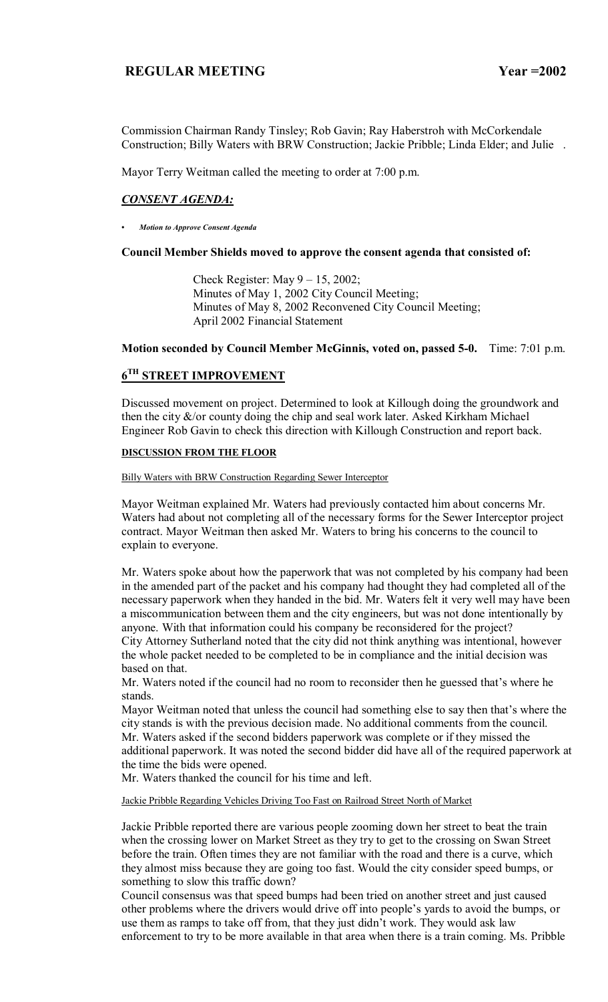Commission Chairman Randy Tinsley; Rob Gavin; Ray Haberstroh with McCorkendale Construction; Billy Waters with BRW Construction; Jackie Pribble; Linda Elder; and Julie .

Mayor Terry Weitman called the meeting to order at 7:00 p.m.

# *CONSENT AGENDA:*

*ï Motion to Approve Consent Agenda*

### **Council Member Shields moved to approve the consent agenda that consisted of:**

Check Register: May  $9 - 15$ , 2002; Minutes of May 1, 2002 City Council Meeting; Minutes of May 8, 2002 Reconvened City Council Meeting; April 2002 Financial Statement

### **Motion seconded by Council Member McGinnis, voted on, passed 5-0.** Time: 7:01 p.m.

# **6TH STREET IMPROVEMENT**

Discussed movement on project. Determined to look at Killough doing the groundwork and then the city  $\&$ /or county doing the chip and seal work later. Asked Kirkham Michael Engineer Rob Gavin to check this direction with Killough Construction and report back.

### **DISCUSSION FROM THE FLOOR**

#### Billy Waters with BRW Construction Regarding Sewer Interceptor

Mayor Weitman explained Mr. Waters had previously contacted him about concerns Mr. Waters had about not completing all of the necessary forms for the Sewer Interceptor project contract. Mayor Weitman then asked Mr. Waters to bring his concerns to the council to explain to everyone.

Mr. Waters spoke about how the paperwork that was not completed by his company had been in the amended part of the packet and his company had thought they had completed all of the necessary paperwork when they handed in the bid. Mr. Waters felt it very well may have been a miscommunication between them and the city engineers, but was not done intentionally by anyone. With that information could his company be reconsidered for the project? City Attorney Sutherland noted that the city did not think anything was intentional, however the whole packet needed to be completed to be in compliance and the initial decision was based on that.

Mr. Waters noted if the council had no room to reconsider then he guessed that's where he stands.

Mayor Weitman noted that unless the council had something else to say then that's where the city stands is with the previous decision made. No additional comments from the council. Mr. Waters asked if the second bidders paperwork was complete or if they missed the additional paperwork. It was noted the second bidder did have all of the required paperwork at the time the bids were opened.

Mr. Waters thanked the council for his time and left.

Jackie Pribble Regarding Vehicles Driving Too Fast on Railroad Street North of Market

Jackie Pribble reported there are various people zooming down her street to beat the train when the crossing lower on Market Street as they try to get to the crossing on Swan Street before the train. Often times they are not familiar with the road and there is a curve, which they almost miss because they are going too fast. Would the city consider speed bumps, or something to slow this traffic down?

Council consensus was that speed bumps had been tried on another street and just caused other problems where the drivers would drive off into people's yards to avoid the bumps, or use them as ramps to take off from, that they just didn't work. They would ask law enforcement to try to be more available in that area when there is a train coming. Ms. Pribble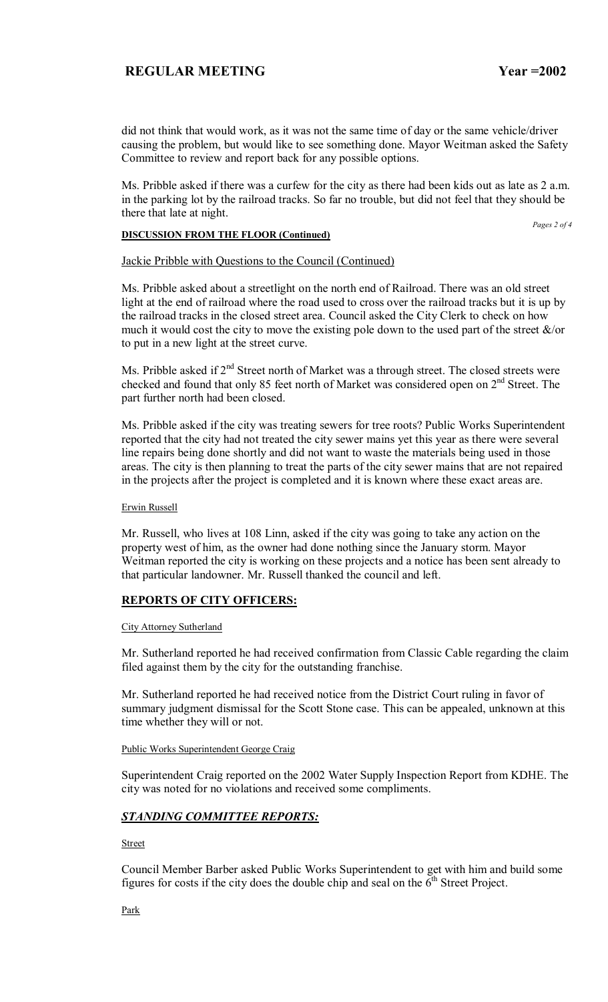did not think that would work, as it was not the same time of day or the same vehicle/driver causing the problem, but would like to see something done. Mayor Weitman asked the Safety Committee to review and report back for any possible options.

Ms. Pribble asked if there was a curfew for the city as there had been kids out as late as 2 a.m. in the parking lot by the railroad tracks. So far no trouble, but did not feel that they should be there that late at night.

**DISCUSSION FROM THE FLOOR (Continued)**

*Pages 2 of 4* 

### Jackie Pribble with Questions to the Council (Continued)

Ms. Pribble asked about a streetlight on the north end of Railroad. There was an old street light at the end of railroad where the road used to cross over the railroad tracks but it is up by the railroad tracks in the closed street area. Council asked the City Clerk to check on how much it would cost the city to move the existing pole down to the used part of the street  $\&$ /or to put in a new light at the street curve.

Ms. Pribble asked if 2<sup>nd</sup> Street north of Market was a through street. The closed streets were checked and found that only 85 feet north of Market was considered open on 2<sup>nd</sup> Street. The part further north had been closed.

Ms. Pribble asked if the city was treating sewers for tree roots? Public Works Superintendent reported that the city had not treated the city sewer mains yet this year as there were several line repairs being done shortly and did not want to waste the materials being used in those areas. The city is then planning to treat the parts of the city sewer mains that are not repaired in the projects after the project is completed and it is known where these exact areas are.

### Erwin Russell

Mr. Russell, who lives at 108 Linn, asked if the city was going to take any action on the property west of him, as the owner had done nothing since the January storm. Mayor Weitman reported the city is working on these projects and a notice has been sent already to that particular landowner. Mr. Russell thanked the council and left.

### **REPORTS OF CITY OFFICERS:**

### City Attorney Sutherland

Mr. Sutherland reported he had received confirmation from Classic Cable regarding the claim filed against them by the city for the outstanding franchise.

Mr. Sutherland reported he had received notice from the District Court ruling in favor of summary judgment dismissal for the Scott Stone case. This can be appealed, unknown at this time whether they will or not.

### Public Works Superintendent George Craig

Superintendent Craig reported on the 2002 Water Supply Inspection Report from KDHE. The city was noted for no violations and received some compliments.

## *STANDING COMMITTEE REPORTS:*

Street

Council Member Barber asked Public Works Superintendent to get with him and build some figures for costs if the city does the double chip and seal on the  $6<sup>th</sup>$  Street Project.

Park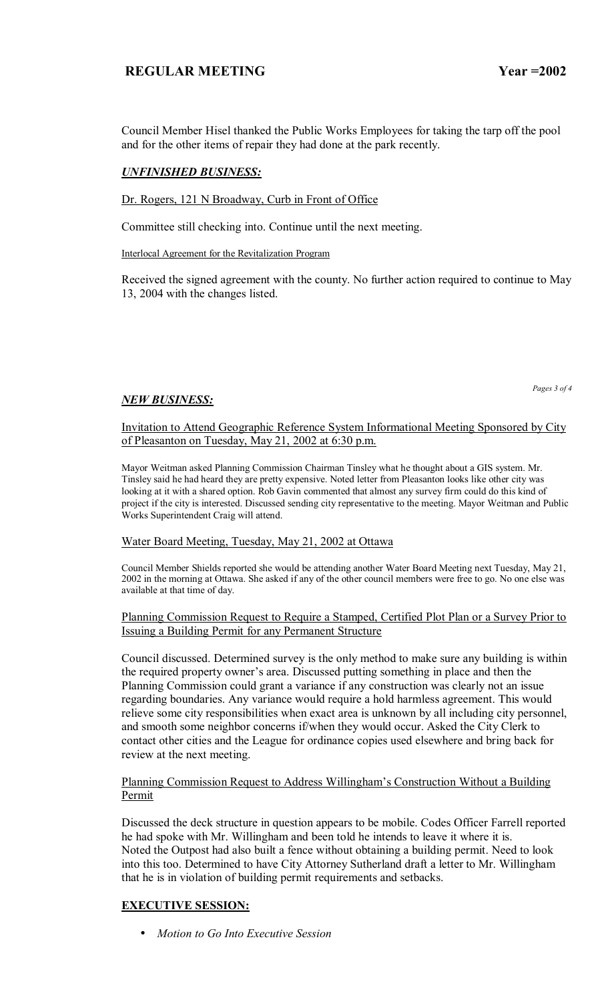Council Member Hisel thanked the Public Works Employees for taking the tarp off the pool and for the other items of repair they had done at the park recently.

# *UNFINISHED BUSINESS:*

Dr. Rogers, 121 N Broadway, Curb in Front of Office

Committee still checking into. Continue until the next meeting.

Interlocal Agreement for the Revitalization Program

Received the signed agreement with the county. No further action required to continue to May 13, 2004 with the changes listed.

## *NEW BUSINESS:*

*Pages 3 of 4* 

Invitation to Attend Geographic Reference System Informational Meeting Sponsored by City of Pleasanton on Tuesday, May 21, 2002 at 6:30 p.m.

Mayor Weitman asked Planning Commission Chairman Tinsley what he thought about a GIS system. Mr. Tinsley said he had heard they are pretty expensive. Noted letter from Pleasanton looks like other city was looking at it with a shared option. Rob Gavin commented that almost any survey firm could do this kind of project if the city is interested. Discussed sending city representative to the meeting. Mayor Weitman and Public Works Superintendent Craig will attend.

### Water Board Meeting, Tuesday, May 21, 2002 at Ottawa

Council Member Shields reported she would be attending another Water Board Meeting next Tuesday, May 21, 2002 in the morning at Ottawa. She asked if any of the other council members were free to go. No one else was available at that time of day.

### Planning Commission Request to Require a Stamped, Certified Plot Plan or a Survey Prior to Issuing a Building Permit for any Permanent Structure

Council discussed. Determined survey is the only method to make sure any building is within the required property owner's area. Discussed putting something in place and then the Planning Commission could grant a variance if any construction was clearly not an issue regarding boundaries. Any variance would require a hold harmless agreement. This would relieve some city responsibilities when exact area is unknown by all including city personnel, and smooth some neighbor concerns if/when they would occur. Asked the City Clerk to contact other cities and the League for ordinance copies used elsewhere and bring back for review at the next meeting.

## Planning Commission Request to Address Willingham's Construction Without a Building Permit

Discussed the deck structure in question appears to be mobile. Codes Officer Farrell reported he had spoke with Mr. Willingham and been told he intends to leave it where it is. Noted the Outpost had also built a fence without obtaining a building permit. Need to look into this too. Determined to have City Attorney Sutherland draft a letter to Mr. Willingham that he is in violation of building permit requirements and setbacks.

## **EXECUTIVE SESSION:**

• *Motion to Go Into Executive Session*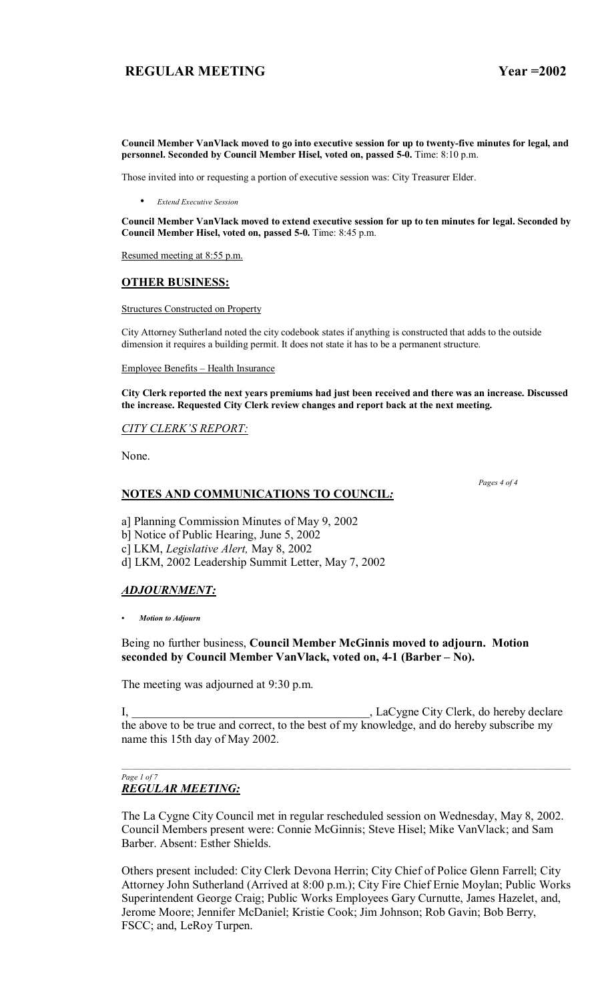**Council Member VanVlack moved to go into executive session for up to twenty-five minutes for legal, and personnel. Seconded by Council Member Hisel, voted on, passed 5-0.** Time: 8:10 p.m.

Those invited into or requesting a portion of executive session was: City Treasurer Elder.

• *Extend Executive Session*

**Council Member VanVlack moved to extend executive session for up to ten minutes for legal. Seconded by Council Member Hisel, voted on, passed 5-0.** Time: 8:45 p.m.

Resumed meeting at 8:55 p.m.

## **OTHER BUSINESS:**

Structures Constructed on Property

City Attorney Sutherland noted the city codebook states if anything is constructed that adds to the outside dimension it requires a building permit. It does not state it has to be a permanent structure.

Employee Benefits – Health Insurance

**City Clerk reported the next years premiums had just been received and there was an increase. Discussed the increase. Requested City Clerk review changes and report back at the next meeting.**

### **CITY CLERK'S REPORT:**

None.

### **NOTES AND COMMUNICATIONS TO COUNCIL***:*

 *Pages 4 of 4*

a] Planning Commission Minutes of May 9, 2002

b] Notice of Public Hearing, June 5, 2002

c] LKM, *Legislative Alert,* May 8, 2002

d] LKM, 2002 Leadership Summit Letter, May 7, 2002

## *ADJOURNMENT:*

*ï Motion to Adjourn*

Being no further business, **Council Member McGinnis moved to adjourn. Motion**  seconded by Council Member VanVlack, voted on, 4-1 (Barber – No).

The meeting was adjourned at 9:30 p.m.

I, \_\_\_\_\_\_\_\_\_\_\_\_\_\_\_\_\_\_\_\_\_\_\_\_\_\_\_\_\_\_\_\_\_\_\_\_\_\_\_\_, LaCygne City Clerk, do hereby declare the above to be true and correct, to the best of my knowledge, and do hereby subscribe my name this 15th day of May 2002.

 $\mathcal{L}_\text{max} = \mathcal{L}_\text{max} = \mathcal{L}_\text{max} = \mathcal{L}_\text{max} = \mathcal{L}_\text{max} = \mathcal{L}_\text{max} = \mathcal{L}_\text{max} = \mathcal{L}_\text{max} = \mathcal{L}_\text{max} = \mathcal{L}_\text{max} = \mathcal{L}_\text{max} = \mathcal{L}_\text{max} = \mathcal{L}_\text{max} = \mathcal{L}_\text{max} = \mathcal{L}_\text{max} = \mathcal{L}_\text{max} = \mathcal{L}_\text{max} = \mathcal{L}_\text{max} = \mathcal{$ 

#### *Page 1 of 7 REGULAR MEETING:*

The La Cygne City Council met in regular rescheduled session on Wednesday, May 8, 2002. Council Members present were: Connie McGinnis; Steve Hisel; Mike VanVlack; and Sam Barber. Absent: Esther Shields.

Others present included: City Clerk Devona Herrin; City Chief of Police Glenn Farrell; City Attorney John Sutherland (Arrived at 8:00 p.m.); City Fire Chief Ernie Moylan; Public Works Superintendent George Craig; Public Works Employees Gary Curnutte, James Hazelet, and, Jerome Moore; Jennifer McDaniel; Kristie Cook; Jim Johnson; Rob Gavin; Bob Berry, FSCC; and, LeRoy Turpen.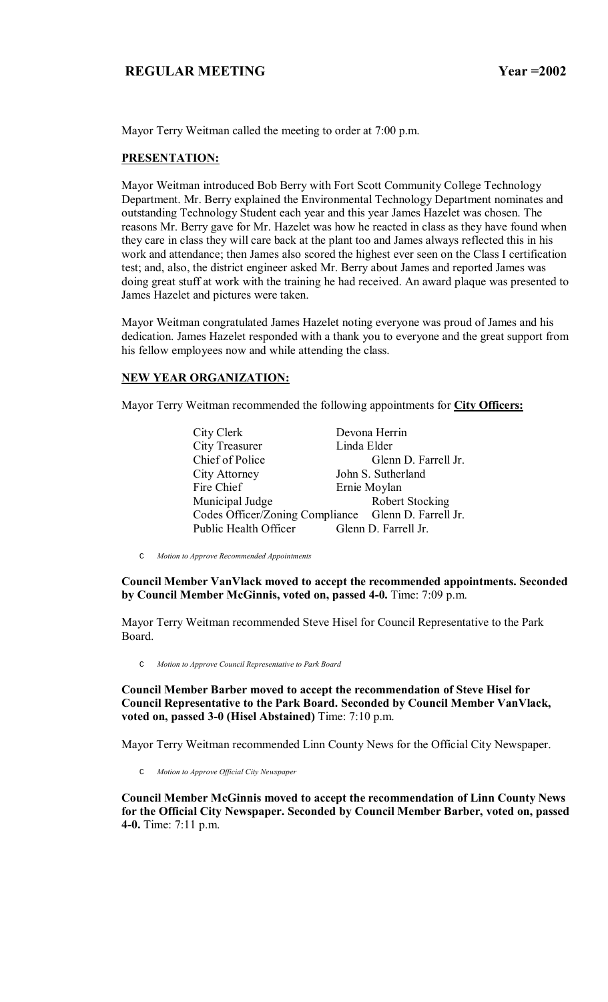Mayor Terry Weitman called the meeting to order at 7:00 p.m.

## **PRESENTATION:**

Mayor Weitman introduced Bob Berry with Fort Scott Community College Technology Department. Mr. Berry explained the Environmental Technology Department nominates and outstanding Technology Student each year and this year James Hazelet was chosen. The reasons Mr. Berry gave for Mr. Hazelet was how he reacted in class as they have found when they care in class they will care back at the plant too and James always reflected this in his work and attendance; then James also scored the highest ever seen on the Class I certification test; and, also, the district engineer asked Mr. Berry about James and reported James was doing great stuff at work with the training he had received. An award plaque was presented to James Hazelet and pictures were taken.

Mayor Weitman congratulated James Hazelet noting everyone was proud of James and his dedication. James Hazelet responded with a thank you to everyone and the great support from his fellow employees now and while attending the class.

## **NEW YEAR ORGANIZATION:**

Mayor Terry Weitman recommended the following appointments for **City Officers:**

| City Clerk            | Devona Herrin                                        |
|-----------------------|------------------------------------------------------|
| <b>City Treasurer</b> | Linda Elder                                          |
| Chief of Police       | Glenn D. Farrell Jr.                                 |
| City Attorney         | John S. Sutherland                                   |
| Fire Chief            | Ernie Moylan                                         |
| Municipal Judge       | <b>Robert Stocking</b>                               |
|                       | Codes Officer/Zoning Compliance Glenn D. Farrell Jr. |
| Public Health Officer | Glenn D. Farrell Jr.                                 |

C *Motion to Approve Recommended Appointments*

**Council Member VanVlack moved to accept the recommended appointments. Seconded by Council Member McGinnis, voted on, passed 4-0.** Time: 7:09 p.m.

Mayor Terry Weitman recommended Steve Hisel for Council Representative to the Park Board.

C *Motion to Approve Council Representative to Park Board*

**Council Member Barber moved to accept the recommendation of Steve Hisel for Council Representative to the Park Board. Seconded by Council Member VanVlack, voted on, passed 3-0 (Hisel Abstained)** Time: 7:10 p.m.

Mayor Terry Weitman recommended Linn County News for the Official City Newspaper.

C *Motion to Approve Official City Newspaper*

**Council Member McGinnis moved to accept the recommendation of Linn County News for the Official City Newspaper. Seconded by Council Member Barber, voted on, passed 4-0.** Time: 7:11 p.m.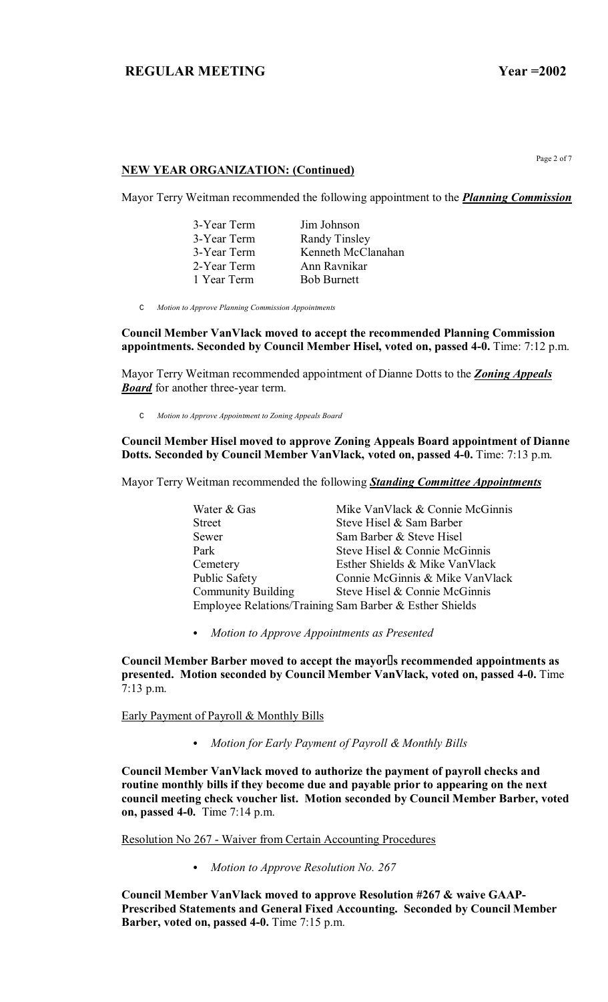Page 2 of 7

## **NEW YEAR ORGANIZATION: (Continued)**

Mayor Terry Weitman recommended the following appointment to the *Planning Commission*

| 3-Year Term | Jim Johnson        |
|-------------|--------------------|
| 3-Year Term | Randy Tinsley      |
| 3-Year Term | Kenneth McClanahan |
| 2-Year Term | Ann Ravnikar       |
| 1 Year Term | <b>Bob Burnett</b> |

C *Motion to Approve Planning Commission Appointments*

**Council Member VanVlack moved to accept the recommended Planning Commission appointments. Seconded by Council Member Hisel, voted on, passed 4-0.** Time: 7:12 p.m.

Mayor Terry Weitman recommended appointment of Dianne Dotts to the *Zoning Appeals Board* for another three-year term.

C *Motion to Approve Appointment to Zoning Appeals Board*

### **Council Member Hisel moved to approve Zoning Appeals Board appointment of Dianne Dotts. Seconded by Council Member VanVlack, voted on, passed 4-0.** Time: 7:13 p.m.

Mayor Terry Weitman recommended the following *Standing Committee Appointments*

Water & Gas Mike VanVlack & Connie McGinnis Street Steve Hisel & Sam Barber Sewer Sam Barber & Steve Hisel Park Steve Hisel & Connie McGinnis Cemetery Esther Shields & Mike VanVlack Public Safety Connie McGinnis & Mike VanVlack Community Building Steve Hisel & Connie McGinnis Employee Relations/Training Sam Barber & Esther Shields

C *Motion to Approve Appointments as Presented*

**Council Member Barber moved to accept the mayors recommended appointments as presented. Motion seconded by Council Member VanVlack, voted on, passed 4-0.** Time 7:13 p.m.

Early Payment of Payroll & Monthly Bills

C *Motion for Early Payment of Payroll & Monthly Bills*

**Council Member VanVlack moved to authorize the payment of payroll checks and routine monthly bills if they become due and payable prior to appearing on the next council meeting check voucher list. Motion seconded by Council Member Barber, voted on, passed 4-0.** Time 7:14 p.m.

Resolution No 267 - Waiver from Certain Accounting Procedures

• Motion to Approve Resolution No. 267

**Council Member VanVlack moved to approve Resolution #267 & waive GAAP-Prescribed Statements and General Fixed Accounting. Seconded by Council Member Barber, voted on, passed 4-0.** Time 7:15 p.m.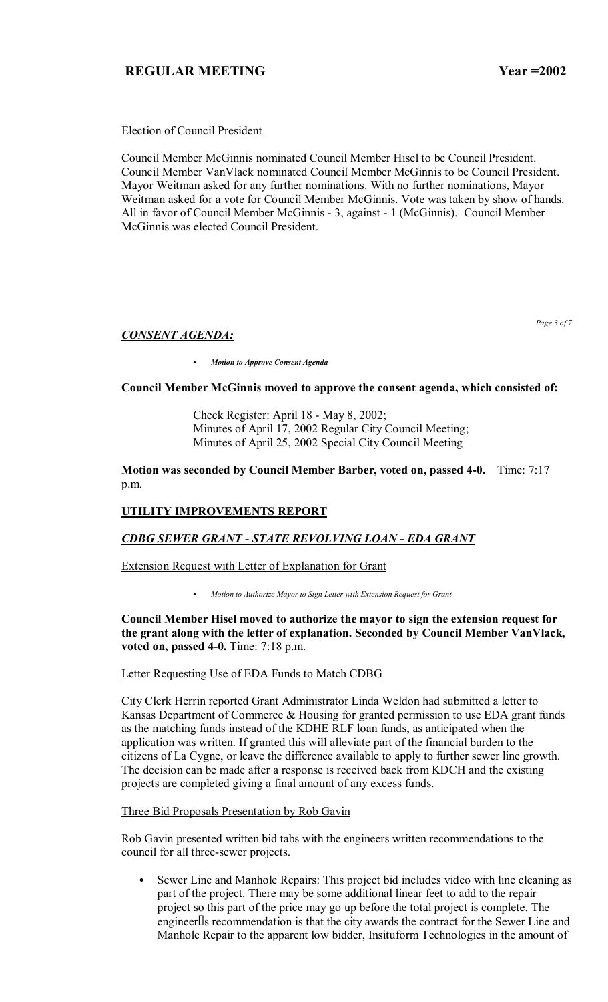## Election of Council President

Council Member McGinnis nominated Council Member Hisel to be Council President. Council Member VanVlack nominated Council Member McGinnis to be Council President. Mayor Weitman asked for any further nominations. With no further nominations, Mayor Weitman asked for a vote for Council Member McGinnis. Vote was taken by show of hands. All in favor of Council Member McGinnis - 3, against - 1 (McGinnis). Council Member McGinnis was elected Council President.

*CONSENT AGENDA:*

*Page 3 of 7* 

C *Motion to Approve Consent Agenda*

### **Council Member McGinnis moved to approve the consent agenda, which consisted of:**

 Check Register: April 18 - May 8, 2002; Minutes of April 17, 2002 Regular City Council Meeting; Minutes of April 25, 2002 Special City Council Meeting

**Motion was seconded by Council Member Barber, voted on, passed 4-0.** Time: 7:17 p.m.

## **UTILITY IMPROVEMENTS REPORT**

### *CDBG SEWER GRANT - STATE REVOLVING LOAN - EDA GRANT*

Extension Request with Letter of Explanation for Grant

C *Motion to Authorize Mayor to Sign Letter with Extension Request for Grant*

### **Council Member Hisel moved to authorize the mayor to sign the extension request for the grant along with the letter of explanation. Seconded by Council Member VanVlack, voted on, passed 4-0.** Time: 7:18 p.m.

### Letter Requesting Use of EDA Funds to Match CDBG

City Clerk Herrin reported Grant Administrator Linda Weldon had submitted a letter to Kansas Department of Commerce & Housing for granted permission to use EDA grant funds as the matching funds instead of the KDHE RLF loan funds, as anticipated when the application was written. If granted this will alleviate part of the financial burden to the citizens of La Cygne, or leave the difference available to apply to further sewer line growth. The decision can be made after a response is received back from KDCH and the existing projects are completed giving a final amount of any excess funds.

Three Bid Proposals Presentation by Rob Gavin

Rob Gavin presented written bid tabs with the engineers written recommendations to the council for all three-sewer projects.

Sewer Line and Manhole Repairs: This project bid includes video with line cleaning as part of the project. There may be some additional linear feet to add to the repair project so this part of the price may go up before the total project is complete. The engineer s recommendation is that the city awards the contract for the Sewer Line and Manhole Repair to the apparent low bidder, Insituform Technologies in the amount of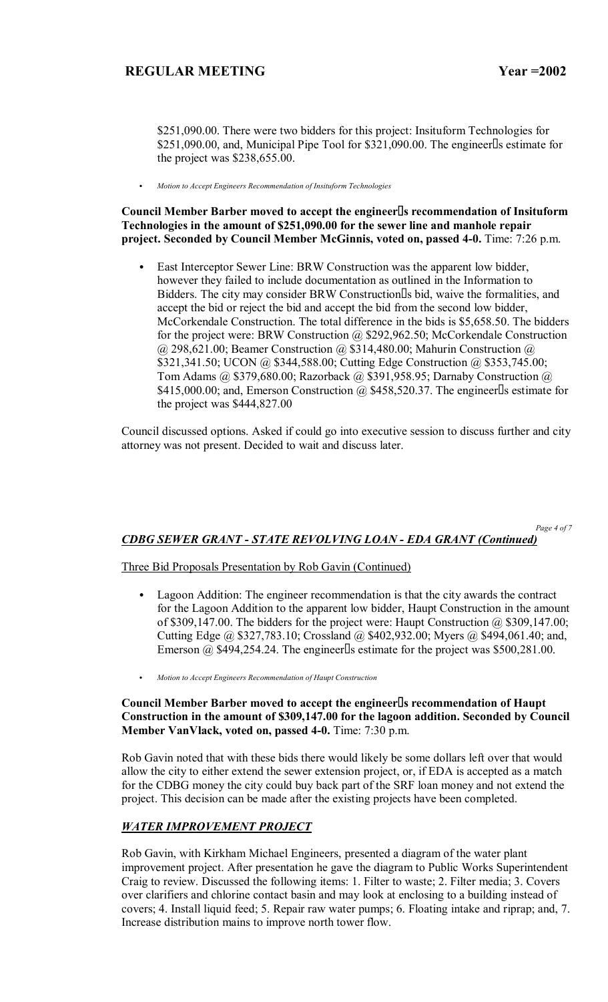\$251,090.00. There were two bidders for this project: Insituform Technologies for  $$251,090.00$ , and, Municipal Pipe Tool for  $$321,090.00$ . The engineer s estimate for the project was \$238,655.00.

C *Motion to Accept Engineers Recommendation of Insituform Technologies*

## **Council Member Barber moved to accept the engineers recommendation of Insituform Technologies in the amount of \$251,090.00 for the sewer line and manhole repair project. Seconded by Council Member McGinnis, voted on, passed 4-0.** Time: 7:26 p.m.

East Interceptor Sewer Line: BRW Construction was the apparent low bidder, however they failed to include documentation as outlined in the Information to Bidders. The city may consider BRW Construction s bid, waive the formalities, and accept the bid or reject the bid and accept the bid from the second low bidder, McCorkendale Construction. The total difference in the bids is \$5,658.50. The bidders for the project were: BRW Construction @ \$292,962.50; McCorkendale Construction @ 298,621.00; Beamer Construction @ \$314,480.00; Mahurin Construction @ \$321,341.50; UCON @ \$344,588.00; Cutting Edge Construction @ \$353,745.00; Tom Adams @ \$379,680.00; Razorback @ \$391,958.95; Darnaby Construction @ \$415,000.00; and, Emerson Construction  $\omega$ , \$458,520.37. The engineer s estimate for the project was \$444,827.00

Council discussed options. Asked if could go into executive session to discuss further and city attorney was not present. Decided to wait and discuss later.

*Page 4 of 7* 

# *CDBG SEWER GRANT - STATE REVOLVING LOAN - EDA GRANT (Continued)*

## Three Bid Proposals Presentation by Rob Gavin (Continued)

- Lagoon Addition: The engineer recommendation is that the city awards the contract for the Lagoon Addition to the apparent low bidder, Haupt Construction in the amount of \$309,147.00. The bidders for the project were: Haupt Construction @ \$309,147.00; Cutting Edge @ \$327,783.10; Crossland @ \$402,932.00; Myers @ \$494,061.40; and, Emerson  $\omega$  \$494,254.24. The engineer s estimate for the project was \$500,281.00.
- C *Motion to Accept Engineers Recommendation of Haupt Construction*

## **Council Member Barber moved to accept the engineers recommendation of Haupt Construction in the amount of \$309,147.00 for the lagoon addition. Seconded by Council Member VanVlack, voted on, passed 4-0.** Time: 7:30 p.m.

Rob Gavin noted that with these bids there would likely be some dollars left over that would allow the city to either extend the sewer extension project, or, if EDA is accepted as a match for the CDBG money the city could buy back part of the SRF loan money and not extend the project. This decision can be made after the existing projects have been completed.

## *WATER IMPROVEMENT PROJECT*

Rob Gavin, with Kirkham Michael Engineers, presented a diagram of the water plant improvement project. After presentation he gave the diagram to Public Works Superintendent Craig to review. Discussed the following items: 1. Filter to waste; 2. Filter media; 3. Covers over clarifiers and chlorine contact basin and may look at enclosing to a building instead of covers; 4. Install liquid feed; 5. Repair raw water pumps; 6. Floating intake and riprap; and, 7. Increase distribution mains to improve north tower flow.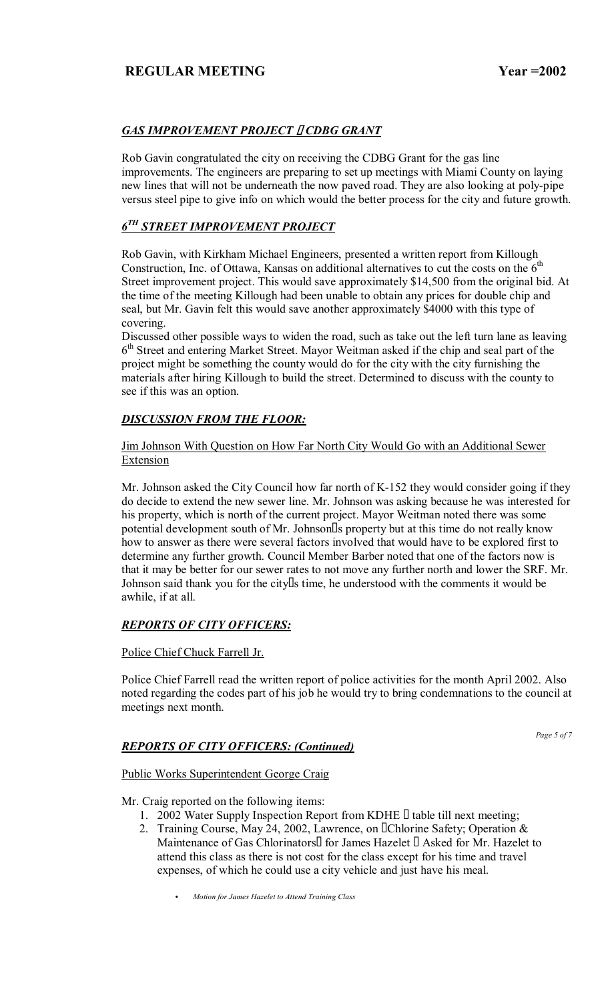# *GAS IMPROVEMENT PROJECT CDBG GRANT*

Rob Gavin congratulated the city on receiving the CDBG Grant for the gas line improvements. The engineers are preparing to set up meetings with Miami County on laying new lines that will not be underneath the now paved road. They are also looking at poly-pipe versus steel pipe to give info on which would the better process for the city and future growth.

# *6TH STREET IMPROVEMENT PROJECT*

Rob Gavin, with Kirkham Michael Engineers, presented a written report from Killough Construction, Inc. of Ottawa, Kansas on additional alternatives to cut the costs on the  $6<sup>th</sup>$ Street improvement project. This would save approximately \$14,500 from the original bid. At the time of the meeting Killough had been unable to obtain any prices for double chip and seal, but Mr. Gavin felt this would save another approximately \$4000 with this type of covering.

Discussed other possible ways to widen the road, such as take out the left turn lane as leaving 6<sup>th</sup> Street and entering Market Street. Mayor Weitman asked if the chip and seal part of the project might be something the county would do for the city with the city furnishing the materials after hiring Killough to build the street. Determined to discuss with the county to see if this was an option.

# *DISCUSSION FROM THE FLOOR:*

Jim Johnson With Question on How Far North City Would Go with an Additional Sewer Extension

Mr. Johnson asked the City Council how far north of K-152 they would consider going if they do decide to extend the new sewer line. Mr. Johnson was asking because he was interested for his property, which is north of the current project. Mayor Weitman noted there was some potential development south of Mr. Johnson s property but at this time do not really know how to answer as there were several factors involved that would have to be explored first to determine any further growth. Council Member Barber noted that one of the factors now is that it may be better for our sewer rates to not move any further north and lower the SRF. Mr. Johnson said thank you for the city s time, he understood with the comments it would be awhile, if at all.

## *REPORTS OF CITY OFFICERS:*

## Police Chief Chuck Farrell Jr.

Police Chief Farrell read the written report of police activities for the month April 2002. Also noted regarding the codes part of his job he would try to bring condemnations to the council at meetings next month.

# *REPORTS OF CITY OFFICERS: (Continued)*

*Page 5 of 7* 

# Public Works Superintendent George Craig

Mr. Craig reported on the following items:

- 1. 2002 Water Supply Inspection Report from KDHE table till next meeting;
- 2. Training Course, May 24, 2002, Lawrence, on Chlorine Safety; Operation & Maintenance of Gas Chlorinators for James Hazelet Asked for Mr. Hazelet to attend this class as there is not cost for the class except for his time and travel expenses, of which he could use a city vehicle and just have his meal.

C *Motion for James Hazelet to Attend Training Class*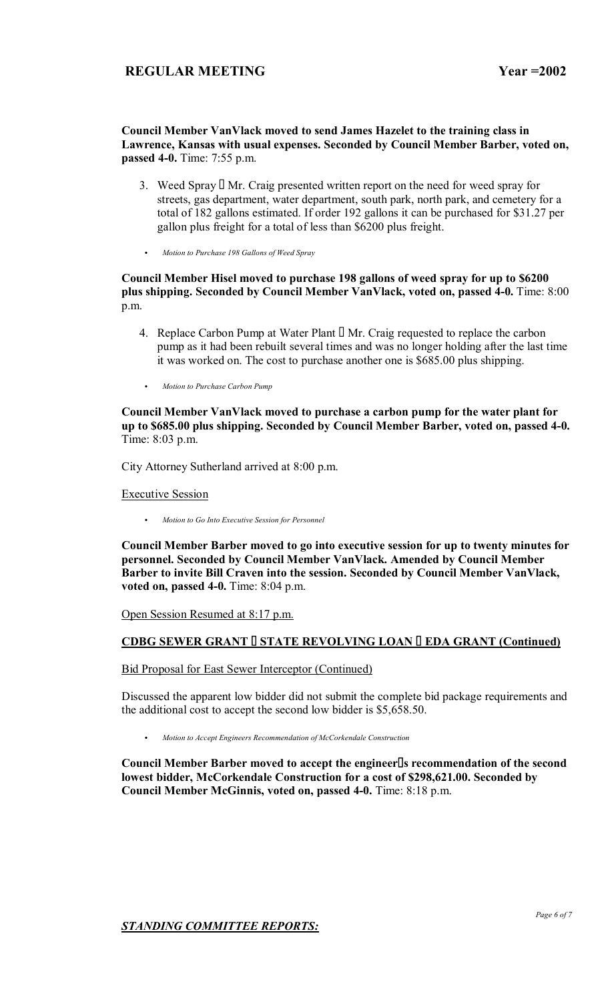### **Council Member VanVlack moved to send James Hazelet to the training class in Lawrence, Kansas with usual expenses. Seconded by Council Member Barber, voted on, passed 4-0.** Time: 7:55 p.m.

- 3. Weed Spray Mr. Craig presented written report on the need for weed spray for streets, gas department, water department, south park, north park, and cemetery for a total of 182 gallons estimated. If order 192 gallons it can be purchased for \$31.27 per gallon plus freight for a total of less than \$6200 plus freight.
- C *Motion to Purchase 198 Gallons of Weed Spray*

## **Council Member Hisel moved to purchase 198 gallons of weed spray for up to \$6200 plus shipping. Seconded by Council Member VanVlack, voted on, passed 4-0.** Time: 8:00 p.m.

- 4. Replace Carbon Pump at Water Plant Mr. Craig requested to replace the carbon pump as it had been rebuilt several times and was no longer holding after the last time it was worked on. The cost to purchase another one is \$685.00 plus shipping.
- **Motion to Purchase Carbon Pump**

**Council Member VanVlack moved to purchase a carbon pump for the water plant for up to \$685.00 plus shipping. Seconded by Council Member Barber, voted on, passed 4-0.**  Time: 8:03 p.m.

City Attorney Sutherland arrived at 8:00 p.m.

Executive Session

C *Motion to Go Into Executive Session for Personnel*

**Council Member Barber moved to go into executive session for up to twenty minutes for personnel. Seconded by Council Member VanVlack. Amended by Council Member Barber to invite Bill Craven into the session. Seconded by Council Member VanVlack, voted on, passed 4-0.** Time: 8:04 p.m.

Open Session Resumed at 8:17 p.m.

# **CDBG SEWER GRANT STATE REVOLVING LOAN EDA GRANT (Continued)**

Bid Proposal for East Sewer Interceptor (Continued)

Discussed the apparent low bidder did not submit the complete bid package requirements and the additional cost to accept the second low bidder is \$5,658.50.

C *Motion to Accept Engineers Recommendation of McCorkendale Construction*

**Council Member Barber moved to accept the engineers recommendation of the second lowest bidder, McCorkendale Construction for a cost of \$298,621.00. Seconded by Council Member McGinnis, voted on, passed 4-0.** Time: 8:18 p.m.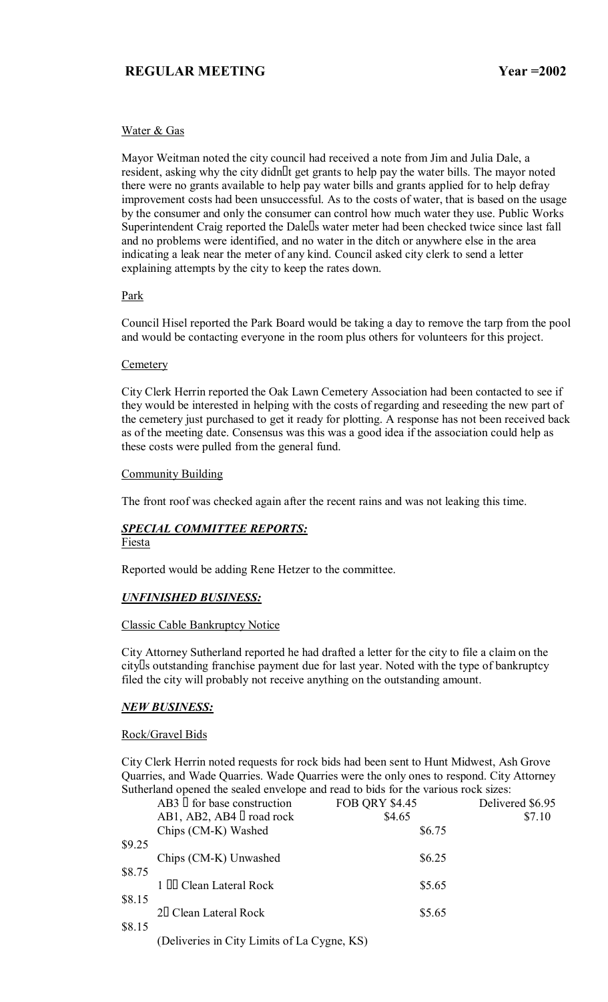### Water & Gas

Mayor Weitman noted the city council had received a note from Jim and Julia Dale, a resident, asking why the city didnt get grants to help pay the water bills. The mayor noted there were no grants available to help pay water bills and grants applied for to help defray improvement costs had been unsuccessful. As to the costs of water, that is based on the usage by the consumer and only the consumer can control how much water they use. Public Works Superintendent Craig reported the Dale s water meter had been checked twice since last fall and no problems were identified, and no water in the ditch or anywhere else in the area indicating a leak near the meter of any kind. Council asked city clerk to send a letter explaining attempts by the city to keep the rates down.

### Park

Council Hisel reported the Park Board would be taking a day to remove the tarp from the pool and would be contacting everyone in the room plus others for volunteers for this project.

### **Cemetery**

City Clerk Herrin reported the Oak Lawn Cemetery Association had been contacted to see if they would be interested in helping with the costs of regarding and reseeding the new part of the cemetery just purchased to get it ready for plotting. A response has not been received back as of the meeting date. Consensus was this was a good idea if the association could help as these costs were pulled from the general fund.

### Community Building

The front roof was checked again after the recent rains and was not leaking this time.

# *SPECIAL COMMITTEE REPORTS:*

## Fiesta

Reported would be adding Rene Hetzer to the committee.

## *UNFINISHED BUSINESS:*

### Classic Cable Bankruptcy Notice

City Attorney Sutherland reported he had drafted a letter for the city to file a claim on the city s outstanding franchise payment due for last year. Noted with the type of bankruptcy filed the city will probably not receive anything on the outstanding amount.

### *NEW BUSINESS:*

## Rock/Gravel Bids

City Clerk Herrin noted requests for rock bids had been sent to Hunt Midwest, Ash Grove Quarries, and Wade Quarries. Wade Quarries were the only ones to respond. City Attorney Sutherland opened the sealed envelope and read to bids for the various rock sizes:

|        | for base construction<br>AB3                | <b>FOB QRY \$4.45</b> | Delivered \$6.95 |
|--------|---------------------------------------------|-----------------------|------------------|
|        | AB1, AB2, AB4 road rock                     | \$4.65                | \$7.10           |
|        | Chips (CM-K) Washed                         | \$6.75                |                  |
| \$9.25 |                                             |                       |                  |
|        | Chips (CM-K) Unwashed                       | \$6.25                |                  |
| \$8.75 |                                             |                       |                  |
|        | Clean Lateral Rock                          | \$5.65                |                  |
| \$8.15 |                                             |                       |                  |
|        | 2 Clean Lateral Rock                        | \$5.65                |                  |
| \$8.15 |                                             |                       |                  |
|        | (Deliveries in City Limits of La Cygne, KS) |                       |                  |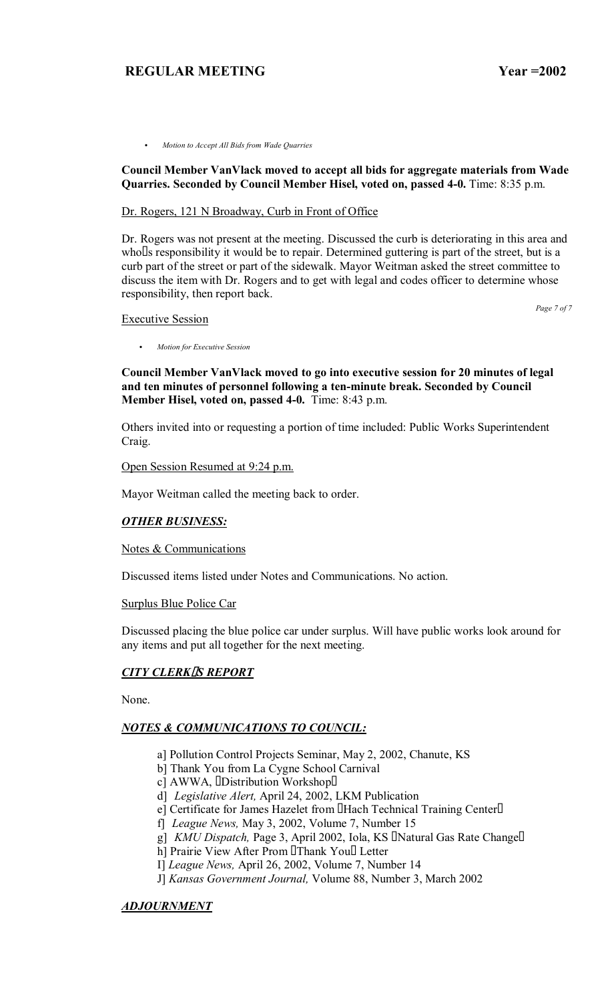C *Motion to Accept All Bids from Wade Quarries*

### **Council Member VanVlack moved to accept all bids for aggregate materials from Wade Quarries. Seconded by Council Member Hisel, voted on, passed 4-0.** Time: 8:35 p.m.

### Dr. Rogers, 121 N Broadway, Curb in Front of Office

Dr. Rogers was not present at the meeting. Discussed the curb is deteriorating in this area and who s responsibility it would be to repair. Determined guttering is part of the street, but is a curb part of the street or part of the sidewalk. Mayor Weitman asked the street committee to discuss the item with Dr. Rogers and to get with legal and codes officer to determine whose responsibility, then report back.

*Page 7 of 7*

Executive Session

**Council Member VanVlack moved to go into executive session for 20 minutes of legal and ten minutes of personnel following a ten-minute break. Seconded by Council Member Hisel, voted on, passed 4-0.** Time: 8:43 p.m.

Others invited into or requesting a portion of time included: Public Works Superintendent Craig.

#### Open Session Resumed at 9:24 p.m.

C *Motion for Executive Session*

Mayor Weitman called the meeting back to order.

### *OTHER BUSINESS:*

### Notes & Communications

Discussed items listed under Notes and Communications. No action.

#### Surplus Blue Police Car

Discussed placing the blue police car under surplus. Will have public works look around for any items and put all together for the next meeting.

### *CITY CLERKS REPORT*

None.

## *NOTES & COMMUNICATIONS TO COUNCIL:*

- a] Pollution Control Projects Seminar, May 2, 2002, Chanute, KS
- b] Thank You from La Cygne School Carnival
- c] AWWA, Distribution Workshop
- d] *Legislative Alert,* April 24, 2002, LKM Publication
- e] Certificate for James Hazelet from Hach Technical Training Center
- f] *League News,* May 3, 2002, Volume 7, Number 15
- g] *KMU Dispatch,* Page 3, April 2002, Iola, KS Natural Gas Rate Change
- h] Prairie View After Prom Thank You Letter
- I] *League News,* April 26, 2002, Volume 7, Number 14
- J] *Kansas Government Journal,* Volume 88, Number 3, March 2002

## *ADJOURNMENT*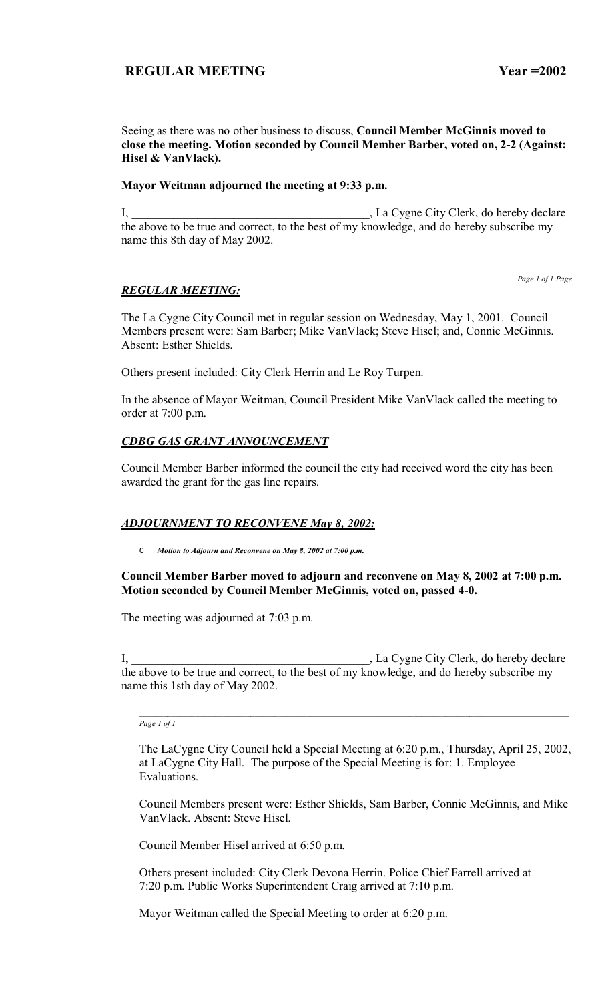Seeing as there was no other business to discuss, **Council Member McGinnis moved to close the meeting. Motion seconded by Council Member Barber, voted on, 2-2 (Against: Hisel & VanVlack).** 

## **Mayor Weitman adjourned the meeting at 9:33 p.m.**

I, La Cygne City Clerk, do hereby declare the above to be true and correct, to the best of my knowledge, and do hereby subscribe my name this 8th day of May 2002.

 $\mathcal{L}_\text{max}$ 

## *REGULAR MEETING:*

*Page 1 of 1 Page*

The La Cygne City Council met in regular session on Wednesday, May 1, 2001. Council Members present were: Sam Barber; Mike VanVlack; Steve Hisel; and, Connie McGinnis. Absent: Esther Shields.

Others present included: City Clerk Herrin and Le Roy Turpen.

In the absence of Mayor Weitman, Council President Mike VanVlack called the meeting to order at 7:00 p.m.

## *CDBG GAS GRANT ANNOUNCEMENT*

Council Member Barber informed the council the city had received word the city has been awarded the grant for the gas line repairs.

## *ADJOURNMENT TO RECONVENE May 8, 2002:*

C *Motion to Adjourn and Reconvene on May 8, 2002 at 7:00 p.m.*

## **Council Member Barber moved to adjourn and reconvene on May 8, 2002 at 7:00 p.m. Motion seconded by Council Member McGinnis, voted on, passed 4-0.**

The meeting was adjourned at 7:03 p.m.

I, \_\_\_\_\_\_\_\_\_\_\_\_\_\_\_\_\_\_\_\_\_\_\_\_\_\_\_\_\_\_\_\_\_\_\_\_\_\_\_\_, La Cygne City Clerk, do hereby declare the above to be true and correct, to the best of my knowledge, and do hereby subscribe my name this 1sth day of May 2002.

*Page 1 of 1*

The LaCygne City Council held a Special Meeting at 6:20 p.m., Thursday, April 25, 2002, at LaCygne City Hall. The purpose of the Special Meeting is for: 1. Employee Evaluations.

Council Members present were: Esther Shields, Sam Barber, Connie McGinnis, and Mike VanVlack. Absent: Steve Hisel.

Council Member Hisel arrived at 6:50 p.m.

Others present included: City Clerk Devona Herrin. Police Chief Farrell arrived at 7:20 p.m. Public Works Superintendent Craig arrived at 7:10 p.m.

Mayor Weitman called the Special Meeting to order at 6:20 p.m.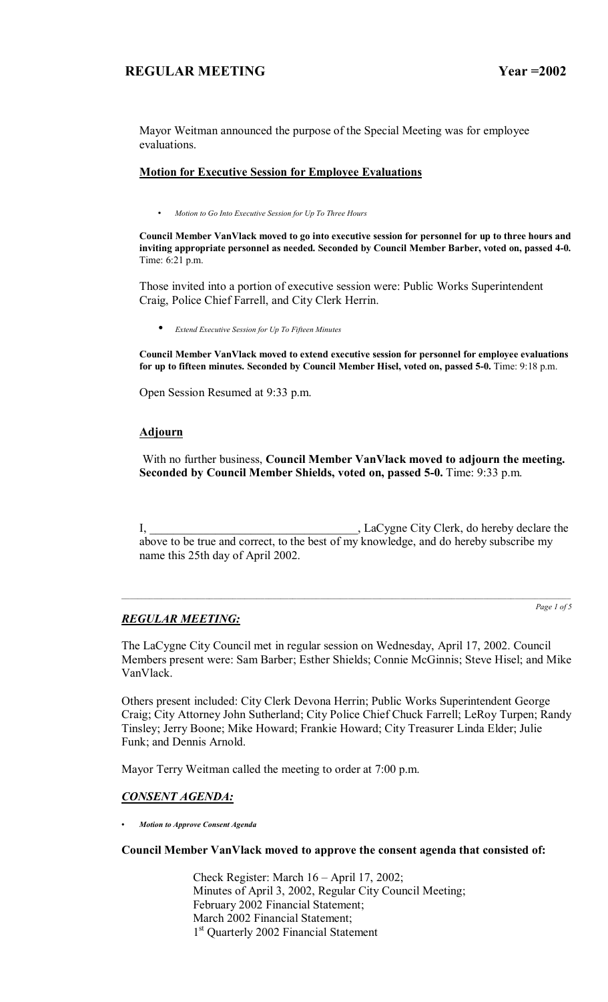Mayor Weitman announced the purpose of the Special Meeting was for employee evaluations.

## **Motion for Executive Session for Employee Evaluations**

• *Motion to Go Into Executive Session for Up To Three Hours* 

**Council Member VanVlack moved to go into executive session for personnel for up to three hours and inviting appropriate personnel as needed. Seconded by Council Member Barber, voted on, passed 4-0.**  Time: 6:21 p.m.

Those invited into a portion of executive session were: Public Works Superintendent Craig, Police Chief Farrell, and City Clerk Herrin.

• *Extend Executive Session for Up To Fifteen Minutes*

**Council Member VanVlack moved to extend executive session for personnel for employee evaluations for up to fifteen minutes. Seconded by Council Member Hisel, voted on, passed 5-0.** Time: 9:18 p.m.

Open Session Resumed at 9:33 p.m.

## **Adjourn**

 With no further business, **Council Member VanVlack moved to adjourn the meeting. Seconded by Council Member Shields, voted on, passed 5-0.** Time: 9:33 p.m.

I, \_\_\_\_\_\_\_\_\_\_\_\_\_\_\_\_\_\_\_\_\_\_\_\_\_\_\_\_\_\_\_\_\_\_\_, LaCygne City Clerk, do hereby declare the above to be true and correct, to the best of my knowledge, and do hereby subscribe my name this 25th day of April 2002.

# *REGULAR MEETING:*

*Page 1 of 5*

The LaCygne City Council met in regular session on Wednesday, April 17, 2002. Council Members present were: Sam Barber; Esther Shields; Connie McGinnis; Steve Hisel; and Mike VanVlack.

Others present included: City Clerk Devona Herrin; Public Works Superintendent George Craig; City Attorney John Sutherland; City Police Chief Chuck Farrell; LeRoy Turpen; Randy Tinsley; Jerry Boone; Mike Howard; Frankie Howard; City Treasurer Linda Elder; Julie Funk; and Dennis Arnold.

Mayor Terry Weitman called the meeting to order at 7:00 p.m.

# *CONSENT AGENDA:*

*ï Motion to Approve Consent Agenda*

## **Council Member VanVlack moved to approve the consent agenda that consisted of:**

Check Register: March  $16 -$ April 17, 2002; Minutes of April 3, 2002, Regular City Council Meeting; February 2002 Financial Statement; March 2002 Financial Statement; 1<sup>st</sup> Quarterly 2002 Financial Statement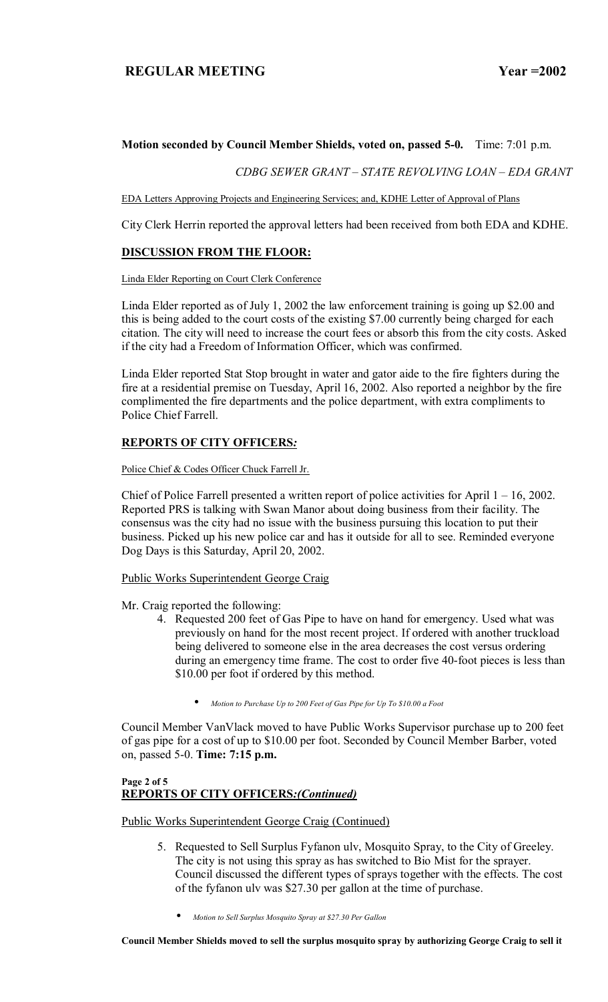## **Motion seconded by Council Member Shields, voted on, passed 5-0.** Time: 7:01 p.m.

**CDBG SEWER GRANT - STATE REVOLVING LOAN - EDA GRANT** 

EDA Letters Approving Projects and Engineering Services; and, KDHE Letter of Approval of Plans

City Clerk Herrin reported the approval letters had been received from both EDA and KDHE.

## **DISCUSSION FROM THE FLOOR:**

#### Linda Elder Reporting on Court Clerk Conference

Linda Elder reported as of July 1, 2002 the law enforcement training is going up \$2.00 and this is being added to the court costs of the existing \$7.00 currently being charged for each citation. The city will need to increase the court fees or absorb this from the city costs. Asked if the city had a Freedom of Information Officer, which was confirmed.

Linda Elder reported Stat Stop brought in water and gator aide to the fire fighters during the fire at a residential premise on Tuesday, April 16, 2002. Also reported a neighbor by the fire complimented the fire departments and the police department, with extra compliments to Police Chief Farrell.

## **REPORTS OF CITY OFFICERS***:*

Police Chief & Codes Officer Chuck Farrell Jr.

Chief of Police Farrell presented a written report of police activities for April  $1 - 16$ , 2002. Reported PRS is talking with Swan Manor about doing business from their facility. The consensus was the city had no issue with the business pursuing this location to put their business. Picked up his new police car and has it outside for all to see. Reminded everyone Dog Days is this Saturday, April 20, 2002.

Public Works Superintendent George Craig

Mr. Craig reported the following:

- 4. Requested 200 feet of Gas Pipe to have on hand for emergency. Used what was previously on hand for the most recent project. If ordered with another truckload being delivered to someone else in the area decreases the cost versus ordering during an emergency time frame. The cost to order five 40-foot pieces is less than \$10.00 per foot if ordered by this method.
	- *Motion to Purchase Up to 200 Feet of Gas Pipe for Up To \$10.00 a Foot*

Council Member VanVlack moved to have Public Works Supervisor purchase up to 200 feet of gas pipe for a cost of up to \$10.00 per foot. Seconded by Council Member Barber, voted on, passed 5-0. **Time: 7:15 p.m.** 

### **Page 2 of 5 REPORTS OF CITY OFFICERS***:(Continued)*

Public Works Superintendent George Craig (Continued)

- 5. Requested to Sell Surplus Fyfanon ulv, Mosquito Spray, to the City of Greeley. The city is not using this spray as has switched to Bio Mist for the sprayer. Council discussed the different types of sprays together with the effects. The cost of the fyfanon ulv was \$27.30 per gallon at the time of purchase.
	- *Motion to Sell Surplus Mosquito Spray at \$27.30 Per Gallon*

**Council Member Shields moved to sell the surplus mosquito spray by authorizing George Craig to sell it**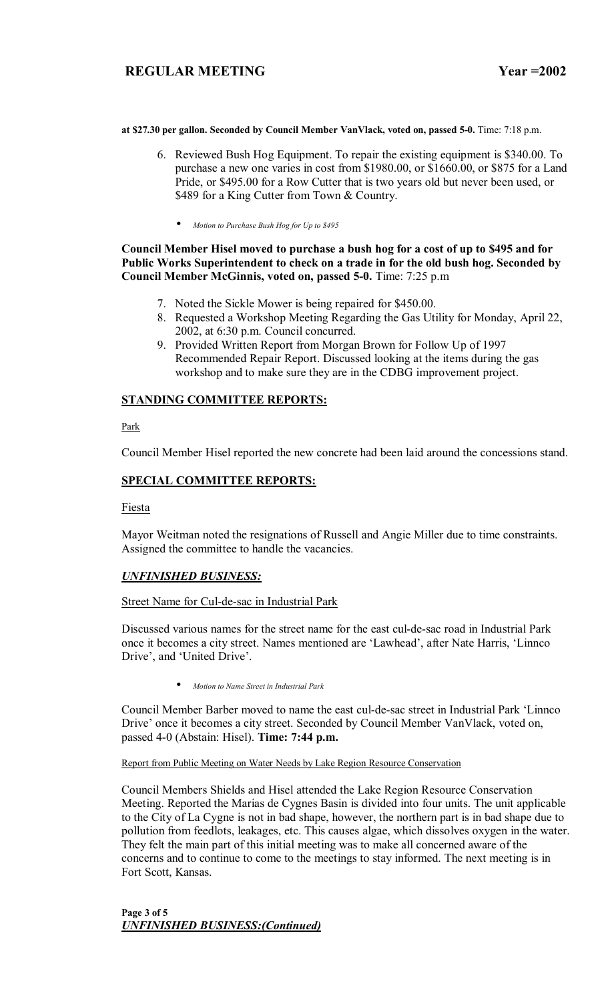**at \$27.30 per gallon. Seconded by Council Member VanVlack, voted on, passed 5-0.** Time: 7:18 p.m.

- 6. Reviewed Bush Hog Equipment. To repair the existing equipment is \$340.00. To purchase a new one varies in cost from \$1980.00, or \$1660.00, or \$875 for a Land Pride, or \$495.00 for a Row Cutter that is two years old but never been used, or \$489 for a King Cutter from Town & Country.
	- *Motion to Purchase Bush Hog for Up to \$495*

## **Council Member Hisel moved to purchase a bush hog for a cost of up to \$495 and for Public Works Superintendent to check on a trade in for the old bush hog. Seconded by Council Member McGinnis, voted on, passed 5-0.** Time: 7:25 p.m

- 7. Noted the Sickle Mower is being repaired for \$450.00.
- 8. Requested a Workshop Meeting Regarding the Gas Utility for Monday, April 22, 2002, at 6:30 p.m. Council concurred.
- 9. Provided Written Report from Morgan Brown for Follow Up of 1997 Recommended Repair Report. Discussed looking at the items during the gas workshop and to make sure they are in the CDBG improvement project.

## **STANDING COMMITTEE REPORTS:**

**Park** 

Council Member Hisel reported the new concrete had been laid around the concessions stand.

## **SPECIAL COMMITTEE REPORTS:**

Fiesta

Mayor Weitman noted the resignations of Russell and Angie Miller due to time constraints. Assigned the committee to handle the vacancies.

## *UNFINISHED BUSINESS:*

### Street Name for Cul-de-sac in Industrial Park

Discussed various names for the street name for the east cul-de-sac road in Industrial Park once it becomes a city street. Names mentioned are 'Lawhead', after Nate Harris, 'Linnco Drive', and 'United Drive'.

• *Motion to Name Street in Industrial Park*

Council Member Barber moved to name the east cul-de-sac street in Industrial Park 'Linnco Drive' once it becomes a city street. Seconded by Council Member VanVlack, voted on, passed 4-0 (Abstain: Hisel). **Time: 7:44 p.m.** 

Report from Public Meeting on Water Needs by Lake Region Resource Conservation

Council Members Shields and Hisel attended the Lake Region Resource Conservation Meeting. Reported the Marias de Cygnes Basin is divided into four units. The unit applicable to the City of La Cygne is not in bad shape, however, the northern part is in bad shape due to pollution from feedlots, leakages, etc. This causes algae, which dissolves oxygen in the water. They felt the main part of this initial meeting was to make all concerned aware of the concerns and to continue to come to the meetings to stay informed. The next meeting is in Fort Scott, Kansas.

**Page 3 of 5**  *UNFINISHED BUSINESS:(Continued)*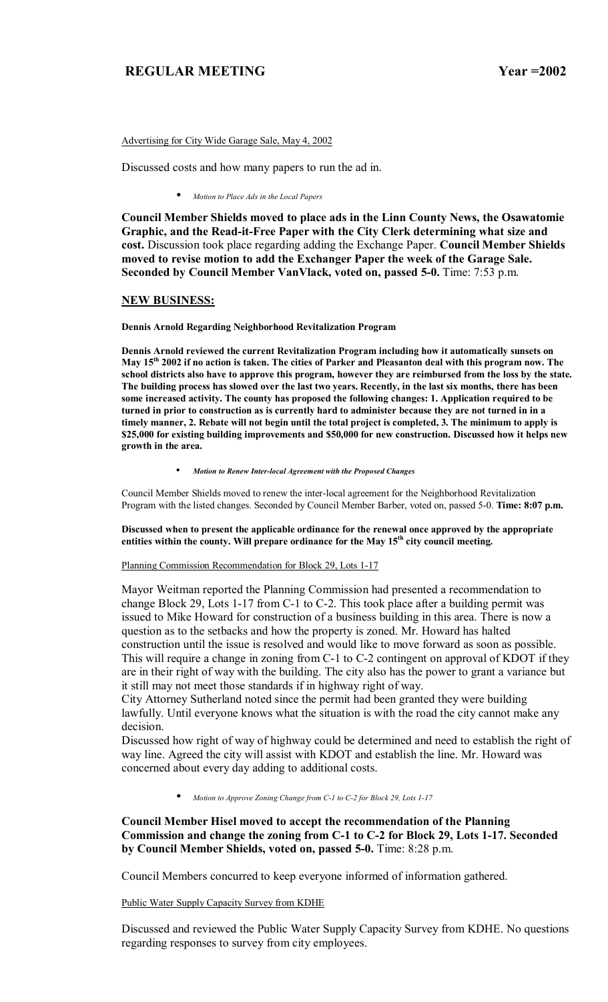Advertising for City Wide Garage Sale, May 4, 2002

Discussed costs and how many papers to run the ad in.

• *Motion to Place Ads in the Local Papers*

**Council Member Shields moved to place ads in the Linn County News, the Osawatomie Graphic, and the Read-it-Free Paper with the City Clerk determining what size and cost.** Discussion took place regarding adding the Exchange Paper. **Council Member Shields moved to revise motion to add the Exchanger Paper the week of the Garage Sale. Seconded by Council Member VanVlack, voted on, passed 5-0.** Time: 7:53 p.m.

#### **NEW BUSINESS:**

**Dennis Arnold Regarding Neighborhood Revitalization Program** 

**Dennis Arnold reviewed the current Revitalization Program including how it automatically sunsets on May 15th 2002 if no action is taken. The cities of Parker and Pleasanton deal with this program now. The school districts also have to approve this program, however they are reimbursed from the loss by the state. The building process has slowed over the last two years. Recently, in the last six months, there has been some increased activity. The county has proposed the following changes: 1. Application required to be turned in prior to construction as is currently hard to administer because they are not turned in in a timely manner, 2. Rebate will not begin until the total project is completed, 3. The minimum to apply is \$25,000 for existing building improvements and \$50,000 for new construction. Discussed how it helps new growth in the area.** 

• *Motion to Renew Inter-local Agreement with the Proposed Changes*

Council Member Shields moved to renew the inter-local agreement for the Neighborhood Revitalization Program with the listed changes. Seconded by Council Member Barber, voted on, passed 5-0. **Time: 8:07 p.m.** 

**Discussed when to present the applicable ordinance for the renewal once approved by the appropriate**  entities within the county. Will prepare ordinance for the May 15<sup>th</sup> city council meeting.

Planning Commission Recommendation for Block 29, Lots 1-17

Mayor Weitman reported the Planning Commission had presented a recommendation to change Block 29, Lots 1-17 from C-1 to C-2. This took place after a building permit was issued to Mike Howard for construction of a business building in this area. There is now a question as to the setbacks and how the property is zoned. Mr. Howard has halted construction until the issue is resolved and would like to move forward as soon as possible. This will require a change in zoning from C-1 to C-2 contingent on approval of KDOT if they are in their right of way with the building. The city also has the power to grant a variance but it still may not meet those standards if in highway right of way.

City Attorney Sutherland noted since the permit had been granted they were building lawfully. Until everyone knows what the situation is with the road the city cannot make any decision.

Discussed how right of way of highway could be determined and need to establish the right of way line. Agreed the city will assist with KDOT and establish the line. Mr. Howard was concerned about every day adding to additional costs.

• *Motion to Approve Zoning Change from C-1 to C-2 for Block 29, Lots 1-17*

**Council Member Hisel moved to accept the recommendation of the Planning Commission and change the zoning from C-1 to C-2 for Block 29, Lots 1-17. Seconded by Council Member Shields, voted on, passed 5-0.** Time: 8:28 p.m.

Council Members concurred to keep everyone informed of information gathered.

Public Water Supply Capacity Survey from KDHE

Discussed and reviewed the Public Water Supply Capacity Survey from KDHE. No questions regarding responses to survey from city employees.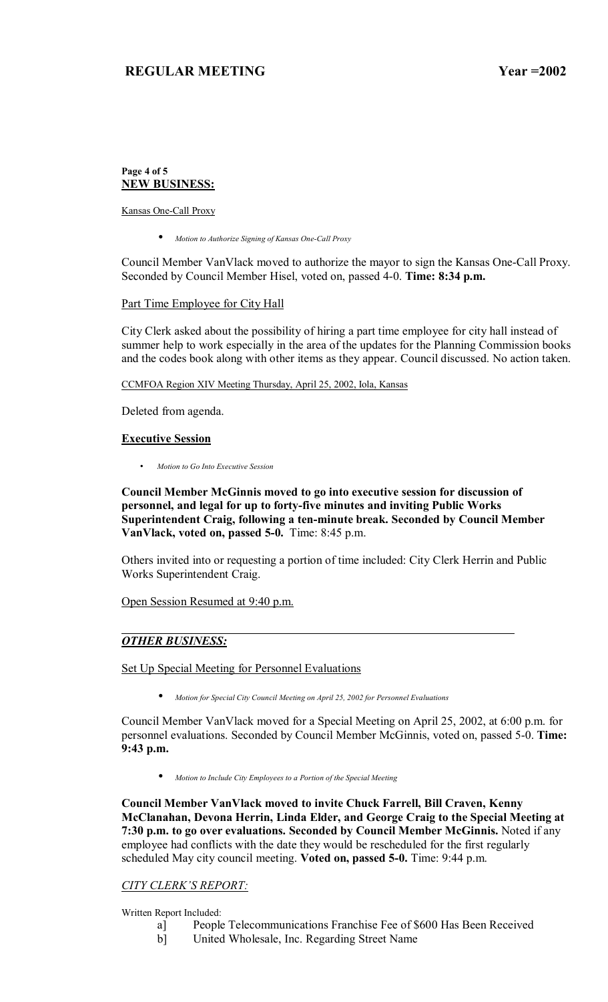### **Page 4 of 5 NEW BUSINESS:**

Kansas One-Call Proxy

• *Motion to Authorize Signing of Kansas One-Call Proxy*

Council Member VanVlack moved to authorize the mayor to sign the Kansas One-Call Proxy. Seconded by Council Member Hisel, voted on, passed 4-0. **Time: 8:34 p.m.** 

Part Time Employee for City Hall

City Clerk asked about the possibility of hiring a part time employee for city hall instead of summer help to work especially in the area of the updates for the Planning Commission books and the codes book along with other items as they appear. Council discussed. No action taken.

CCMFOA Region XIV Meeting Thursday, April 25, 2002, Iola, Kansas

Deleted from agenda.

### **Executive Session**

• *Motion to Go Into Executive Session*

**Council Member McGinnis moved to go into executive session for discussion of personnel, and legal for up to forty-five minutes and inviting Public Works Superintendent Craig, following a ten-minute break. Seconded by Council Member VanVlack, voted on, passed 5-0.** Time: 8:45 p.m.

Others invited into or requesting a portion of time included: City Clerk Herrin and Public Works Superintendent Craig.

Open Session Resumed at 9:40 p.m.

## *OTHER BUSINESS:*

Set Up Special Meeting for Personnel Evaluations

• *Motion for Special City Council Meeting on April 25, 2002 for Personnel Evaluations*

Council Member VanVlack moved for a Special Meeting on April 25, 2002, at 6:00 p.m. for personnel evaluations. Seconded by Council Member McGinnis, voted on, passed 5-0. **Time: 9:43 p.m.** 

• *Motion to Include City Employees to a Portion of the Special Meeting*

**Council Member VanVlack moved to invite Chuck Farrell, Bill Craven, Kenny McClanahan, Devona Herrin, Linda Elder, and George Craig to the Special Meeting at 7:30 p.m. to go over evaluations. Seconded by Council Member McGinnis.** Noted if any employee had conflicts with the date they would be rescheduled for the first regularly scheduled May city council meeting. **Voted on, passed 5-0.** Time: 9:44 p.m.

## **CITY CLERK'S REPORT:**

Written Report Included:

- a] People Telecommunications Franchise Fee of \$600 Has Been Received
- b] United Wholesale, Inc. Regarding Street Name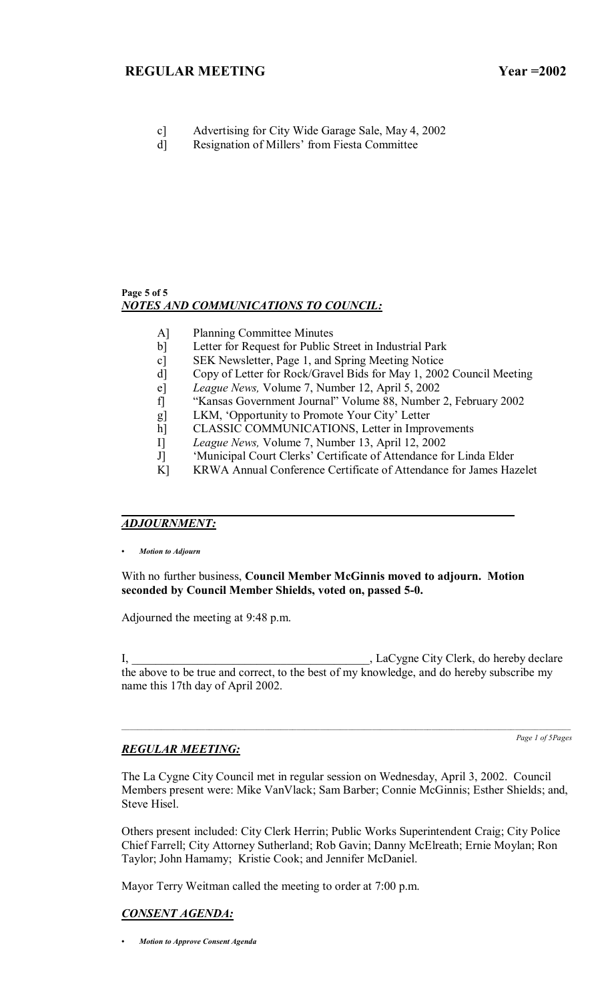- c] Advertising for City Wide Garage Sale, May 4, 2002
- d] Resignation of Millers' from Fiesta Committee

### **Page 5 of 5**  *NOTES AND COMMUNICATIONS TO COUNCIL:*

- A] Planning Committee Minutes
- b] Letter for Request for Public Street in Industrial Park
- c] SEK Newsletter, Page 1, and Spring Meeting Notice
- d] Copy of Letter for Rock/Gravel Bids for May 1, 2002 Council Meeting
- e] *League News,* Volume 7, Number 12, April 5, 2002
- f] "Kansas Government Journal" Volume 88, Number 2, February 2002
- g] LKM, 'Opportunity to Promote Your City' Letter
- h] CLASSIC COMMUNICATIONS, Letter in Improvements
- I] *League News,* Volume 7, Number 13, April 12, 2002
- J] 
"Municipal Court Clerks' Certificate of Attendance for Linda Elder
- K] KRWA Annual Conference Certificate of Attendance for James Hazelet

# *ADJOURNMENT:*

*ï Motion to Adjourn*

With no further business, **Council Member McGinnis moved to adjourn. Motion seconded by Council Member Shields, voted on, passed 5-0.**

Adjourned the meeting at 9:48 p.m.

I, LaCygne City Clerk, do hereby declare the above to be true and correct, to the best of my knowledge, and do hereby subscribe my name this 17th day of April 2002.

## *REGULAR MEETING:*

*Page 1 of 5Pages*

The La Cygne City Council met in regular session on Wednesday, April 3, 2002. Council Members present were: Mike VanVlack; Sam Barber; Connie McGinnis; Esther Shields; and, Steve Hisel.

Others present included: City Clerk Herrin; Public Works Superintendent Craig; City Police Chief Farrell; City Attorney Sutherland; Rob Gavin; Danny McElreath; Ernie Moylan; Ron Taylor; John Hamamy; Kristie Cook; and Jennifer McDaniel.

Mayor Terry Weitman called the meeting to order at 7:00 p.m.

# *CONSENT AGENDA:*

*ï Motion to Approve Consent Agenda*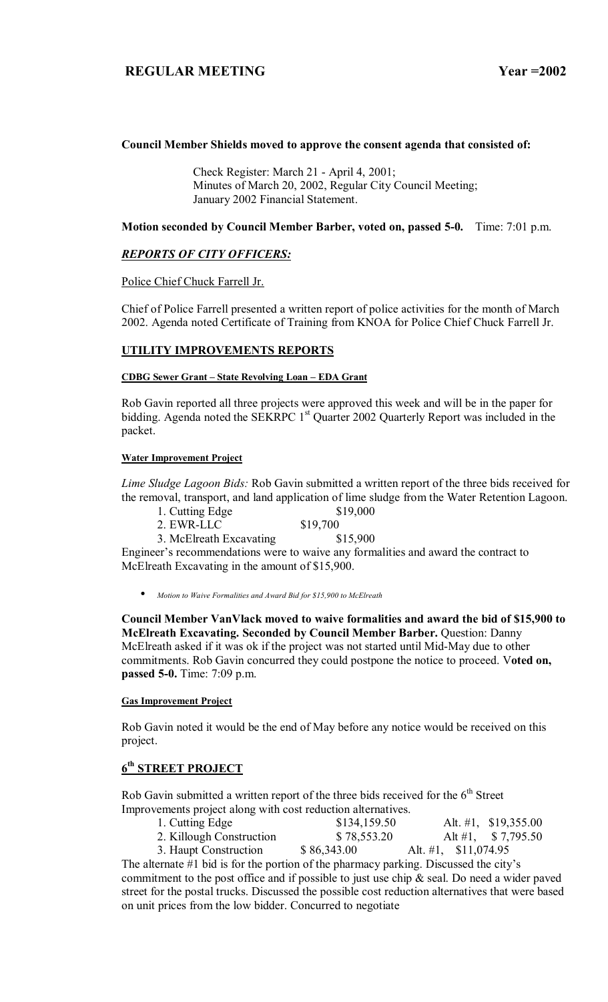### **Council Member Shields moved to approve the consent agenda that consisted of:**

 Check Register: March 21 - April 4, 2001; Minutes of March 20, 2002, Regular City Council Meeting; January 2002 Financial Statement.

**Motion seconded by Council Member Barber, voted on, passed 5-0.** Time: 7:01 p.m.

## *REPORTS OF CITY OFFICERS:*

Police Chief Chuck Farrell Jr.

Chief of Police Farrell presented a written report of police activities for the month of March 2002. Agenda noted Certificate of Training from KNOA for Police Chief Chuck Farrell Jr.

### **UTILITY IMPROVEMENTS REPORTS**

#### **CDBG Sewer Grant – State Revolving Loan – EDA Grant**

Rob Gavin reported all three projects were approved this week and will be in the paper for bidding. Agenda noted the SEKRPC 1<sup>st</sup> Quarter 2002 Quarterly Report was included in the packet.

#### **Water Improvement Project**

*Lime Sludge Lagoon Bids:* Rob Gavin submitted a written report of the three bids received for the removal, transport, and land application of lime sludge from the Water Retention Lagoon.

- 1. Cutting Edge \$19,000
- 2. EWR-LLC \$19,700
- 3. McElreath Excavating \$15,900

Engineer's recommendations were to waive any formalities and award the contract to McElreath Excavating in the amount of \$15,900.

• *Motion to Waive Formalities and Award Bid for \$15,900 to McElreath*

**Council Member VanVlack moved to waive formalities and award the bid of \$15,900 to McElreath Excavating. Seconded by Council Member Barber.** Question: Danny McElreath asked if it was ok if the project was not started until Mid-May due to other commitments. Rob Gavin concurred they could postpone the notice to proceed. V**oted on, passed 5-0.** Time: 7:09 p.m.

#### **Gas Improvement Project**

Rob Gavin noted it would be the end of May before any notice would be received on this project.

# **6th STREET PROJECT**

Rob Gavin submitted a written report of the three bids received for the  $6<sup>th</sup>$  Street Improvements project along with cost reduction alternatives.

| 1. Cutting Edge          | \$134,159.50 |                       | Alt. #1, $$19,355.00$ |
|--------------------------|--------------|-----------------------|-----------------------|
| 2. Killough Construction | \$78,553.20  |                       | Alt #1, $$7,795.50$   |
| 3. Haupt Construction    | \$86,343.00  | Alt. #1, $$11,074.95$ |                       |

The alternate  $#1$  bid is for the portion of the pharmacy parking. Discussed the city's commitment to the post office and if possible to just use chip & seal. Do need a wider paved street for the postal trucks. Discussed the possible cost reduction alternatives that were based on unit prices from the low bidder. Concurred to negotiate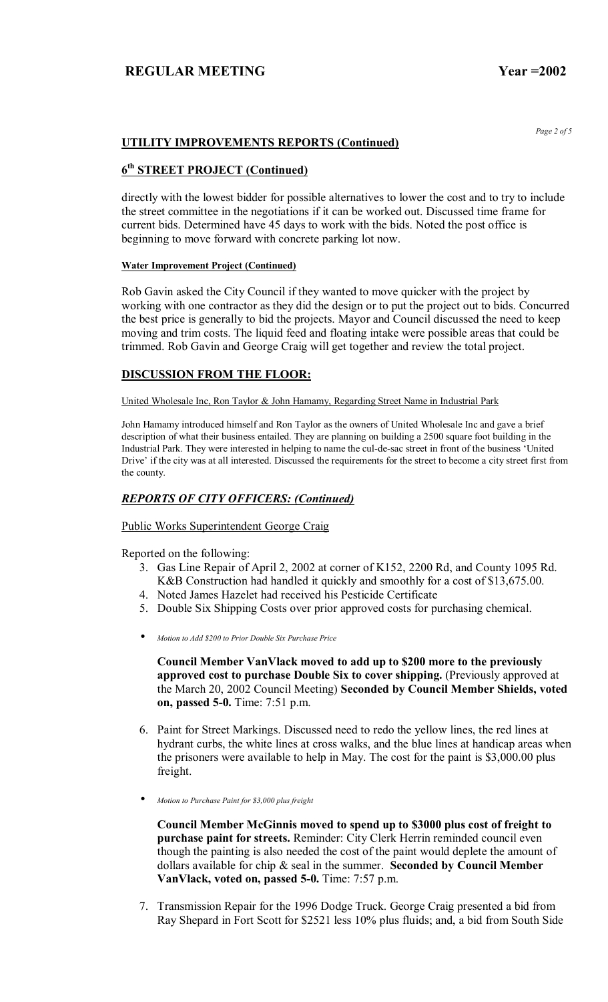*Page 2 of 5* 

## **UTILITY IMPROVEMENTS REPORTS (Continued)**

# **6th STREET PROJECT (Continued)**

directly with the lowest bidder for possible alternatives to lower the cost and to try to include the street committee in the negotiations if it can be worked out. Discussed time frame for current bids. Determined have 45 days to work with the bids. Noted the post office is beginning to move forward with concrete parking lot now.

#### **Water Improvement Project (Continued)**

Rob Gavin asked the City Council if they wanted to move quicker with the project by working with one contractor as they did the design or to put the project out to bids. Concurred the best price is generally to bid the projects. Mayor and Council discussed the need to keep moving and trim costs. The liquid feed and floating intake were possible areas that could be trimmed. Rob Gavin and George Craig will get together and review the total project.

### **DISCUSSION FROM THE FLOOR:**

United Wholesale Inc, Ron Taylor & John Hamamy, Regarding Street Name in Industrial Park

John Hamamy introduced himself and Ron Taylor as the owners of United Wholesale Inc and gave a brief description of what their business entailed. They are planning on building a 2500 square foot building in the Industrial Park. They were interested in helping to name the cul-de-sac street in front of the business 'United Drive' if the city was at all interested. Discussed the requirements for the street to become a city street first from the county.

### *REPORTS OF CITY OFFICERS: (Continued)*

Public Works Superintendent George Craig

Reported on the following:

- 3. Gas Line Repair of April 2, 2002 at corner of K152, 2200 Rd, and County 1095 Rd. K&B Construction had handled it quickly and smoothly for a cost of \$13,675.00.
- 4. Noted James Hazelet had received his Pesticide Certificate
- 5. Double Six Shipping Costs over prior approved costs for purchasing chemical.
- *Motion to Add \$200 to Prior Double Six Purchase Price*

**Council Member VanVlack moved to add up to \$200 more to the previously approved cost to purchase Double Six to cover shipping.** (Previously approved at the March 20, 2002 Council Meeting) **Seconded by Council Member Shields, voted on, passed 5-0.** Time: 7:51 p.m.

- 6. Paint for Street Markings. Discussed need to redo the yellow lines, the red lines at hydrant curbs, the white lines at cross walks, and the blue lines at handicap areas when the prisoners were available to help in May. The cost for the paint is \$3,000.00 plus freight.
- *Motion to Purchase Paint for \$3,000 plus freight*

**Council Member McGinnis moved to spend up to \$3000 plus cost of freight to purchase paint for streets.** Reminder: City Clerk Herrin reminded council even though the painting is also needed the cost of the paint would deplete the amount of dollars available for chip & seal in the summer. **Seconded by Council Member VanVlack, voted on, passed 5-0.** Time: 7:57 p.m.

7. Transmission Repair for the 1996 Dodge Truck. George Craig presented a bid from Ray Shepard in Fort Scott for \$2521 less 10% plus fluids; and, a bid from South Side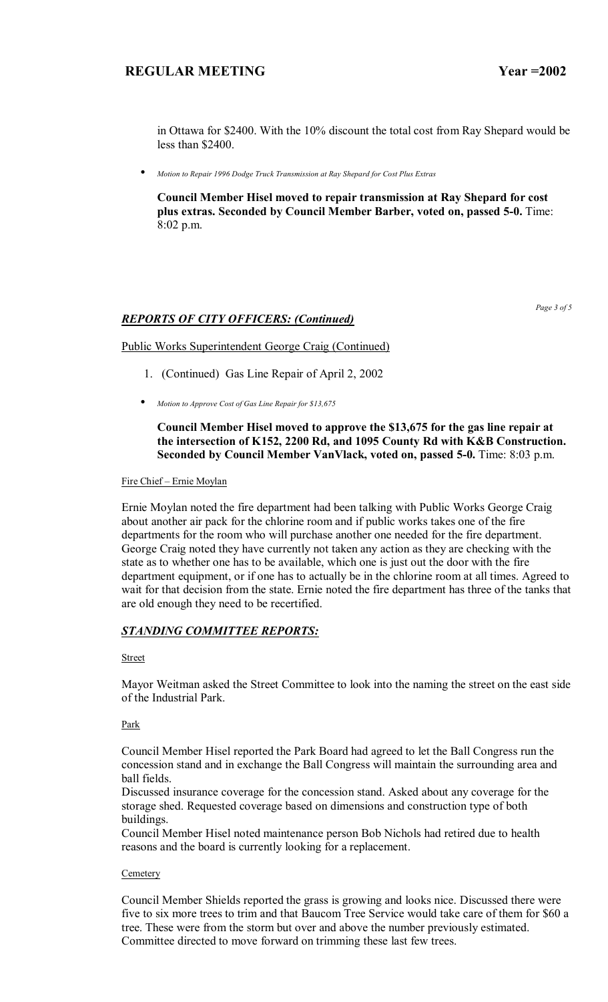in Ottawa for \$2400. With the 10% discount the total cost from Ray Shepard would be less than \$2400.

• *Motion to Repair 1996 Dodge Truck Transmission at Ray Shepard for Cost Plus Extras*

**Council Member Hisel moved to repair transmission at Ray Shepard for cost plus extras. Seconded by Council Member Barber, voted on, passed 5-0.** Time: 8:02 p.m.

## *REPORTS OF CITY OFFICERS: (Continued)*

*Page 3 of 5* 

#### Public Works Superintendent George Craig (Continued)

- 1. (Continued) Gas Line Repair of April 2, 2002
- *Motion to Approve Cost of Gas Line Repair for \$13,675*

### **Council Member Hisel moved to approve the \$13,675 for the gas line repair at the intersection of K152, 2200 Rd, and 1095 County Rd with K&B Construction. Seconded by Council Member VanVlack, voted on, passed 5-0.** Time: 8:03 p.m.

Fire Chief - Ernie Moylan

Ernie Moylan noted the fire department had been talking with Public Works George Craig about another air pack for the chlorine room and if public works takes one of the fire departments for the room who will purchase another one needed for the fire department. George Craig noted they have currently not taken any action as they are checking with the state as to whether one has to be available, which one is just out the door with the fire department equipment, or if one has to actually be in the chlorine room at all times. Agreed to wait for that decision from the state. Ernie noted the fire department has three of the tanks that are old enough they need to be recertified.

#### *STANDING COMMITTEE REPORTS:*

#### **Street**

Mayor Weitman asked the Street Committee to look into the naming the street on the east side of the Industrial Park.

#### Park

Council Member Hisel reported the Park Board had agreed to let the Ball Congress run the concession stand and in exchange the Ball Congress will maintain the surrounding area and ball fields.

Discussed insurance coverage for the concession stand. Asked about any coverage for the storage shed. Requested coverage based on dimensions and construction type of both buildings.

Council Member Hisel noted maintenance person Bob Nichols had retired due to health reasons and the board is currently looking for a replacement.

#### **Cemetery**

Council Member Shields reported the grass is growing and looks nice. Discussed there were five to six more trees to trim and that Baucom Tree Service would take care of them for \$60 a tree. These were from the storm but over and above the number previously estimated. Committee directed to move forward on trimming these last few trees.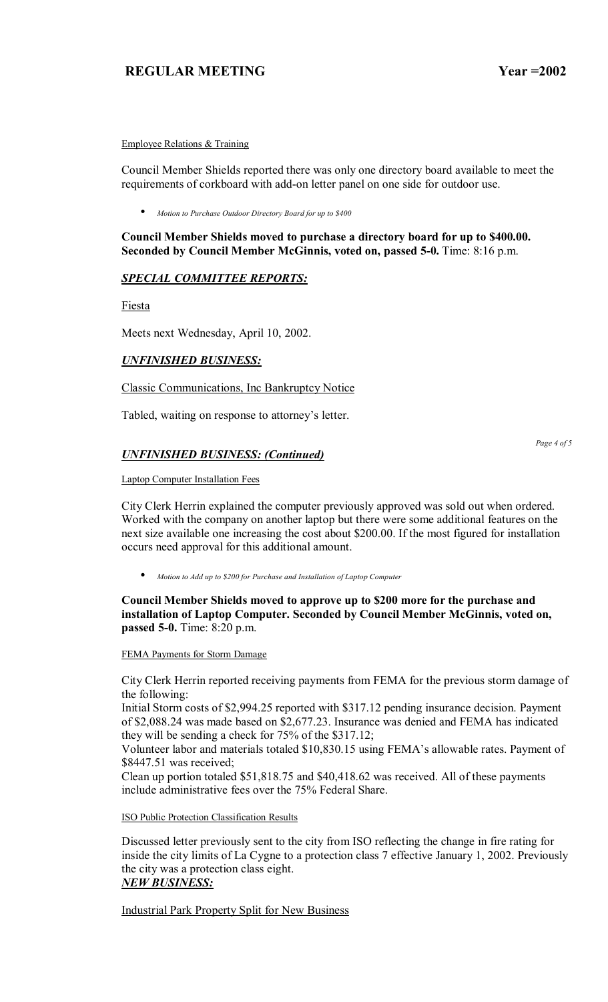Employee Relations & Training

Council Member Shields reported there was only one directory board available to meet the requirements of corkboard with add-on letter panel on one side for outdoor use.

• *Motion to Purchase Outdoor Directory Board for up to \$400*

**Council Member Shields moved to purchase a directory board for up to \$400.00. Seconded by Council Member McGinnis, voted on, passed 5-0.** Time: 8:16 p.m.

## *SPECIAL COMMITTEE REPORTS:*

Fiesta

Meets next Wednesday, April 10, 2002.

## *UNFINISHED BUSINESS:*

Classic Communications, Inc Bankruptcy Notice

Tabled, waiting on response to attorney's letter.

## *UNFINISHED BUSINESS: (Continued)*

*Page 4 of 5* 

Laptop Computer Installation Fees

City Clerk Herrin explained the computer previously approved was sold out when ordered. Worked with the company on another laptop but there were some additional features on the next size available one increasing the cost about \$200.00. If the most figured for installation occurs need approval for this additional amount.

• *Motion to Add up to \$200 for Purchase and Installation of Laptop Computer*

## **Council Member Shields moved to approve up to \$200 more for the purchase and installation of Laptop Computer. Seconded by Council Member McGinnis, voted on, passed 5-0.** Time: 8:20 p.m.

FEMA Payments for Storm Damage

City Clerk Herrin reported receiving payments from FEMA for the previous storm damage of the following:

Initial Storm costs of \$2,994.25 reported with \$317.12 pending insurance decision. Payment of \$2,088.24 was made based on \$2,677.23. Insurance was denied and FEMA has indicated they will be sending a check for 75% of the \$317.12;

Volunteer labor and materials totaled \$10,830.15 using FEMA's allowable rates. Payment of \$8447.51 was received;

Clean up portion totaled \$51,818.75 and \$40,418.62 was received. All of these payments include administrative fees over the 75% Federal Share.

ISO Public Protection Classification Results

Discussed letter previously sent to the city from ISO reflecting the change in fire rating for inside the city limits of La Cygne to a protection class 7 effective January 1, 2002. Previously the city was a protection class eight. *NEW BUSINESS:*

Industrial Park Property Split for New Business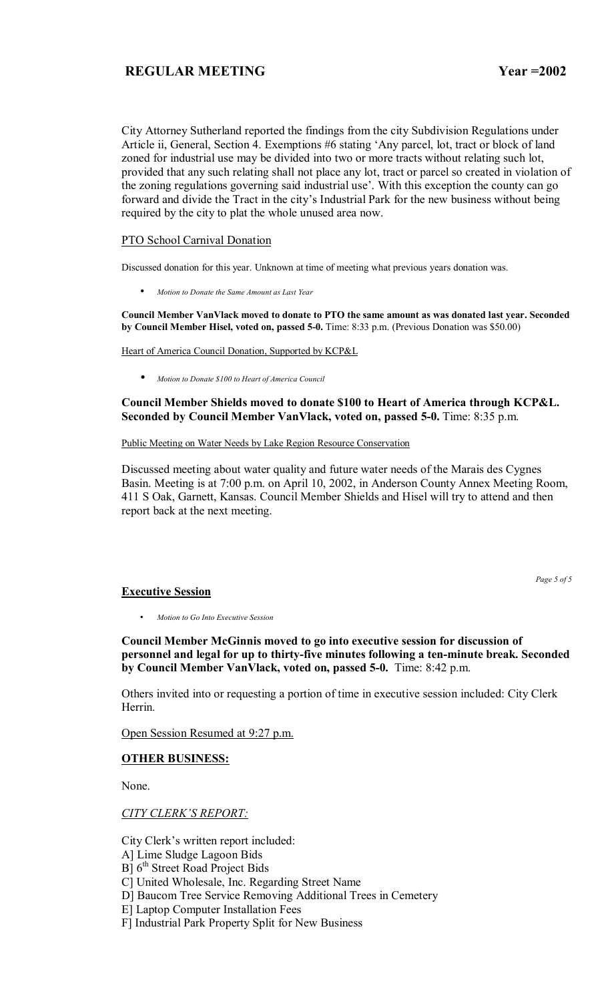City Attorney Sutherland reported the findings from the city Subdivision Regulations under Article ii, General, Section 4. Exemptions #6 stating 'Any parcel, lot, tract or block of land zoned for industrial use may be divided into two or more tracts without relating such lot, provided that any such relating shall not place any lot, tract or parcel so created in violation of the zoning regulations governing said industrial use'. With this exception the county can go forward and divide the Tract in the city's Industrial Park for the new business without being required by the city to plat the whole unused area now.

### PTO School Carnival Donation

Discussed donation for this year. Unknown at time of meeting what previous years donation was.

• *Motion to Donate the Same Amount as Last Year*

**Council Member VanVlack moved to donate to PTO the same amount as was donated last year. Seconded by Council Member Hisel, voted on, passed 5-0.** Time: 8:33 p.m. (Previous Donation was \$50.00)

Heart of America Council Donation, Supported by KCP&L

• *Motion to Donate \$100 to Heart of America Council*

### **Council Member Shields moved to donate \$100 to Heart of America through KCP&L. Seconded by Council Member VanVlack, voted on, passed 5-0.** Time: 8:35 p.m.

Public Meeting on Water Needs by Lake Region Resource Conservation

Discussed meeting about water quality and future water needs of the Marais des Cygnes Basin. Meeting is at 7:00 p.m. on April 10, 2002, in Anderson County Annex Meeting Room, 411 S Oak, Garnett, Kansas. Council Member Shields and Hisel will try to attend and then report back at the next meeting.

# **Executive Session**

*Page 5 of 5* 

• *Motion to Go Into Executive Session*

**Council Member McGinnis moved to go into executive session for discussion of personnel and legal for up to thirty-five minutes following a ten-minute break. Seconded by Council Member VanVlack, voted on, passed 5-0.** Time: 8:42 p.m.

Others invited into or requesting a portion of time in executive session included: City Clerk Herrin.

Open Session Resumed at 9:27 p.m.

## **OTHER BUSINESS:**

None.

#### **CITY CLERK'S REPORT:**

City Clerk's written report included:

- A] Lime Sludge Lagoon Bids
- $B$ ] 6<sup>th</sup> Street Road Project Bids
- C] United Wholesale, Inc. Regarding Street Name
- D] Baucom Tree Service Removing Additional Trees in Cemetery
- E] Laptop Computer Installation Fees
- F] Industrial Park Property Split for New Business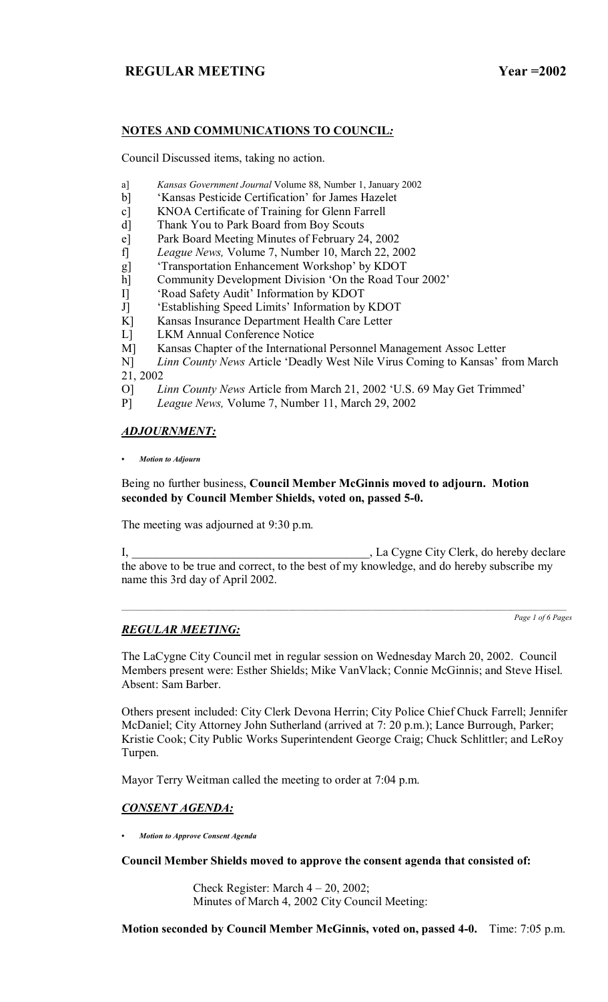# **NOTES AND COMMUNICATIONS TO COUNCIL***:*

Council Discussed items, taking no action.

- a] *Kansas Government Journal* Volume 88, Number 1, January 2002
- b] 'Kansas Pesticide Certification' for James Hazelet
- c] KNOA Certificate of Training for Glenn Farrell
- d] Thank You to Park Board from Boy Scouts
- e] Park Board Meeting Minutes of February 24, 2002
- f] *League News,* Volume 7, Number 10, March 22, 2002
- g] \* Transportation Enhancement Workshop' by KDOT
- h] Community Development Division 'On the Road Tour 2002'
- I] 'Road Safety Audit' Information by KDOT
- J] Establishing Speed Limits' Information by KDOT
- K] Kansas Insurance Department Health Care Letter
- L] LKM Annual Conference Notice
- M] Kansas Chapter of the International Personnel Management Assoc Letter
- Linn County News Article 'Deadly West Nile Virus Coming to Kansas' from March  $N$ ]  $L_i$ <br>21, 2002
- O] *Linn County News* Article from March 21, 2002 ëU.S. 69 May Get Trimmedí
- P] *League News,* Volume 7, Number 11, March 29, 2002

## *ADJOURNMENT:*

*ï Motion to Adjourn*

# Being no further business, **Council Member McGinnis moved to adjourn. Motion seconded by Council Member Shields, voted on, passed 5-0.**

The meeting was adjourned at 9:30 p.m.

I, La Cygne City Clerk, do hereby declare the above to be true and correct, to the best of my knowledge, and do hereby subscribe my name this 3rd day of April 2002.

 $\mathcal{L}_\text{max}$ 

*Page 1 of 6 Pages*

# *REGULAR MEETING:*

The LaCygne City Council met in regular session on Wednesday March 20, 2002. Council Members present were: Esther Shields; Mike VanVlack; Connie McGinnis; and Steve Hisel. Absent: Sam Barber.

Others present included: City Clerk Devona Herrin; City Police Chief Chuck Farrell; Jennifer McDaniel; City Attorney John Sutherland (arrived at 7: 20 p.m.); Lance Burrough, Parker; Kristie Cook; City Public Works Superintendent George Craig; Chuck Schlittler; and LeRoy Turpen.

Mayor Terry Weitman called the meeting to order at 7:04 p.m.

# *CONSENT AGENDA:*

*ï Motion to Approve Consent Agenda*

**Council Member Shields moved to approve the consent agenda that consisted of:**

Check Register: March  $4 - 20$ , 2002; Minutes of March 4, 2002 City Council Meeting:

**Motion seconded by Council Member McGinnis, voted on, passed 4-0.** Time: 7:05 p.m.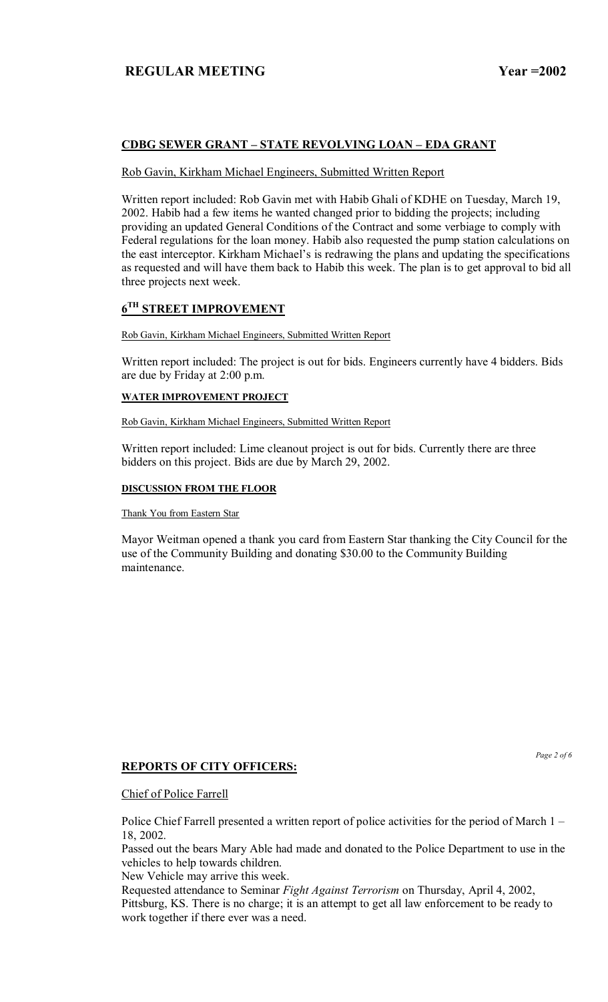# **CDBG SEWER GRANT - STATE REVOLVING LOAN - EDA GRANT**

## Rob Gavin, Kirkham Michael Engineers, Submitted Written Report

Written report included: Rob Gavin met with Habib Ghali of KDHE on Tuesday, March 19, 2002. Habib had a few items he wanted changed prior to bidding the projects; including providing an updated General Conditions of the Contract and some verbiage to comply with Federal regulations for the loan money. Habib also requested the pump station calculations on the east interceptor. Kirkham Michael's is redrawing the plans and updating the specifications as requested and will have them back to Habib this week. The plan is to get approval to bid all three projects next week.

# **6TH STREET IMPROVEMENT**

### Rob Gavin, Kirkham Michael Engineers, Submitted Written Report

Written report included: The project is out for bids. Engineers currently have 4 bidders. Bids are due by Friday at 2:00 p.m.

### **WATER IMPROVEMENT PROJECT**

Rob Gavin, Kirkham Michael Engineers, Submitted Written Report

Written report included: Lime cleanout project is out for bids. Currently there are three bidders on this project. Bids are due by March 29, 2002.

### **DISCUSSION FROM THE FLOOR**

Thank You from Eastern Star

Mayor Weitman opened a thank you card from Eastern Star thanking the City Council for the use of the Community Building and donating \$30.00 to the Community Building maintenance.

## **REPORTS OF CITY OFFICERS:**

*Page 2 of 6* 

Chief of Police Farrell

Police Chief Farrell presented a written report of police activities for the period of March  $1 -$ 18, 2002.

Passed out the bears Mary Able had made and donated to the Police Department to use in the vehicles to help towards children.

New Vehicle may arrive this week.

Requested attendance to Seminar *Fight Against Terrorism* on Thursday, April 4, 2002, Pittsburg, KS. There is no charge; it is an attempt to get all law enforcement to be ready to work together if there ever was a need.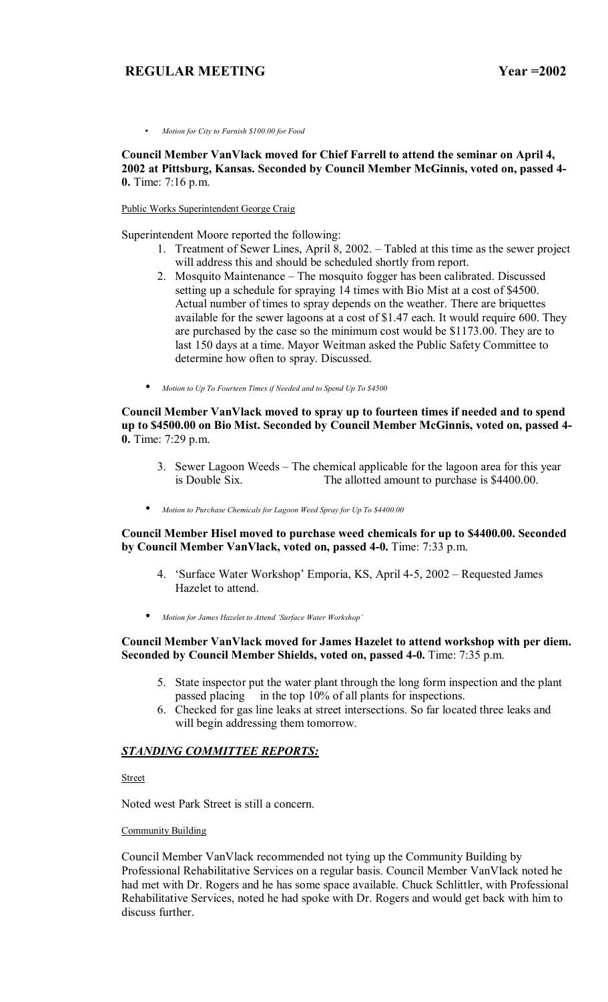• *Motion for City to Furnish \$100.00 for Food*

**Council Member VanVlack moved for Chief Farrell to attend the seminar on April 4, 2002 at Pittsburg, Kansas. Seconded by Council Member McGinnis, voted on, passed 4- 0.** Time: 7:16 p.m.

#### Public Works Superintendent George Craig

Superintendent Moore reported the following:

- 1. Treatment of Sewer Lines, April 8, 2002. Tabled at this time as the sewer project will address this and should be scheduled shortly from report.
- 2. Mosquito Maintenance The mosquito fogger has been calibrated. Discussed setting up a schedule for spraying 14 times with Bio Mist at a cost of \$4500. Actual number of times to spray depends on the weather. There are briquettes available for the sewer lagoons at a cost of \$1.47 each. It would require 600. They are purchased by the case so the minimum cost would be \$1173.00. They are to last 150 days at a time. Mayor Weitman asked the Public Safety Committee to determine how often to spray. Discussed.
- *Motion to Up To Fourteen Times if Needed and to Spend Up To \$4500*

**Council Member VanVlack moved to spray up to fourteen times if needed and to spend up to \$4500.00 on Bio Mist. Seconded by Council Member McGinnis, voted on, passed 4- 0.** Time: 7:29 p.m.

- 3. Sewer Lagoon Weeds The chemical applicable for the lagoon area for this year is Double Six. The allotted amount to purchase is \$4400.00. The allotted amount to purchase is \$4400.00.
- *Motion to Purchase Chemicals for Lagoon Weed Spray for Up To \$4400.00*

**Council Member Hisel moved to purchase weed chemicals for up to \$4400.00. Seconded by Council Member VanVlack, voted on, passed 4-0.** Time: 7:33 p.m.

- 4. 'Surface Water Workshop' Emporia, KS, April 4-5, 2002 Requested James Hazelet to attend.
- *Motion for James Hazelet to Attend ëSurface Water Workshopí*

### **Council Member VanVlack moved for James Hazelet to attend workshop with per diem. Seconded by Council Member Shields, voted on, passed 4-0.** Time: 7:35 p.m.

- 5. State inspector put the water plant through the long form inspection and the plant passed placing in the top 10% of all plants for inspections.
- 6. Checked for gas line leaks at street intersections. So far located three leaks and will begin addressing them tomorrow.

#### *STANDING COMMITTEE REPORTS:*

**Street** 

Noted west Park Street is still a concern.

#### Community Building

Council Member VanVlack recommended not tying up the Community Building by Professional Rehabilitative Services on a regular basis. Council Member VanVlack noted he had met with Dr. Rogers and he has some space available. Chuck Schlittler, with Professional Rehabilitative Services, noted he had spoke with Dr. Rogers and would get back with him to discuss further.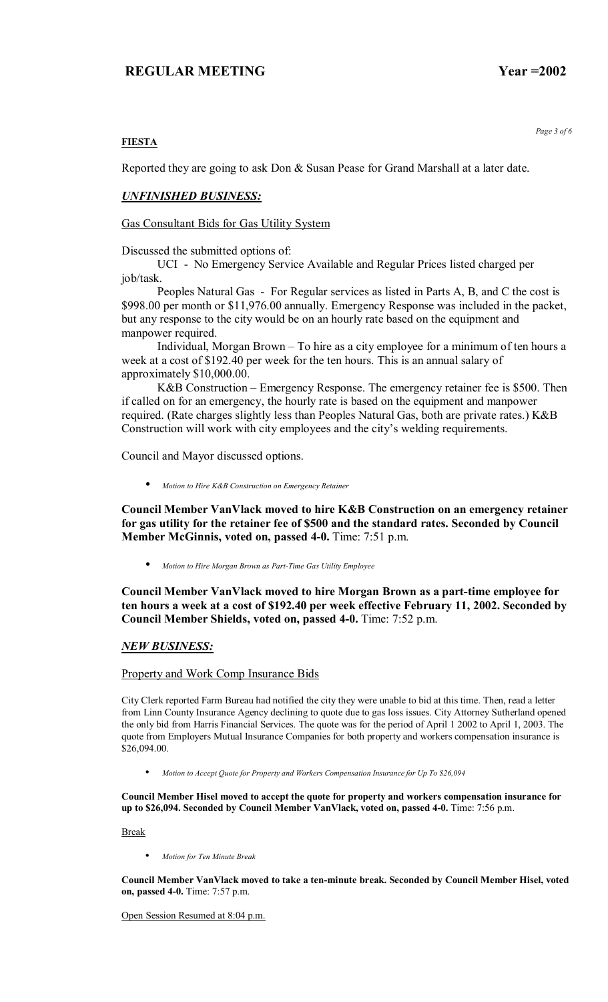*Page 3 of 6* 

### **FIESTA**

Reported they are going to ask Don & Susan Pease for Grand Marshall at a later date.

### *UNFINISHED BUSINESS:*

Gas Consultant Bids for Gas Utility System

Discussed the submitted options of:

 UCI - No Emergency Service Available and Regular Prices listed charged per job/task.

 Peoples Natural Gas - For Regular services as listed in Parts A, B, and C the cost is \$998.00 per month or \$11,976.00 annually. Emergency Response was included in the packet, but any response to the city would be on an hourly rate based on the equipment and manpower required.

Individual, Morgan Brown  $-$  To hire as a city employee for a minimum of ten hours a week at a cost of \$192.40 per week for the ten hours. This is an annual salary of approximately \$10,000.00.

K&B Construction – Emergency Response. The emergency retainer fee is \$500. Then if called on for an emergency, the hourly rate is based on the equipment and manpower required. (Rate charges slightly less than Peoples Natural Gas, both are private rates.) K&B Construction will work with city employees and the city's welding requirements.

Council and Mayor discussed options.

• *Motion to Hire K&B Construction on Emergency Retainer*

**Council Member VanVlack moved to hire K&B Construction on an emergency retainer for gas utility for the retainer fee of \$500 and the standard rates. Seconded by Council Member McGinnis, voted on, passed 4-0.** Time: 7:51 p.m.

• *Motion to Hire Morgan Brown as Part-Time Gas Utility Employee*

**Council Member VanVlack moved to hire Morgan Brown as a part-time employee for ten hours a week at a cost of \$192.40 per week effective February 11, 2002. Seconded by Council Member Shields, voted on, passed 4-0.** Time: 7:52 p.m.

#### *NEW BUSINESS:*

#### Property and Work Comp Insurance Bids

City Clerk reported Farm Bureau had notified the city they were unable to bid at this time. Then, read a letter from Linn County Insurance Agency declining to quote due to gas loss issues. City Attorney Sutherland opened the only bid from Harris Financial Services. The quote was for the period of April 1 2002 to April 1, 2003. The quote from Employers Mutual Insurance Companies for both property and workers compensation insurance is \$26,094.00.

• *Motion to Accept Quote for Property and Workers Compensation Insurance for Up To \$26,094*

**Council Member Hisel moved to accept the quote for property and workers compensation insurance for up to \$26,094. Seconded by Council Member VanVlack, voted on, passed 4-0.** Time: 7:56 p.m.

Break

• *Motion for Ten Minute Break*

**Council Member VanVlack moved to take a ten-minute break. Seconded by Council Member Hisel, voted on, passed 4-0.** Time: 7:57 p.m.

Open Session Resumed at 8:04 p.m.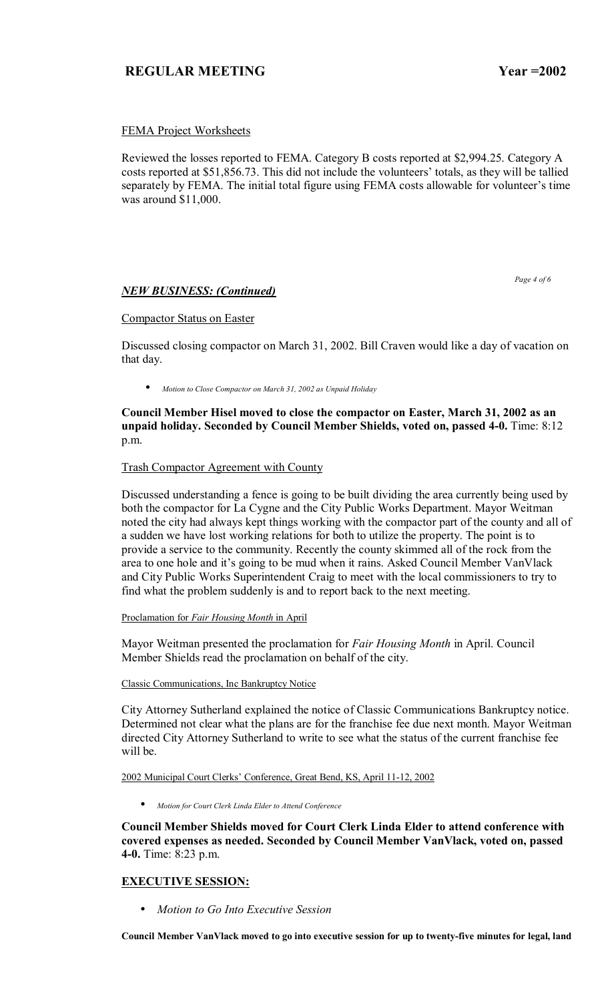## FEMA Project Worksheets

Reviewed the losses reported to FEMA. Category B costs reported at \$2,994.25. Category A costs reported at \$51,856.73. This did not include the volunteers' totals, as they will be tallied separately by FEMA. The initial total figure using FEMA costs allowable for volunteer's time was around \$11,000.

*NEW BUSINESS: (Continued)*

 *Page 4 of 6* 

### Compactor Status on Easter

Discussed closing compactor on March 31, 2002. Bill Craven would like a day of vacation on that day.

• *Motion to Close Compactor on March 31, 2002 as Unpaid Holiday*

**Council Member Hisel moved to close the compactor on Easter, March 31, 2002 as an unpaid holiday. Seconded by Council Member Shields, voted on, passed 4-0.** Time: 8:12 p.m.

Trash Compactor Agreement with County

Discussed understanding a fence is going to be built dividing the area currently being used by both the compactor for La Cygne and the City Public Works Department. Mayor Weitman noted the city had always kept things working with the compactor part of the county and all of a sudden we have lost working relations for both to utilize the property. The point is to provide a service to the community. Recently the county skimmed all of the rock from the area to one hole and it's going to be mud when it rains. Asked Council Member VanVlack and City Public Works Superintendent Craig to meet with the local commissioners to try to find what the problem suddenly is and to report back to the next meeting.

#### Proclamation for *Fair Housing Month* in April

Mayor Weitman presented the proclamation for *Fair Housing Month* in April. Council Member Shields read the proclamation on behalf of the city.

#### Classic Communications, Inc Bankruptcy Notice

City Attorney Sutherland explained the notice of Classic Communications Bankruptcy notice. Determined not clear what the plans are for the franchise fee due next month. Mayor Weitman directed City Attorney Sutherland to write to see what the status of the current franchise fee will be.

2002 Municipal Court Clerks' Conference, Great Bend, KS, April 11-12, 2002

• *Motion for Court Clerk Linda Elder to Attend Conference*

**Council Member Shields moved for Court Clerk Linda Elder to attend conference with covered expenses as needed. Seconded by Council Member VanVlack, voted on, passed 4-0.** Time: 8:23 p.m.

## **EXECUTIVE SESSION:**

• *Motion to Go Into Executive Session*

**Council Member VanVlack moved to go into executive session for up to twenty-five minutes for legal, land**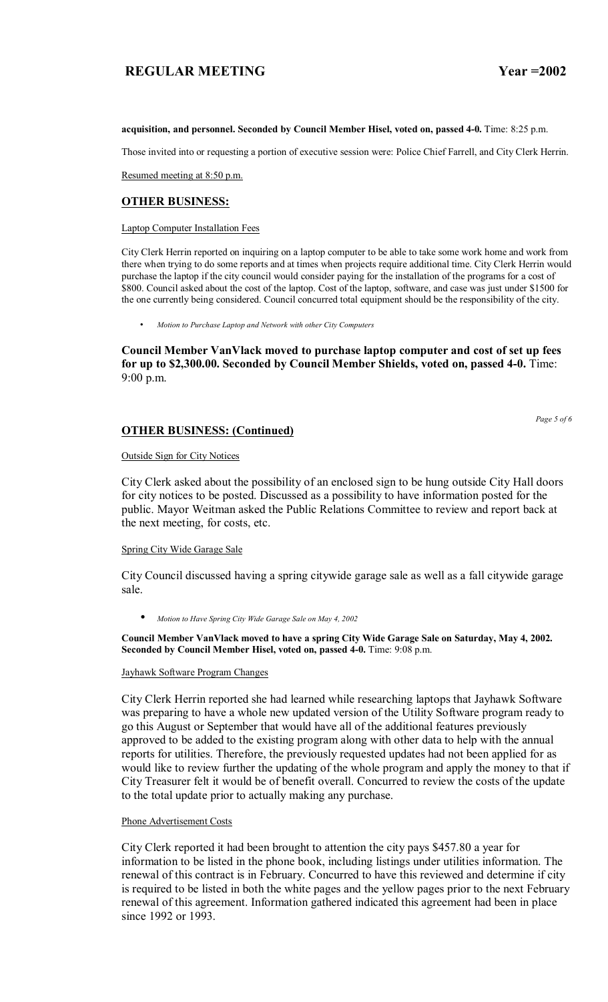#### **acquisition, and personnel. Seconded by Council Member Hisel, voted on, passed 4-0.** Time: 8:25 p.m.

Those invited into or requesting a portion of executive session were: Police Chief Farrell, and City Clerk Herrin.

Resumed meeting at 8:50 p.m.

## **OTHER BUSINESS:**

Laptop Computer Installation Fees

City Clerk Herrin reported on inquiring on a laptop computer to be able to take some work home and work from there when trying to do some reports and at times when projects require additional time. City Clerk Herrin would purchase the laptop if the city council would consider paying for the installation of the programs for a cost of \$800. Council asked about the cost of the laptop. Cost of the laptop, software, and case was just under \$1500 for the one currently being considered. Council concurred total equipment should be the responsibility of the city.

• *Motion to Purchase Laptop and Network with other City Computers* 

**Council Member VanVlack moved to purchase laptop computer and cost of set up fees for up to \$2,300.00. Seconded by Council Member Shields, voted on, passed 4-0.** Time: 9:00 p.m.

### **OTHER BUSINESS: (Continued)**

*Page 5 of 6* 

Outside Sign for City Notices

City Clerk asked about the possibility of an enclosed sign to be hung outside City Hall doors for city notices to be posted. Discussed as a possibility to have information posted for the public. Mayor Weitman asked the Public Relations Committee to review and report back at the next meeting, for costs, etc.

#### Spring City Wide Garage Sale

City Council discussed having a spring citywide garage sale as well as a fall citywide garage sale.

• *Motion to Have Spring City Wide Garage Sale on May 4, 2002*

**Council Member VanVlack moved to have a spring City Wide Garage Sale on Saturday, May 4, 2002. Seconded by Council Member Hisel, voted on, passed 4-0.** Time: 9:08 p.m.

#### Jayhawk Software Program Changes

City Clerk Herrin reported she had learned while researching laptops that Jayhawk Software was preparing to have a whole new updated version of the Utility Software program ready to go this August or September that would have all of the additional features previously approved to be added to the existing program along with other data to help with the annual reports for utilities. Therefore, the previously requested updates had not been applied for as would like to review further the updating of the whole program and apply the money to that if City Treasurer felt it would be of benefit overall. Concurred to review the costs of the update to the total update prior to actually making any purchase.

#### Phone Advertisement Costs

City Clerk reported it had been brought to attention the city pays \$457.80 a year for information to be listed in the phone book, including listings under utilities information. The renewal of this contract is in February. Concurred to have this reviewed and determine if city is required to be listed in both the white pages and the yellow pages prior to the next February renewal of this agreement. Information gathered indicated this agreement had been in place since 1992 or 1993.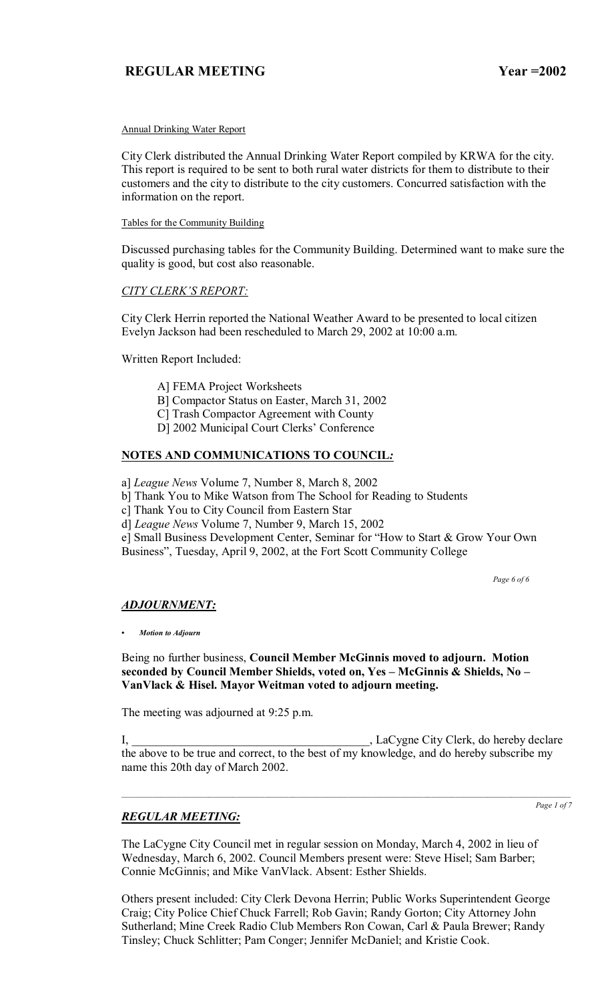#### Annual Drinking Water Report

City Clerk distributed the Annual Drinking Water Report compiled by KRWA for the city. This report is required to be sent to both rural water districts for them to distribute to their customers and the city to distribute to the city customers. Concurred satisfaction with the information on the report.

#### Tables for the Community Building

Discussed purchasing tables for the Community Building. Determined want to make sure the quality is good, but cost also reasonable.

## **CITY CLERK'S REPORT:**

City Clerk Herrin reported the National Weather Award to be presented to local citizen Evelyn Jackson had been rescheduled to March 29, 2002 at 10:00 a.m.

Written Report Included:

- A] FEMA Project Worksheets
- B] Compactor Status on Easter, March 31, 2002
- C] Trash Compactor Agreement with County
- D] 2002 Municipal Court Clerks' Conference

## **NOTES AND COMMUNICATIONS TO COUNCIL***:*

a] *League News* Volume 7, Number 8, March 8, 2002

b] Thank You to Mike Watson from The School for Reading to Students

c] Thank You to City Council from Eastern Star

d] *League News* Volume 7, Number 9, March 15, 2002

e] Small Business Development Center, Seminar for "How to Start & Grow Your Own Business", Tuesday, April 9, 2002, at the Fort Scott Community College

 *Page 6 of 6*

## *ADJOURNMENT:*

*ï Motion to Adjourn*

## Being no further business, **Council Member McGinnis moved to adjourn. Motion**  seconded by Council Member Shields, voted on, Yes - McGinnis & Shields, No -**VanVlack & Hisel. Mayor Weitman voted to adjourn meeting.**

The meeting was adjourned at 9:25 p.m.

I, LaCygne City Clerk, do hereby declare the above to be true and correct, to the best of my knowledge, and do hereby subscribe my name this 20th day of March 2002.

 $\mathcal{L}_\text{max} = \mathcal{L}_\text{max} = \mathcal{L}_\text{max} = \mathcal{L}_\text{max} = \mathcal{L}_\text{max} = \mathcal{L}_\text{max} = \mathcal{L}_\text{max} = \mathcal{L}_\text{max} = \mathcal{L}_\text{max} = \mathcal{L}_\text{max} = \mathcal{L}_\text{max} = \mathcal{L}_\text{max} = \mathcal{L}_\text{max} = \mathcal{L}_\text{max} = \mathcal{L}_\text{max} = \mathcal{L}_\text{max} = \mathcal{L}_\text{max} = \mathcal{L}_\text{max} = \mathcal{$ 

## *REGULAR MEETING:*

*Page 1 of 7*

The LaCygne City Council met in regular session on Monday, March 4, 2002 in lieu of Wednesday, March 6, 2002. Council Members present were: Steve Hisel; Sam Barber; Connie McGinnis; and Mike VanVlack. Absent: Esther Shields.

Others present included: City Clerk Devona Herrin; Public Works Superintendent George Craig; City Police Chief Chuck Farrell; Rob Gavin; Randy Gorton; City Attorney John Sutherland; Mine Creek Radio Club Members Ron Cowan, Carl & Paula Brewer; Randy Tinsley; Chuck Schlitter; Pam Conger; Jennifer McDaniel; and Kristie Cook.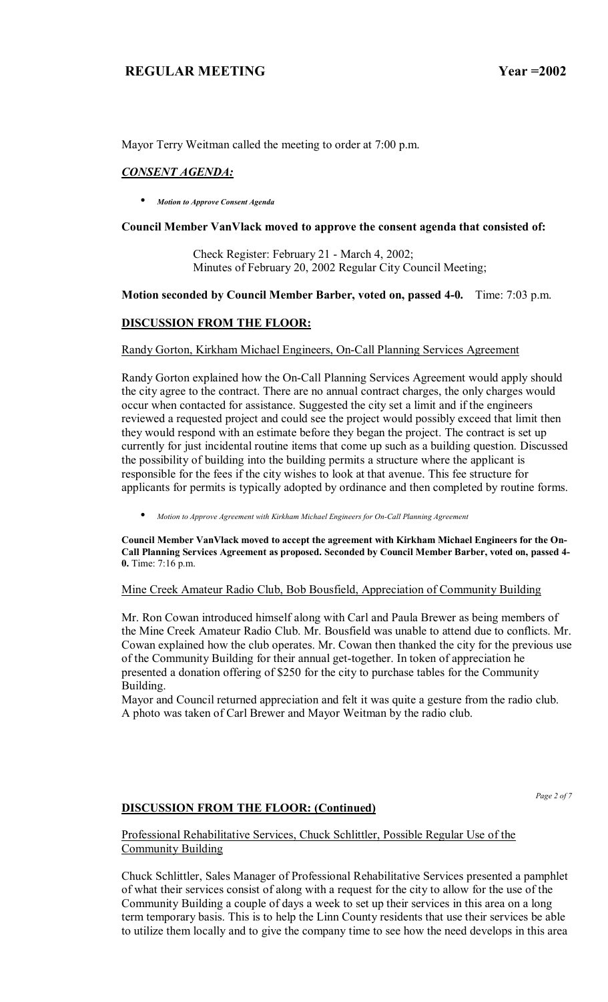Mayor Terry Weitman called the meeting to order at 7:00 p.m.

# *CONSENT AGENDA:*

• *Motion to Approve Consent Agenda*

## **Council Member VanVlack moved to approve the consent agenda that consisted of:**

 Check Register: February 21 - March 4, 2002; Minutes of February 20, 2002 Regular City Council Meeting;

## **Motion seconded by Council Member Barber, voted on, passed 4-0.** Time: 7:03 p.m.

# **DISCUSSION FROM THE FLOOR:**

## Randy Gorton, Kirkham Michael Engineers, On-Call Planning Services Agreement

Randy Gorton explained how the On-Call Planning Services Agreement would apply should the city agree to the contract. There are no annual contract charges, the only charges would occur when contacted for assistance. Suggested the city set a limit and if the engineers reviewed a requested project and could see the project would possibly exceed that limit then they would respond with an estimate before they began the project. The contract is set up currently for just incidental routine items that come up such as a building question. Discussed the possibility of building into the building permits a structure where the applicant is responsible for the fees if the city wishes to look at that avenue. This fee structure for applicants for permits is typically adopted by ordinance and then completed by routine forms.

• *Motion to Approve Agreement with Kirkham Michael Engineers for On-Call Planning Agreement* 

**Council Member VanVlack moved to accept the agreement with Kirkham Michael Engineers for the On-Call Planning Services Agreement as proposed. Seconded by Council Member Barber, voted on, passed 4- 0.** Time: 7:16 p.m.

## Mine Creek Amateur Radio Club, Bob Bousfield, Appreciation of Community Building

Mr. Ron Cowan introduced himself along with Carl and Paula Brewer as being members of the Mine Creek Amateur Radio Club. Mr. Bousfield was unable to attend due to conflicts. Mr. Cowan explained how the club operates. Mr. Cowan then thanked the city for the previous use of the Community Building for their annual get-together. In token of appreciation he presented a donation offering of \$250 for the city to purchase tables for the Community Building.

Mayor and Council returned appreciation and felt it was quite a gesture from the radio club. A photo was taken of Carl Brewer and Mayor Weitman by the radio club.

# **DISCUSSION FROM THE FLOOR: (Continued)**

*Page 2 of 7* 

## Professional Rehabilitative Services, Chuck Schlittler, Possible Regular Use of the Community Building

Chuck Schlittler, Sales Manager of Professional Rehabilitative Services presented a pamphlet of what their services consist of along with a request for the city to allow for the use of the Community Building a couple of days a week to set up their services in this area on a long term temporary basis. This is to help the Linn County residents that use their services be able to utilize them locally and to give the company time to see how the need develops in this area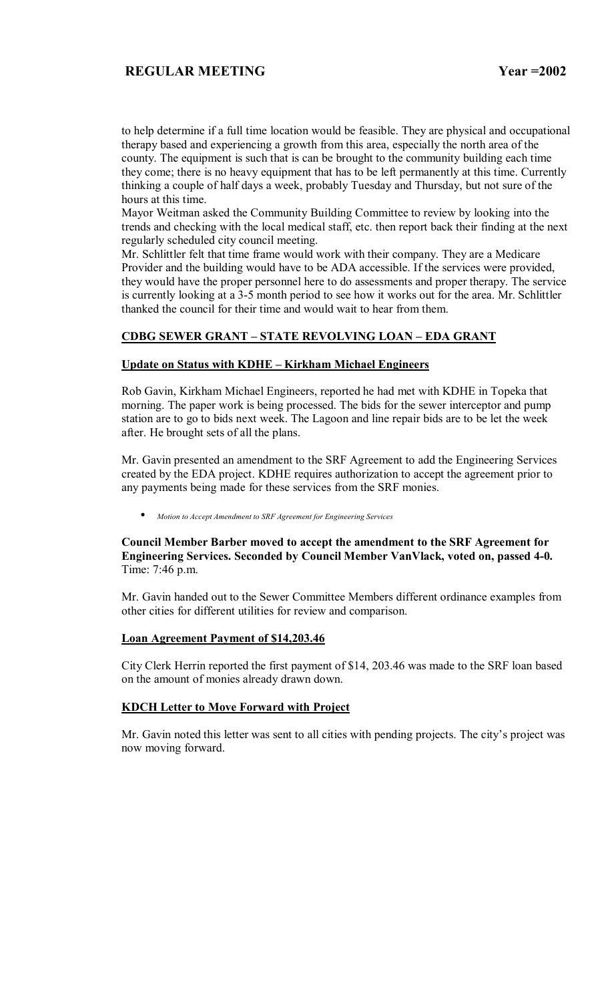to help determine if a full time location would be feasible. They are physical and occupational therapy based and experiencing a growth from this area, especially the north area of the county. The equipment is such that is can be brought to the community building each time they come; there is no heavy equipment that has to be left permanently at this time. Currently thinking a couple of half days a week, probably Tuesday and Thursday, but not sure of the hours at this time.

Mayor Weitman asked the Community Building Committee to review by looking into the trends and checking with the local medical staff, etc. then report back their finding at the next regularly scheduled city council meeting.

Mr. Schlittler felt that time frame would work with their company. They are a Medicare Provider and the building would have to be ADA accessible. If the services were provided, they would have the proper personnel here to do assessments and proper therapy. The service is currently looking at a 3-5 month period to see how it works out for the area. Mr. Schlittler thanked the council for their time and would wait to hear from them.

## **CDBG SEWER GRANT - STATE REVOLVING LOAN - EDA GRANT**

### **Update on Status with KDHE – Kirkham Michael Engineers**

Rob Gavin, Kirkham Michael Engineers, reported he had met with KDHE in Topeka that morning. The paper work is being processed. The bids for the sewer interceptor and pump station are to go to bids next week. The Lagoon and line repair bids are to be let the week after. He brought sets of all the plans.

Mr. Gavin presented an amendment to the SRF Agreement to add the Engineering Services created by the EDA project. KDHE requires authorization to accept the agreement prior to any payments being made for these services from the SRF monies.

• *Motion to Accept Amendment to SRF Agreement for Engineering Services*

### **Council Member Barber moved to accept the amendment to the SRF Agreement for Engineering Services. Seconded by Council Member VanVlack, voted on, passed 4-0.**  Time: 7:46 p.m.

Mr. Gavin handed out to the Sewer Committee Members different ordinance examples from other cities for different utilities for review and comparison.

#### **Loan Agreement Payment of \$14,203.46**

City Clerk Herrin reported the first payment of \$14, 203.46 was made to the SRF loan based on the amount of monies already drawn down.

#### **KDCH Letter to Move Forward with Project**

Mr. Gavin noted this letter was sent to all cities with pending projects. The city's project was now moving forward.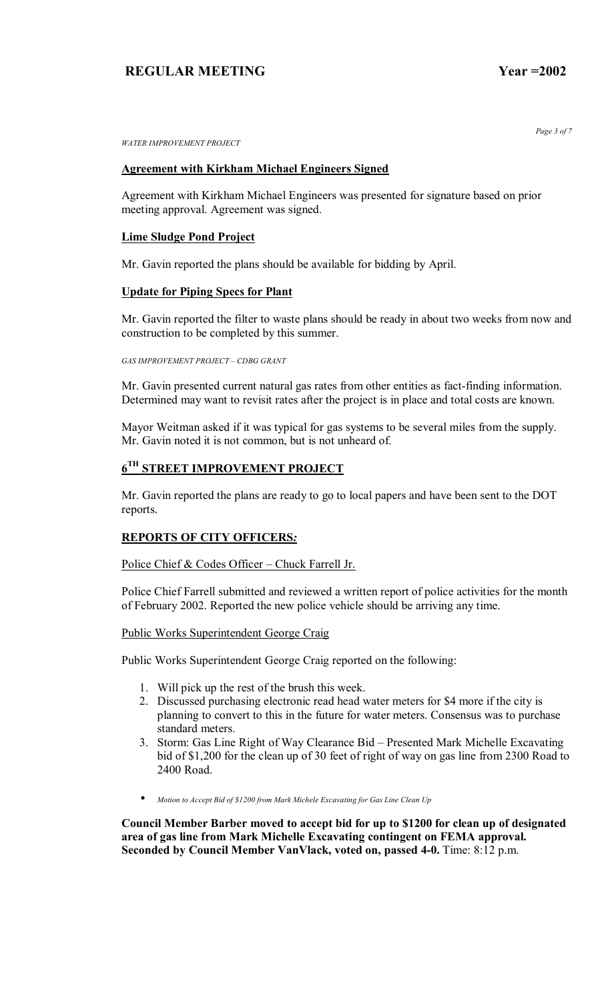*WATER IMPROVEMENT PROJECT* 

# **Agreement with Kirkham Michael Engineers Signed**

Agreement with Kirkham Michael Engineers was presented for signature based on prior meeting approval. Agreement was signed.

### **Lime Sludge Pond Project**

Mr. Gavin reported the plans should be available for bidding by April.

#### **Update for Piping Specs for Plant**

Mr. Gavin reported the filter to waste plans should be ready in about two weeks from now and construction to be completed by this summer.

**GAS IMPROVEMENT PROJECT - CDBG GRANT** 

Mr. Gavin presented current natural gas rates from other entities as fact-finding information. Determined may want to revisit rates after the project is in place and total costs are known.

Mayor Weitman asked if it was typical for gas systems to be several miles from the supply. Mr. Gavin noted it is not common, but is not unheard of.

# **6TH STREET IMPROVEMENT PROJECT**

Mr. Gavin reported the plans are ready to go to local papers and have been sent to the DOT reports.

## **REPORTS OF CITY OFFICERS***:*

Police Chief  $& Codes$  Officer – Chuck Farrell Jr.

Police Chief Farrell submitted and reviewed a written report of police activities for the month of February 2002. Reported the new police vehicle should be arriving any time.

Public Works Superintendent George Craig

Public Works Superintendent George Craig reported on the following:

- 1. Will pick up the rest of the brush this week.
- 2. Discussed purchasing electronic read head water meters for \$4 more if the city is planning to convert to this in the future for water meters. Consensus was to purchase standard meters.
- 3. Storm: Gas Line Right of Way Clearance Bid Presented Mark Michelle Excavating bid of \$1,200 for the clean up of 30 feet of right of way on gas line from 2300 Road to 2400 Road.
- *Motion to Accept Bid of \$1200 from Mark Michele Excavating for Gas Line Clean Up*

**Council Member Barber moved to accept bid for up to \$1200 for clean up of designated area of gas line from Mark Michelle Excavating contingent on FEMA approval. Seconded by Council Member VanVlack, voted on, passed 4-0.** Time: 8:12 p.m.

*Page 3 of 7*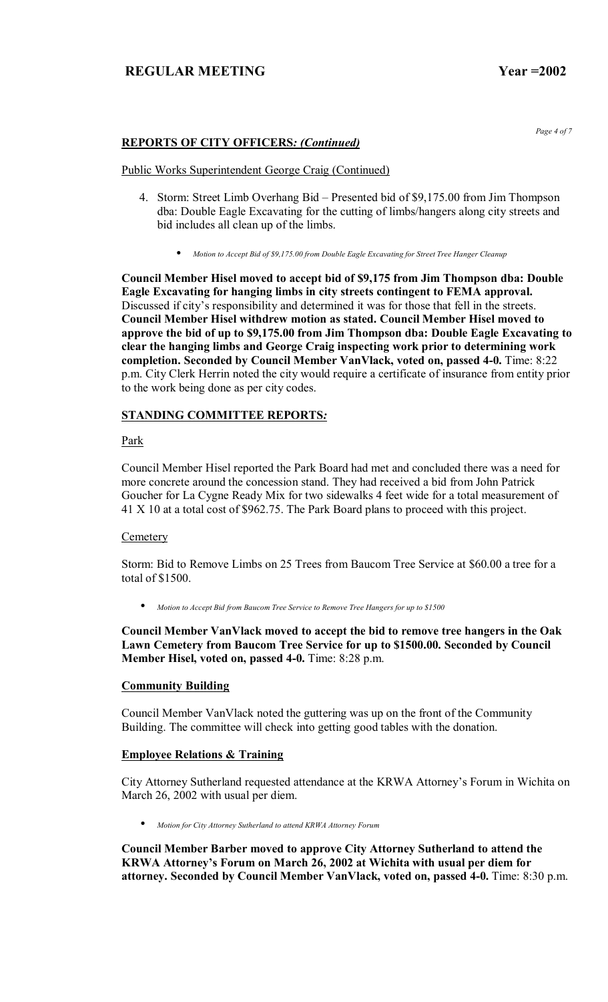# **REPORTS OF CITY OFFICERS***: (Continued)*

#### Public Works Superintendent George Craig (Continued)

- 4. Storm: Street Limb Overhang Bid Presented bid of \$9,175.00 from Jim Thompson dba: Double Eagle Excavating for the cutting of limbs/hangers along city streets and bid includes all clean up of the limbs.
	- *Motion to Accept Bid of \$9,175.00 from Double Eagle Excavating for Street Tree Hanger Cleanup*

**Council Member Hisel moved to accept bid of \$9,175 from Jim Thompson dba: Double Eagle Excavating for hanging limbs in city streets contingent to FEMA approval.**  Discussed if city's responsibility and determined it was for those that fell in the streets. **Council Member Hisel withdrew motion as stated. Council Member Hisel moved to approve the bid of up to \$9,175.00 from Jim Thompson dba: Double Eagle Excavating to clear the hanging limbs and George Craig inspecting work prior to determining work completion. Seconded by Council Member VanVlack, voted on, passed 4-0.** Time: 8:22 p.m. City Clerk Herrin noted the city would require a certificate of insurance from entity prior to the work being done as per city codes.

## **STANDING COMMITTEE REPORTS***:*

## Park

Council Member Hisel reported the Park Board had met and concluded there was a need for more concrete around the concession stand. They had received a bid from John Patrick Goucher for La Cygne Ready Mix for two sidewalks 4 feet wide for a total measurement of 41 X 10 at a total cost of \$962.75. The Park Board plans to proceed with this project.

#### **Cemetery**

Storm: Bid to Remove Limbs on 25 Trees from Baucom Tree Service at \$60.00 a tree for a total of \$1500.

• *Motion to Accept Bid from Baucom Tree Service to Remove Tree Hangers for up to \$1500*

**Council Member VanVlack moved to accept the bid to remove tree hangers in the Oak Lawn Cemetery from Baucom Tree Service for up to \$1500.00. Seconded by Council Member Hisel, voted on, passed 4-0.** Time: 8:28 p.m.

## **Community Building**

Council Member VanVlack noted the guttering was up on the front of the Community Building. The committee will check into getting good tables with the donation.

## **Employee Relations & Training**

City Attorney Sutherland requested attendance at the KRWA Attorney's Forum in Wichita on March 26, 2002 with usual per diem.

• *Motion for City Attorney Sutherland to attend KRWA Attorney Forum*

**Council Member Barber moved to approve City Attorney Sutherland to attend the KRWA Attorneyís Forum on March 26, 2002 at Wichita with usual per diem for attorney. Seconded by Council Member VanVlack, voted on, passed 4-0.** Time: 8:30 p.m.

*Page 4 of 7*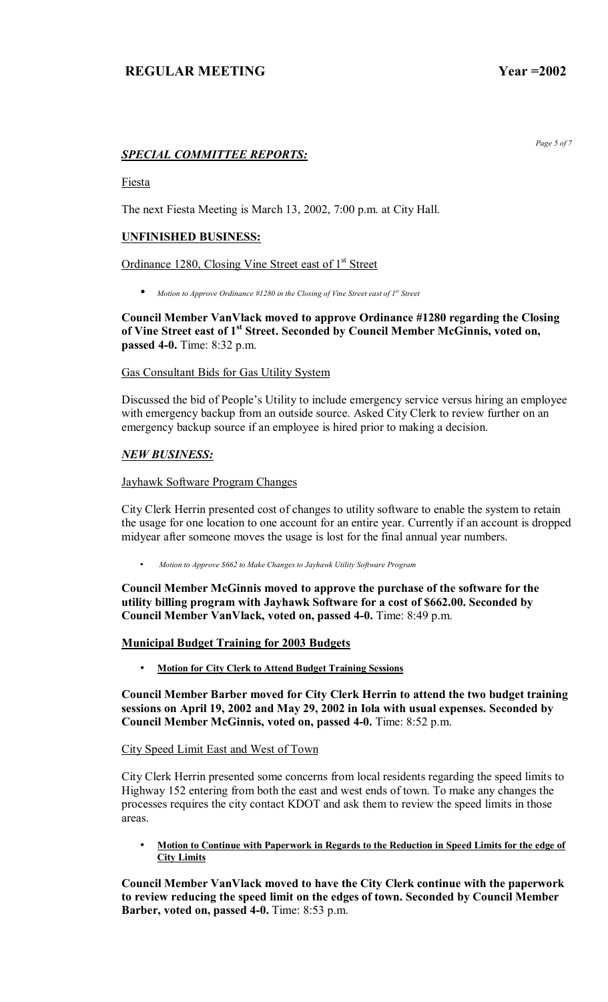*Page 5 of 7* 

# *SPECIAL COMMITTEE REPORTS:*

**Fiesta** 

The next Fiesta Meeting is March 13, 2002, 7:00 p.m. at City Hall.

## **UNFINISHED BUSINESS:**

Ordinance 1280, Closing Vine Street east of 1<sup>st</sup> Street

• *Motion to Approve Ordinance #1280 in the Closing of Vine Street east of 1st Street*

**Council Member VanVlack moved to approve Ordinance #1280 regarding the Closing**  of Vine Street east of 1<sup>st</sup> Street. Seconded by Council Member McGinnis, voted on, **passed 4-0.** Time: 8:32 p.m.

### Gas Consultant Bids for Gas Utility System

Discussed the bid of People's Utility to include emergency service versus hiring an employee with emergency backup from an outside source. Asked City Clerk to review further on an emergency backup source if an employee is hired prior to making a decision.

## *NEW BUSINESS:*

### Jayhawk Software Program Changes

City Clerk Herrin presented cost of changes to utility software to enable the system to retain the usage for one location to one account for an entire year. Currently if an account is dropped midyear after someone moves the usage is lost for the final annual year numbers.

• *Motion to Approve \$662 to Make Changes to Jayhawk Utility Software Program*

**Council Member McGinnis moved to approve the purchase of the software for the utility billing program with Jayhawk Software for a cost of \$662.00. Seconded by Council Member VanVlack, voted on, passed 4-0.** Time: 8:49 p.m.

**Municipal Budget Training for 2003 Budgets** 

• **Motion for City Clerk to Attend Budget Training Sessions** 

**Council Member Barber moved for City Clerk Herrin to attend the two budget training sessions on April 19, 2002 and May 29, 2002 in Iola with usual expenses. Seconded by Council Member McGinnis, voted on, passed 4-0.** Time: 8:52 p.m.

City Speed Limit East and West of Town

City Clerk Herrin presented some concerns from local residents regarding the speed limits to Highway 152 entering from both the east and west ends of town. To make any changes the processes requires the city contact KDOT and ask them to review the speed limits in those areas.

• **Motion to Continue with Paperwork in Regards to the Reduction in Speed Limits for the edge of City Limits** 

**Council Member VanVlack moved to have the City Clerk continue with the paperwork to review reducing the speed limit on the edges of town. Seconded by Council Member Barber, voted on, passed 4-0.** Time: 8:53 p.m.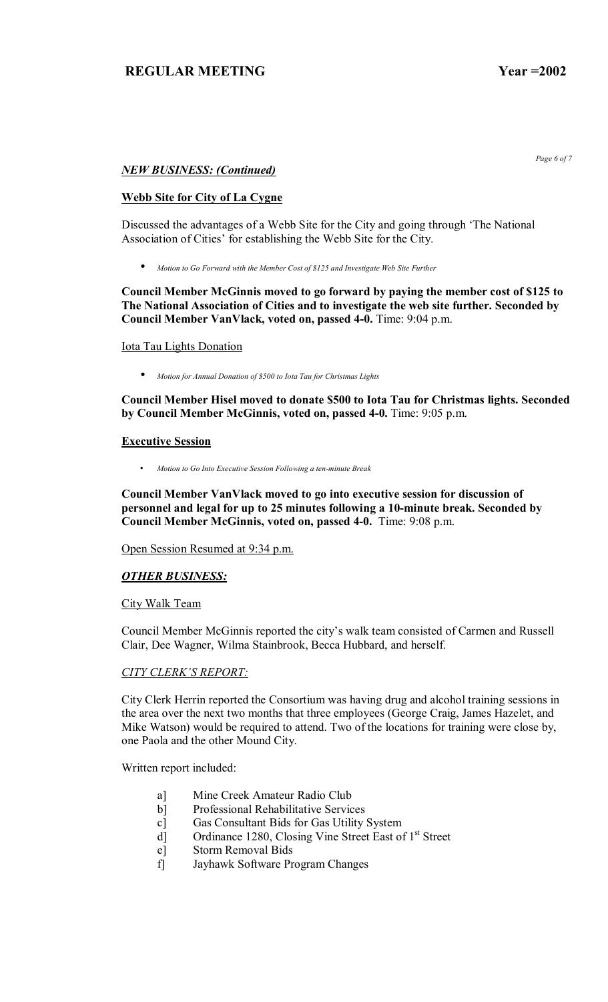*Page 6 of 7* 

## *NEW BUSINESS: (Continued)*

### **Webb Site for City of La Cygne**

Discussed the advantages of a Webb Site for the City and going through 'The National Association of Cities' for establishing the Webb Site for the City.

• *Motion to Go Forward with the Member Cost of \$125 and Investigate Web Site Further*

**Council Member McGinnis moved to go forward by paying the member cost of \$125 to The National Association of Cities and to investigate the web site further. Seconded by Council Member VanVlack, voted on, passed 4-0.** Time: 9:04 p.m.

#### Iota Tau Lights Donation

• *Motion for Annual Donation of \$500 to Iota Tau for Christmas Lights*

**Council Member Hisel moved to donate \$500 to Iota Tau for Christmas lights. Seconded by Council Member McGinnis, voted on, passed 4-0.** Time: 9:05 p.m.

#### **Executive Session**

• *Motion to Go Into Executive Session Following a ten-minute Break*

**Council Member VanVlack moved to go into executive session for discussion of personnel and legal for up to 25 minutes following a 10-minute break. Seconded by Council Member McGinnis, voted on, passed 4-0.** Time: 9:08 p.m.

Open Session Resumed at 9:34 p.m.

## *OTHER BUSINESS:*

#### City Walk Team

Council Member McGinnis reported the city's walk team consisted of Carmen and Russell Clair, Dee Wagner, Wilma Stainbrook, Becca Hubbard, and herself.

#### **CITY CLERK'S REPORT:**

City Clerk Herrin reported the Consortium was having drug and alcohol training sessions in the area over the next two months that three employees (George Craig, James Hazelet, and Mike Watson) would be required to attend. Two of the locations for training were close by, one Paola and the other Mound City.

Written report included:

- a] Mine Creek Amateur Radio Club
- b] Professional Rehabilitative Services
- c] Gas Consultant Bids for Gas Utility System
- d] Ordinance 1280, Closing Vine Street East of 1<sup>st</sup> Street
- e] Storm Removal Bids
- f] Jayhawk Software Program Changes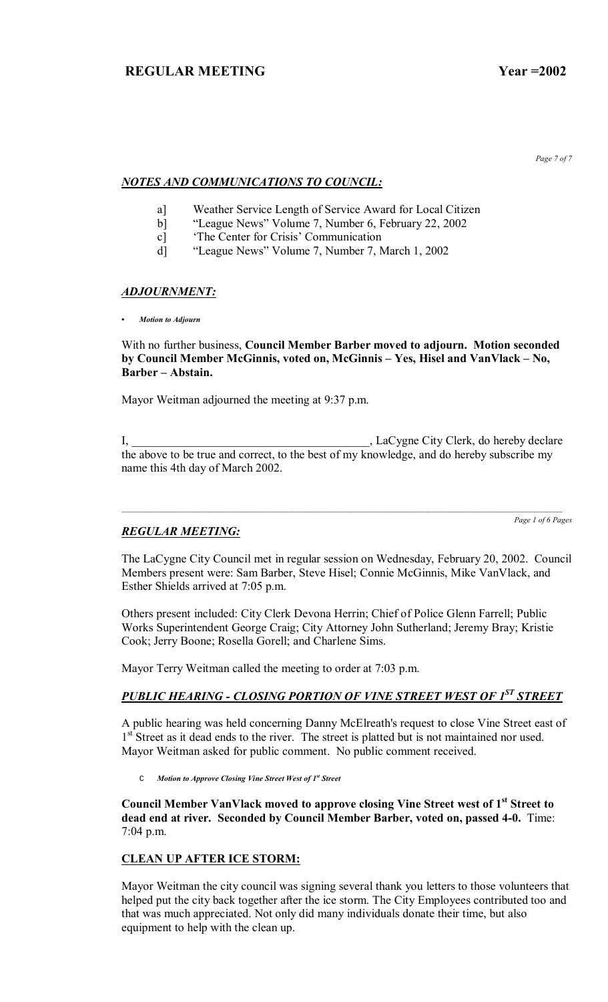*Page 7 of 7* 

# *NOTES AND COMMUNICATIONS TO COUNCIL:*

- a] Weather Service Length of Service Award for Local Citizen
- b] "League News" Volume 7, Number 6, February 22, 2002
- c] The Center for Crisis' Communication
- d] <sup>21</sup> "League News" Volume 7, Number 7, March 1, 2002

## *ADJOURNMENT:*

*ï Motion to Adjourn*

## With no further business, **Council Member Barber moved to adjourn. Motion seconded**  by Council Member McGinnis, voted on, McGinnis - Yes, Hisel and VanVlack - No, **Barber – Abstain.**

Mayor Weitman adjourned the meeting at 9:37 p.m.

I, \_\_\_\_\_\_\_\_\_\_\_\_\_\_\_\_\_\_\_\_\_\_\_\_\_\_\_\_\_\_\_\_\_\_\_\_\_\_\_\_, LaCygne City Clerk, do hereby declare the above to be true and correct, to the best of my knowledge, and do hereby subscribe my name this 4th day of March 2002.

*Page 1 of 6 Pages*

# *REGULAR MEETING:*

The LaCygne City Council met in regular session on Wednesday, February 20, 2002. Council Members present were: Sam Barber, Steve Hisel; Connie McGinnis, Mike VanVlack, and Esther Shields arrived at 7:05 p.m.

Others present included: City Clerk Devona Herrin; Chief of Police Glenn Farrell; Public Works Superintendent George Craig; City Attorney John Sutherland; Jeremy Bray; Kristie Cook; Jerry Boone; Rosella Gorell; and Charlene Sims.

Mayor Terry Weitman called the meeting to order at 7:03 p.m.

# *PUBLIC HEARING - CLOSING PORTION OF VINE STREET WEST OF 1ST STREET*

A public hearing was held concerning Danny McElreath's request to close Vine Street east of 1<sup>st</sup> Street as it dead ends to the river. The street is platted but is not maintained nor used. Mayor Weitman asked for public comment. No public comment received.

C *Motion to Approve Closing Vine Street West of 1st Street*

**Council Member VanVlack moved to approve closing Vine Street west of 1st Street to dead end at river. Seconded by Council Member Barber, voted on, passed 4-0.** Time: 7:04 p.m.

# **CLEAN UP AFTER ICE STORM:**

Mayor Weitman the city council was signing several thank you letters to those volunteers that helped put the city back together after the ice storm. The City Employees contributed too and that was much appreciated. Not only did many individuals donate their time, but also equipment to help with the clean up.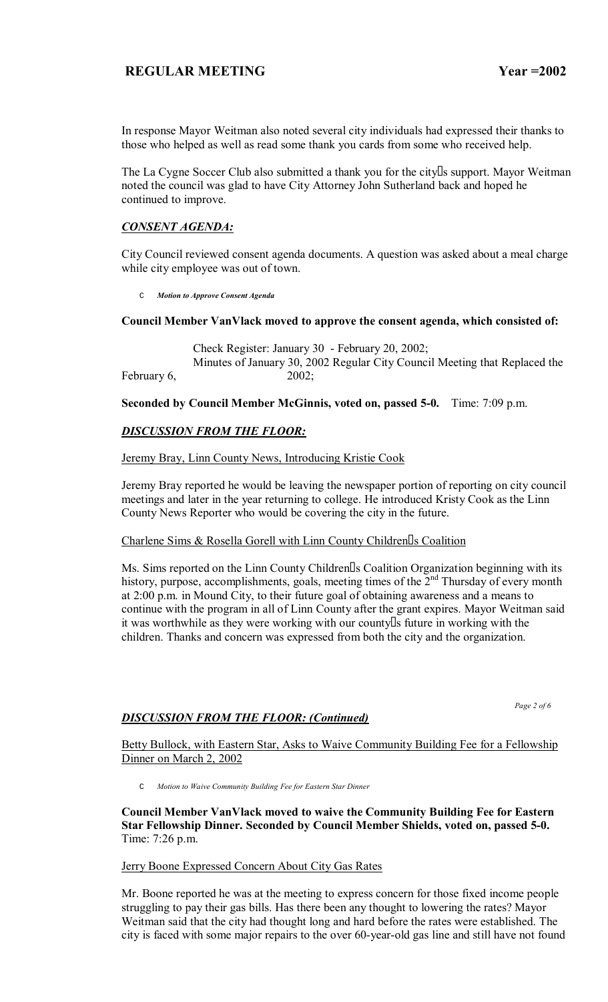In response Mayor Weitman also noted several city individuals had expressed their thanks to those who helped as well as read some thank you cards from some who received help.

The La Cygne Soccer Club also submitted a thank you for the city s support. Mayor Weitman noted the council was glad to have City Attorney John Sutherland back and hoped he continued to improve.

## *CONSENT AGENDA:*

City Council reviewed consent agenda documents. A question was asked about a meal charge while city employee was out of town.

C *Motion to Approve Consent Agenda*

### **Council Member VanVlack moved to approve the consent agenda, which consisted of:**

 Check Register: January 30 - February 20, 2002; Minutes of January 30, 2002 Regular City Council Meeting that Replaced the February 6, 2002;

**Seconded by Council Member McGinnis, voted on, passed 5-0.** Time: 7:09 p.m.

## *DISCUSSION FROM THE FLOOR:*

Jeremy Bray, Linn County News, Introducing Kristie Cook

Jeremy Bray reported he would be leaving the newspaper portion of reporting on city council meetings and later in the year returning to college. He introduced Kristy Cook as the Linn County News Reporter who would be covering the city in the future.

## Charlene Sims & Rosella Gorell with Linn County Children s Coalition

Ms. Sims reported on the Linn County Children s Coalition Organization beginning with its history, purpose, accomplishments, goals, meeting times of the 2<sup>nd</sup> Thursday of every month at 2:00 p.m. in Mound City, to their future goal of obtaining awareness and a means to continue with the program in all of Linn County after the grant expires. Mayor Weitman said it was worthwhile as they were working with our county s future in working with the children. Thanks and concern was expressed from both the city and the organization.

 *Page 2 of 6* 

## *DISCUSSION FROM THE FLOOR: (Continued)*

Betty Bullock, with Eastern Star, Asks to Waive Community Building Fee for a Fellowship Dinner on March 2, 2002

C *Motion to Waive Community Building Fee for Eastern Star Dinner*

**Council Member VanVlack moved to waive the Community Building Fee for Eastern Star Fellowship Dinner. Seconded by Council Member Shields, voted on, passed 5-0.**  Time: 7:26 p.m.

## Jerry Boone Expressed Concern About City Gas Rates

Mr. Boone reported he was at the meeting to express concern for those fixed income people struggling to pay their gas bills. Has there been any thought to lowering the rates? Mayor Weitman said that the city had thought long and hard before the rates were established. The city is faced with some major repairs to the over 60-year-old gas line and still have not found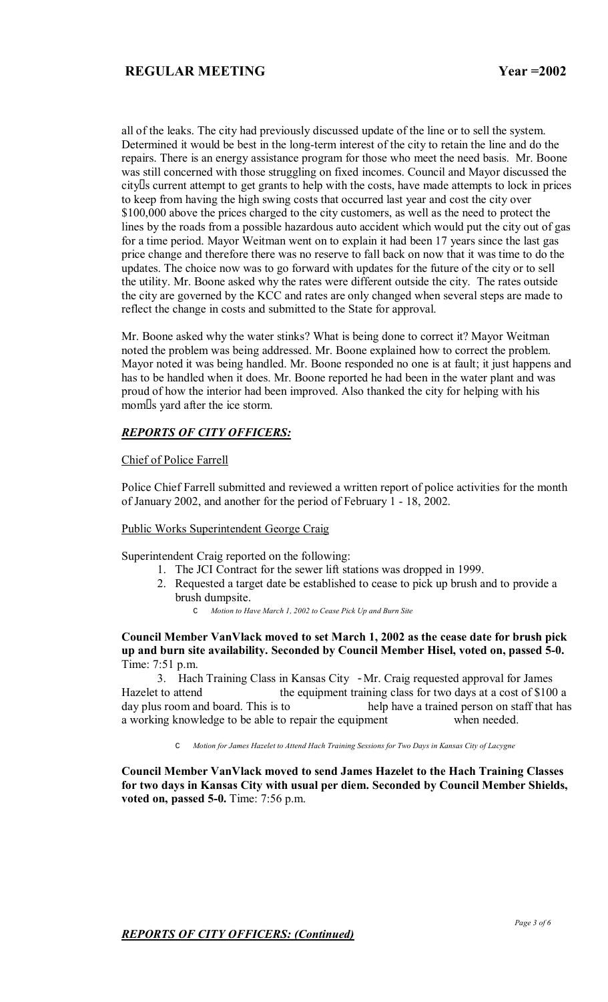all of the leaks. The city had previously discussed update of the line or to sell the system. Determined it would be best in the long-term interest of the city to retain the line and do the repairs. There is an energy assistance program for those who meet the need basis. Mr. Boone was still concerned with those struggling on fixed incomes. Council and Mayor discussed the city s current attempt to get grants to help with the costs, have made attempts to lock in prices to keep from having the high swing costs that occurred last year and cost the city over \$100,000 above the prices charged to the city customers, as well as the need to protect the lines by the roads from a possible hazardous auto accident which would put the city out of gas for a time period. Mayor Weitman went on to explain it had been 17 years since the last gas price change and therefore there was no reserve to fall back on now that it was time to do the updates. The choice now was to go forward with updates for the future of the city or to sell the utility. Mr. Boone asked why the rates were different outside the city. The rates outside the city are governed by the KCC and rates are only changed when several steps are made to reflect the change in costs and submitted to the State for approval.

Mr. Boone asked why the water stinks? What is being done to correct it? Mayor Weitman noted the problem was being addressed. Mr. Boone explained how to correct the problem. Mayor noted it was being handled. Mr. Boone responded no one is at fault; it just happens and has to be handled when it does. Mr. Boone reported he had been in the water plant and was proud of how the interior had been improved. Also thanked the city for helping with his moms yard after the ice storm.

## *REPORTS OF CITY OFFICERS:*

### Chief of Police Farrell

Police Chief Farrell submitted and reviewed a written report of police activities for the month of January 2002, and another for the period of February 1 - 18, 2002.

#### Public Works Superintendent George Craig

Superintendent Craig reported on the following:

- 1. The JCI Contract for the sewer lift stations was dropped in 1999.
- 2. Requested a target date be established to cease to pick up brush and to provide a brush dumpsite.
	- C *Motion to Have March 1, 2002 to Cease Pick Up and Burn Site*

### **Council Member VanVlack moved to set March 1, 2002 as the cease date for brush pick up and burn site availability. Seconded by Council Member Hisel, voted on, passed 5-0.**  Time: 7:51 p.m.

 3. Hach Training Class in Kansas City -Mr. Craig requested approval for James Hazelet to attend the equipment training class for two days at a cost of \$100 a day plus room and board. This is to help have a trained person on staff that has a working knowledge to be able to repair the equipment when needed.

C *Motion for James Hazelet to Attend Hach Training Sessions for Two Days in Kansas City of Lacygne*

**Council Member VanVlack moved to send James Hazelet to the Hach Training Classes for two days in Kansas City with usual per diem. Seconded by Council Member Shields, voted on, passed 5-0.** Time: 7:56 p.m.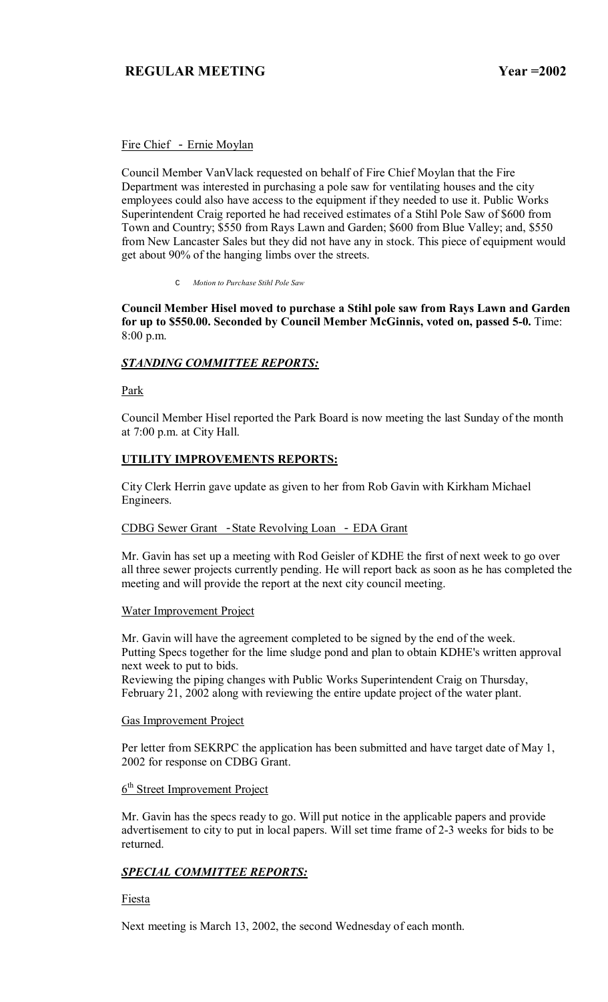## Fire Chief - Ernie Moylan

Council Member VanVlack requested on behalf of Fire Chief Moylan that the Fire Department was interested in purchasing a pole saw for ventilating houses and the city employees could also have access to the equipment if they needed to use it. Public Works Superintendent Craig reported he had received estimates of a Stihl Pole Saw of \$600 from Town and Country; \$550 from Rays Lawn and Garden; \$600 from Blue Valley; and, \$550 from New Lancaster Sales but they did not have any in stock. This piece of equipment would get about 90% of the hanging limbs over the streets.

C *Motion to Purchase Stihl Pole Saw*

**Council Member Hisel moved to purchase a Stihl pole saw from Rays Lawn and Garden for up to \$550.00. Seconded by Council Member McGinnis, voted on, passed 5-0.** Time: 8:00 p.m.

# *STANDING COMMITTEE REPORTS:*

Park

Council Member Hisel reported the Park Board is now meeting the last Sunday of the month at 7:00 p.m. at City Hall.

## **UTILITY IMPROVEMENTS REPORTS:**

City Clerk Herrin gave update as given to her from Rob Gavin with Kirkham Michael Engineers.

## CDBG Sewer Grant -State Revolving Loan - EDA Grant

Mr. Gavin has set up a meeting with Rod Geisler of KDHE the first of next week to go over all three sewer projects currently pending. He will report back as soon as he has completed the meeting and will provide the report at the next city council meeting.

## Water Improvement Project

Mr. Gavin will have the agreement completed to be signed by the end of the week. Putting Specs together for the lime sludge pond and plan to obtain KDHE's written approval next week to put to bids.

Reviewing the piping changes with Public Works Superintendent Craig on Thursday, February 21, 2002 along with reviewing the entire update project of the water plant.

## Gas Improvement Project

Per letter from SEKRPC the application has been submitted and have target date of May 1, 2002 for response on CDBG Grant.

#### 6<sup>th</sup> Street Improvement Project

Mr. Gavin has the specs ready to go. Will put notice in the applicable papers and provide advertisement to city to put in local papers. Will set time frame of 2-3 weeks for bids to be returned.

# *SPECIAL COMMITTEE REPORTS:*

## Fiesta

Next meeting is March 13, 2002, the second Wednesday of each month.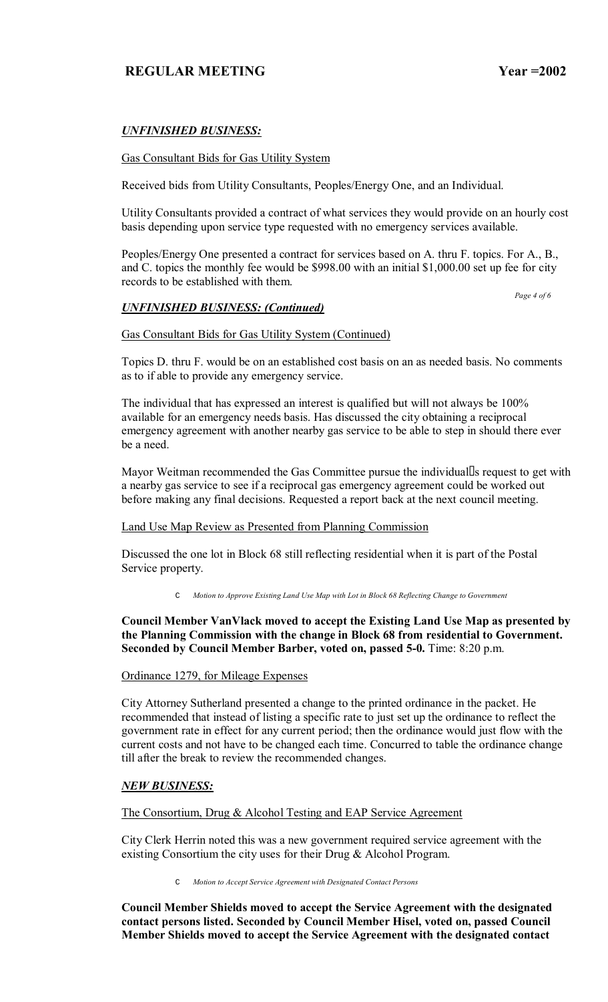# *UNFINISHED BUSINESS:*

### Gas Consultant Bids for Gas Utility System

Received bids from Utility Consultants, Peoples/Energy One, and an Individual.

Utility Consultants provided a contract of what services they would provide on an hourly cost basis depending upon service type requested with no emergency services available.

Peoples/Energy One presented a contract for services based on A. thru F. topics. For A., B., and C. topics the monthly fee would be \$998.00 with an initial \$1,000.00 set up fee for city records to be established with them.

## *UNFINISHED BUSINESS: (Continued)*

 *Page 4 of 6* 

#### Gas Consultant Bids for Gas Utility System (Continued)

Topics D. thru F. would be on an established cost basis on an as needed basis. No comments as to if able to provide any emergency service.

The individual that has expressed an interest is qualified but will not always be 100% available for an emergency needs basis. Has discussed the city obtaining a reciprocal emergency agreement with another nearby gas service to be able to step in should there ever be a need.

Mayor Weitman recommended the Gas Committee pursue the individual s request to get with a nearby gas service to see if a reciprocal gas emergency agreement could be worked out before making any final decisions. Requested a report back at the next council meeting.

#### Land Use Map Review as Presented from Planning Commission

Discussed the one lot in Block 68 still reflecting residential when it is part of the Postal Service property.

C *Motion to Approve Existing Land Use Map with Lot in Block 68 Reflecting Change to Government* 

## **Council Member VanVlack moved to accept the Existing Land Use Map as presented by the Planning Commission with the change in Block 68 from residential to Government. Seconded by Council Member Barber, voted on, passed 5-0.** Time: 8:20 p.m.

Ordinance 1279, for Mileage Expenses

City Attorney Sutherland presented a change to the printed ordinance in the packet. He recommended that instead of listing a specific rate to just set up the ordinance to reflect the government rate in effect for any current period; then the ordinance would just flow with the current costs and not have to be changed each time. Concurred to table the ordinance change till after the break to review the recommended changes.

## *NEW BUSINESS:*

The Consortium, Drug & Alcohol Testing and EAP Service Agreement

City Clerk Herrin noted this was a new government required service agreement with the existing Consortium the city uses for their Drug & Alcohol Program.

C *Motion to Accept Service Agreement with Designated Contact Persons*

**Council Member Shields moved to accept the Service Agreement with the designated contact persons listed. Seconded by Council Member Hisel, voted on, passed Council Member Shields moved to accept the Service Agreement with the designated contact**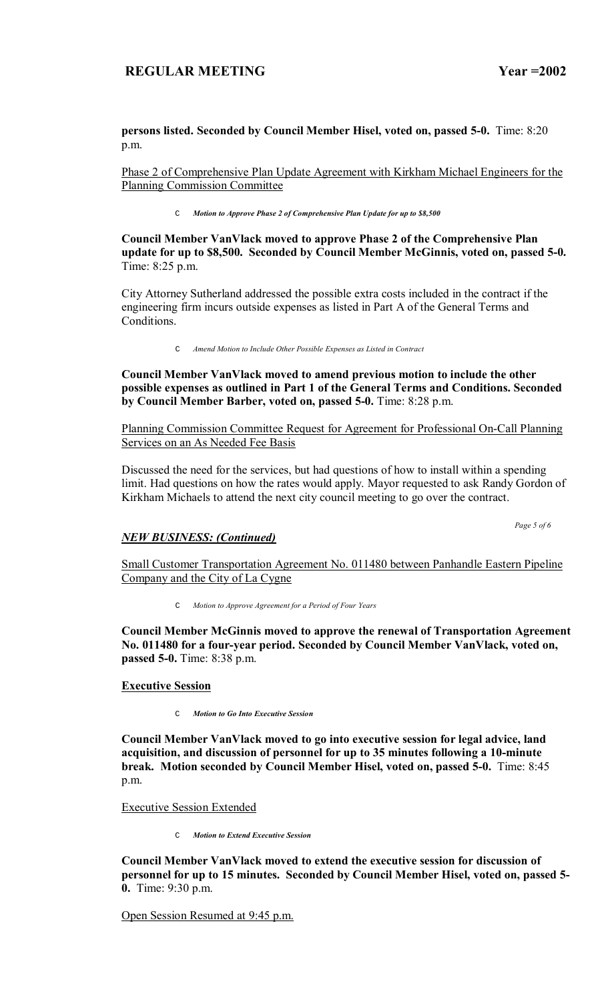**persons listed. Seconded by Council Member Hisel, voted on, passed 5-0.** Time: 8:20 p.m.

Phase 2 of Comprehensive Plan Update Agreement with Kirkham Michael Engineers for the Planning Commission Committee

C *Motion to Approve Phase 2 of Comprehensive Plan Update for up to \$8,500*

**Council Member VanVlack moved to approve Phase 2 of the Comprehensive Plan update for up to \$8,500. Seconded by Council Member McGinnis, voted on, passed 5-0.**  Time: 8:25 p.m.

City Attorney Sutherland addressed the possible extra costs included in the contract if the engineering firm incurs outside expenses as listed in Part A of the General Terms and Conditions.

C *Amend Motion to Include Other Possible Expenses as Listed in Contract*

**Council Member VanVlack moved to amend previous motion to include the other possible expenses as outlined in Part 1 of the General Terms and Conditions. Seconded by Council Member Barber, voted on, passed 5-0.** Time: 8:28 p.m.

Planning Commission Committee Request for Agreement for Professional On-Call Planning Services on an As Needed Fee Basis

Discussed the need for the services, but had questions of how to install within a spending limit. Had questions on how the rates would apply. Mayor requested to ask Randy Gordon of Kirkham Michaels to attend the next city council meeting to go over the contract.

 *Page 5 of 6* 

#### *NEW BUSINESS: (Continued)*

Small Customer Transportation Agreement No. 011480 between Panhandle Eastern Pipeline Company and the City of La Cygne

C *Motion to Approve Agreement for a Period of Four Years*

**Council Member McGinnis moved to approve the renewal of Transportation Agreement No. 011480 for a four-year period. Seconded by Council Member VanVlack, voted on, passed 5-0.** Time: 8:38 p.m.

**Executive Session**

C *Motion to Go Into Executive Session*

**Council Member VanVlack moved to go into executive session for legal advice, land acquisition, and discussion of personnel for up to 35 minutes following a 10-minute break. Motion seconded by Council Member Hisel, voted on, passed 5-0.** Time: 8:45 p.m.

Executive Session Extended

C *Motion to Extend Executive Session*

**Council Member VanVlack moved to extend the executive session for discussion of personnel for up to 15 minutes. Seconded by Council Member Hisel, voted on, passed 5- 0.** Time: 9:30 p.m.

Open Session Resumed at 9:45 p.m.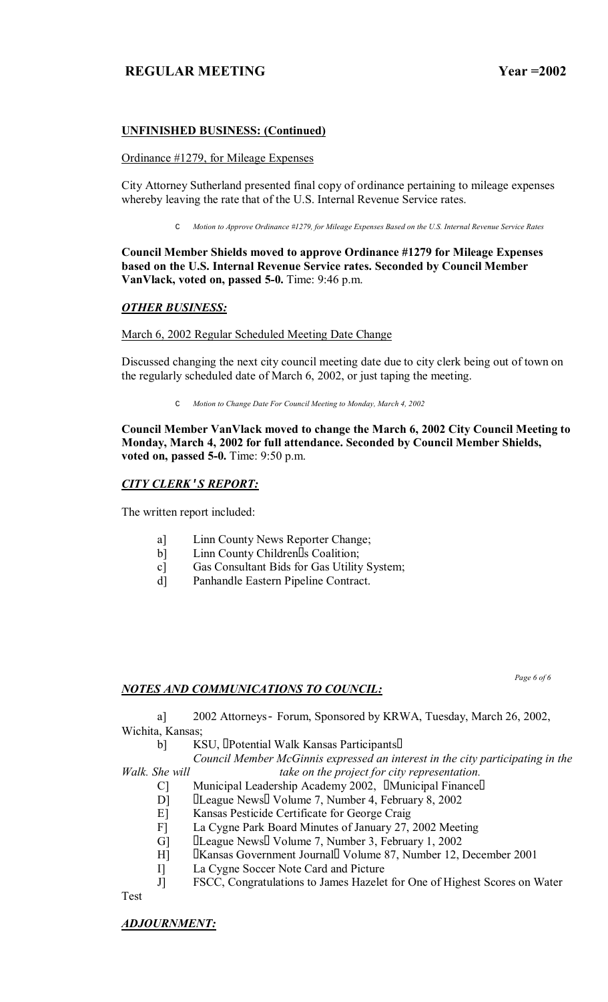## **UNFINISHED BUSINESS: (Continued)**

### Ordinance #1279, for Mileage Expenses

City Attorney Sutherland presented final copy of ordinance pertaining to mileage expenses whereby leaving the rate that of the U.S. Internal Revenue Service rates.

C *Motion to Approve Ordinance #1279, for Mileage Expenses Based on the U.S. Internal Revenue Service Rates*

## **Council Member Shields moved to approve Ordinance #1279 for Mileage Expenses based on the U.S. Internal Revenue Service rates. Seconded by Council Member VanVlack, voted on, passed 5-0.** Time: 9:46 p.m.

# *OTHER BUSINESS:*

## March 6, 2002 Regular Scheduled Meeting Date Change

Discussed changing the next city council meeting date due to city clerk being out of town on the regularly scheduled date of March 6, 2002, or just taping the meeting.

C *Motion to Change Date For Council Meeting to Monday, March 4, 2002*

**Council Member VanVlack moved to change the March 6, 2002 City Council Meeting to Monday, March 4, 2002 for full attendance. Seconded by Council Member Shields, voted on, passed 5-0.** Time: 9:50 p.m.

# *CITY CLERK***'***S REPORT:*

The written report included:

- a] Linn County News Reporter Change;
- b] Linn County Children s Coalition;
- c] Gas Consultant Bids for Gas Utility System;
- d] Panhandle Eastern Pipeline Contract.

## *NOTES AND COMMUNICATIONS TO COUNCIL:*

 *Page 6 of 6* 

 a] 2002 Attorneys- Forum, Sponsored by KRWA, Tuesday, March 26, 2002, Wichita, Kansas;

b] KSU, Potential Walk Kansas Participants

 *Council Member McGinnis expressed an interest in the city participating in the* 

*Walk. She will* take on the project for city representation.

- C] Municipal Leadership Academy 2002, Municipal Finance
- D] League News Volume 7, Number 4, February 8, 2002
- E] Kansas Pesticide Certificate for George Craig
- F] La Cygne Park Board Minutes of January 27, 2002 Meeting
- G] League News Volume 7, Number 3, February 1, 2002
- H] Kansas Government Journal Volume 87, Number 12, December 2001
- I] La Cygne Soccer Note Card and Picture
- J] FSCC, Congratulations to James Hazelet for One of Highest Scores on Water

Test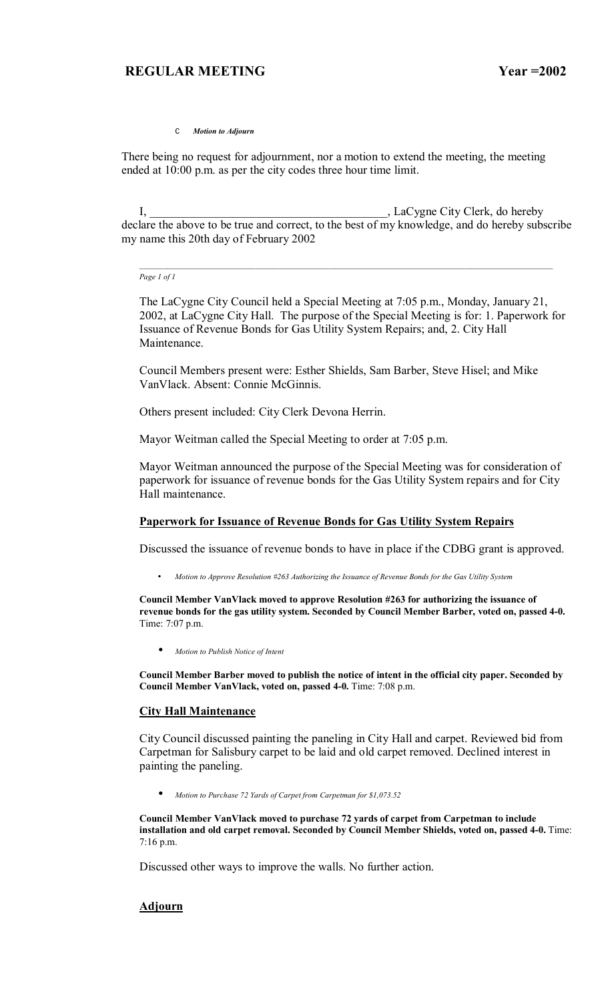C *Motion to Adjourn*

There being no request for adjournment, nor a motion to extend the meeting, the meeting ended at 10:00 p.m. as per the city codes three hour time limit.

I, \_\_\_\_\_\_\_\_\_\_\_\_\_\_\_\_\_\_\_\_\_\_\_\_\_\_\_\_\_\_\_\_\_\_\_\_\_\_\_\_, LaCygne City Clerk, do hereby declare the above to be true and correct, to the best of my knowledge, and do hereby subscribe my name this 20th day of February 2002

*Page 1 of 1*

The LaCygne City Council held a Special Meeting at 7:05 p.m., Monday, January 21, 2002, at LaCygne City Hall. The purpose of the Special Meeting is for: 1. Paperwork for Issuance of Revenue Bonds for Gas Utility System Repairs; and, 2. City Hall Maintenance.

Council Members present were: Esther Shields, Sam Barber, Steve Hisel; and Mike VanVlack. Absent: Connie McGinnis.

Others present included: City Clerk Devona Herrin.

Mayor Weitman called the Special Meeting to order at 7:05 p.m.

Mayor Weitman announced the purpose of the Special Meeting was for consideration of paperwork for issuance of revenue bonds for the Gas Utility System repairs and for City Hall maintenance.

#### **Paperwork for Issuance of Revenue Bonds for Gas Utility System Repairs**

Discussed the issuance of revenue bonds to have in place if the CDBG grant is approved.

• *Motion to Approve Resolution #263 Authorizing the Issuance of Revenue Bonds for the Gas Utility System* 

**Council Member VanVlack moved to approve Resolution #263 for authorizing the issuance of revenue bonds for the gas utility system. Seconded by Council Member Barber, voted on, passed 4-0.**  Time: 7:07 p.m.

• *Motion to Publish Notice of Intent*

**Council Member Barber moved to publish the notice of intent in the official city paper. Seconded by Council Member VanVlack, voted on, passed 4-0.** Time: 7:08 p.m.

#### **City Hall Maintenance**

City Council discussed painting the paneling in City Hall and carpet. Reviewed bid from Carpetman for Salisbury carpet to be laid and old carpet removed. Declined interest in painting the paneling.

• *Motion to Purchase 72 Yards of Carpet from Carpetman for \$1,073.52*

**Council Member VanVlack moved to purchase 72 yards of carpet from Carpetman to include installation and old carpet removal. Seconded by Council Member Shields, voted on, passed 4-0.** Time: 7:16 p.m.

Discussed other ways to improve the walls. No further action.

#### **Adjourn**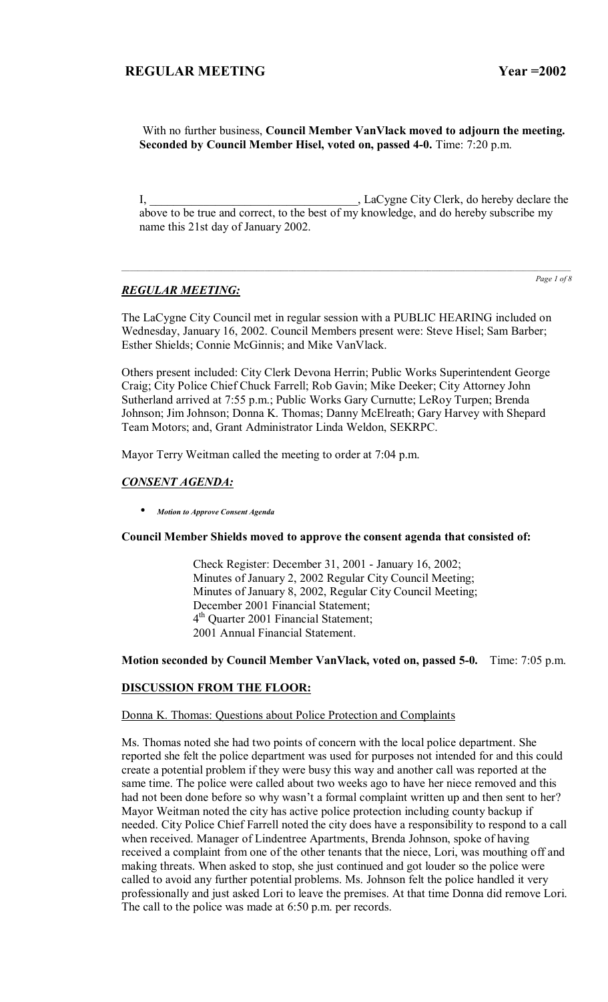With no further business, **Council Member VanVlack moved to adjourn the meeting. Seconded by Council Member Hisel, voted on, passed 4-0.** Time: 7:20 p.m.

I, LaCygne City Clerk, do hereby declare the above to be true and correct, to the best of my knowledge, and do hereby subscribe my name this 21st day of January 2002.

## *REGULAR MEETING:*

*Page 1 of 8*

The LaCygne City Council met in regular session with a PUBLIC HEARING included on Wednesday, January 16, 2002. Council Members present were: Steve Hisel; Sam Barber; Esther Shields; Connie McGinnis; and Mike VanVlack.

Others present included: City Clerk Devona Herrin; Public Works Superintendent George Craig; City Police Chief Chuck Farrell; Rob Gavin; Mike Deeker; City Attorney John Sutherland arrived at 7:55 p.m.; Public Works Gary Curnutte; LeRoy Turpen; Brenda Johnson; Jim Johnson; Donna K. Thomas; Danny McElreath; Gary Harvey with Shepard Team Motors; and, Grant Administrator Linda Weldon, SEKRPC.

Mayor Terry Weitman called the meeting to order at 7:04 p.m.

## *CONSENT AGENDA:*

• *Motion to Approve Consent Agenda*

#### **Council Member Shields moved to approve the consent agenda that consisted of:**

 Check Register: December 31, 2001 - January 16, 2002; Minutes of January 2, 2002 Regular City Council Meeting; Minutes of January 8, 2002, Regular City Council Meeting; December 2001 Financial Statement; 4<sup>th</sup> Quarter 2001 Financial Statement; 2001 Annual Financial Statement.

#### **Motion seconded by Council Member VanVlack, voted on, passed 5-0.** Time: 7:05 p.m.

## **DISCUSSION FROM THE FLOOR:**

#### Donna K. Thomas: Questions about Police Protection and Complaints

Ms. Thomas noted she had two points of concern with the local police department. She reported she felt the police department was used for purposes not intended for and this could create a potential problem if they were busy this way and another call was reported at the same time. The police were called about two weeks ago to have her niece removed and this had not been done before so why wasn't a formal complaint written up and then sent to her? Mayor Weitman noted the city has active police protection including county backup if needed. City Police Chief Farrell noted the city does have a responsibility to respond to a call when received. Manager of Lindentree Apartments, Brenda Johnson, spoke of having received a complaint from one of the other tenants that the niece, Lori, was mouthing off and making threats. When asked to stop, she just continued and got louder so the police were called to avoid any further potential problems. Ms. Johnson felt the police handled it very professionally and just asked Lori to leave the premises. At that time Donna did remove Lori. The call to the police was made at 6:50 p.m. per records.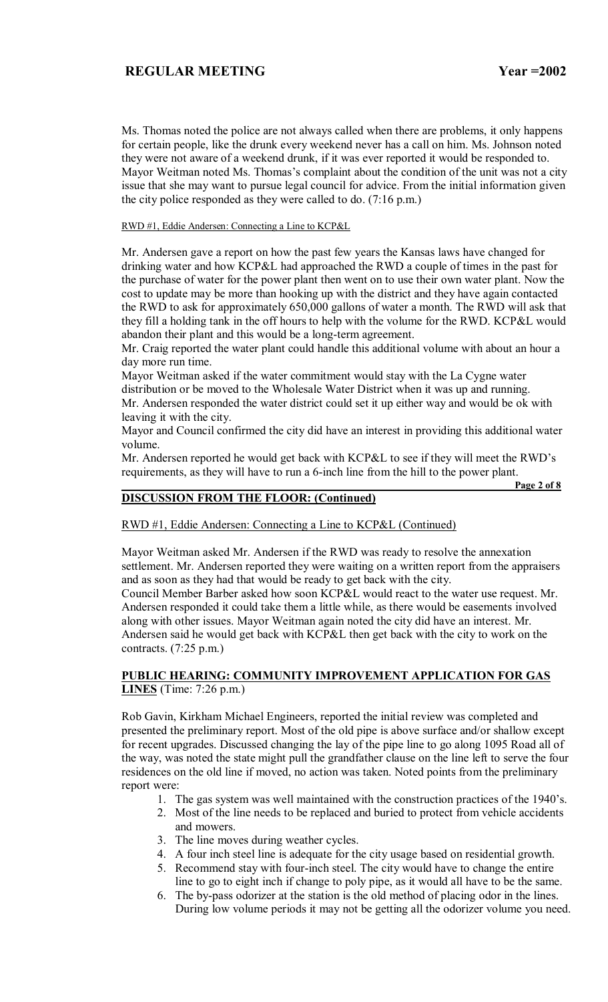Ms. Thomas noted the police are not always called when there are problems, it only happens for certain people, like the drunk every weekend never has a call on him. Ms. Johnson noted they were not aware of a weekend drunk, if it was ever reported it would be responded to. Mayor Weitman noted Ms. Thomas's complaint about the condition of the unit was not a city issue that she may want to pursue legal council for advice. From the initial information given the city police responded as they were called to do. (7:16 p.m.)

RWD #1, Eddie Andersen: Connecting a Line to KCP&L

Mr. Andersen gave a report on how the past few years the Kansas laws have changed for drinking water and how KCP&L had approached the RWD a couple of times in the past for the purchase of water for the power plant then went on to use their own water plant. Now the cost to update may be more than hooking up with the district and they have again contacted the RWD to ask for approximately 650,000 gallons of water a month. The RWD will ask that they fill a holding tank in the off hours to help with the volume for the RWD. KCP&L would abandon their plant and this would be a long-term agreement.

Mr. Craig reported the water plant could handle this additional volume with about an hour a day more run time.

Mayor Weitman asked if the water commitment would stay with the La Cygne water distribution or be moved to the Wholesale Water District when it was up and running. Mr. Andersen responded the water district could set it up either way and would be ok with leaving it with the city.

Mayor and Council confirmed the city did have an interest in providing this additional water volume.

Mr. Andersen reported he would get back with KCP&L to see if they will meet the RWD's requirements, as they will have to run a 6-inch line from the hill to the power plant.

## **DISCUSSION FROM THE FLOOR: (Continued)**

 **Page 2 of 8**

## RWD #1, Eddie Andersen: Connecting a Line to KCP&L (Continued)

Mayor Weitman asked Mr. Andersen if the RWD was ready to resolve the annexation settlement. Mr. Andersen reported they were waiting on a written report from the appraisers and as soon as they had that would be ready to get back with the city.

Council Member Barber asked how soon KCP&L would react to the water use request. Mr. Andersen responded it could take them a little while, as there would be easements involved along with other issues. Mayor Weitman again noted the city did have an interest. Mr. Andersen said he would get back with KCP&L then get back with the city to work on the contracts. (7:25 p.m.)

## **PUBLIC HEARING: COMMUNITY IMPROVEMENT APPLICATION FOR GAS LINES** (Time: 7:26 p.m.)

Rob Gavin, Kirkham Michael Engineers, reported the initial review was completed and presented the preliminary report. Most of the old pipe is above surface and/or shallow except for recent upgrades. Discussed changing the lay of the pipe line to go along 1095 Road all of the way, was noted the state might pull the grandfather clause on the line left to serve the four residences on the old line if moved, no action was taken. Noted points from the preliminary report were:

- 1. The gas system was well maintained with the construction practices of the 1940's.
- 2. Most of the line needs to be replaced and buried to protect from vehicle accidents and mowers.
- 3. The line moves during weather cycles.
- 4. A four inch steel line is adequate for the city usage based on residential growth.
- 5. Recommend stay with four-inch steel. The city would have to change the entire line to go to eight inch if change to poly pipe, as it would all have to be the same.
- 6. The by-pass odorizer at the station is the old method of placing odor in the lines. During low volume periods it may not be getting all the odorizer volume you need.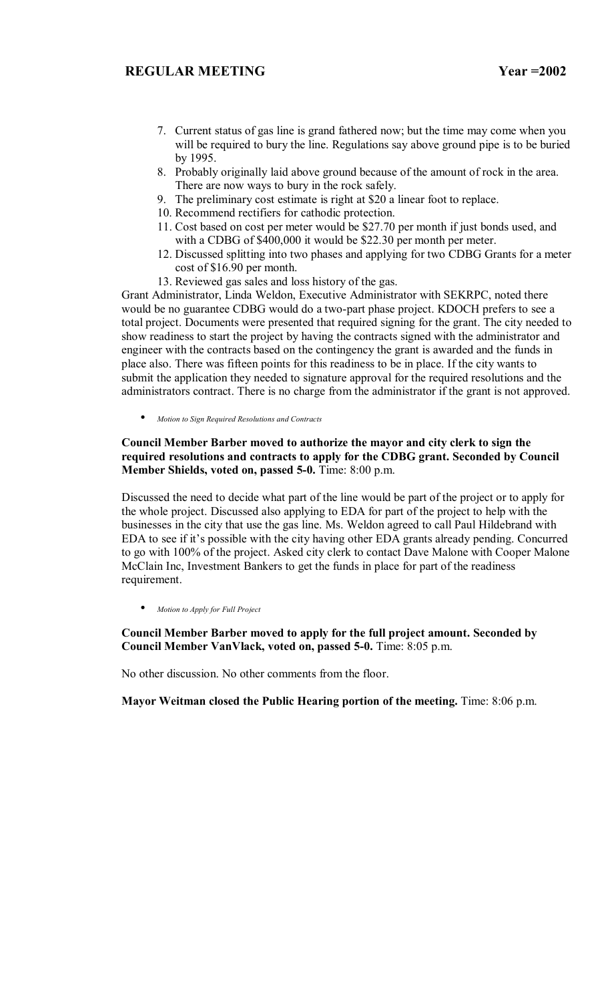- 7. Current status of gas line is grand fathered now; but the time may come when you will be required to bury the line. Regulations say above ground pipe is to be buried by 1995.
- 8. Probably originally laid above ground because of the amount of rock in the area. There are now ways to bury in the rock safely.
- 9. The preliminary cost estimate is right at \$20 a linear foot to replace.
- 10. Recommend rectifiers for cathodic protection.
- 11. Cost based on cost per meter would be \$27.70 per month if just bonds used, and with a CDBG of \$400,000 it would be \$22.30 per month per meter.
- 12. Discussed splitting into two phases and applying for two CDBG Grants for a meter cost of \$16.90 per month.
- 13. Reviewed gas sales and loss history of the gas.

Grant Administrator, Linda Weldon, Executive Administrator with SEKRPC, noted there would be no guarantee CDBG would do a two-part phase project. KDOCH prefers to see a total project. Documents were presented that required signing for the grant. The city needed to show readiness to start the project by having the contracts signed with the administrator and engineer with the contracts based on the contingency the grant is awarded and the funds in place also. There was fifteen points for this readiness to be in place. If the city wants to submit the application they needed to signature approval for the required resolutions and the administrators contract. There is no charge from the administrator if the grant is not approved.

• *Motion to Sign Required Resolutions and Contracts*

## **Council Member Barber moved to authorize the mayor and city clerk to sign the required resolutions and contracts to apply for the CDBG grant. Seconded by Council Member Shields, voted on, passed 5-0.** Time: 8:00 p.m.

Discussed the need to decide what part of the line would be part of the project or to apply for the whole project. Discussed also applying to EDA for part of the project to help with the businesses in the city that use the gas line. Ms. Weldon agreed to call Paul Hildebrand with EDA to see if it's possible with the city having other EDA grants already pending. Concurred to go with 100% of the project. Asked city clerk to contact Dave Malone with Cooper Malone McClain Inc, Investment Bankers to get the funds in place for part of the readiness requirement.

• *Motion to Apply for Full Project*

## **Council Member Barber moved to apply for the full project amount. Seconded by Council Member VanVlack, voted on, passed 5-0.** Time: 8:05 p.m.

No other discussion. No other comments from the floor.

**Mayor Weitman closed the Public Hearing portion of the meeting.** Time: 8:06 p.m.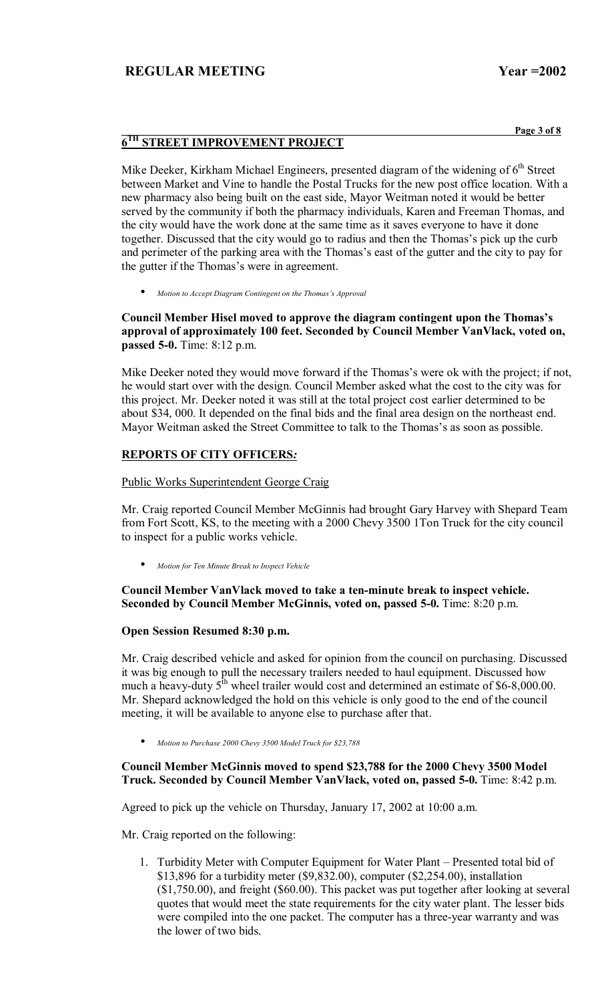**Page 3 of 8**

# **6TH STREET IMPROVEMENT PROJECT**

Mike Deeker, Kirkham Michael Engineers, presented diagram of the widening of  $6<sup>th</sup>$  Street between Market and Vine to handle the Postal Trucks for the new post office location. With a new pharmacy also being built on the east side, Mayor Weitman noted it would be better served by the community if both the pharmacy individuals, Karen and Freeman Thomas, and the city would have the work done at the same time as it saves everyone to have it done together. Discussed that the city would go to radius and then the Thomas's pick up the curb and perimeter of the parking area with the Thomas's east of the gutter and the city to pay for the gutter if the Thomas's were in agreement.

*Motion to Accept Diagram Contingent on the Thomas's Approval* 

Council Member Hisel moved to approve the diagram contingent upon the Thomas's **approval of approximately 100 feet. Seconded by Council Member VanVlack, voted on, passed 5-0.** Time: 8:12 p.m.

Mike Deeker noted they would move forward if the Thomas's were ok with the project; if not, he would start over with the design. Council Member asked what the cost to the city was for this project. Mr. Deeker noted it was still at the total project cost earlier determined to be about \$34, 000. It depended on the final bids and the final area design on the northeast end. Mayor Weitman asked the Street Committee to talk to the Thomas's as soon as possible.

## **REPORTS OF CITY OFFICERS***:*

### Public Works Superintendent George Craig

Mr. Craig reported Council Member McGinnis had brought Gary Harvey with Shepard Team from Fort Scott, KS, to the meeting with a 2000 Chevy 3500 1Ton Truck for the city council to inspect for a public works vehicle.

• *Motion for Ten Minute Break to Inspect Vehicle*

## **Council Member VanVlack moved to take a ten-minute break to inspect vehicle. Seconded by Council Member McGinnis, voted on, passed 5-0.** Time: 8:20 p.m.

#### **Open Session Resumed 8:30 p.m.**

Mr. Craig described vehicle and asked for opinion from the council on purchasing. Discussed it was big enough to pull the necessary trailers needed to haul equipment. Discussed how much a heavy-duty  $5<sup>th</sup>$  wheel trailer would cost and determined an estimate of \$6-8,000.00. Mr. Shepard acknowledged the hold on this vehicle is only good to the end of the council meeting, it will be available to anyone else to purchase after that.

• *Motion to Purchase 2000 Chevy 3500 Model Truck for \$23,788*

## **Council Member McGinnis moved to spend \$23,788 for the 2000 Chevy 3500 Model Truck. Seconded by Council Member VanVlack, voted on, passed 5-0.** Time: 8:42 p.m.

Agreed to pick up the vehicle on Thursday, January 17, 2002 at 10:00 a.m.

Mr. Craig reported on the following:

1. Turbidity Meter with Computer Equipment for Water Plant – Presented total bid of \$13,896 for a turbidity meter (\$9,832.00), computer (\$2,254.00), installation (\$1,750.00), and freight (\$60.00). This packet was put together after looking at several quotes that would meet the state requirements for the city water plant. The lesser bids were compiled into the one packet. The computer has a three-year warranty and was the lower of two bids.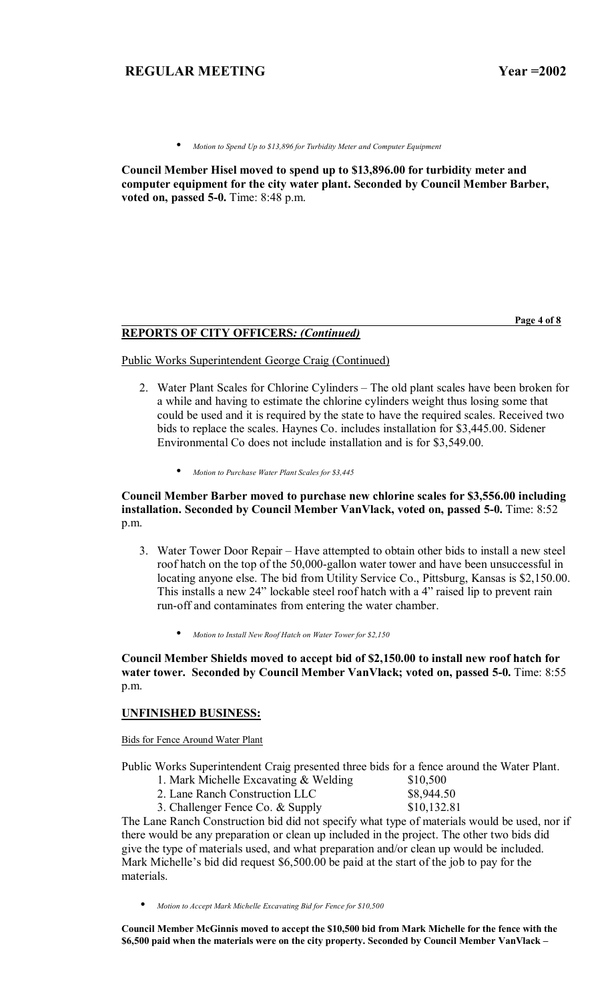• *Motion to Spend Up to \$13,896 for Turbidity Meter and Computer Equipment* 

**Council Member Hisel moved to spend up to \$13,896.00 for turbidity meter and computer equipment for the city water plant. Seconded by Council Member Barber, voted on, passed 5-0.** Time: 8:48 p.m.

**Page 4 of 8** 

#### **REPORTS OF CITY OFFICERS***: (Continued)*

Public Works Superintendent George Craig (Continued)

- 2. Water Plant Scales for Chlorine Cylinders The old plant scales have been broken for a while and having to estimate the chlorine cylinders weight thus losing some that could be used and it is required by the state to have the required scales. Received two bids to replace the scales. Haynes Co. includes installation for \$3,445.00. Sidener Environmental Co does not include installation and is for \$3,549.00.
	- *Motion to Purchase Water Plant Scales for \$3,445*

### **Council Member Barber moved to purchase new chlorine scales for \$3,556.00 including installation. Seconded by Council Member VanVlack, voted on, passed 5-0.** Time: 8:52 p.m.

- 3. Water Tower Door Repair Have attempted to obtain other bids to install a new steel roof hatch on the top of the 50,000-gallon water tower and have been unsuccessful in locating anyone else. The bid from Utility Service Co., Pittsburg, Kansas is \$2,150.00. This installs a new 24" lockable steel roof hatch with a 4" raised lip to prevent rain run-off and contaminates from entering the water chamber.
	- *Motion to Install New Roof Hatch on Water Tower for \$2,150*

**Council Member Shields moved to accept bid of \$2,150.00 to install new roof hatch for water tower. Seconded by Council Member VanVlack; voted on, passed 5-0.** Time: 8:55 p.m.

#### **UNFINISHED BUSINESS:**

Bids for Fence Around Water Plant

Public Works Superintendent Craig presented three bids for a fence around the Water Plant.

- 1. Mark Michelle Excavating  $&$  Welding  $$10,500$
- 2. Lane Ranch Construction LLC \$8,944.50
- 3. Challenger Fence Co. & Supply \$10,132.81

The Lane Ranch Construction bid did not specify what type of materials would be used, nor if there would be any preparation or clean up included in the project. The other two bids did give the type of materials used, and what preparation and/or clean up would be included. Mark Michelle's bid did request  $$6,500.00$  be paid at the start of the job to pay for the materials.

• *Motion to Accept Mark Michelle Excavating Bid for Fence for \$10,500*

**Council Member McGinnis moved to accept the \$10,500 bid from Mark Michelle for the fence with the**  \$6,500 paid when the materials were on the city property. Seconded by Council Member VanVlack –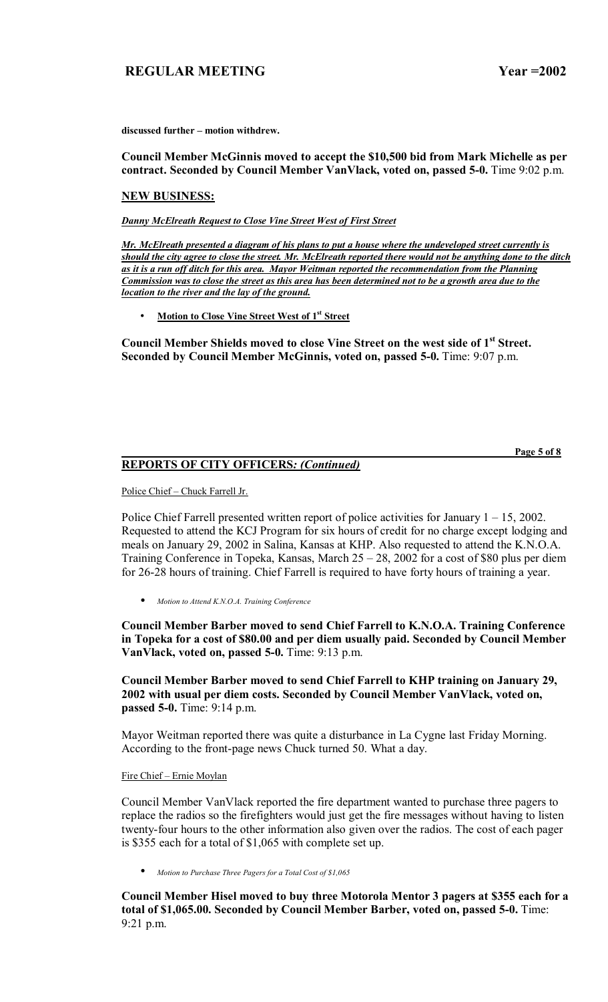**Page 5 of 8**

discussed further - motion withdrew.

**Council Member McGinnis moved to accept the \$10,500 bid from Mark Michelle as per contract. Seconded by Council Member VanVlack, voted on, passed 5-0.** Time 9:02 p.m.

#### **NEW BUSINESS:**

*Danny McElreath Request to Close Vine Street West of First Street* 

*Mr. McElreath presented a diagram of his plans to put a house where the undeveloped street currently is should the city agree to close the street. Mr. McElreath reported there would not be anything done to the ditch as it is a run off ditch for this area. Mayor Weitman reported the recommendation from the Planning Commission was to close the street as this area has been determined not to be a growth area due to the location to the river and the lay of the ground.*

**Motion to Close Vine Street West of 1st Street** 

**Council Member Shields moved to close Vine Street on the west side of 1st Street. Seconded by Council Member McGinnis, voted on, passed 5-0.** Time: 9:07 p.m.

## **REPORTS OF CITY OFFICERS***: (Continued)*

Police Chief - Chuck Farrell Jr.

Police Chief Farrell presented written report of police activities for January  $1 - 15$ , 2002. Requested to attend the KCJ Program for six hours of credit for no charge except lodging and meals on January 29, 2002 in Salina, Kansas at KHP. Also requested to attend the K.N.O.A. Training Conference in Topeka, Kansas, March  $25 - 28$ , 2002 for a cost of \$80 plus per diem for 26-28 hours of training. Chief Farrell is required to have forty hours of training a year.

• *Motion to Attend K.N.O.A. Training Conference*

**Council Member Barber moved to send Chief Farrell to K.N.O.A. Training Conference in Topeka for a cost of \$80.00 and per diem usually paid. Seconded by Council Member VanVlack, voted on, passed 5-0.** Time: 9:13 p.m.

**Council Member Barber moved to send Chief Farrell to KHP training on January 29, 2002 with usual per diem costs. Seconded by Council Member VanVlack, voted on, passed 5-0.** Time: 9:14 p.m.

Mayor Weitman reported there was quite a disturbance in La Cygne last Friday Morning. According to the front-page news Chuck turned 50. What a day.

Fire Chief - Ernie Moylan

Council Member VanVlack reported the fire department wanted to purchase three pagers to replace the radios so the firefighters would just get the fire messages without having to listen twenty-four hours to the other information also given over the radios. The cost of each pager is \$355 each for a total of \$1,065 with complete set up.

• *Motion to Purchase Three Pagers for a Total Cost of \$1,065*

**Council Member Hisel moved to buy three Motorola Mentor 3 pagers at \$355 each for a total of \$1,065.00. Seconded by Council Member Barber, voted on, passed 5-0.** Time: 9:21 p.m.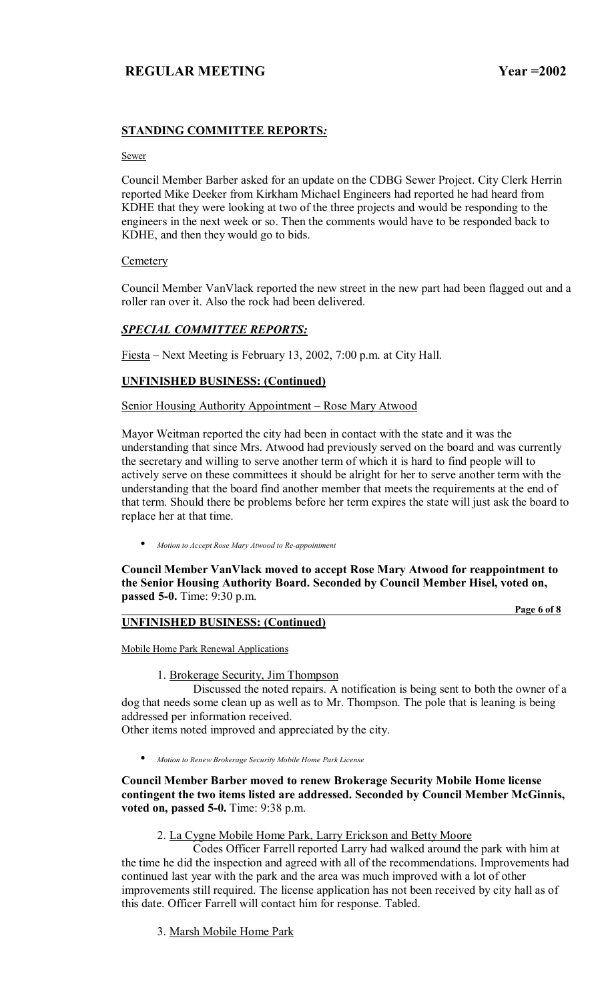# **STANDING COMMITTEE REPORTS***:*

#### Sewer

Council Member Barber asked for an update on the CDBG Sewer Project. City Clerk Herrin reported Mike Deeker from Kirkham Michael Engineers had reported he had heard from KDHE that they were looking at two of the three projects and would be responding to the engineers in the next week or so. Then the comments would have to be responded back to KDHE, and then they would go to bids.

## **Cemetery**

Council Member VanVlack reported the new street in the new part had been flagged out and a roller ran over it. Also the rock had been delivered.

## *SPECIAL COMMITTEE REPORTS:*

Fiesta – Next Meeting is February 13, 2002, 7:00 p.m. at City Hall.

## **UNFINISHED BUSINESS: (Continued)**

Senior Housing Authority Appointment – Rose Mary Atwood

Mayor Weitman reported the city had been in contact with the state and it was the understanding that since Mrs. Atwood had previously served on the board and was currently the secretary and willing to serve another term of which it is hard to find people will to actively serve on these committees it should be alright for her to serve another term with the understanding that the board find another member that meets the requirements at the end of that term. Should there be problems before her term expires the state will just ask the board to replace her at that time.

• *Motion to Accept Rose Mary Atwood to Re-appointment*

**Council Member VanVlack moved to accept Rose Mary Atwood for reappointment to the Senior Housing Authority Board. Seconded by Council Member Hisel, voted on, passed 5-0.** Time: 9:30 p.m.

### **UNFINISHED BUSINESS: (Continued)**

 **Page 6 of 8**

Mobile Home Park Renewal Applications

1. Brokerage Security, Jim Thompson

 Discussed the noted repairs. A notification is being sent to both the owner of a dog that needs some clean up as well as to Mr. Thompson. The pole that is leaning is being addressed per information received.

Other items noted improved and appreciated by the city.

• *Motion to Renew Brokerage Security Mobile Home Park License*

**Council Member Barber moved to renew Brokerage Security Mobile Home license contingent the two items listed are addressed. Seconded by Council Member McGinnis, voted on, passed 5-0.** Time: 9:38 p.m.

## 2. La Cygne Mobile Home Park, Larry Erickson and Betty Moore

 Codes Officer Farrell reported Larry had walked around the park with him at the time he did the inspection and agreed with all of the recommendations. Improvements had continued last year with the park and the area was much improved with a lot of other improvements still required. The license application has not been received by city hall as of this date. Officer Farrell will contact him for response. Tabled.

3. Marsh Mobile Home Park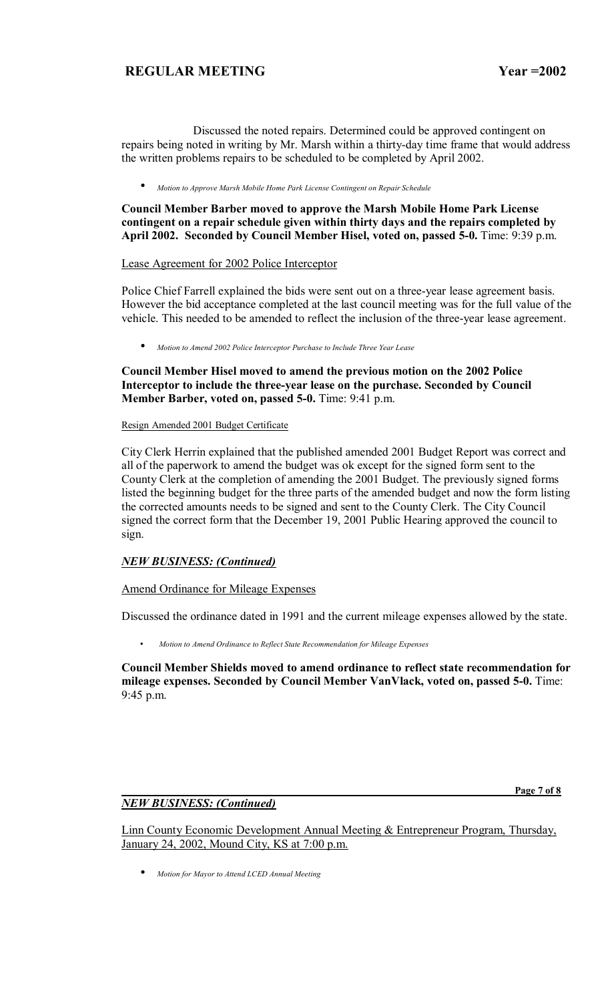Discussed the noted repairs. Determined could be approved contingent on repairs being noted in writing by Mr. Marsh within a thirty-day time frame that would address the written problems repairs to be scheduled to be completed by April 2002.

• *Motion to Approve Marsh Mobile Home Park License Contingent on Repair Schedule*

### **Council Member Barber moved to approve the Marsh Mobile Home Park License contingent on a repair schedule given within thirty days and the repairs completed by April 2002. Seconded by Council Member Hisel, voted on, passed 5-0.** Time: 9:39 p.m.

Lease Agreement for 2002 Police Interceptor

Police Chief Farrell explained the bids were sent out on a three-year lease agreement basis. However the bid acceptance completed at the last council meeting was for the full value of the vehicle. This needed to be amended to reflect the inclusion of the three-year lease agreement.

• *Motion to Amend 2002 Police Interceptor Purchase to Include Three Year Lease*

**Council Member Hisel moved to amend the previous motion on the 2002 Police Interceptor to include the three-year lease on the purchase. Seconded by Council Member Barber, voted on, passed 5-0.** Time: 9:41 p.m.

#### Resign Amended 2001 Budget Certificate

City Clerk Herrin explained that the published amended 2001 Budget Report was correct and all of the paperwork to amend the budget was ok except for the signed form sent to the County Clerk at the completion of amending the 2001 Budget. The previously signed forms listed the beginning budget for the three parts of the amended budget and now the form listing the corrected amounts needs to be signed and sent to the County Clerk. The City Council signed the correct form that the December 19, 2001 Public Hearing approved the council to sign.

## *NEW BUSINESS: (Continued)*

## Amend Ordinance for Mileage Expenses

Discussed the ordinance dated in 1991 and the current mileage expenses allowed by the state.

• *Motion to Amend Ordinance to Reflect State Recommendation for Mileage Expenses*

**Council Member Shields moved to amend ordinance to reflect state recommendation for mileage expenses. Seconded by Council Member VanVlack, voted on, passed 5-0.** Time: 9:45 p.m.

## *NEW BUSINESS: (Continued)*

 **Page 7 of 8**

Linn County Economic Development Annual Meeting & Entrepreneur Program, Thursday, January 24, 2002, Mound City, KS at 7:00 p.m.

• *Motion for Mayor to Attend LCED Annual Meeting*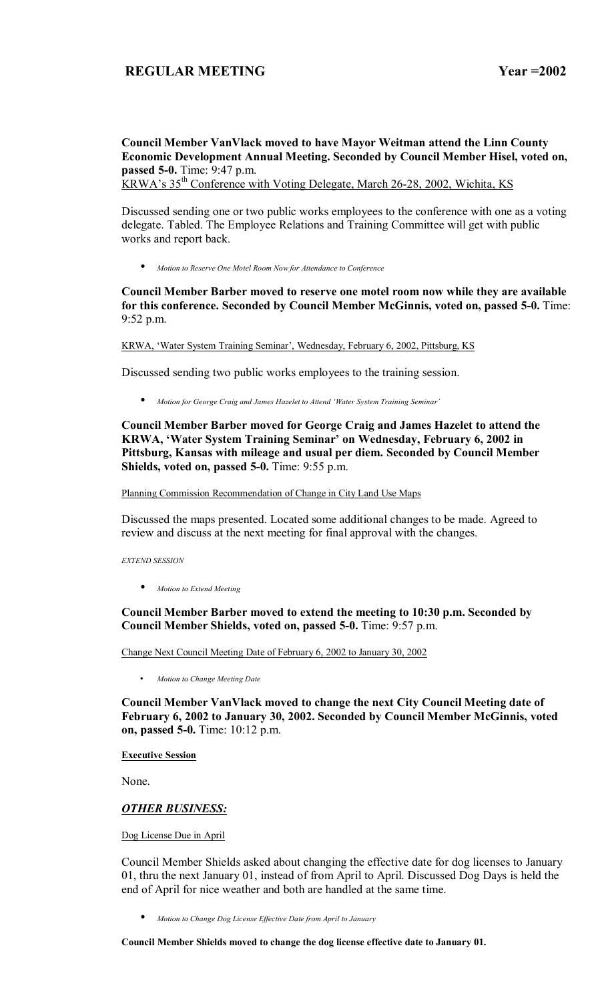# **Council Member VanVlack moved to have Mayor Weitman attend the Linn County Economic Development Annual Meeting. Seconded by Council Member Hisel, voted on, passed 5-0.** Time: 9:47 p.m.

KRWA's 35<sup>th</sup> Conference with Voting Delegate, March 26-28, 2002, Wichita, KS

Discussed sending one or two public works employees to the conference with one as a voting delegate. Tabled. The Employee Relations and Training Committee will get with public works and report back.

• *Motion to Reserve One Motel Room Now for Attendance to Conference*

### **Council Member Barber moved to reserve one motel room now while they are available for this conference. Seconded by Council Member McGinnis, voted on, passed 5-0.** Time: 9:52 p.m.

KRWA, 'Water System Training Seminar', Wednesday, February 6, 2002, Pittsburg, KS

Discussed sending two public works employees to the training session.

• *Motion for George Craig and James Hazelet to Attend ëWater System Training Seminarí*

**Council Member Barber moved for George Craig and James Hazelet to attend the**  KRWA, 'Water System Training Seminar' on Wednesday, February 6, 2002 in **Pittsburg, Kansas with mileage and usual per diem. Seconded by Council Member Shields, voted on, passed 5-0.** Time: 9:55 p.m.

Planning Commission Recommendation of Change in City Land Use Maps

Discussed the maps presented. Located some additional changes to be made. Agreed to review and discuss at the next meeting for final approval with the changes.

*EXTEND SESSION* 

• *Motion to Extend Meeting*

**Council Member Barber moved to extend the meeting to 10:30 p.m. Seconded by Council Member Shields, voted on, passed 5-0.** Time: 9:57 p.m.

Change Next Council Meeting Date of February 6, 2002 to January 30, 2002

• *Motion to Change Meeting Date* 

**Council Member VanVlack moved to change the next City Council Meeting date of February 6, 2002 to January 30, 2002. Seconded by Council Member McGinnis, voted on, passed 5-0.** Time: 10:12 p.m.

#### **Executive Session**

None.

## *OTHER BUSINESS:*

Dog License Due in April

Council Member Shields asked about changing the effective date for dog licenses to January 01, thru the next January 01, instead of from April to April. Discussed Dog Days is held the end of April for nice weather and both are handled at the same time.

• *Motion to Change Dog License Effective Date from April to January*

**Council Member Shields moved to change the dog license effective date to January 01.**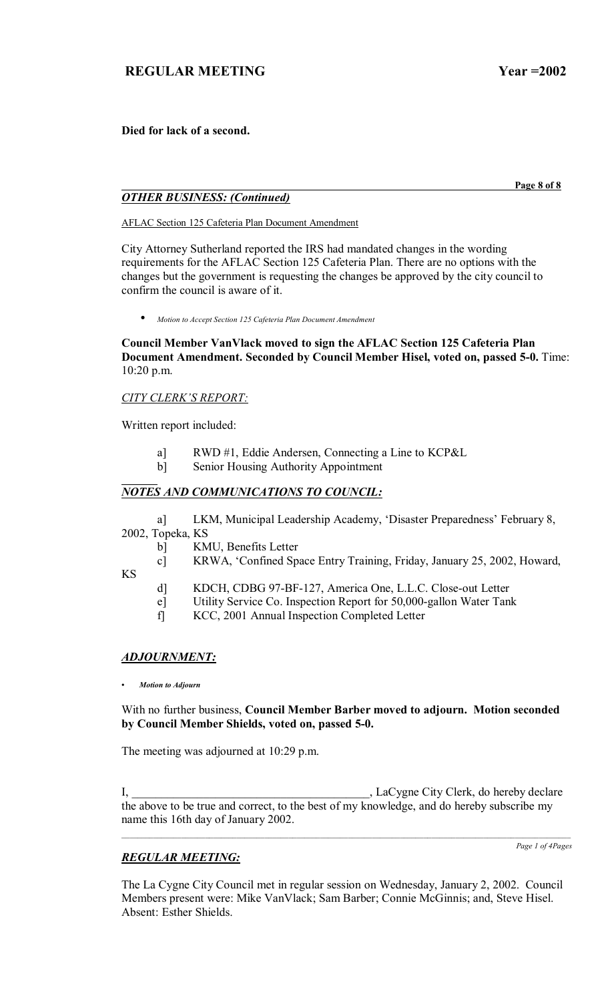**Died for lack of a second.** 

 **Page 8 of 8**

# *OTHER BUSINESS: (Continued)*

AFLAC Section 125 Cafeteria Plan Document Amendment

City Attorney Sutherland reported the IRS had mandated changes in the wording requirements for the AFLAC Section 125 Cafeteria Plan. There are no options with the changes but the government is requesting the changes be approved by the city council to confirm the council is aware of it.

• *Motion to Accept Section 125 Cafeteria Plan Document Amendment*

**Council Member VanVlack moved to sign the AFLAC Section 125 Cafeteria Plan Document Amendment. Seconded by Council Member Hisel, voted on, passed 5-0.** Time: 10:20 p.m.

## **CITY CLERK'S REPORT:**

Written report included:

- a] RWD #1, Eddie Andersen, Connecting a Line to KCP&L
- b] Senior Housing Authority Appointment

# *NOTES AND COMMUNICATIONS TO COUNCIL:*

a] LKM, Municipal Leadership Academy, 'Disaster Preparedness' February 8, 2002, Topeka, KS

b] KMU, Benefits Letter

 c] KRWA, ëConfined Space Entry Training, Friday, January 25, 2002, Howard, KS

- d] KDCH, CDBG 97-BF-127, America One, L.L.C. Close-out Letter
- e] Utility Service Co. Inspection Report for 50,000-gallon Water Tank
- f] KCC, 2001 Annual Inspection Completed Letter

# *ADJOURNMENT:*

*ï Motion to Adjourn*

## With no further business, **Council Member Barber moved to adjourn. Motion seconded by Council Member Shields, voted on, passed 5-0.**

The meeting was adjourned at 10:29 p.m.

I, \_\_\_\_\_\_\_\_\_\_\_\_\_\_\_\_\_\_\_\_\_\_\_\_\_\_\_\_\_\_\_\_\_\_\_\_\_\_\_\_, LaCygne City Clerk, do hereby declare the above to be true and correct, to the best of my knowledge, and do hereby subscribe my name this 16th day of January 2002.

# *REGULAR MEETING:*

*Page 1 of 4Pages*

The La Cygne City Council met in regular session on Wednesday, January 2, 2002. Council Members present were: Mike VanVlack; Sam Barber; Connie McGinnis; and, Steve Hisel. Absent: Esther Shields.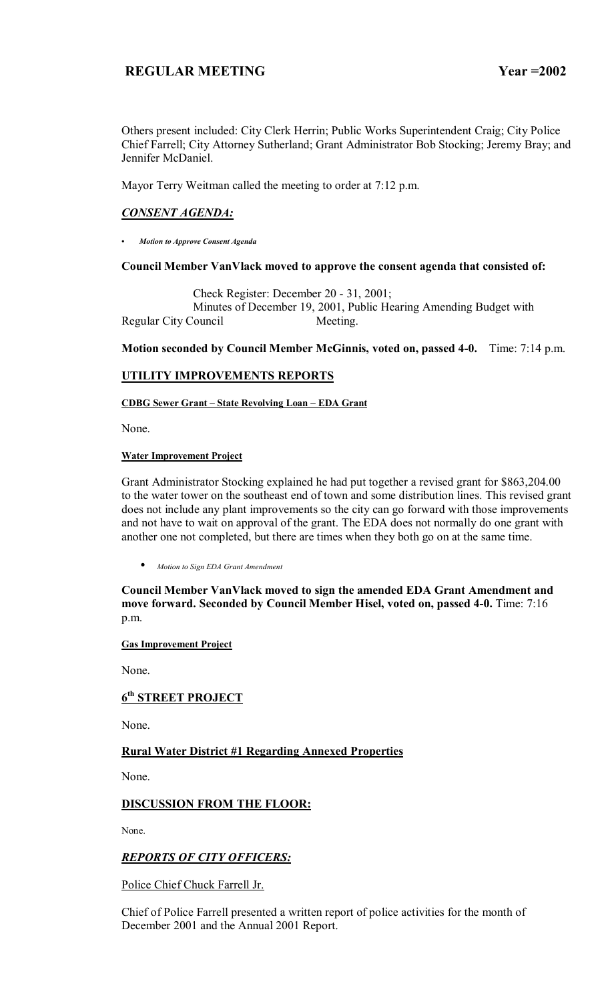Others present included: City Clerk Herrin; Public Works Superintendent Craig; City Police Chief Farrell; City Attorney Sutherland; Grant Administrator Bob Stocking; Jeremy Bray; and Jennifer McDaniel.

Mayor Terry Weitman called the meeting to order at 7:12 p.m.

## *CONSENT AGENDA:*

*ï Motion to Approve Consent Agenda*

## **Council Member VanVlack moved to approve the consent agenda that consisted of:**

 Check Register: December 20 - 31, 2001; Minutes of December 19, 2001, Public Hearing Amending Budget with Regular City Council Meeting.

**Motion seconded by Council Member McGinnis, voted on, passed 4-0.** Time: 7:14 p.m.

## **UTILITY IMPROVEMENTS REPORTS**

**CDBG Sewer Grant - State Revolving Loan - EDA Grant** 

None.

#### **Water Improvement Project**

Grant Administrator Stocking explained he had put together a revised grant for \$863,204.00 to the water tower on the southeast end of town and some distribution lines. This revised grant does not include any plant improvements so the city can go forward with those improvements and not have to wait on approval of the grant. The EDA does not normally do one grant with another one not completed, but there are times when they both go on at the same time.

• *Motion to Sign EDA Grant Amendment*

**Council Member VanVlack moved to sign the amended EDA Grant Amendment and move forward. Seconded by Council Member Hisel, voted on, passed 4-0.** Time: 7:16 p.m.

#### **Gas Improvement Project**

None.

# **6th STREET PROJECT**

None.

# **Rural Water District #1 Regarding Annexed Properties**

None.

# **DISCUSSION FROM THE FLOOR:**

None.

## *REPORTS OF CITY OFFICERS:*

Police Chief Chuck Farrell Jr.

Chief of Police Farrell presented a written report of police activities for the month of December 2001 and the Annual 2001 Report.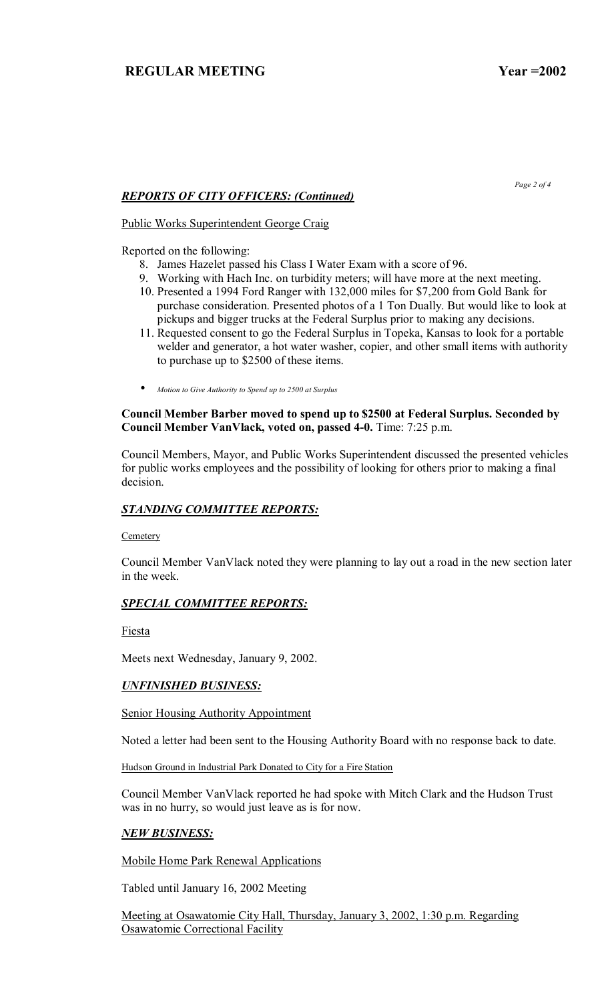*Page 2 of 4* 

# *REPORTS OF CITY OFFICERS: (Continued)*

Public Works Superintendent George Craig

Reported on the following:

- 8. James Hazelet passed his Class I Water Exam with a score of 96.
- 9. Working with Hach Inc. on turbidity meters; will have more at the next meeting.
- 10. Presented a 1994 Ford Ranger with 132,000 miles for \$7,200 from Gold Bank for purchase consideration. Presented photos of a 1 Ton Dually. But would like to look at pickups and bigger trucks at the Federal Surplus prior to making any decisions.
- 11. Requested consent to go the Federal Surplus in Topeka, Kansas to look for a portable welder and generator, a hot water washer, copier, and other small items with authority to purchase up to \$2500 of these items.
- *Motion to Give Authority to Spend up to 2500 at Surplus*

## **Council Member Barber moved to spend up to \$2500 at Federal Surplus. Seconded by Council Member VanVlack, voted on, passed 4-0.** Time: 7:25 p.m.

Council Members, Mayor, and Public Works Superintendent discussed the presented vehicles for public works employees and the possibility of looking for others prior to making a final decision.

## *STANDING COMMITTEE REPORTS:*

**Cemetery** 

Council Member VanVlack noted they were planning to lay out a road in the new section later in the week.

# *SPECIAL COMMITTEE REPORTS:*

Fiesta

Meets next Wednesday, January 9, 2002.

# *UNFINISHED BUSINESS:*

**Senior Housing Authority Appointment** 

Noted a letter had been sent to the Housing Authority Board with no response back to date.

Hudson Ground in Industrial Park Donated to City for a Fire Station

Council Member VanVlack reported he had spoke with Mitch Clark and the Hudson Trust was in no hurry, so would just leave as is for now.

## *NEW BUSINESS:*

Mobile Home Park Renewal Applications

Tabled until January 16, 2002 Meeting

Meeting at Osawatomie City Hall, Thursday, January 3, 2002, 1:30 p.m. Regarding Osawatomie Correctional Facility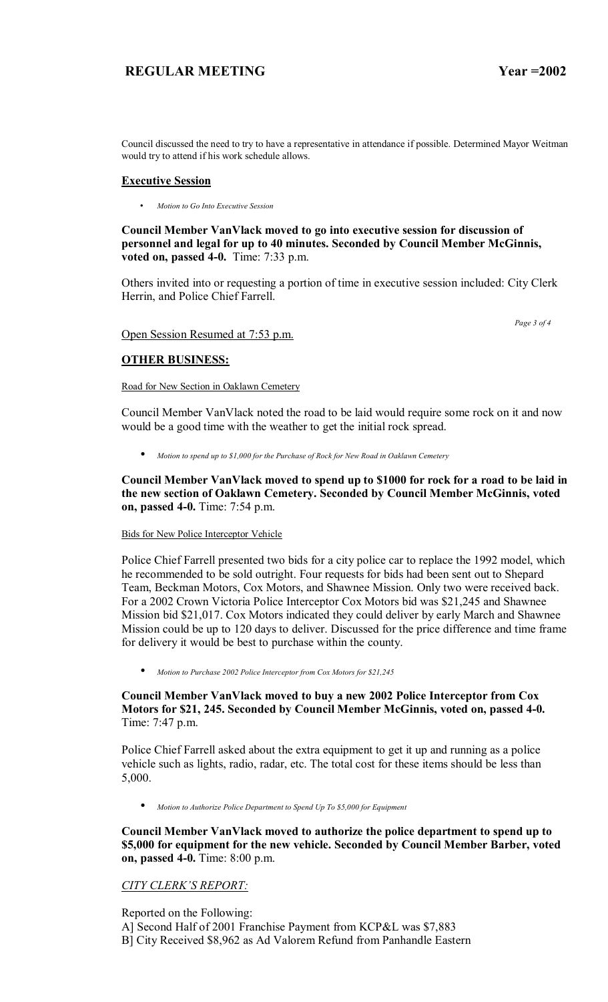Council discussed the need to try to have a representative in attendance if possible. Determined Mayor Weitman would try to attend if his work schedule allows.

#### **Executive Session**

• *Motion to Go Into Executive Session*

**Council Member VanVlack moved to go into executive session for discussion of personnel and legal for up to 40 minutes. Seconded by Council Member McGinnis, voted on, passed 4-0.** Time: 7:33 p.m.

Others invited into or requesting a portion of time in executive session included: City Clerk Herrin, and Police Chief Farrell.

 *Page 3 of 4* 

#### Open Session Resumed at 7:53 p.m.

# **OTHER BUSINESS:**

Road for New Section in Oaklawn Cemetery

Council Member VanVlack noted the road to be laid would require some rock on it and now would be a good time with the weather to get the initial rock spread.

• *Motion to spend up to \$1,000 for the Purchase of Rock for New Road in Oaklawn Cemetery*

**Council Member VanVlack moved to spend up to \$1000 for rock for a road to be laid in the new section of Oaklawn Cemetery. Seconded by Council Member McGinnis, voted on, passed 4-0.** Time: 7:54 p.m.

#### Bids for New Police Interceptor Vehicle

Police Chief Farrell presented two bids for a city police car to replace the 1992 model, which he recommended to be sold outright. Four requests for bids had been sent out to Shepard Team, Beckman Motors, Cox Motors, and Shawnee Mission. Only two were received back. For a 2002 Crown Victoria Police Interceptor Cox Motors bid was \$21,245 and Shawnee Mission bid \$21,017. Cox Motors indicated they could deliver by early March and Shawnee Mission could be up to 120 days to deliver. Discussed for the price difference and time frame for delivery it would be best to purchase within the county.

• *Motion to Purchase 2002 Police Interceptor from Cox Motors for \$21,245*

## **Council Member VanVlack moved to buy a new 2002 Police Interceptor from Cox Motors for \$21, 245. Seconded by Council Member McGinnis, voted on, passed 4-0.**  Time: 7:47 p.m.

Police Chief Farrell asked about the extra equipment to get it up and running as a police vehicle such as lights, radio, radar, etc. The total cost for these items should be less than 5,000.

• *Motion to Authorize Police Department to Spend Up To \$5,000 for Equipment*

**Council Member VanVlack moved to authorize the police department to spend up to \$5,000 for equipment for the new vehicle. Seconded by Council Member Barber, voted on, passed 4-0.** Time: 8:00 p.m.

# **CITY CLERK'S REPORT:**

Reported on the Following: A] Second Half of 2001 Franchise Payment from KCP&L was \$7,883 B] City Received \$8,962 as Ad Valorem Refund from Panhandle Eastern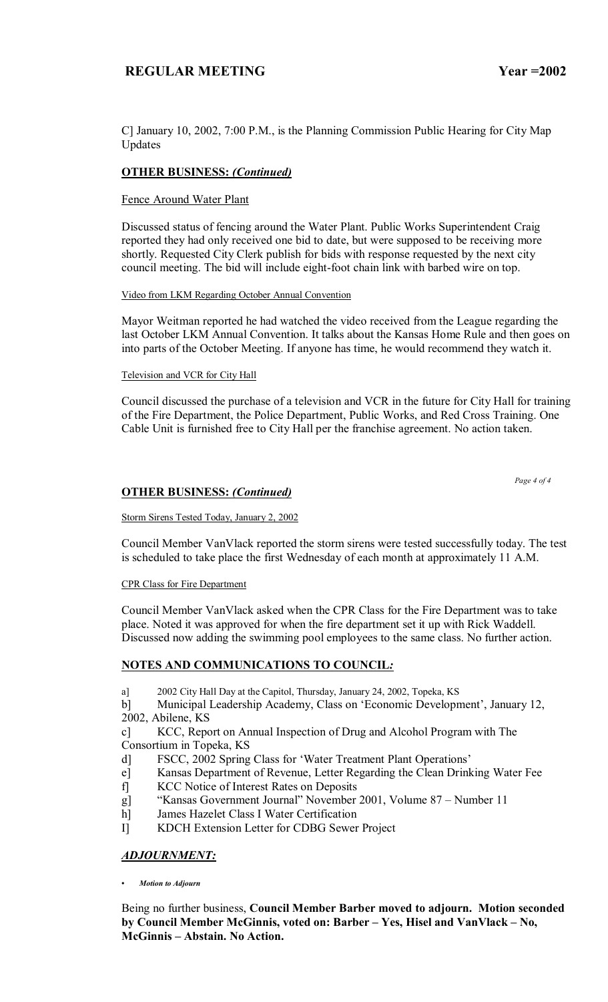C] January 10, 2002, 7:00 P.M., is the Planning Commission Public Hearing for City Map Updates

## **OTHER BUSINESS:** *(Continued)*

### Fence Around Water Plant

Discussed status of fencing around the Water Plant. Public Works Superintendent Craig reported they had only received one bid to date, but were supposed to be receiving more shortly. Requested City Clerk publish for bids with response requested by the next city council meeting. The bid will include eight-foot chain link with barbed wire on top.

#### Video from LKM Regarding October Annual Convention

Mayor Weitman reported he had watched the video received from the League regarding the last October LKM Annual Convention. It talks about the Kansas Home Rule and then goes on into parts of the October Meeting. If anyone has time, he would recommend they watch it.

#### Television and VCR for City Hall

Council discussed the purchase of a television and VCR in the future for City Hall for training of the Fire Department, the Police Department, Public Works, and Red Cross Training. One Cable Unit is furnished free to City Hall per the franchise agreement. No action taken.

```
 Page 4 of 4
```
## **OTHER BUSINESS:** *(Continued)*

#### Storm Sirens Tested Today, January 2, 2002

Council Member VanVlack reported the storm sirens were tested successfully today. The test is scheduled to take place the first Wednesday of each month at approximately 11 A.M.

#### CPR Class for Fire Department

Council Member VanVlack asked when the CPR Class for the Fire Department was to take place. Noted it was approved for when the fire department set it up with Rick Waddell. Discussed now adding the swimming pool employees to the same class. No further action.

## **NOTES AND COMMUNICATIONS TO COUNCIL***:*

a] 2002 City Hall Day at the Capitol, Thursday, January 24, 2002, Topeka, KS

b] Municipal Leadership Academy, Class on 'Economic Development', January 12, 2002, Abilene, KS

c] KCC, Report on Annual Inspection of Drug and Alcohol Program with The Consortium in Topeka, KS

- d] FSCC, 2002 Spring Class for 'Water Treatment Plant Operations'
- e] Kansas Department of Revenue, Letter Regarding the Clean Drinking Water Fee
- f] KCC Notice of Interest Rates on Deposits
- g] "Kansas Government Journal" November 2001, Volume 87 Number 11
- h] James Hazelet Class I Water Certification
- I] KDCH Extension Letter for CDBG Sewer Project

## *ADJOURNMENT:*

*ï Motion to Adjourn*

Being no further business, **Council Member Barber moved to adjourn. Motion seconded**  by Council Member McGinnis, voted on: Barber - Yes, Hisel and VanVlack - No, **McGinnis – Abstain. No Action.**